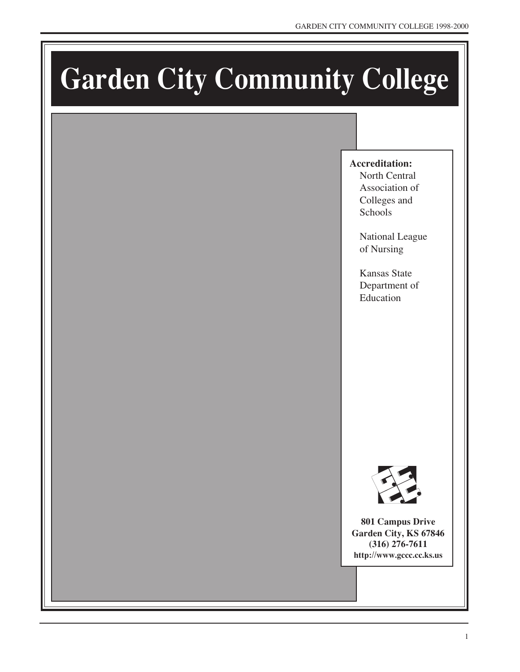# **Garden City Community College**

# **Accreditation:**

North Central Association of Colleges and Schools

National League of Nursing

Kansas State Department of Education



**801 Campus Drive Garden City, KS 67846 (316) 276-7611 http://www.gccc.cc.ks.us**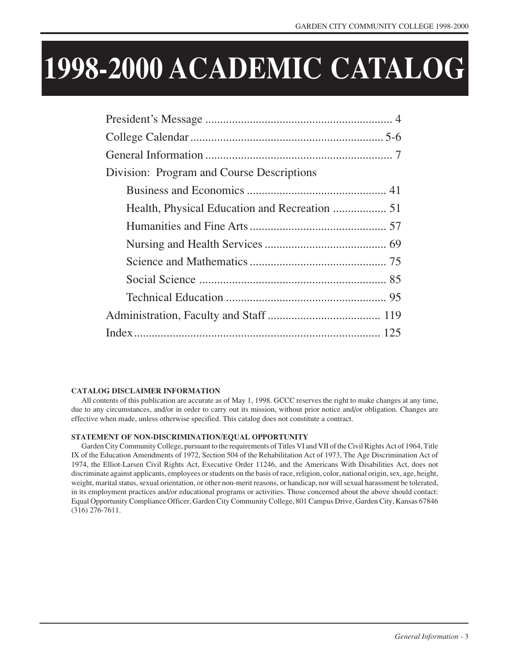# **1998-2000 ACADEMIC CATALOG**

| Division: Program and Course Descriptions |  |
|-------------------------------------------|--|
|                                           |  |
|                                           |  |
|                                           |  |
|                                           |  |
|                                           |  |
|                                           |  |
|                                           |  |
|                                           |  |
|                                           |  |

#### **CATALOG DISCLAIMER INFORMATION**

All contents of this publication are accurate as of May 1, 1998. GCCC reserves the right to make changes at any time, due to any circumstances, and/or in order to carry out its mission, without prior notice and/or obligation. Changes are effective when made, unless otherwise specified. This catalog does not constitute a contract.

#### **STATEMENT OF NON-DISCRIMINATION/EQUAL OPPORTUNITY**

Garden City Community College, pursuant to the requirements of Titles VI and VII of the Civil Rights Act of 1964, Title IX of the Education Amendments of 1972, Section 504 of the Rehabilitation Act of 1973, The Age Discrimination Act of 1974, the Elliot-Larsen Civil Rights Act, Executive Order 11246, and the Americans With Disabilities Act, does not discriminate against applicants, employees or students on the basis of race, religion, color, national origin, sex, age, height, weight, marital status, sexual orientation, or other non-merit reasons, or handicap, nor will sexual harassment be tolerated, in its employment practices and/or educational programs or activities. Those concerned about the above should contact: Equal Opportunity Compliance Officer, Garden City Community College, 801 Campus Drive, Garden City, Kansas 67846 (316) 276-7611.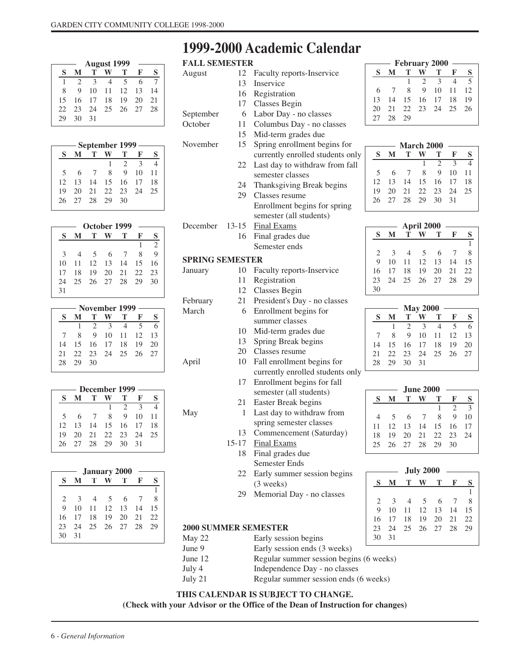#### **August 1999 SM TW T F S** 1234567 8 9 10 11 12 13 14 15 16 17 18 19 20 21 22 23 24 25 26 27 28 29 30 31

| – September 1999 — |     |          |                |   |                |    |     |
|--------------------|-----|----------|----------------|---|----------------|----|-----|
|                    | S   |          | т              |   | т              | F  | S   |
|                    |     |          |                | 1 | $\overline{2}$ | 3  |     |
|                    | .5  | 6        | $\overline{7}$ | 8 | $\mathbf Q$    | 10 | 11  |
|                    | 12. |          |                |   | 13 14 15 16 17 |    | -18 |
|                    | 19. | 20       |                |   | 21 22 23 24    |    | 25  |
|                    | 26. | 27 28 29 |                |   | 30             |    |     |
|                    |     |          |                |   |                |    |     |

| October 1999  |    |    |       |    |    |                |
|---------------|----|----|-------|----|----|----------------|
| S             | М  | т  |       | т  | F  | S              |
|               |    |    |       |    |    | $\overline{2}$ |
| $\mathcal{E}$ |    | -5 | 6     |    | 8  | $\mathbf Q$    |
| 10            | 11 | 12 | 13    | 14 | 15 | 16             |
| 17            | 18 | 19 | 20    | 21 | 22 | 23             |
| 24            | 25 | 26 | 27 28 |    | 29 | 30             |
| 31            |    |    |       |    |    |                |

| – November 1999 – |                |    |              |                |                          |    |
|-------------------|----------------|----|--------------|----------------|--------------------------|----|
| S                 | М              | т  |              | - Т            | F                        | S  |
|                   |                |    | $2 \sqrt{3}$ | $\overline{4}$ | $\overline{\mathcal{L}}$ |    |
|                   | 8              |    | 9 10 11 12   |                |                          | 13 |
| 14                | 15 16 17 18 19 |    |              |                |                          | 20 |
| 21                |                |    |              |                | 22 23 24 25 26 27        |    |
| 28                | - 29           | 30 |              |                |                          |    |

| - December 1999 |                |               |    |     |                        |    |  |
|-----------------|----------------|---------------|----|-----|------------------------|----|--|
| S               |                |               |    | т   | F                      | S  |  |
|                 |                |               | -1 | 2   | $\mathbf{\mathcal{R}}$ |    |  |
| 5.              | 6              | $\mathcal{I}$ | 8  | 9   | 10                     | 11 |  |
| 12              | 13 14 15 16 17 |               |    |     |                        | 18 |  |
| 19              | 20             | 21 22 23 24   |    |     |                        | 25 |  |
|                 | 26 27 28 29    |               |    | -30 | 31                     |    |  |
|                 |                |               |    |     |                        |    |  |

| <b>January 2000</b>           |              |                |            |                |     |     |
|-------------------------------|--------------|----------------|------------|----------------|-----|-----|
| s                             |              | T              |            | T              | F   | S   |
|                               |              |                |            |                |     |     |
| $\mathfrak{D}_{\mathfrak{p}}$ | $\mathbf{3}$ | $\overline{4}$ | $\sqrt{5}$ | - 6            | - 7 | 8   |
| $\mathbf Q$                   | 10           |                |            | 11 12 13 14    |     | 15  |
| 16                            | 17           | 18             |            | $19 \t 20$     | 21  | 22. |
| 23                            |              |                |            | 24 25 26 27 28 |     | 29  |
| 30                            | 31           |                |            |                |     |     |

# **1999-2000 Academic Calendar**

| <b>FALL SEMESTER</b>        |              |                                  |                |              | <b>February 2000</b> |                       |                   |                     |                   |
|-----------------------------|--------------|----------------------------------|----------------|--------------|----------------------|-----------------------|-------------------|---------------------|-------------------|
| August                      | 12           | Faculty reports-Inservice        | S              | М            | Т                    | W                     | Т                 | F                   | S                 |
|                             | 13           | Inservice                        |                |              | 1                    | 2                     | 3                 | $\overline{4}$      | 5                 |
|                             | 16           | Registration                     | 6              | 7            | 8                    | $\overline{9}$        | 10                | 11                  | 12                |
|                             | 17           | <b>Classes Begin</b>             | 13             | 14           | 15                   | 16                    | 17                | 18                  | 19                |
| September                   | 6            | Labor Day - no classes           | 20<br>27       | 21<br>28     | 22<br>29             | 23                    | 24                | 25                  | 26                |
| October                     | 11           | Columbus Day - no classes        |                |              |                      |                       |                   |                     |                   |
|                             | 15           | Mid-term grades due              |                |              |                      |                       |                   |                     |                   |
| November                    | 15           | Spring enrollment begins for     |                |              | March 2000           |                       |                   |                     |                   |
|                             |              | currently enrolled students only | S              | M            | T                    | W                     | т                 | F                   | S                 |
|                             | 22           | Last day to withdraw from fall   |                |              |                      | 1                     | $\overline{2}$    | $\overline{3}$      | $\overline{4}$    |
|                             |              | semester classes                 | 5              | 6            | 7                    | 8                     | 9                 | 10                  | 11                |
|                             | 24           | Thanksgiving Break begins        | 12             | 13           | 14                   | 15                    | 16                | 17                  | 18                |
|                             | 29           | Classes resume                   | 19             | 20           | 21                   | 22                    | 23                | 24                  | 25                |
|                             |              | Enrollment begins for spring     | 26             | 27           | 28                   | 29                    | 30                | 31                  |                   |
|                             |              | semester (all students)          |                |              |                      |                       |                   |                     |                   |
| December                    | $13 - 15$    | <b>Final Exams</b>               |                |              |                      | April 2000            |                   |                     |                   |
|                             | 16           | Final grades due                 | S              | M            | т                    | W                     | т                 | F                   | S                 |
|                             |              | Semester ends                    |                |              |                      |                       |                   |                     | 1                 |
|                             |              |                                  | 2              | 3            | 4                    | 5                     | 6                 | 7                   | 8                 |
| <b>SPRING SEMESTER</b>      |              |                                  | 9              | 10           | 11                   | 12                    | 13                | 14                  | 15                |
| January                     | 10           | Faculty reports-Inservice        | 16             | 17           | 18                   | 19                    | 20                | 21                  | 22                |
|                             | 11           | Registration                     | 23             | 24           | 25                   | 26                    | 27                | 28                  | 29                |
|                             | 12           | <b>Classes Begin</b>             | 30             |              |                      |                       |                   |                     |                   |
| February                    | 21           | President's Day - no classes     |                |              |                      | <b>May 2000</b>       |                   |                     |                   |
| March                       | 6            | Enrollment begins for            | S              | M            | T                    | W                     | Т                 | F                   | S                 |
|                             |              | summer classes                   |                | $\mathbf{1}$ | $\overline{2}$       | 3                     | $\overline{4}$    | 5                   | 6                 |
|                             | 10           | Mid-term grades due              | 7              | 8            | 9                    | 10                    | 11                | 12                  | 13                |
|                             | 13           | Spring Break begins              | 14             | 15           | 16                   | 17                    | 18                | 19                  | 20                |
|                             | 20           | Classes resume                   | 21             | 22           | 23                   | 24                    | 25                | 26                  | 27                |
| April                       | 10           | Fall enrollment begins for       | 28             | 29           | 30                   | 31                    |                   |                     |                   |
|                             |              | currently enrolled students only |                |              |                      |                       |                   |                     |                   |
|                             | 17           | Enrollment begins for fall       |                |              |                      |                       |                   |                     |                   |
|                             |              | semester (all students)          |                |              |                      | <b>June 2000</b><br>W |                   |                     |                   |
|                             | 21           | Easter Break begins              | S              | ${\bf M}$    | T                    |                       | Т<br>$\mathbf{1}$ | F<br>$\overline{2}$ | $\mathbf{S}$<br>3 |
| May                         | $\mathbf{1}$ | Last day to withdraw from        | $\overline{4}$ | 5            | 6                    | 7                     | $\,$ 8 $\,$       | 9                   | 10                |
|                             |              | spring semester classes          | 11             | 12           | 13                   | 14                    | 15                | 16                  | 17                |
|                             |              | 13 Commencement (Saturday)       | 18             | 19           | $20\,$               | 21                    | 22                | 23                  | 24                |
|                             | 15-17        | <b>Final Exams</b>               | 25             | 26           | 27                   | 28                    | 29                | 30                  |                   |
|                             | 18           | Final grades due                 |                |              |                      |                       |                   |                     |                   |
|                             |              | Semester Ends                    |                |              |                      |                       |                   |                     |                   |
|                             | 22           | Early summer session begins      |                |              |                      | <b>July 2000</b>      |                   |                     |                   |
|                             |              | $(3$ weeks)                      | $\bf{s}$       | M            | Т                    | W                     | т                 | F                   | S                 |
|                             | 29           | Memorial Day - no classes        |                |              |                      |                       |                   |                     | 1                 |
|                             |              |                                  | 2              | 3            | 4                    | 5                     | 6                 | 7                   | 8                 |
|                             |              |                                  | 9<br>16        | 10<br>17     | 11<br>18             | 12<br>19              | 13<br>20          | 14<br>21            | 15<br>22          |
| <b>2000 SUMMER SEMESTER</b> |              |                                  | 23             | 24           | 25                   | 26                    | 27                | 28                  | 29                |
|                             |              |                                  |                |              |                      |                       |                   |                     |                   |
| May 22                      |              | Early session begins             | 30             | 31           |                      |                       |                   |                     |                   |

1

1

- June 9 Early session ends (3 weeks) June 12 Regular summer session begins (6 weeks)
- July 4 Independence Day no classes
- July 21 Regular summer session ends (6 weeks)

#### **THIS CALENDAR IS SUBJECT TO CHANGE.**

**(Check with your Advisor or the Office of the Dean of Instruction for changes)**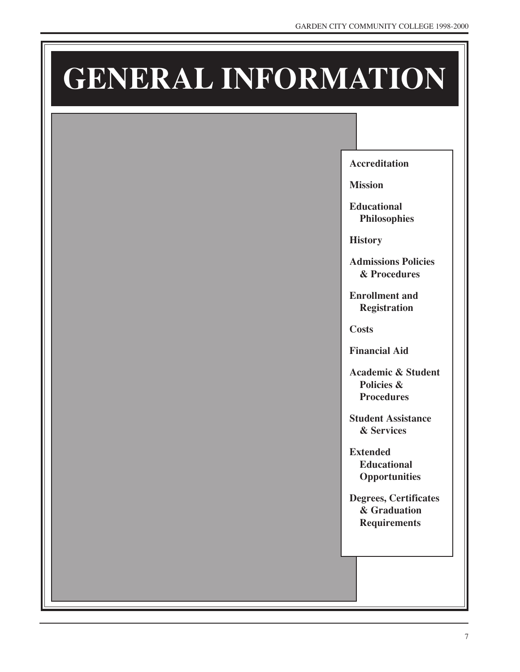# **GENERAL INFORMATION**

**Accreditation**

**Mission**

**Educational Philosophies**

**History**

**Admissions Policies & Procedures**

**Enrollment and Registration**

**Costs**

**Financial Aid**

**Academic & Student Policies & Procedures**

**Student Assistance & Services**

**Extended Educational Opportunities**

**Degrees, Certificates & Graduation Requirements**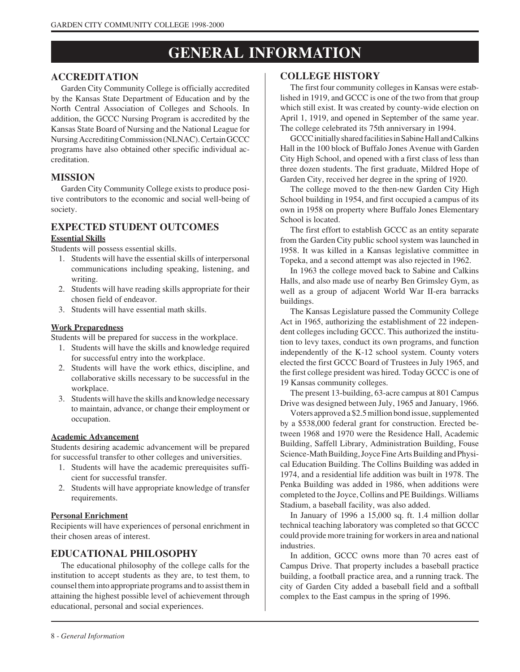# **GENERAL INFORMATION**

#### **ACCREDITATION**

Garden City Community College is officially accredited by the Kansas State Department of Education and by the North Central Association of Colleges and Schools. In addition, the GCCC Nursing Program is accredited by the Kansas State Board of Nursing and the National League for Nursing Accrediting Commission (NLNAC). Certain GCCC programs have also obtained other specific individual accreditation.

#### **MISSION**

Garden City Community College exists to produce positive contributors to the economic and social well-being of society.

# **EXPECTED STUDENT OUTCOMES**

#### **Essential Skills**

Students will possess essential skills.

- 1. Students will have the essential skills of interpersonal communications including speaking, listening, and writing.
- 2. Students will have reading skills appropriate for their chosen field of endeavor.
- 3. Students will have essential math skills.

#### **Work Preparedness**

Students will be prepared for success in the workplace.

- 1. Students will have the skills and knowledge required for successful entry into the workplace.
- 2. Students will have the work ethics, discipline, and collaborative skills necessary to be successful in the workplace.
- 3. Students will have the skills and knowledge necessary to maintain, advance, or change their employment or occupation.

#### **Academic Advancement**

Students desiring academic advancement will be prepared for successful transfer to other colleges and universities.

- 1. Students will have the academic prerequisites sufficient for successful transfer.
- 2. Students will have appropriate knowledge of transfer requirements.

#### **Personal Enrichment**

Recipients will have experiences of personal enrichment in their chosen areas of interest.

#### **EDUCATIONAL PHILOSOPHY**

The educational philosophy of the college calls for the institution to accept students as they are, to test them, to counsel them into appropriate programs and to assist them in attaining the highest possible level of achievement through educational, personal and social experiences.

#### **COLLEGE HISTORY**

The first four community colleges in Kansas were established in 1919, and GCCC is one of the two from that group which still exist. It was created by county-wide election on April 1, 1919, and opened in September of the same year. The college celebrated its 75th anniversary in 1994.

GCCC initially shared facilities in Sabine Hall and Calkins Hall in the 100 block of Buffalo Jones Avenue with Garden City High School, and opened with a first class of less than three dozen students. The first graduate, Mildred Hope of Garden City, received her degree in the spring of 1920.

The college moved to the then-new Garden City High School building in 1954, and first occupied a campus of its own in 1958 on property where Buffalo Jones Elementary School is located.

The first effort to establish GCCC as an entity separate from the Garden City public school system was launched in 1958. It was killed in a Kansas legislative committee in Topeka, and a second attempt was also rejected in 1962.

In 1963 the college moved back to Sabine and Calkins Halls, and also made use of nearby Ben Grimsley Gym, as well as a group of adjacent World War II-era barracks buildings.

The Kansas Legislature passed the Community College Act in 1965, authorizing the establishment of 22 independent colleges including GCCC. This authorized the institution to levy taxes, conduct its own programs, and function independently of the K-12 school system. County voters elected the first GCCC Board of Trustees in July 1965, and the first college president was hired. Today GCCC is one of 19 Kansas community colleges.

The present 13-building, 63-acre campus at 801 Campus Drive was designed between July, 1965 and January, 1966.

Voters approved a \$2.5 million bond issue, supplemented by a \$538,000 federal grant for construction. Erected between 1968 and 1970 were the Residence Hall, Academic Building, Saffell Library, Administration Building, Fouse Science-Math Building, Joyce Fine Arts Building and Physical Education Building. The Collins Building was added in 1974, and a residential life addition was built in 1978. The Penka Building was added in 1986, when additions were completed to the Joyce, Collins and PE Buildings. Williams Stadium, a baseball facility, was also added.

In January of 1996 a 15,000 sq. ft. 1.4 million dollar technical teaching laboratory was completed so that GCCC could provide more training for workers in area and national industries.

In addition, GCCC owns more than 70 acres east of Campus Drive. That property includes a baseball practice building, a football practice area, and a running track. The city of Garden City added a baseball field and a softball complex to the East campus in the spring of 1996.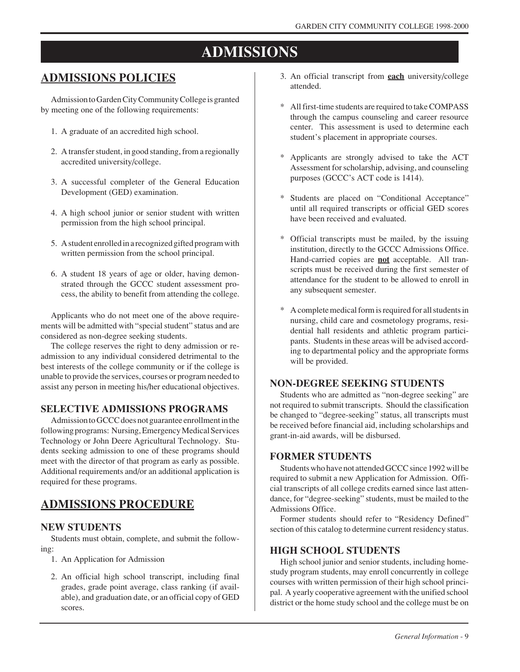# **ADMISSIONS**

# **ADMISSIONS POLICIES**

Admission to Garden City Community College is granted by meeting one of the following requirements:

- 1. A graduate of an accredited high school.
- 2. A transfer student, in good standing, from a regionally accredited university/college.
- 3. A successful completer of the General Education Development (GED) examination.
- 4. A high school junior or senior student with written permission from the high school principal.
- 5. A student enrolled in a recognized gifted program with written permission from the school principal.
- 6. A student 18 years of age or older, having demonstrated through the GCCC student assessment process, the ability to benefit from attending the college.

Applicants who do not meet one of the above requirements will be admitted with "special student" status and are considered as non-degree seeking students.

The college reserves the right to deny admission or readmission to any individual considered detrimental to the best interests of the college community or if the college is unable to provide the services, courses or program needed to assist any person in meeting his/her educational objectives.

#### **SELECTIVE ADMISSIONS PROGRAMS**

Admission to GCCC does not guarantee enrollment in the following programs: Nursing, Emergency Medical Services Technology or John Deere Agricultural Technology. Students seeking admission to one of these programs should meet with the director of that program as early as possible. Additional requirements and/or an additional application is required for these programs.

## **ADMISSIONS PROCEDURE**

#### **NEW STUDENTS**

Students must obtain, complete, and submit the following:

- 1. An Application for Admission
- 2. An official high school transcript, including final grades, grade point average, class ranking (if available), and graduation date, or an official copy of GED scores.
- 3. An official transcript from **each** university/college attended.
- All first-time students are required to take COMPASS through the campus counseling and career resource center. This assessment is used to determine each student's placement in appropriate courses.
- \* Applicants are strongly advised to take the ACT Assessment for scholarship, advising, and counseling purposes (GCCC's ACT code is 1414).
- \* Students are placed on "Conditional Acceptance" until all required transcripts or official GED scores have been received and evaluated.
- \* Official transcripts must be mailed, by the issuing institution, directly to the GCCC Admissions Office. Hand-carried copies are **not** acceptable. All transcripts must be received during the first semester of attendance for the student to be allowed to enroll in any subsequent semester.
- \* A complete medical form is required for all students in nursing, child care and cosmetology programs, residential hall residents and athletic program participants. Students in these areas will be advised according to departmental policy and the appropriate forms will be provided.

#### **NON-DEGREE SEEKING STUDENTS**

Students who are admitted as "non-degree seeking" are not required to submit transcripts. Should the classification be changed to "degree-seeking" status, all transcripts must be received before financial aid, including scholarships and grant-in-aid awards, will be disbursed.

#### **FORMER STUDENTS**

Students who have not attended GCCC since 1992 will be required to submit a new Application for Admission. Official transcripts of all college credits earned since last attendance, for "degree-seeking" students, must be mailed to the Admissions Office.

Former students should refer to "Residency Defined" section of this catalog to determine current residency status.

#### **HIGH SCHOOL STUDENTS**

High school junior and senior students, including homestudy program students, may enroll concurrently in college courses with written permission of their high school principal. A yearly cooperative agreement with the unified school district or the home study school and the college must be on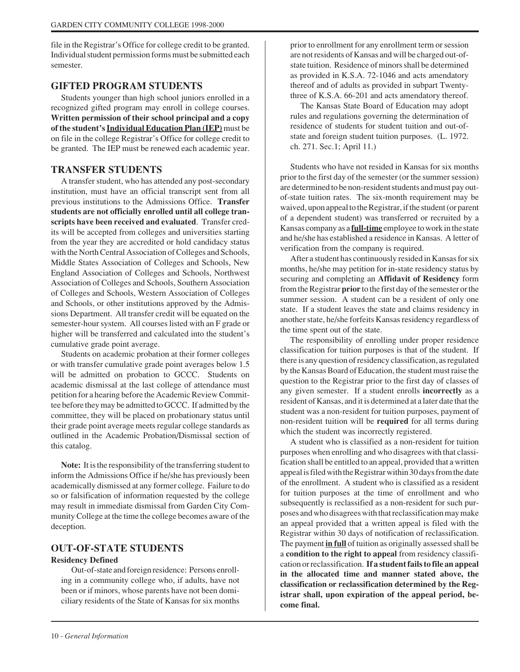file in the Registrar's Office for college credit to be granted. Individual student permission forms must be submitted each semester.

#### **GIFTED PROGRAM STUDENTS**

Students younger than high school juniors enrolled in a recognized gifted program may enroll in college courses. **Written permission of their school principal and a copy of the student's Individual Education Plan (IEP)** must be on file in the college Registrar's Office for college credit to be granted. The IEP must be renewed each academic year.

#### **TRANSFER STUDENTS**

A transfer student, who has attended any post-secondary institution, must have an official transcript sent from all previous institutions to the Admissions Office. **Transfer students are not officially enrolled until all college transcripts have been received and evaluated**. Transfer credits will be accepted from colleges and universities starting from the year they are accredited or hold candidacy status with the North Central Association of Colleges and Schools, Middle States Association of Colleges and Schools, New England Association of Colleges and Schools, Northwest Association of Colleges and Schools, Southern Association of Colleges and Schools, Western Association of Colleges and Schools, or other institutions approved by the Admissions Department. All transfer credit will be equated on the semester-hour system. All courses listed with an F grade or higher will be transferred and calculated into the student's cumulative grade point average.

Students on academic probation at their former colleges or with transfer cumulative grade point averages below 1.5 will be admitted on probation to GCCC. Students on academic dismissal at the last college of attendance must petition for a hearing before the Academic Review Committee before they may be admitted to GCCC. If admitted by the committee, they will be placed on probationary status until their grade point average meets regular college standards as outlined in the Academic Probation/Dismissal section of this catalog.

**Note:** It is the responsibility of the transferring student to inform the Admissions Office if he/she has previously been academically dismissed at any former college. Failure to do so or falsification of information requested by the college may result in immediate dismissal from Garden City Community College at the time the college becomes aware of the deception.

# **OUT-OF-STATE STUDENTS**

#### **Residency Defined**

Out-of-state and foreign residence: Persons enrolling in a community college who, if adults, have not been or if minors, whose parents have not been domiciliary residents of the State of Kansas for six months prior to enrollment for any enrollment term or session are not residents of Kansas and will be charged out-ofstate tuition. Residence of minors shall be determined as provided in K.S.A. 72-1046 and acts amendatory thereof and of adults as provided in subpart Twentythree of K.S.A. 66-201 and acts amendatory thereof.

The Kansas State Board of Education may adopt rules and regulations governing the determination of residence of students for student tuition and out-ofstate and foreign student tuition purposes. (L. 1972. ch. 271. Sec.1; April 11.)

Students who have not resided in Kansas for six months prior to the first day of the semester (or the summer session) are determined to be non-resident students and must pay outof-state tuition rates. The six-month requirement may be waived, upon appeal to the Registrar, if the student (or parent of a dependent student) was transferred or recruited by a Kansas company as a **full-time** employee to work in the state and he/she has established a residence in Kansas. A letter of verification from the company is required.

After a student has continuously resided in Kansas for six months, he/she may petition for in-state residency status by securing and completing an **Affidavit of Residency** form from the Registrar **prior** to the first day of the semester or the summer session. A student can be a resident of only one state. If a student leaves the state and claims residency in another state, he/she forfeits Kansas residency regardless of the time spent out of the state.

The responsibility of enrolling under proper residence classification for tuition purposes is that of the student. If there is any question of residency classification, as regulated by the Kansas Board of Education, the student must raise the question to the Registrar prior to the first day of classes of any given semester. If a student enrolls **incorrectly** as a resident of Kansas, and it is determined at a later date that the student was a non-resident for tuition purposes, payment of non-resident tuition will be **required** for all terms during which the student was incorrectly registered.

A student who is classified as a non-resident for tuition purposes when enrolling and who disagrees with that classification shall be entitled to an appeal, provided that a written appeal is filed with the Registrar within 30 days from the date of the enrollment. A student who is classified as a resident for tuition purposes at the time of enrollment and who subsequently is reclassified as a non-resident for such purposes and who disagrees with that reclassification may make an appeal provided that a written appeal is filed with the Registrar within 30 days of notification of reclassification. The payment **in full** of tuition as originally assessed shall be a **condition to the right to appeal** from residency classification or reclassification. **If a student fails to file an appeal in the allocated time and manner stated above, the classification or reclassification determined by the Registrar shall, upon expiration of the appeal period, become final.**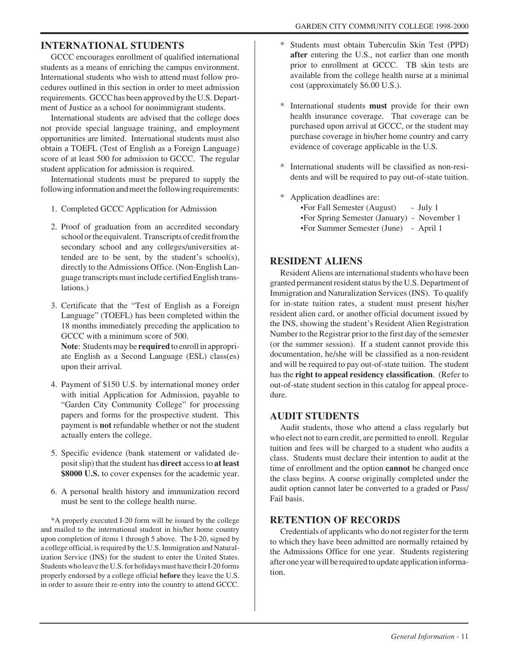#### **INTERNATIONAL STUDENTS**

GCCC encourages enrollment of qualified international students as a means of enriching the campus environment. International students who wish to attend must follow procedures outlined in this section in order to meet admission requirements. GCCC has been approved by the U.S. Department of Justice as a school for nonimmigrant students.

International students are advised that the college does not provide special language training, and employment opportunities are limited. International students must also obtain a TOEFL (Test of English as a Foreign Language) score of at least 500 for admission to GCCC. The regular student application for admission is required.

International students must be prepared to supply the following information and meet the following requirements:

- 1. Completed GCCC Application for Admission
- 2. Proof of graduation from an accredited secondary school or the equivalent. Transcripts of credit from the secondary school and any colleges/universities attended are to be sent, by the student's school(s), directly to the Admissions Office. (Non-English Language transcripts must include certified English translations.)
- 3. Certificate that the "Test of English as a Foreign Language" (TOEFL) has been completed within the 18 months immediately preceding the application to GCCC with a minimum score of 500.

**Note**: Students may be **required** to enroll in appropriate English as a Second Language (ESL) class(es) upon their arrival.

- 4. Payment of \$150 U.S. by international money order with initial Application for Admission, payable to "Garden City Community College" for processing papers and forms for the prospective student. This payment is **not** refundable whether or not the student actually enters the college.
- 5. Specific evidence (bank statement or validated deposit slip) that the student has **direct** access to **at least \$8000 U.S.** to cover expenses for the academic year.
- 6. A personal health history and immunization record must be sent to the college health nurse.

\*A properly executed I-20 form will be issued by the college and mailed to the international student in his/her home country upon completion of items 1 through 5 above. The I-20, signed by a college official, is required by the U.S. Immigration and Naturalization Service (INS) for the student to enter the United States. Students who leave the U.S. for holidays must have their I-20 forms properly endorsed by a college official **before** they leave the U.S. in order to assure their re-entry into the country to attend GCCC.

- Students must obtain Tuberculin Skin Test (PPD) **after** entering the U.S., not earlier than one month prior to enrollment at GCCC. TB skin tests are available from the college health nurse at a minimal cost (approximately \$6.00 U.S.).
- \* International students **must** provide for their own health insurance coverage. That coverage can be purchased upon arrival at GCCC, or the student may purchase coverage in his/her home country and carry evidence of coverage applicable in the U.S.
- \* International students will be classified as non-residents and will be required to pay out-of-state tuition.
- \* Application deadlines are:
	- •For Fall Semester (August) July 1
	- •For Spring Semester (January) November 1
	- •For Summer Semester (June) April 1

#### **RESIDENT ALIENS**

Resident Aliens are international students who have been granted permanent resident status by the U.S. Department of Immigration and Naturalization Services (INS). To qualify for in-state tuition rates, a student must present his/her resident alien card, or another official document issued by the INS, showing the student's Resident Alien Registration Number to the Registrar prior to the first day of the semester (or the summer session). If a student cannot provide this documentation, he/she will be classified as a non-resident and will be required to pay out-of-state tuition. The student has the **right to appeal residency classification**. (Refer to out-of-state student section in this catalog for appeal procedure.

#### **AUDIT STUDENTS**

Audit students, those who attend a class regularly but who elect not to earn credit, are permitted to enroll. Regular tuition and fees will be charged to a student who audits a class. Students must declare their intention to audit at the time of enrollment and the option **cannot** be changed once the class begins. A course originally completed under the audit option cannot later be converted to a graded or Pass/ Fail basis.

#### **RETENTION OF RECORDS**

Credentials of applicants who do not register for the term to which they have been admitted are normally retained by the Admissions Office for one year. Students registering after one year will be required to update application information.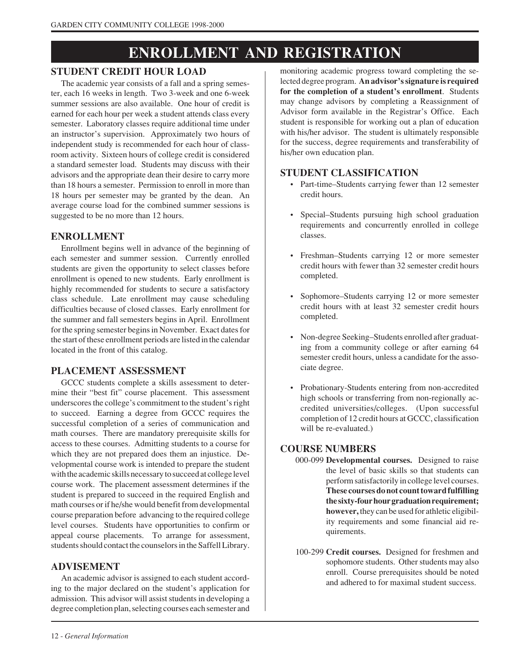# **ENROLLMENT AND REGISTRATION**

#### **STUDENT CREDIT HOUR LOAD**

The academic year consists of a fall and a spring semester, each 16 weeks in length. Two 3-week and one 6-week summer sessions are also available. One hour of credit is earned for each hour per week a student attends class every semester. Laboratory classes require additional time under an instructor's supervision. Approximately two hours of independent study is recommended for each hour of classroom activity. Sixteen hours of college credit is considered a standard semester load. Students may discuss with their advisors and the appropriate dean their desire to carry more than 18 hours a semester. Permission to enroll in more than 18 hours per semester may be granted by the dean. An average course load for the combined summer sessions is suggested to be no more than 12 hours.

#### **ENROLLMENT**

Enrollment begins well in advance of the beginning of each semester and summer session. Currently enrolled students are given the opportunity to select classes before enrollment is opened to new students. Early enrollment is highly recommended for students to secure a satisfactory class schedule. Late enrollment may cause scheduling difficulties because of closed classes. Early enrollment for the summer and fall semesters begins in April. Enrollment for the spring semester begins in November. Exact dates for the start of these enrollment periods are listed in the calendar located in the front of this catalog.

#### **PLACEMENT ASSESSMENT**

GCCC students complete a skills assessment to determine their "best fit" course placement. This assessment underscores the college's commitment to the student's right to succeed. Earning a degree from GCCC requires the successful completion of a series of communication and math courses. There are mandatory prerequisite skills for access to these courses. Admitting students to a course for which they are not prepared does them an injustice. Developmental course work is intended to prepare the student with the academic skills necessary to succeed at college level course work. The placement assessment determines if the student is prepared to succeed in the required English and math courses or if he/she would benefit from developmental course preparation before advancing to the required college level courses. Students have opportunities to confirm or appeal course placements. To arrange for assessment, students should contact the counselors in the Saffell Library.

#### **ADVISEMENT**

An academic advisor is assigned to each student according to the major declared on the student's application for admission. This advisor will assist students in developing a degree completion plan, selecting courses each semester and

monitoring academic progress toward completing the selected degree program. **An advisor's signature is required for the completion of a student's enrollment**. Students may change advisors by completing a Reassignment of Advisor form available in the Registrar's Office. Each student is responsible for working out a plan of education with his/her advisor. The student is ultimately responsible for the success, degree requirements and transferability of his/her own education plan.

#### **STUDENT CLASSIFICATION**

- Part-time–Students carrying fewer than 12 semester credit hours.
- Special–Students pursuing high school graduation requirements and concurrently enrolled in college classes.
- Freshman–Students carrying 12 or more semester credit hours with fewer than 32 semester credit hours completed.
- Sophomore–Students carrying 12 or more semester credit hours with at least 32 semester credit hours completed.
- Non-degree Seeking–Students enrolled after graduating from a community college or after earning 64 semester credit hours, unless a candidate for the associate degree.
- Probationary-Students entering from non-accredited high schools or transferring from non-regionally accredited universities/colleges. (Upon successful completion of 12 credit hours at GCCC, classification will be re-evaluated.)

#### **COURSE NUMBERS**

- 000-099 **Developmental courses.** Designed to raise the level of basic skills so that students can perform satisfactorily in college level courses. **These courses do not count toward fulfilling the sixty-four hour graduation requirement; however,** they can be used for athletic eligibility requirements and some financial aid requirements.
- 100-299 **Credit courses.** Designed for freshmen and sophomore students. Other students may also enroll. Course prerequisites should be noted and adhered to for maximal student success.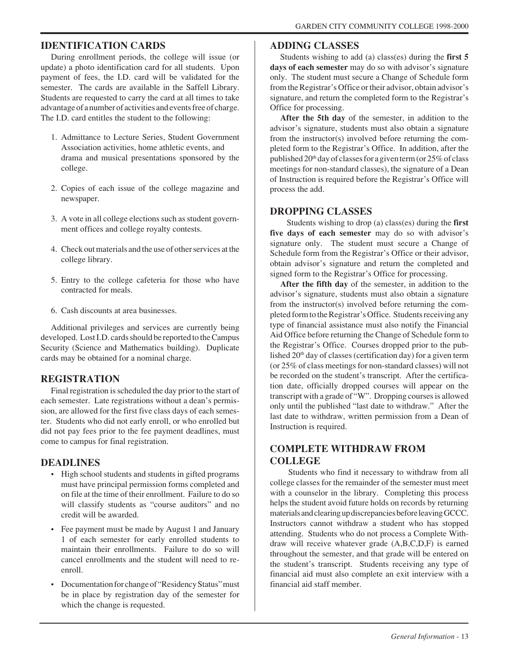#### **IDENTIFICATION CARDS**

During enrollment periods, the college will issue (or update) a photo identification card for all students. Upon payment of fees, the I.D. card will be validated for the semester. The cards are available in the Saffell Library. Students are requested to carry the card at all times to take advantage of a number of activities and events free of charge. The I.D. card entitles the student to the following:

- 1. Admittance to Lecture Series, Student Government Association activities, home athletic events, and drama and musical presentations sponsored by the college.
- 2. Copies of each issue of the college magazine and newspaper.
- 3. A vote in all college elections such as student government offices and college royalty contests.
- 4. Check out materials and the use of other services at the college library.
- 5. Entry to the college cafeteria for those who have contracted for meals.
- 6. Cash discounts at area businesses.

Additional privileges and services are currently being developed. Lost I.D. cards should be reported to the Campus Security (Science and Mathematics building). Duplicate cards may be obtained for a nominal charge.

#### **REGISTRATION**

Final registration is scheduled the day prior to the start of each semester. Late registrations without a dean's permission, are allowed for the first five class days of each semester. Students who did not early enroll, or who enrolled but did not pay fees prior to the fee payment deadlines, must come to campus for final registration.

#### **DEADLINES**

- High school students and students in gifted programs must have principal permission forms completed and on file at the time of their enrollment. Failure to do so will classify students as "course auditors" and no credit will be awarded.
- Fee payment must be made by August 1 and January 1 of each semester for early enrolled students to maintain their enrollments. Failure to do so will cancel enrollments and the student will need to reenroll.
- Documentation for change of "Residency Status" must be in place by registration day of the semester for which the change is requested.

#### **ADDING CLASSES**

Students wishing to add (a) class(es) during the **first 5 days of each semester** may do so with advisor's signature only. The student must secure a Change of Schedule form from the Registrar's Office or their advisor, obtain advisor's signature, and return the completed form to the Registrar's Office for processing.

**After the 5th day** of the semester, in addition to the advisor's signature, students must also obtain a signature from the instructor(s) involved before returning the completed form to the Registrar's Office. In addition, after the published  $20<sup>th</sup>$  day of classes for a given term (or  $25\%$  of class meetings for non-standard classes), the signature of a Dean of Instruction is required before the Registrar's Office will process the add.

#### **DROPPING CLASSES**

 Students wishing to drop (a) class(es) during the **first five days of each semester** may do so with advisor's signature only. The student must secure a Change of Schedule form from the Registrar's Office or their advisor, obtain advisor's signature and return the completed and signed form to the Registrar's Office for processing.

**After the fifth day** of the semester, in addition to the advisor's signature, students must also obtain a signature from the instructor(s) involved before returning the completed form to the Registrar's Office. Students receiving any type of financial assistance must also notify the Financial Aid Office before returning the Change of Schedule form to the Registrar's Office. Courses dropped prior to the published  $20<sup>th</sup>$  day of classes (certification day) for a given term (or 25% of class meetings for non-standard classes) will not be recorded on the student's transcript. After the certification date, officially dropped courses will appear on the transcript with a grade of "W". Dropping courses is allowed only until the published "last date to withdraw." After the last date to withdraw, written permission from a Dean of Instruction is required.

#### **COMPLETE WITHDRAW FROM COLLEGE**

 Students who find it necessary to withdraw from all college classes for the remainder of the semester must meet with a counselor in the library. Completing this process helps the student avoid future holds on records by returning materials and clearing up discrepancies before leaving GCCC. Instructors cannot withdraw a student who has stopped attending. Students who do not process a Complete Withdraw will receive whatever grade (A,B,C,D,F) is earned throughout the semester, and that grade will be entered on the student's transcript. Students receiving any type of financial aid must also complete an exit interview with a financial aid staff member.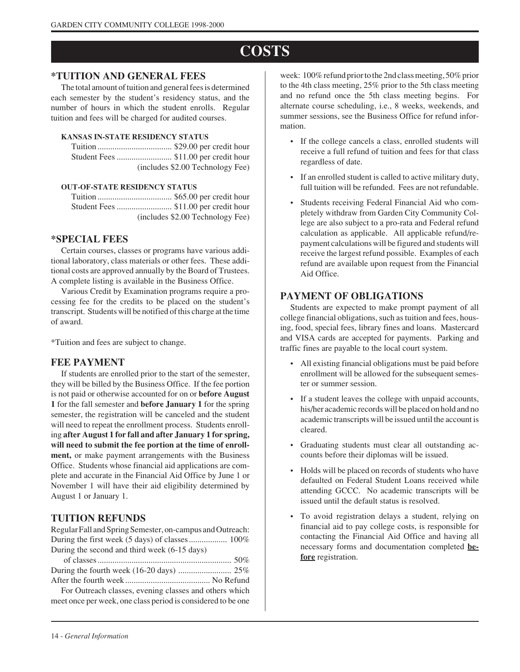# **COSTS**

#### **\*TUITION AND GENERAL FEES**

The total amount of tuition and general fees is determined each semester by the student's residency status, and the number of hours in which the student enrolls. Regular tuition and fees will be charged for audited courses.

#### **KANSAS IN-STATE RESIDENCY STATUS**

| (includes \$2.00 Technology Fee) |
|----------------------------------|

#### **OUT-OF-STATE RESIDENCY STATUS**

Tuition ................................... \$65.00 per credit hour Student Fees .......................... \$11.00 per credit hour (includes \$2.00 Technology Fee)

#### **\*SPECIAL FEES**

Certain courses, classes or programs have various additional laboratory, class materials or other fees. These additional costs are approved annually by the Board of Trustees. A complete listing is available in the Business Office.

Various Credit by Examination programs require a processing fee for the credits to be placed on the student's transcript. Students will be notified of this charge at the time of award.

\*Tuition and fees are subject to change.

#### **FEE PAYMENT**

If students are enrolled prior to the start of the semester, they will be billed by the Business Office. If the fee portion is not paid or otherwise accounted for on or **before August 1** for the fall semester and **before January 1** for the spring semester, the registration will be canceled and the student will need to repeat the enrollment process. Students enrolling **after August 1 for fall and after January 1 for spring, will need to submit the fee portion at the time of enrollment,** or make payment arrangements with the Business Office. Students whose financial aid applications are complete and accurate in the Financial Aid Office by June 1 or November 1 will have their aid eligibility determined by August 1 or January 1.

#### **TUITION REFUNDS**

Regular Fall and Spring Semester, on-campus and Outreach: During the first week (5 days) of classes................... 100% During the second and third week (6-15 days)

For Outreach classes, evening classes and others which meet once per week, one class period is considered to be one

week: 100% refund prior to the 2nd class meeting, 50% prior to the 4th class meeting, 25% prior to the 5th class meeting and no refund once the 5th class meeting begins. For alternate course scheduling, i.e., 8 weeks, weekends, and summer sessions, see the Business Office for refund information.

- If the college cancels a class, enrolled students will receive a full refund of tuition and fees for that class regardless of date.
- If an enrolled student is called to active military duty, full tuition will be refunded. Fees are not refundable.
- Students receiving Federal Financial Aid who completely withdraw from Garden City Community College are also subject to a pro-rata and Federal refund calculation as applicable. All applicable refund/repayment calculations will be figured and students will receive the largest refund possible. Examples of each refund are available upon request from the Financial Aid Office.

#### **PAYMENT OF OBLIGATIONS**

Students are expected to make prompt payment of all college financial obligations, such as tuition and fees, housing, food, special fees, library fines and loans. Mastercard and VISA cards are accepted for payments. Parking and traffic fines are payable to the local court system.

- All existing financial obligations must be paid before enrollment will be allowed for the subsequent semester or summer session.
- If a student leaves the college with unpaid accounts, his/her academic records will be placed on hold and no academic transcripts will be issued until the account is cleared.
- Graduating students must clear all outstanding accounts before their diplomas will be issued.
- Holds will be placed on records of students who have defaulted on Federal Student Loans received while attending GCCC. No academic transcripts will be issued until the default status is resolved.
- To avoid registration delays a student, relying on financial aid to pay college costs, is responsible for contacting the Financial Aid Office and having all necessary forms and documentation completed **before** registration.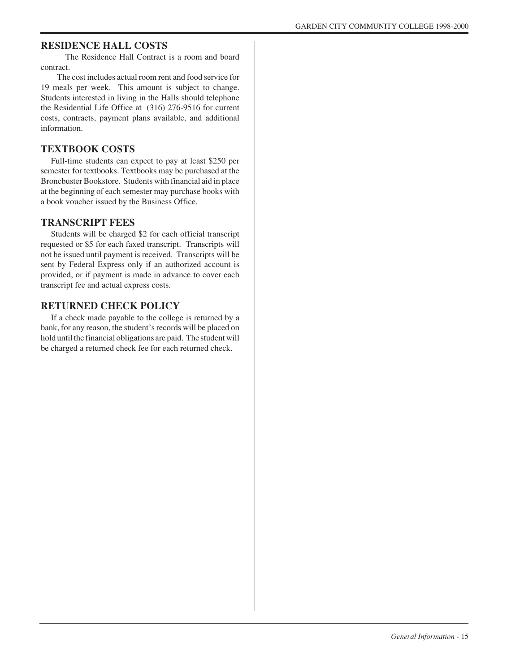#### **RESIDENCE HALL COSTS**

 The Residence Hall Contract is a room and board contract.

 The cost includes actual room rent and food service for 19 meals per week. This amount is subject to change. Students interested in living in the Halls should telephone the Residential Life Office at (316) 276-9516 for current costs, contracts, payment plans available, and additional information.

#### **TEXTBOOK COSTS**

Full-time students can expect to pay at least \$250 per semester for textbooks. Textbooks may be purchased at the Broncbuster Bookstore. Students with financial aid in place at the beginning of each semester may purchase books with a book voucher issued by the Business Office.

#### **TRANSCRIPT FEES**

Students will be charged \$2 for each official transcript requested or \$5 for each faxed transcript. Transcripts will not be issued until payment is received. Transcripts will be sent by Federal Express only if an authorized account is provided, or if payment is made in advance to cover each transcript fee and actual express costs.

#### **RETURNED CHECK POLICY**

If a check made payable to the college is returned by a bank, for any reason, the student's records will be placed on hold until the financial obligations are paid. The student will be charged a returned check fee for each returned check.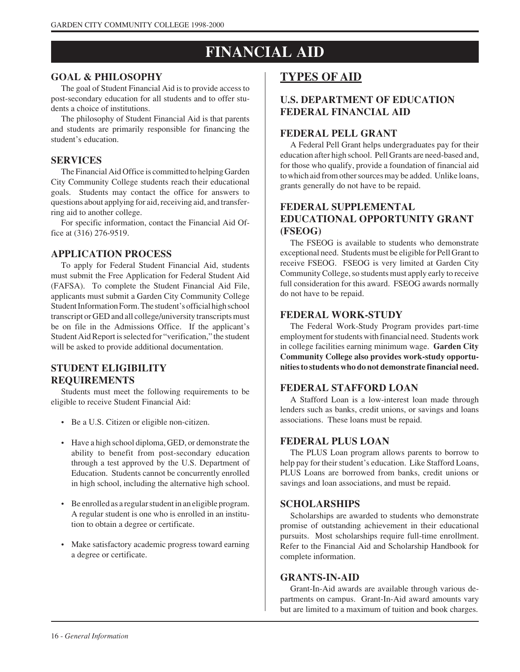# **FINANCIAL AID**

#### **GOAL & PHILOSOPHY**

The goal of Student Financial Aid is to provide access to post-secondary education for all students and to offer students a choice of institutions.

The philosophy of Student Financial Aid is that parents and students are primarily responsible for financing the student's education.

#### **SERVICES**

The Financial Aid Office is committed to helping Garden City Community College students reach their educational goals. Students may contact the office for answers to questions about applying for aid, receiving aid, and transferring aid to another college.

For specific information, contact the Financial Aid Office at (316) 276-9519.

#### **APPLICATION PROCESS**

To apply for Federal Student Financial Aid, students must submit the Free Application for Federal Student Aid (FAFSA). To complete the Student Financial Aid File, applicants must submit a Garden City Community College Student Information Form. The student's official high school transcript or GED and all college/university transcripts must be on file in the Admissions Office. If the applicant's Student Aid Report is selected for "verification," the student will be asked to provide additional documentation.

#### **STUDENT ELIGIBILITY REQUIREMENTS**

Students must meet the following requirements to be eligible to receive Student Financial Aid:

- Be a U.S. Citizen or eligible non-citizen.
- Have a high school diploma, GED, or demonstrate the ability to benefit from post-secondary education through a test approved by the U.S. Department of Education. Students cannot be concurrently enrolled in high school, including the alternative high school.
- Be enrolled as a regular student in an eligible program. A regular student is one who is enrolled in an institution to obtain a degree or certificate.
- Make satisfactory academic progress toward earning a degree or certificate.

# **TYPES OF AID**

#### **U.S. DEPARTMENT OF EDUCATION FEDERAL FINANCIAL AID**

#### **FEDERAL PELL GRANT**

A Federal Pell Grant helps undergraduates pay for their education after high school. Pell Grants are need-based and, for those who qualify, provide a foundation of financial aid to which aid from other sources may be added. Unlike loans, grants generally do not have to be repaid.

#### **FEDERAL SUPPLEMENTAL EDUCATIONAL OPPORTUNITY GRANT (FSEOG)**

The FSEOG is available to students who demonstrate exceptional need. Students must be eligible for Pell Grant to receive FSEOG. FSEOG is very limited at Garden City Community College, so students must apply early to receive full consideration for this award. FSEOG awards normally do not have to be repaid.

#### **FEDERAL WORK-STUDY**

The Federal Work-Study Program provides part-time employment for students with financial need. Students work in college facilities earning minimum wage. **Garden City Community College also provides work-study opportunities to students who do not demonstrate financial need.**

#### **FEDERAL STAFFORD LOAN**

A Stafford Loan is a low-interest loan made through lenders such as banks, credit unions, or savings and loans associations. These loans must be repaid.

#### **FEDERAL PLUS LOAN**

The PLUS Loan program allows parents to borrow to help pay for their student's education. Like Stafford Loans, PLUS Loans are borrowed from banks, credit unions or savings and loan associations, and must be repaid.

#### **SCHOLARSHIPS**

Scholarships are awarded to students who demonstrate promise of outstanding achievement in their educational pursuits. Most scholarships require full-time enrollment. Refer to the Financial Aid and Scholarship Handbook for complete information.

#### **GRANTS-IN-AID**

Grant-In-Aid awards are available through various departments on campus. Grant-In-Aid award amounts vary but are limited to a maximum of tuition and book charges.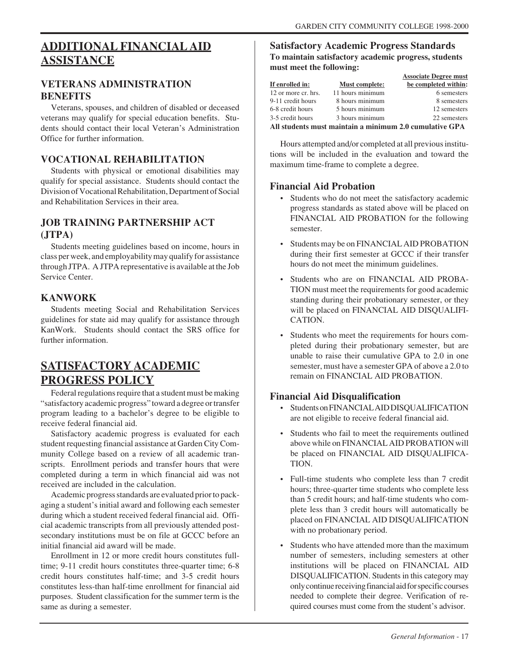# **ADDITIONAL FINANCIALAID ASSISTANCE**

#### **VETERANS ADMINISTRATION BENEFITS**

Veterans, spouses, and children of disabled or deceased veterans may qualify for special education benefits. Students should contact their local Veteran's Administration Office for further information.

#### **VOCATIONAL REHABILITATION**

Students with physical or emotional disabilities may qualify for special assistance. Students should contact the Division of Vocational Rehabilitation, Department of Social and Rehabilitation Services in their area.

#### **JOB TRAINING PARTNERSHIP ACT (JTPA)**

Students meeting guidelines based on income, hours in class per week, and employability may qualify for assistance through JTPA. A JTPA representative is available at the Job Service Center.

#### **KANWORK**

Students meeting Social and Rehabilitation Services guidelines for state aid may qualify for assistance through KanWork. Students should contact the SRS office for further information.

# **SATISFACTORY ACADEMIC PROGRESS POLICY**

Federal regulations require that a student must be making "satisfactory academic progress" toward a degree or transfer program leading to a bachelor's degree to be eligible to receive federal financial aid.

Satisfactory academic progress is evaluated for each student requesting financial assistance at Garden City Community College based on a review of all academic transcripts. Enrollment periods and transfer hours that were completed during a term in which financial aid was not received are included in the calculation.

Academic progress standards are evaluated prior to packaging a student's initial award and following each semester during which a student received federal financial aid. Official academic transcripts from all previously attended postsecondary institutions must be on file at GCCC before an initial financial aid award will be made.

Enrollment in 12 or more credit hours constitutes fulltime: 9-11 credit hours constitutes three-quarter time: 6-8 credit hours constitutes half-time; and 3-5 credit hours constitutes less-than half-time enrollment for financial aid purposes. Student classification for the summer term is the same as during a semester.

#### **Satisfactory Academic Progress Standards To maintain satisfactory academic progress, students must meet the following:**

|                                                         |                       | <b>Associate Degree must</b> |  |  |
|---------------------------------------------------------|-----------------------|------------------------------|--|--|
| If enrolled in:                                         | <b>Must complete:</b> | be completed within:         |  |  |
| 12 or more cr. hrs.                                     | 11 hours minimum      | 6 semesters                  |  |  |
| 9-11 credit hours                                       | 8 hours minimum       | 8 semesters                  |  |  |
| 6-8 credit hours                                        | 5 hours minimum       | 12 semesters                 |  |  |
| 3-5 credit hours                                        | 3 hours minimum       | 22 semesters                 |  |  |
| All students must maintain a minimum 2.0 cumulative GPA |                       |                              |  |  |

Hours attempted and/or completed at all previous institutions will be included in the evaluation and toward the maximum time-frame to complete a degree.

#### **Financial Aid Probation**

- Students who do not meet the satisfactory academic progress standards as stated above will be placed on FINANCIAL AID PROBATION for the following semester.
- Students may be on FINANCIAL AID PROBATION during their first semester at GCCC if their transfer hours do not meet the minimum guidelines.
- Students who are on FINANCIAL AID PROBA-TION must meet the requirements for good academic standing during their probationary semester, or they will be placed on FINANCIAL AID DISOUALIFI-CATION.
- Students who meet the requirements for hours completed during their probationary semester, but are unable to raise their cumulative GPA to 2.0 in one semester, must have a semester GPA of above a 2.0 to remain on FINANCIAL AID PROBATION.

#### **Financial Aid Disqualification**

- Students on FINANCIAL AID DISQUALIFICATION are not eligible to receive federal financial aid.
- Students who fail to meet the requirements outlined above while on FINANCIAL AID PROBATION will be placed on FINANCIAL AID DISQUALIFICA-TION.
- Full-time students who complete less than 7 credit hours; three-quarter time students who complete less than 5 credit hours; and half-time students who complete less than 3 credit hours will automatically be placed on FINANCIAL AID DISQUALIFICATION with no probationary period.
- Students who have attended more than the maximum number of semesters, including semesters at other institutions will be placed on FINANCIAL AID DISQUALIFICATION. Students in this category may only continue receiving financial aid for specific courses needed to complete their degree. Verification of required courses must come from the student's advisor.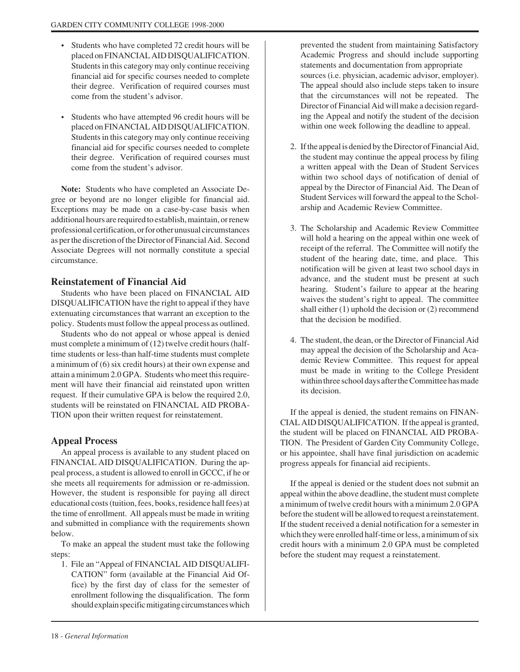- Students who have completed 72 credit hours will be placed on FINANCIAL AID DISQUALIFICATION. Students in this category may only continue receiving financial aid for specific courses needed to complete their degree. Verification of required courses must come from the student's advisor.
- Students who have attempted 96 credit hours will be placed on FINANCIAL AID DISQUALIFICATION. Students in this category may only continue receiving financial aid for specific courses needed to complete their degree. Verification of required courses must come from the student's advisor.

**Note:** Students who have completed an Associate Degree or beyond are no longer eligible for financial aid. Exceptions may be made on a case-by-case basis when additional hours are required to establish, maintain, or renew professional certification, or for other unusual circumstances as per the discretion of the Director of Financial Aid. Second Associate Degrees will not normally constitute a special circumstance.

#### **Reinstatement of Financial Aid**

Students who have been placed on FINANCIAL AID DISQUALIFICATION have the right to appeal if they have extenuating circumstances that warrant an exception to the policy. Students must follow the appeal process as outlined.

Students who do not appeal or whose appeal is denied must complete a minimum of (12) twelve credit hours (halftime students or less-than half-time students must complete a minimum of (6) six credit hours) at their own expense and attain a minimum 2.0 GPA. Students who meet this requirement will have their financial aid reinstated upon written request. If their cumulative GPA is below the required 2.0, students will be reinstated on FINANCIAL AID PROBA-TION upon their written request for reinstatement.

#### **Appeal Process**

An appeal process is available to any student placed on FINANCIAL AID DISQUALIFICATION. During the appeal process, a student is allowed to enroll in GCCC, if he or she meets all requirements for admission or re-admission. However, the student is responsible for paying all direct educational costs (tuition, fees, books, residence hall fees) at the time of enrollment. All appeals must be made in writing and submitted in compliance with the requirements shown below.

To make an appeal the student must take the following steps:

1. File an "Appeal of FINANCIAL AID DISQUALIFI-CATION" form (available at the Financial Aid Office) by the first day of class for the semester of enrollment following the disqualification. The form should explain specific mitigating circumstances which

prevented the student from maintaining Satisfactory Academic Progress and should include supporting statements and documentation from appropriate sources (i.e. physician, academic advisor, employer). The appeal should also include steps taken to insure that the circumstances will not be repeated. The Director of Financial Aid will make a decision regarding the Appeal and notify the student of the decision within one week following the deadline to appeal.

- 2. If the appeal is denied by the Director of Financial Aid, the student may continue the appeal process by filing a written appeal with the Dean of Student Services within two school days of notification of denial of appeal by the Director of Financial Aid. The Dean of Student Services will forward the appeal to the Scholarship and Academic Review Committee.
- 3. The Scholarship and Academic Review Committee will hold a hearing on the appeal within one week of receipt of the referral. The Committee will notify the student of the hearing date, time, and place. This notification will be given at least two school days in advance, and the student must be present at such hearing. Student's failure to appear at the hearing waives the student's right to appeal. The committee shall either (1) uphold the decision or (2) recommend that the decision be modified.
- 4. The student, the dean, or the Director of Financial Aid may appeal the decision of the Scholarship and Academic Review Committee. This request for appeal must be made in writing to the College President within three school days after the Committee has made its decision.

If the appeal is denied, the student remains on FINAN-CIAL AID DISQUALIFICATION. If the appeal is granted, the student will be placed on FINANCIAL AID PROBA-TION. The President of Garden City Community College, or his appointee, shall have final jurisdiction on academic progress appeals for financial aid recipients.

If the appeal is denied or the student does not submit an appeal within the above deadline, the student must complete a minimum of twelve credit hours with a minimum 2.0 GPA before the student will be allowed to request a reinstatement. If the student received a denial notification for a semester in which they were enrolled half-time or less, a minimum of six credit hours with a minimum 2.0 GPA must be completed before the student may request a reinstatement.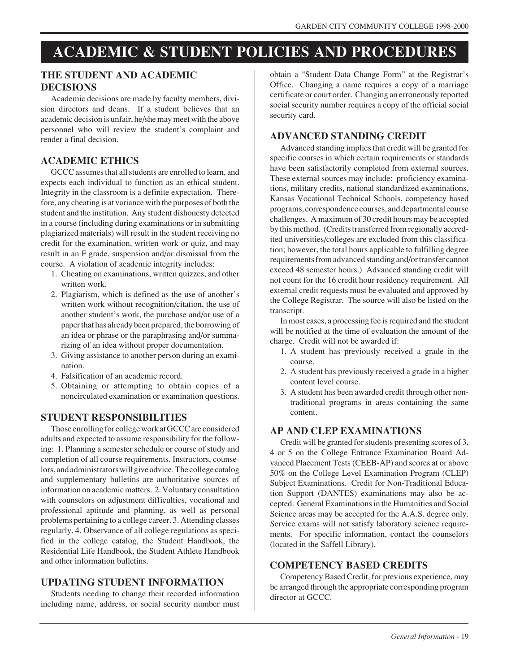# **ACADEMIC & STUDENT POLICIES AND PROCEDURES**

#### **THE STUDENT AND ACADEMIC DECISIONS**

Academic decisions are made by faculty members, division directors and deans. If a student believes that an academic decision is unfair, he/she may meet with the above personnel who will review the student's complaint and render a final decision.

#### **ACADEMIC ETHICS**

GCCC assumes that all students are enrolled to learn, and expects each individual to function as an ethical student. Integrity in the classroom is a definite expectation. Therefore, any cheating is at variance with the purposes of both the student and the institution. Any student dishonesty detected in a course (including during examinations or in submitting plagiarized materials) will result in the student receiving no credit for the examination, written work or quiz, and may result in an F grade, suspension and/or dismissal from the course. A violation of academic integrity includes:

- 1. Cheating on examinations, written quizzes, and other written work.
- 2. Plagiarism, which is defined as the use of another's written work without recognition/citation, the use of another student's work, the purchase and/or use of a paper that has already been prepared, the borrowing of an idea or phrase or the paraphrasing and/or summarizing of an idea without proper documentation.
- 3. Giving assistance to another person during an examination.
- 4. Falsification of an academic record.
- 5. Obtaining or attempting to obtain copies of a noncirculated examination or examination questions.

#### **STUDENT RESPONSIBILITIES**

Those enrolling for college work at GCCC are considered adults and expected to assume responsibility for the following: 1. Planning a semester schedule or course of study and completion of all course requirements. Instructors, counselors, and administrators will give advice. The college catalog and supplementary bulletins are authoritative sources of information on academic matters. 2. Voluntary consultation with counselors on adjustment difficulties, vocational and professional aptitude and planning, as well as personal problems pertaining to a college career. 3. Attending classes regularly. 4. Observance of all college regulations as specified in the college catalog, the Student Handbook, the Residential Life Handbook, the Student Athlete Handbook and other information bulletins.

#### **UPDATING STUDENT INFORMATION**

Students needing to change their recorded information including name, address, or social security number must obtain a "Student Data Change Form" at the Registrar's Office. Changing a name requires a copy of a marriage certificate or court order. Changing an erroneously reported social security number requires a copy of the official social security card.

#### **ADVANCED STANDING CREDIT**

Advanced standing implies that credit will be granted for specific courses in which certain requirements or standards have been satisfactorily completed from external sources. These external sources may include: proficiency examinations, military credits, national standardized examinations, Kansas Vocational Technical Schools, competency based programs, correspondence courses, and departmental course challenges. A maximum of 30 credit hours may be accepted by this method. (Credits transferred from regionally accredited universities/colleges are excluded from this classification; however, the total hours applicable to fulfilling degree requirements from advanced standing and/or transfer cannot exceed 48 semester hours.) Advanced standing credit will not count for the 16 credit hour residency requirement. All external credit requests must be evaluated and approved by the College Registrar. The source will also be listed on the transcript.

In most cases, a processing fee is required and the student will be notified at the time of evaluation the amount of the charge. Credit will not be awarded if:

- 1. A student has previously received a grade in the course.
- 2. A student has previously received a grade in a higher content level course.
- 3. A student has been awarded credit through other nontraditional programs in areas containing the same content.

#### **AP AND CLEP EXAMINATIONS**

Credit will be granted for students presenting scores of 3, 4 or 5 on the College Entrance Examination Board Advanced Placement Tests (CEEB-AP) and scores at or above 50% on the College Level Examination Program (CLEP) Subject Examinations. Credit for Non-Traditional Education Support (DANTES) examinations may also be accepted. General Examinations in the Humanities and Social Science areas may be accepted for the A.A.S. degree only. Service exams will not satisfy laboratory science requirements. For specific information, contact the counselors (located in the Saffell Library).

#### **COMPETENCY BASED CREDITS**

Competency Based Credit, for previous experience, may be arranged through the appropriate corresponding program director at GCCC.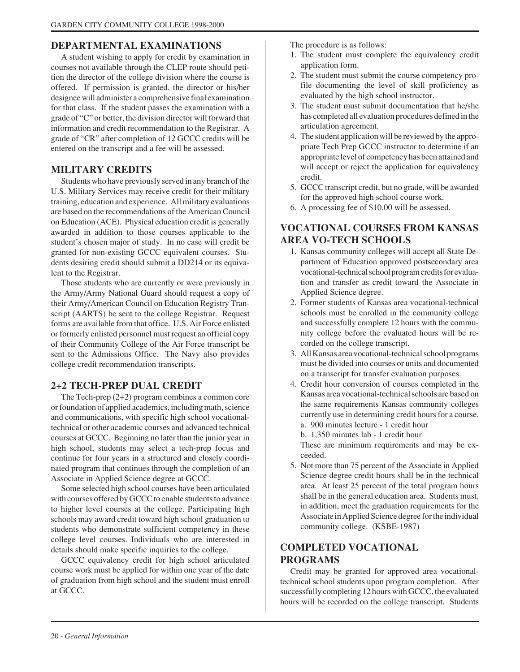#### **DEPARTMENTAL EXAMINATIONS**

A student wishing to apply for credit by examination in courses not available through the CLEP route should petition the director of the college division where the course is offered. If permission is granted, the director or his/her designee will administer a comprehensive final examination for that class. If the student passes the examination with a grade of "C" or better, the division director will forward that information and credit recommendation to the Registrar. A grade of "CR" after completion of 12 GCCC credits will be entered on the transcript and a fee will be assessed.

#### **MILITARY CREDITS**

Students who have previously served in any branch of the U.S. Military Services may receive credit for their military training, education and experience. All military evaluations are based on the recommendations of the American Council on Education (ACE). Physical education credit is generally awarded in addition to those courses applicable to the student's chosen major of study. In no case will credit be granted for non-existing GCCC equivalent courses. Students desiring credit should submit a DD214 or its equivalent to the Registrar.

Those students who are currently or were previously in the Army/Army National Guard should request a copy of their Army/American Council on Education Registry Transcript (AARTS) be sent to the college Registrar. Request forms are available from that office. U.S. Air Force enlisted or formerly enlisted personnel must request an official copy of their Community College of the Air Force transcript be sent to the Admissions Office. The Navy also provides college credit recommendation transcripts.

#### **2+2 TECH-PREP DUAL CREDIT**

The Tech-prep (2+2) program combines a common core or foundation of applied academics, including math, science and communications, with specific high school vocationaltechnical or other academic courses and advanced technical courses at GCCC. Beginning no later than the junior year in high school, students may select a tech-prep focus and continue for four years in a structured and closely coordinated program that continues through the completion of an Associate in Applied Science degree at GCCC.

Some selected high school courses have been articulated with courses offered by GCCC to enable students to advance to higher level courses at the college. Participating high schools may award credit toward high school graduation to students who demonstrate sufficient competency in these college level courses. Individuals who are interested in details should make specific inquiries to the college.

GCCC equivalency credit for high school articulated course work must be applied for within one year of the date of graduation from high school and the student must enroll at GCCC.

The procedure is as follows:

- 1. The student must complete the equivalency credit application form.
- 2. The student must submit the course competency profile documenting the level of skill proficiency as evaluated by the high school instructor.
- 3. The student must submit documentation that he/she has completed all evaluation procedures defined in the articulation agreement.
- 4. The student application will be reviewed by the appropriate Tech Prep GCCC instructor to determine if an appropriate level of competency has been attained and will accept or reject the application for equivalency credit.
- 5. GCCC transcript credit, but no grade, will be awarded for the approved high school course work.
- 6. A processing fee of \$10.00 will be assessed.

### **VOCATIONAL COURSES FROM KANSAS AREA VO-TECH SCHOOLS**

- 1. Kansas community colleges will accept all State Department of Education approved postsecondary area vocational-technical school program credits for evaluation and transfer as credit toward the Associate in Applied Science degree.
- 2. Former students of Kansas area vocational-technical schools must be enrolled in the community college and successfully complete 12 hours with the community college before the evaluated hours will be recorded on the college transcript.
- 3. All Kansas area vocational-technical school programs must be divided into courses or units and documented on a transcript for transfer evaluation purposes.
- 4. Credit hour conversion of courses completed in the Kansas area vocational-technical schools are based on the same requirements Kansas community colleges currently use in determining credit hours for a course. a. 900 minutes lecture - 1 credit hour

b. 1,350 minutes lab - 1 credit hour

These are minimum requirements and may be exceeded.

5. Not more than 75 percent of the Associate in Applied Science degree credit hours shall be in the technical area. At least 25 percent of the total program hours shall be in the general education area. Students must, in addition, meet the graduation requirements for the Associate in Applied Science degree for the individual community college. (KSBE-1987)

#### **COMPLETED VOCATIONAL PROGRAMS**

Credit may be granted for approved area vocationaltechnical school students upon program completion. After successfully completing 12 hours with GCCC, the evaluated hours will be recorded on the college transcript. Students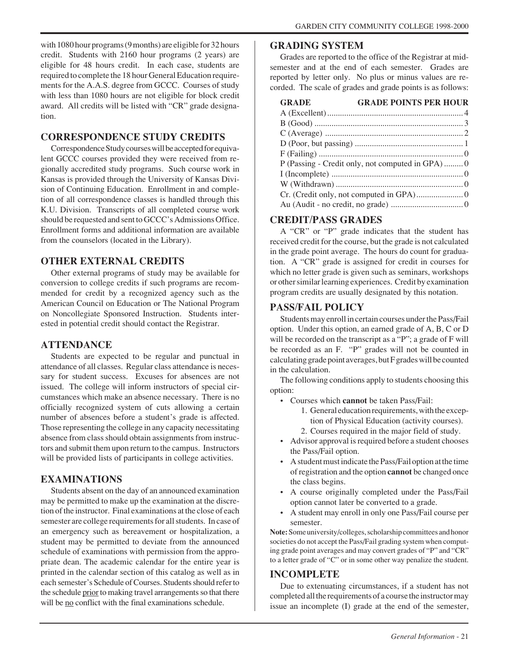with 1080 hour programs (9 months) are eligible for 32 hours credit. Students with 2160 hour programs (2 years) are eligible for 48 hours credit. In each case, students are required to complete the 18 hour General Education requirements for the A.A.S. degree from GCCC. Courses of study with less than 1080 hours are not eligible for block credit award. All credits will be listed with "CR" grade designation.

#### **CORRESPONDENCE STUDY CREDITS**

Correspondence Study courses will be accepted for equivalent GCCC courses provided they were received from regionally accredited study programs. Such course work in Kansas is provided through the University of Kansas Division of Continuing Education. Enrollment in and completion of all correspondence classes is handled through this K.U. Division. Transcripts of all completed course work should be requested and sent to GCCC's Admissions Office. Enrollment forms and additional information are available from the counselors (located in the Library).

#### **OTHER EXTERNAL CREDITS**

Other external programs of study may be available for conversion to college credits if such programs are recommended for credit by a recognized agency such as the American Council on Education or The National Program on Noncollegiate Sponsored Instruction. Students interested in potential credit should contact the Registrar.

#### **ATTENDANCE**

Students are expected to be regular and punctual in attendance of all classes. Regular class attendance is necessary for student success. Excuses for absences are not issued. The college will inform instructors of special circumstances which make an absence necessary. There is no officially recognized system of cuts allowing a certain number of absences before a student's grade is affected. Those representing the college in any capacity necessitating absence from class should obtain assignments from instructors and submit them upon return to the campus. Instructors will be provided lists of participants in college activities.

#### **EXAMINATIONS**

Students absent on the day of an announced examination may be permitted to make up the examination at the discretion of the instructor. Final examinations at the close of each semester are college requirements for all students. In case of an emergency such as bereavement or hospitalization, a student may be permitted to deviate from the announced schedule of examinations with permission from the appropriate dean. The academic calendar for the entire year is printed in the calendar section of this catalog as well as in each semester's Schedule of Courses. Students should refer to the schedule prior to making travel arrangements so that there will be no conflict with the final examinations schedule.

#### **GRADING SYSTEM**

Grades are reported to the office of the Registrar at midsemester and at the end of each semester. Grades are reported by letter only. No plus or minus values are recorded. The scale of grades and grade points is as follows:

| <b>GRADE</b> | <b>GRADE POINTS PER HOUR</b>                    |
|--------------|-------------------------------------------------|
|              |                                                 |
|              |                                                 |
|              |                                                 |
|              |                                                 |
|              |                                                 |
|              | P (Passing - Credit only, not computed in GPA)0 |
|              |                                                 |
|              |                                                 |
|              |                                                 |
|              |                                                 |

## **CREDIT/PASS GRADES**

A "CR" or "P" grade indicates that the student has received credit for the course, but the grade is not calculated in the grade point average. The hours do count for graduation. A "CR" grade is assigned for credit in courses for which no letter grade is given such as seminars, workshops or other similar learning experiences. Credit by examination program credits are usually designated by this notation.

#### **PASS/FAIL POLICY**

Students may enroll in certain courses under the Pass/Fail option. Under this option, an earned grade of A, B, C or D will be recorded on the transcript as a "P"; a grade of F will be recorded as an F. "P" grades will not be counted in calculating grade point averages, but F grades will be counted in the calculation.

The following conditions apply to students choosing this option:

- Courses which **cannot** be taken Pass/Fail:
	- 1. General education requirements, with the exception of Physical Education (activity courses).
	- 2. Courses required in the major field of study.
- Advisor approval is required before a student chooses the Pass/Fail option.
- A student must indicate the Pass/Fail option at the time of registration and the option **cannot** be changed once the class begins.
- A course originally completed under the Pass/Fail option cannot later be converted to a grade.
- A student may enroll in only one Pass/Fail course per semester.

**Note:** Some university/colleges, scholarship committees and honor societies do not accept the Pass/Fail grading system when computing grade point averages and may convert grades of "P" and "CR" to a letter grade of "C" or in some other way penalize the student.

#### **INCOMPLETE**

Due to extenuating circumstances, if a student has not completed all the requirements of a course the instructor may issue an incomplete (I) grade at the end of the semester,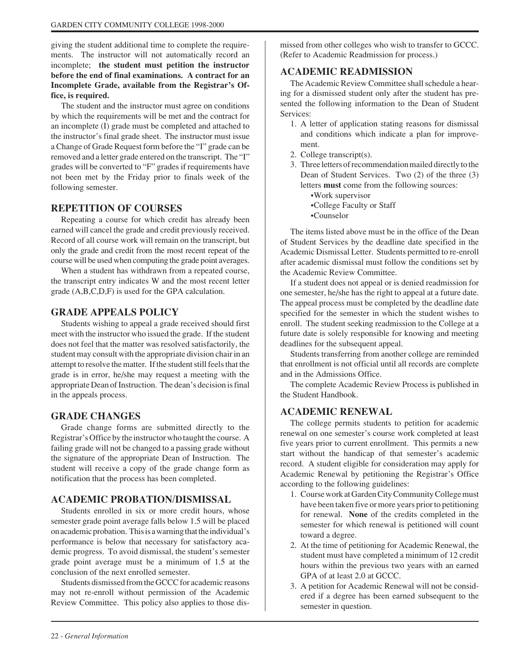giving the student additional time to complete the requirements. The instructor will not automatically record an incomplete; **the student must petition the instructor before the end of final examinations. A contract for an Incomplete Grade, available from the Registrar's Office, is required.**

The student and the instructor must agree on conditions by which the requirements will be met and the contract for an incomplete (I) grade must be completed and attached to the instructor's final grade sheet. The instructor must issue a Change of Grade Request form before the "I" grade can be removed and a letter grade entered on the transcript. The "I" grades will be converted to "F" grades if requirements have not been met by the Friday prior to finals week of the following semester.

#### **REPETITION OF COURSES**

Repeating a course for which credit has already been earned will cancel the grade and credit previously received. Record of all course work will remain on the transcript, but only the grade and credit from the most recent repeat of the course will be used when computing the grade point averages.

When a student has withdrawn from a repeated course, the transcript entry indicates W and the most recent letter grade (A,B,C,D,F) is used for the GPA calculation.

#### **GRADE APPEALS POLICY**

Students wishing to appeal a grade received should first meet with the instructor who issued the grade. If the student does not feel that the matter was resolved satisfactorily, the student may consult with the appropriate division chair in an attempt to resolve the matter. If the student still feels that the grade is in error, he/she may request a meeting with the appropriate Dean of Instruction. The dean's decision is final in the appeals process.

#### **GRADE CHANGES**

Grade change forms are submitted directly to the Registrar's Office by the instructor who taught the course. A failing grade will not be changed to a passing grade without the signature of the appropriate Dean of Instruction. The student will receive a copy of the grade change form as notification that the process has been completed.

#### **ACADEMIC PROBATION/DISMISSAL**

Students enrolled in six or more credit hours, whose semester grade point average falls below 1.5 will be placed on academic probation. This is a warning that the individual's performance is below that necessary for satisfactory academic progress. To avoid dismissal, the student's semester grade point average must be a minimum of 1.5 at the conclusion of the next enrolled semester.

Students dismissed from the GCCC for academic reasons may not re-enroll without permission of the Academic Review Committee. This policy also applies to those dismissed from other colleges who wish to transfer to GCCC. (Refer to Academic Readmission for process.)

#### **ACADEMIC READMISSION**

The Academic Review Committee shall schedule a hearing for a dismissed student only after the student has presented the following information to the Dean of Student Services:

- 1. A letter of application stating reasons for dismissal and conditions which indicate a plan for improvement.
- 2. College transcript(s).
- 3. Three letters of recommendation mailed directly to the Dean of Student Services. Two (2) of the three (3) letters **must** come from the following sources:
	- •Work supervisor
	- •College Faculty or Staff
	- •Counselor

The items listed above must be in the office of the Dean of Student Services by the deadline date specified in the Academic Dismissal Letter. Students permitted to re-enroll after academic dismissal must follow the conditions set by the Academic Review Committee.

If a student does not appeal or is denied readmission for one semester, he/she has the right to appeal at a future date. The appeal process must be completed by the deadline date specified for the semester in which the student wishes to enroll. The student seeking readmission to the College at a future date is solely responsible for knowing and meeting deadlines for the subsequent appeal.

Students transferring from another college are reminded that enrollment is not official until all records are complete and in the Admissions Office.

The complete Academic Review Process is published in the Student Handbook.

#### **ACADEMIC RENEWAL**

The college permits students to petition for academic renewal on one semester's course work completed at least five years prior to current enrollment. This permits a new start without the handicap of that semester's academic record. A student eligible for consideration may apply for Academic Renewal by petitioning the Registrar's Office according to the following guidelines:

- 1. Course work at Garden City Community College must have been taken five or more years prior to petitioning for renewal. **None** of the credits completed in the semester for which renewal is petitioned will count toward a degree.
- 2. At the time of petitioning for Academic Renewal, the student must have completed a minimum of 12 credit hours within the previous two years with an earned GPA of at least 2.0 at GCCC.
- 3. A petition for Academic Renewal will not be considered if a degree has been earned subsequent to the semester in question.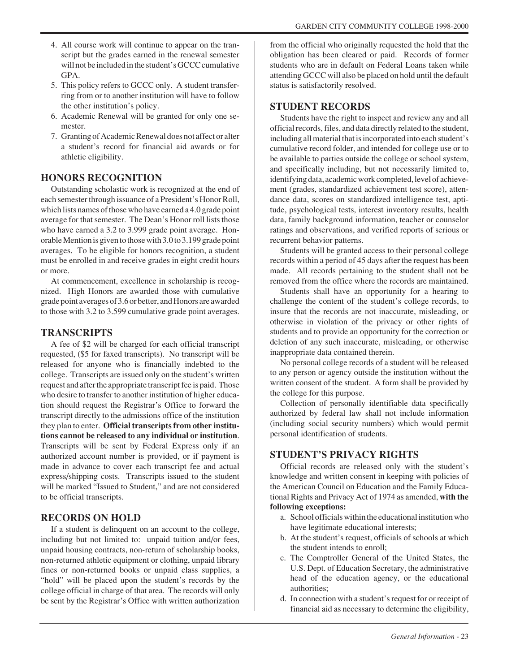- 4. All course work will continue to appear on the transcript but the grades earned in the renewal semester will not be included in the student's GCCC cumulative GPA.
- 5. This policy refers to GCCC only. A student transferring from or to another institution will have to follow the other institution's policy.
- 6. Academic Renewal will be granted for only one semester.
- 7. Granting of Academic Renewal does not affect or alter a student's record for financial aid awards or for athletic eligibility.

#### **HONORS RECOGNITION**

Outstanding scholastic work is recognized at the end of each semester through issuance of a President's Honor Roll, which lists names of those who have earned a 4.0 grade point average for that semester. The Dean's Honor roll lists those who have earned a 3.2 to 3.999 grade point average. Honorable Mention is given to those with 3.0 to 3.199 grade point averages. To be eligible for honors recognition, a student must be enrolled in and receive grades in eight credit hours or more.

At commencement, excellence in scholarship is recognized. High Honors are awarded those with cumulative grade point averages of 3.6 or better, and Honors are awarded to those with 3.2 to 3.599 cumulative grade point averages.

#### **TRANSCRIPTS**

A fee of \$2 will be charged for each official transcript requested, (\$5 for faxed transcripts). No transcript will be released for anyone who is financially indebted to the college. Transcripts are issued only on the student's written request and after the appropriate transcript fee is paid. Those who desire to transfer to another institution of higher education should request the Registrar's Office to forward the transcript directly to the admissions office of the institution they plan to enter. **Official transcripts from other institutions cannot be released to any individual or institution**. Transcripts will be sent by Federal Express only if an authorized account number is provided, or if payment is made in advance to cover each transcript fee and actual express/shipping costs. Transcripts issued to the student will be marked "Issued to Student," and are not considered to be official transcripts.

#### **RECORDS ON HOLD**

If a student is delinquent on an account to the college, including but not limited to: unpaid tuition and/or fees, unpaid housing contracts, non-return of scholarship books, non-returned athletic equipment or clothing, unpaid library fines or non-returned books or unpaid class supplies, a "hold" will be placed upon the student's records by the college official in charge of that area. The records will only be sent by the Registrar's Office with written authorization

from the official who originally requested the hold that the obligation has been cleared or paid. Records of former students who are in default on Federal Loans taken while attending GCCC will also be placed on hold until the default status is satisfactorily resolved.

#### **STUDENT RECORDS**

Students have the right to inspect and review any and all official records, files, and data directly related to the student, including all material that is incorporated into each student's cumulative record folder, and intended for college use or to be available to parties outside the college or school system, and specifically including, but not necessarily limited to, identifying data, academic work completed, level of achievement (grades, standardized achievement test score), attendance data, scores on standardized intelligence test, aptitude, psychological tests, interest inventory results, health data, family background information, teacher or counselor ratings and observations, and verified reports of serious or recurrent behavior patterns.

Students will be granted access to their personal college records within a period of 45 days after the request has been made. All records pertaining to the student shall not be removed from the office where the records are maintained.

Students shall have an opportunity for a hearing to challenge the content of the student's college records, to insure that the records are not inaccurate, misleading, or otherwise in violation of the privacy or other rights of students and to provide an opportunity for the correction or deletion of any such inaccurate, misleading, or otherwise inappropriate data contained therein.

No personal college records of a student will be released to any person or agency outside the institution without the written consent of the student. A form shall be provided by the college for this purpose.

Collection of personally identifiable data specifically authorized by federal law shall not include information (including social security numbers) which would permit personal identification of students.

#### **STUDENT'S PRIVACY RIGHTS**

Official records are released only with the student's knowledge and written consent in keeping with policies of the American Council on Education and the Family Educational Rights and Privacy Act of 1974 as amended, **with the following exceptions:**

- a. School officials within the educational institution who have legitimate educational interests;
- b. At the student's request, officials of schools at which the student intends to enroll;
- c. The Comptroller General of the United States, the U.S. Dept. of Education Secretary, the administrative head of the education agency, or the educational authorities;
- d. In connection with a student's request for or receipt of financial aid as necessary to determine the eligibility,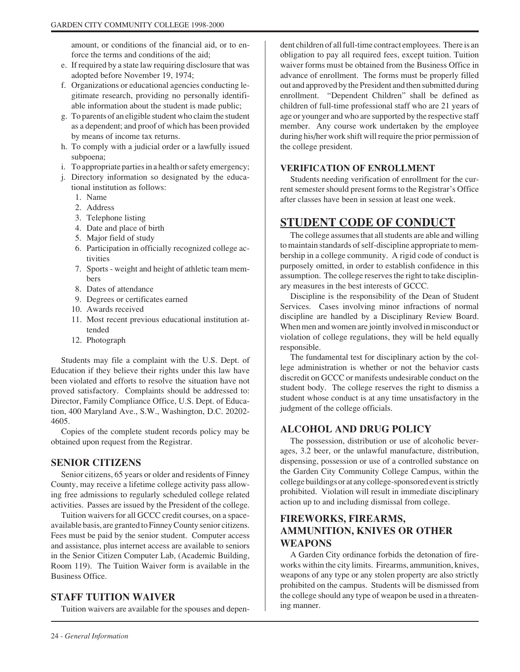amount, or conditions of the financial aid, or to enforce the terms and conditions of the aid;

- e. If required by a state law requiring disclosure that was adopted before November 19, 1974;
- f. Organizations or educational agencies conducting legitimate research, providing no personally identifiable information about the student is made public;
- g. To parents of an eligible student who claim the student as a dependent; and proof of which has been provided by means of income tax returns.
- h. To comply with a judicial order or a lawfully issued subpoena;
- i. To appropriate parties in a health or safety emergency;
- j. Directory information so designated by the educational institution as follows:
	- 1. Name
	- 2. Address
	- 3. Telephone listing
	- 4. Date and place of birth
	- 5. Major field of study
	- 6. Participation in officially recognized college activities
	- 7. Sports weight and height of athletic team members
	- 8. Dates of attendance
	- 9. Degrees or certificates earned
	- 10. Awards received
	- 11. Most recent previous educational institution attended
	- 12. Photograph

Students may file a complaint with the U.S. Dept. of Education if they believe their rights under this law have been violated and efforts to resolve the situation have not proved satisfactory. Complaints should be addressed to: Director, Family Compliance Office, U.S. Dept. of Education, 400 Maryland Ave., S.W., Washington, D.C. 20202- 4605.

Copies of the complete student records policy may be obtained upon request from the Registrar.

#### **SENIOR CITIZENS**

Senior citizens, 65 years or older and residents of Finney County, may receive a lifetime college activity pass allowing free admissions to regularly scheduled college related activities. Passes are issued by the President of the college.

Tuition waivers for all GCCC credit courses, on a spaceavailable basis, are granted to Finney County senior citizens. Fees must be paid by the senior student. Computer access and assistance, plus internet access are available to seniors in the Senior Citizen Computer Lab, (Academic Building, Room 119). The Tuition Waiver form is available in the Business Office.

#### **STAFF TUITION WAIVER**

Tuition waivers are available for the spouses and depen-

dent children of all full-time contract employees. There is an obligation to pay all required fees, except tuition. Tuition waiver forms must be obtained from the Business Office in advance of enrollment. The forms must be properly filled out and approved by the President and then submitted during enrollment. "Dependent Children" shall be defined as children of full-time professional staff who are 21 years of age or younger and who are supported by the respective staff member. Any course work undertaken by the employee during his/her work shift will require the prior permission of the college president.

#### **VERIFICATION OF ENROLLMENT**

Students needing verification of enrollment for the current semester should present forms to the Registrar's Office after classes have been in session at least one week.

# **STUDENT CODE OF CONDUCT**

The college assumes that all students are able and willing to maintain standards of self-discipline appropriate to membership in a college community. A rigid code of conduct is purposely omitted, in order to establish confidence in this assumption. The college reserves the right to take disciplinary measures in the best interests of GCCC.

Discipline is the responsibility of the Dean of Student Services. Cases involving minor infractions of normal discipline are handled by a Disciplinary Review Board. When men and women are jointly involved in misconduct or violation of college regulations, they will be held equally responsible.

The fundamental test for disciplinary action by the college administration is whether or not the behavior casts discredit on GCCC or manifests undesirable conduct on the student body. The college reserves the right to dismiss a student whose conduct is at any time unsatisfactory in the judgment of the college officials.

#### **ALCOHOL AND DRUG POLICY**

The possession, distribution or use of alcoholic beverages, 3.2 beer, or the unlawful manufacture, distribution, dispensing, possession or use of a controlled substance on the Garden City Community College Campus, within the college buildings or at any college-sponsored event is strictly prohibited. Violation will result in immediate disciplinary action up to and including dismissal from college.

#### **FIREWORKS, FIREARMS, AMMUNITION, KNIVES OR OTHER WEAPONS**

A Garden City ordinance forbids the detonation of fireworks within the city limits. Firearms, ammunition, knives, weapons of any type or any stolen property are also strictly prohibited on the campus. Students will be dismissed from the college should any type of weapon be used in a threatening manner.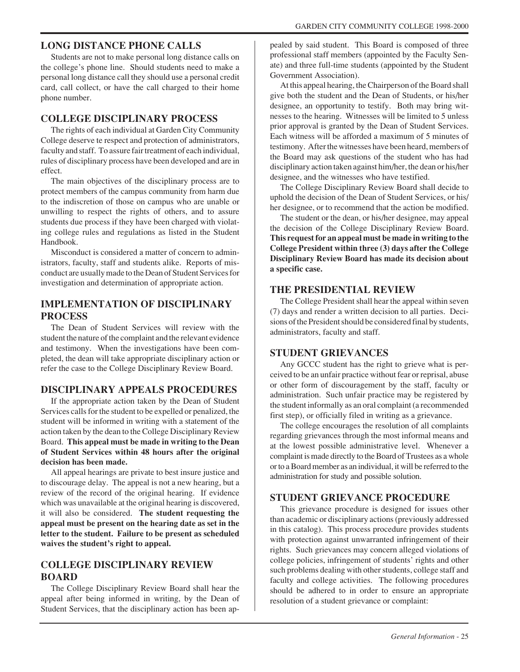#### **LONG DISTANCE PHONE CALLS**

Students are not to make personal long distance calls on the college's phone line. Should students need to make a personal long distance call they should use a personal credit card, call collect, or have the call charged to their home phone number.

#### **COLLEGE DISCIPLINARY PROCESS**

The rights of each individual at Garden City Community College deserve te respect and protection of administrators, faculty and staff. To assure fair treatment of each individual, rules of disciplinary process have been developed and are in effect.

The main objectives of the disciplinary process are to protect members of the campus community from harm due to the indiscretion of those on campus who are unable or unwilling to respect the rights of others, and to assure students due process if they have been charged with violating college rules and regulations as listed in the Student Handbook.

Misconduct is considered a matter of concern to administrators, faculty, staff and students alike. Reports of misconduct are usually made to the Dean of Student Services for investigation and determination of appropriate action.

#### **IMPLEMENTATION OF DISCIPLINARY PROCESS**

The Dean of Student Services will review with the student the nature of the complaint and the relevant evidence and testimony. When the investigations have been completed, the dean will take appropriate disciplinary action or refer the case to the College Disciplinary Review Board.

#### **DISCIPLINARY APPEALS PROCEDURES**

If the appropriate action taken by the Dean of Student Services calls for the student to be expelled or penalized, the student will be informed in writing with a statement of the action taken by the dean to the College Disciplinary Review Board. **This appeal must be made in writing to the Dean of Student Services within 48 hours after the original decision has been made.**

All appeal hearings are private to best insure justice and to discourage delay. The appeal is not a new hearing, but a review of the record of the original hearing. If evidence which was unavailable at the original hearing is discovered, it will also be considered. **The student requesting the appeal must be present on the hearing date as set in the letter to the student. Failure to be present as scheduled waives the student's right to appeal.**

#### **COLLEGE DISCIPLINARY REVIEW BOARD**

The College Disciplinary Review Board shall hear the appeal after being informed in writing, by the Dean of Student Services, that the disciplinary action has been appealed by said student. This Board is composed of three professional staff members (appointed by the Faculty Senate) and three full-time students (appointed by the Student Government Association).

At this appeal hearing, the Chairperson of the Board shall give both the student and the Dean of Students, or his/her designee, an opportunity to testify. Both may bring witnesses to the hearing. Witnesses will be limited to 5 unless prior approval is granted by the Dean of Student Services. Each witness will be afforded a maximum of 5 minutes of testimony. After the witnesses have been heard, members of the Board may ask questions of the student who has had disciplinary action taken against him/her, the dean or his/her designee, and the witnesses who have testified.

The College Disciplinary Review Board shall decide to uphold the decision of the Dean of Student Services, or his/ her designee, or to recommend that the action be modified.

The student or the dean, or his/her designee, may appeal the decision of the College Disciplinary Review Board. **This request for an appeal must be made in writing to the College President within three (3) days after the College Disciplinary Review Board has made its decision about a specific case.**

#### **THE PRESIDENTIAL REVIEW**

The College President shall hear the appeal within seven (7) days and render a written decision to all parties. Decisions of the President should be considered final by students, administrators, faculty and staff.

#### **STUDENT GRIEVANCES**

Any GCCC student has the right to grieve what is perceived to be an unfair practice without fear or reprisal, abuse or other form of discouragement by the staff, faculty or administration. Such unfair practice may be registered by the student informally as an oral complaint (a recommended first step), or officially filed in writing as a grievance.

The college encourages the resolution of all complaints regarding grievances through the most informal means and at the lowest possible administrative level. Whenever a complaint is made directly to the Board of Trustees as a whole or to a Board member as an individual, it will be referred to the administration for study and possible solution.

#### **STUDENT GRIEVANCE PROCEDURE**

This grievance procedure is designed for issues other than academic or disciplinary actions (previously addressed in this catalog). This process procedure provides students with protection against unwarranted infringement of their rights. Such grievances may concern alleged violations of college policies, infringement of students' rights and other such problems dealing with other students, college staff and faculty and college activities. The following procedures should be adhered to in order to ensure an appropriate resolution of a student grievance or complaint: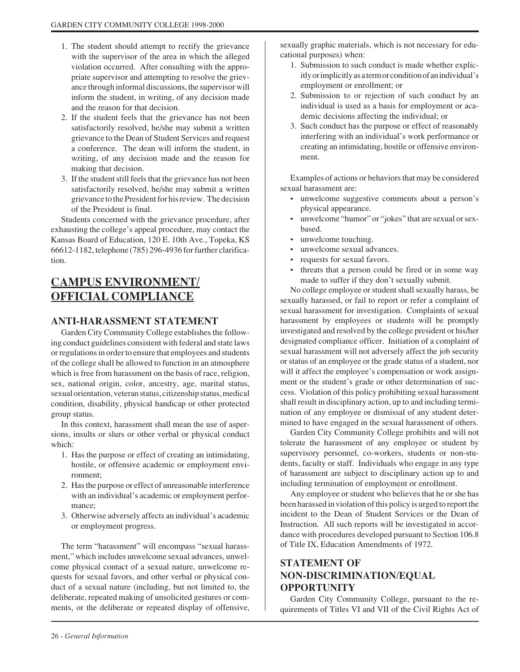- 1. The student should attempt to rectify the grievance with the supervisor of the area in which the alleged violation occurred. After consulting with the appropriate supervisor and attempting to resolve the grievance through informal discussions, the supervisor will inform the student, in writing, of any decision made and the reason for that decision.
- 2. If the student feels that the grievance has not been satisfactorily resolved, he/she may submit a written grievance to the Dean of Student Services and request a conference. The dean will inform the student, in writing, of any decision made and the reason for making that decision.
- 3. If the student still feels that the grievance has not been satisfactorily resolved, he/she may submit a written grievance to the President for his review. The decision of the President is final.

Students concerned with the grievance procedure, after exhausting the college's appeal procedure, may contact the Kansas Board of Education, 120 E. 10th Ave., Topeka, KS 66612-1182, telephone (785) 296-4936 for further clarification.

# **CAMPUS ENVIRONMENT/ OFFICIAL COMPLIANCE**

#### **ANTI-HARASSMENT STATEMENT**

Garden City Community College establishes the following conduct guidelines consistent with federal and state laws or regulations in order to ensure that employees and students of the college shall be allowed to function in an atmosphere which is free from harassment on the basis of race, religion, sex, national origin, color, ancestry, age, marital status, sexual orientation, veteran status, citizenship status, medical condition, disability, physical handicap or other protected group status.

In this context, harassment shall mean the use of aspersions, insults or slurs or other verbal or physical conduct which:

- 1. Has the purpose or effect of creating an intimidating, hostile, or offensive academic or employment environment;
- 2. Has the purpose or effect of unreasonable interference with an individual's academic or employment performance;
- 3. Otherwise adversely affects an individual's academic or employment progress.

The term "harassment" will encompass "sexual harassment," which includes unwelcome sexual advances, unwelcome physical contact of a sexual nature, unwelcome requests for sexual favors, and other verbal or physical conduct of a sexual nature (including, but not limited to, the deliberate, repeated making of unsolicited gestures or comments, or the deliberate or repeated display of offensive,

sexually graphic materials, which is not necessary for educational purposes) when:

- 1. Submission to such conduct is made whether explicitly or implicitly as a term or condition of an individual's employment or enrollment; or
- 2. Submission to or rejection of such conduct by an individual is used as a basis for employment or academic decisions affecting the individual; or
- 3. Such conduct has the purpose or effect of reasonably interfering with an individual's work performance or creating an intimidating, hostile or offensive environment.

Examples of actions or behaviors that may be considered sexual harassment are:

- unwelcome suggestive comments about a person's physical appearance.
- unwelcome "humor" or "jokes" that are sexual or sexbased.
- unwelcome touching.
- unwelcome sexual advances.
- requests for sexual favors.
- threats that a person could be fired or in some way made to suffer if they don't sexually submit.

No college employee or student shall sexually harass, be sexually harassed, or fail to report or refer a complaint of sexual harassment for investigation. Complaints of sexual harassment by employees or students will be promptly investigated and resolved by the college president or his/her designated compliance officer. Initiation of a complaint of sexual harassment will not adversely affect the job security or status of an employee or the grade status of a student, nor will it affect the employee's compensation or work assignment or the student's grade or other determination of success. Violation of this policy prohibiting sexual harassment shall result in disciplinary action, up to and including termination of any employee or dismissal of any student determined to have engaged in the sexual harassment of others.

Garden City Community College prohibits and will not tolerate the harassment of any employee or student by supervisory personnel, co-workers, students or non-students, faculty or staff. Individuals who engage in any type of harassment are subject to disciplinary action up to and including termination of employment or enrollment.

Any employee or student who believes that he or she has been harassed in violation of this policy is urged to report the incident to the Dean of Student Services or the Dean of Instruction. All such reports will be investigated in accordance with procedures developed pursuant to Section 106.8 of Title IX, Education Amendments of 1972.

## **STATEMENT OF NON-DISCRIMINATION/EQUAL OPPORTUNITY**

Garden City Community College, pursuant to the requirements of Titles VI and VII of the Civil Rights Act of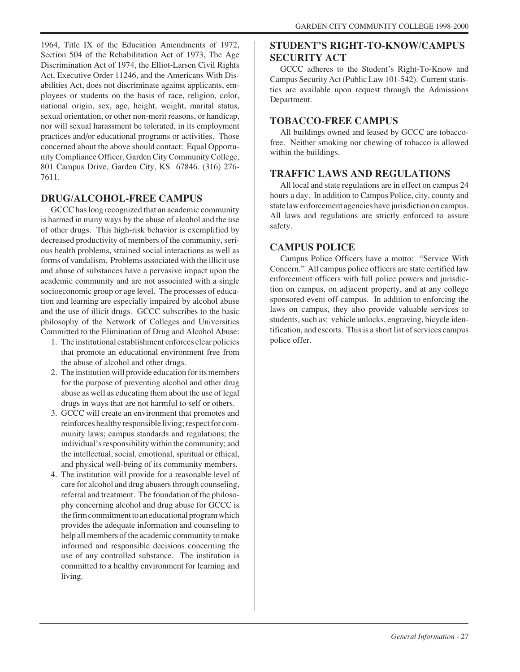1964, Title IX of the Education Amendments of 1972, Section 504 of the Rehabilitation Act of 1973, The Age Discrimination Act of 1974, the Elliot-Larsen Civil Rights Act, Executive Order 11246, and the Americans With Disabilities Act, does not discriminate against applicants, employees or students on the basis of race, religion, color, national origin, sex, age, height, weight, marital status, sexual orientation, or other non-merit reasons, or handicap, nor will sexual harassment be tolerated, in its employment practices and/or educational programs or activities. Those concerned about the above should contact: Equal Opportunity Compliance Officer, Garden City Community College, 801 Campus Drive, Garden City, KS 67846. (316) 276- 7611.

#### **DRUG/ALCOHOL-FREE CAMPUS**

GCCC has long recognized that an academic community is harmed in many ways by the abuse of alcohol and the use of other drugs. This high-risk behavior is exemplified by decreased productivity of members of the community, serious health problems, strained social interactions as well as forms of vandalism. Problems associated with the illicit use and abuse of substances have a pervasive impact upon the academic community and are not associated with a single socioeconomic group or age level. The processes of education and learning are especially impaired by alcohol abuse and the use of illicit drugs. GCCC subscribes to the basic philosophy of the Network of Colleges and Universities Committed to the Elimination of Drug and Alcohol Abuse:

- 1. The institutional establishment enforces clear policies that promote an educational environment free from the abuse of alcohol and other drugs.
- 2. The institution will provide education for its members for the purpose of preventing alcohol and other drug abuse as well as educating them about the use of legal drugs in ways that are not harmful to self or others.
- 3. GCCC will create an environment that promotes and reinforces healthy responsible living; respect for community laws; campus standards and regulations; the individual's responsibility within the community; and the intellectual, social, emotional, spiritual or ethical, and physical well-being of its community members.
- 4. The institution will provide for a reasonable level of care for alcohol and drug abusers through counseling, referral and treatment. The foundation of the philosophy concerning alcohol and drug abuse for GCCC is the firm commitment to an educational program which provides the adequate information and counseling to help all members of the academic community to make informed and responsible decisions concerning the use of any controlled substance. The institution is committed to a healthy environment for learning and living.

# **STUDENT'S RIGHT-TO-KNOW/CAMPUS SECURITY ACT**

GCCC adheres to the Student's Right-To-Know and Campus Security Act (Public Law 101-542). Current statistics are available upon request through the Admissions Department.

## **TOBACCO-FREE CAMPUS**

All buildings owned and leased by GCCC are tobaccofree. Neither smoking nor chewing of tobacco is allowed within the buildings.

## **TRAFFIC LAWS AND REGULATIONS**

All local and state regulations are in effect on campus 24 hours a day. In addition to Campus Police, city, county and state law enforcement agencies have jurisdiction on campus. All laws and regulations are strictly enforced to assure safety.

## **CAMPUS POLICE**

Campus Police Officers have a motto: "Service With Concern." All campus police officers are state certified law enforcement officers with full police powers and jurisdiction on campus, on adjacent property, and at any college sponsored event off-campus. In addition to enforcing the laws on campus, they also provide valuable services to students, such as: vehicle unlocks, engraving, bicycle identification, and escorts. This is a short list of services campus police offer.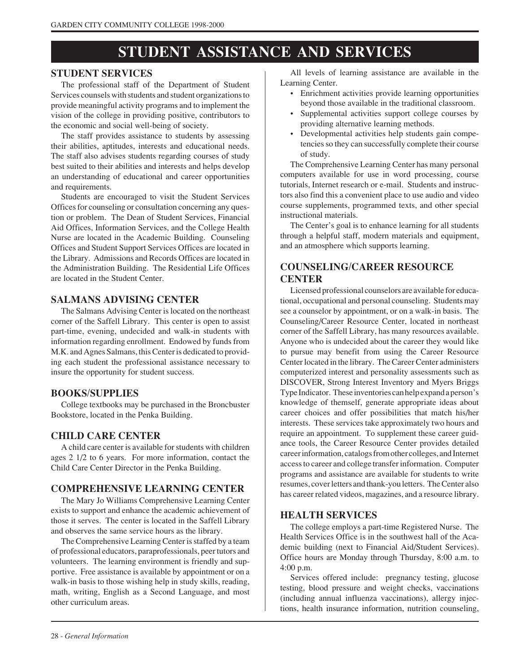# **STUDENT ASSISTANCE AND SERVICES**

#### **STUDENT SERVICES**

The professional staff of the Department of Student Services counsels with students and student organizations to provide meaningful activity programs and to implement the vision of the college in providing positive, contributors to the economic and social well-being of society.

The staff provides assistance to students by assessing their abilities, aptitudes, interests and educational needs. The staff also advises students regarding courses of study best suited to their abilities and interests and helps develop an understanding of educational and career opportunities and requirements.

Students are encouraged to visit the Student Services Offices for counseling or consultation concerning any question or problem. The Dean of Student Services, Financial Aid Offices, Information Services, and the College Health Nurse are located in the Academic Building. Counseling Offices and Student Support Services Offices are located in the Library. Admissions and Records Offices are located in the Administration Building. The Residential Life Offices are located in the Student Center.

#### **SALMANS ADVISING CENTER**

The Salmans Advising Center is located on the northeast corner of the Saffell Library. This center is open to assist part-time, evening, undecided and walk-in students with information regarding enrollment. Endowed by funds from M.K. and Agnes Salmans, this Center is dedicated to providing each student the professional assistance necessary to insure the opportunity for student success.

#### **BOOKS/SUPPLIES**

College textbooks may be purchased in the Broncbuster Bookstore, located in the Penka Building.

#### **CHILD CARE CENTER**

A child care center is available for students with children ages 2 1/2 to 6 years. For more information, contact the Child Care Center Director in the Penka Building.

#### **COMPREHENSIVE LEARNING CENTER**

The Mary Jo Williams Comprehensive Learning Center exists to support and enhance the academic achievement of those it serves. The center is located in the Saffell Library and observes the same service hours as the library.

The Comprehensive Learning Center is staffed by a team of professional educators, paraprofessionals, peer tutors and volunteers. The learning environment is friendly and supportive. Free assistance is available by appointment or on a walk-in basis to those wishing help in study skills, reading, math, writing, English as a Second Language, and most other curriculum areas.

All levels of learning assistance are available in the Learning Center.

- Enrichment activities provide learning opportunities beyond those available in the traditional classroom.
- Supplemental activities support college courses by providing alternative learning methods.
- Developmental activities help students gain competencies so they can successfully complete their course of study.

The Comprehensive Learning Center has many personal computers available for use in word processing, course tutorials, Internet research or e-mail. Students and instructors also find this a convenient place to use audio and video course supplements, programmed texts, and other special instructional materials.

The Center's goal is to enhance learning for all students through a helpful staff, modern materials and equipment, and an atmosphere which supports learning.

#### **COUNSELING/CAREER RESOURCE CENTER**

Licensed professional counselors are available for educational, occupational and personal counseling. Students may see a counselor by appointment, or on a walk-in basis. The Counseling/Career Resource Center, located in northeast corner of the Saffell Library, has many resources available. Anyone who is undecided about the career they would like to pursue may benefit from using the Career Resource Center located in the library. The Career Center administers computerized interest and personality assessments such as DISCOVER, Strong Interest Inventory and Myers Briggs Type Indicator. These inventories can help expand a person's knowledge of themself, generate appropriate ideas about career choices and offer possibilities that match his/her interests. These services take approximately two hours and require an appointment. To supplement these career guidance tools, the Career Resource Center provides detailed career information, catalogs from other colleges, and Internet access to career and college transfer information. Computer programs and assistance are available for students to write resumes, cover letters and thank-you letters. The Center also has career related videos, magazines, and a resource library.

#### **HEALTH SERVICES**

The college employs a part-time Registered Nurse. The Health Services Office is in the southwest hall of the Academic building (next to Financial Aid/Student Services). Office hours are Monday through Thursday, 8:00 a.m. to 4:00 p.m.

Services offered include: pregnancy testing, glucose testing, blood pressure and weight checks, vaccinations (including annual influenza vaccinations), allergy injections, health insurance information, nutrition counseling,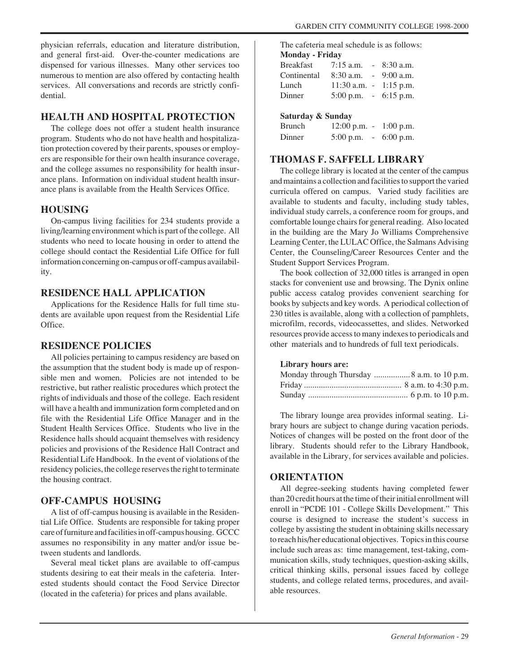physician referrals, education and literature distribution, and general first-aid. Over-the-counter medications are dispensed for various illnesses. Many other services too numerous to mention are also offered by contacting health services. All conversations and records are strictly confidential.

#### **HEALTH AND HOSPITAL PROTECTION**

The college does not offer a student health insurance program. Students who do not have health and hospitalization protection covered by their parents, spouses or employers are responsible for their own health insurance coverage, and the college assumes no responsibility for health insurance plans. Information on individual student health insurance plans is available from the Health Services Office.

#### **HOUSING**

On-campus living facilities for 234 students provide a living/learning environment which is part of the college. All students who need to locate housing in order to attend the college should contact the Residential Life Office for full information concerning on-campus or off-campus availability.

#### **RESIDENCE HALL APPLICATION**

Applications for the Residence Halls for full time students are available upon request from the Residential Life Office.

#### **RESIDENCE POLICIES**

All policies pertaining to campus residency are based on the assumption that the student body is made up of responsible men and women. Policies are not intended to be restrictive, but rather realistic procedures which protect the rights of individuals and those of the college. Each resident will have a health and immunization form completed and on file with the Residential Life Office Manager and in the Student Health Services Office. Students who live in the Residence halls should acquaint themselves with residency policies and provisions of the Residence Hall Contract and Residential Life Handbook. In the event of violations of the residency policies, the college reserves the right to terminate the housing contract.

#### **OFF-CAMPUS HOUSING**

A list of off-campus housing is available in the Residential Life Office. Students are responsible for taking proper care of furniture and facilities in off-campus housing. GCCC assumes no responsibility in any matter and/or issue between students and landlords.

Several meal ticket plans are available to off-campus students desiring to eat their meals in the cafeteria. Interested students should contact the Food Service Director (located in the cafeteria) for prices and plans available.

The cafeteria meal schedule is as follows: **Monday - Friday**

| <b>Breakfast</b> | $7:15$ a.m. $-8:30$ a.m.        |  |
|------------------|---------------------------------|--|
| Continental      | $8:30$ a.m. $-9:00$ a.m.        |  |
| Lunch            | $11:30$ a.m. $-1:15$ p.m.       |  |
| Dinner           | $5:00 \text{ p.m.}$ - 6:15 p.m. |  |

#### **Saturday & Sunday**

| <b>Brunch</b> | $12:00$ p.m. - | $1:00$ p.m. |
|---------------|----------------|-------------|
| Dinner        | $5:00$ p.m.    | $6:00$ p.m. |

#### **THOMAS F. SAFFELL LIBRARY**

The college library is located at the center of the campus and maintains a collection and facilities to support the varied curricula offered on campus. Varied study facilities are available to students and faculty, including study tables, individual study carrels, a conference room for groups, and comfortable lounge chairs for general reading. Also located in the building are the Mary Jo Williams Comprehensive Learning Center, the LULAC Office, the Salmans Advising Center, the Counseling/Career Resources Center and the Student Support Services Program.

The book collection of 32,000 titles is arranged in open stacks for convenient use and browsing. The Dynix online public access catalog provides convenient searching for books by subjects and key words. A periodical collection of 230 titles is available, along with a collection of pamphlets, microfilm, records, videocassettes, and slides. Networked resources provide access to many indexes to periodicals and other materials and to hundreds of full text periodicals.

#### **Library hours are:**

| Monday through Thursday  8 a.m. to 10 p.m. |
|--------------------------------------------|
|                                            |
|                                            |

The library lounge area provides informal seating. Library hours are subject to change during vacation periods. Notices of changes will be posted on the front door of the library. Students should refer to the Library Handbook, available in the Library, for services available and policies.

#### **ORIENTATION**

All degree-seeking students having completed fewer than 20 credit hours at the time of their initial enrollment will enroll in "PCDE 101 - College Skills Development." This course is designed to increase the student's success in college by assisting the student in obtaining skills necessary to reach his/her educational objectives. Topics in this course include such areas as: time management, test-taking, communication skills, study techniques, question-asking skills, critical thinking skills, personal issues faced by college students, and college related terms, procedures, and available resources.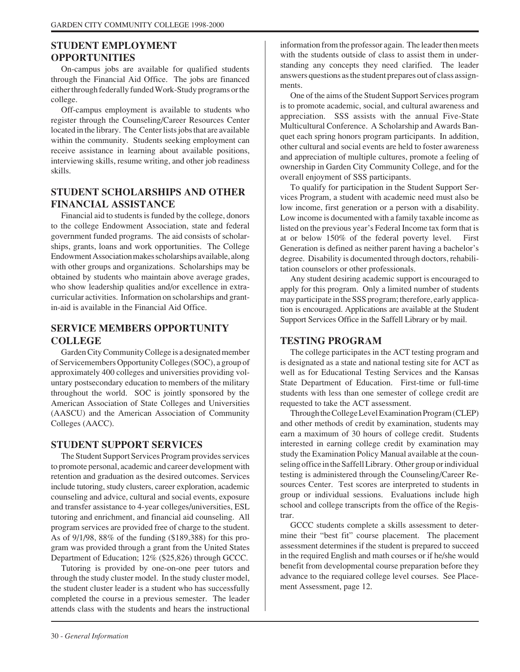#### **STUDENT EMPLOYMENT OPPORTUNITIES**

On-campus jobs are available for qualified students through the Financial Aid Office. The jobs are financed either through federally funded Work-Study programs or the college.

Off-campus employment is available to students who register through the Counseling/Career Resources Center located in the library. The Center lists jobs that are available within the community. Students seeking employment can receive assistance in learning about available positions, interviewing skills, resume writing, and other job readiness skills.

### **STUDENT SCHOLARSHIPS AND OTHER FINANCIAL ASSISTANCE**

Financial aid to students is funded by the college, donors to the college Endowment Association, state and federal government funded programs. The aid consists of scholarships, grants, loans and work opportunities. The College Endowment Association makes scholarships available, along with other groups and organizations. Scholarships may be obtained by students who maintain above average grades, who show leadership qualities and/or excellence in extracurricular activities. Information on scholarships and grantin-aid is available in the Financial Aid Office.

### **SERVICE MEMBERS OPPORTUNITY COLLEGE**

Garden City Community College is a designated member of Servicemembers Opportunity Colleges (SOC), a group of approximately 400 colleges and universities providing voluntary postsecondary education to members of the military throughout the world. SOC is jointly sponsored by the American Association of State Colleges and Universities (AASCU) and the American Association of Community Colleges (AACC).

#### **STUDENT SUPPORT SERVICES**

The Student Support Services Program provides services to promote personal, academic and career development with retention and graduation as the desired outcomes. Services include tutoring, study clusters, career exploration, academic counseling and advice, cultural and social events, exposure and transfer assistance to 4-year colleges/universities, ESL tutoring and enrichment, and financial aid counseling. All program services are provided free of charge to the student. As of 9/1/98, 88% of the funding (\$189,388) for this program was provided through a grant from the United States Department of Education; 12% (\$25,826) through GCCC.

Tutoring is provided by one-on-one peer tutors and through the study cluster model. In the study cluster model, the student cluster leader is a student who has successfully completed the course in a previous semester. The leader attends class with the students and hears the instructional

information from the professor again. The leader then meets with the students outside of class to assist them in understanding any concepts they need clarified. The leader answers questions as the student prepares out of class assignments.

One of the aims of the Student Support Services program is to promote academic, social, and cultural awareness and appreciation. SSS assists with the annual Five-State Multicultural Conference. A Scholarship and Awards Banquet each spring honors program participants. In addition, other cultural and social events are held to foster awareness and appreciation of multiple cultures, promote a feeling of ownership in Garden City Community College, and for the overall enjoyment of SSS participants.

To qualify for participation in the Student Support Services Program, a student with academic need must also be low income, first generation or a person with a disability. Low income is documented with a family taxable income as listed on the previous year's Federal Income tax form that is at or below 150% of the federal poverty level. First Generation is defined as neither parent having a bachelor's degree. Disability is documented through doctors, rehabilitation counselors or other professionals.

Any student desiring academic support is encouraged to apply for this program. Only a limited number of students may participate in the SSS program; therefore, early application is encouraged. Applications are available at the Student Support Services Office in the Saffell Library or by mail.

#### **TESTING PROGRAM**

The college participates in the ACT testing program and is designated as a state and national testing site for ACT as well as for Educational Testing Services and the Kansas State Department of Education. First-time or full-time students with less than one semester of college credit are requested to take the ACT assessment.

Through the College Level Examination Program (CLEP) and other methods of credit by examination, students may earn a maximum of 30 hours of college credit. Students interested in earning college credit by examination may study the Examination Policy Manual available at the counseling office in the Saffell Library. Other group or individual testing is administered through the Counseling/Career Resources Center. Test scores are interpreted to students in group or individual sessions. Evaluations include high school and college transcripts from the office of the Registrar.

GCCC students complete a skills assessment to determine their "best fit" course placement. The placement assessment determines if the student is prepared to succeed in the required English and math courses or if he/she would benefit from developmental course preparation before they advance to the requiared college level courses. See Placement Assessment, page 12.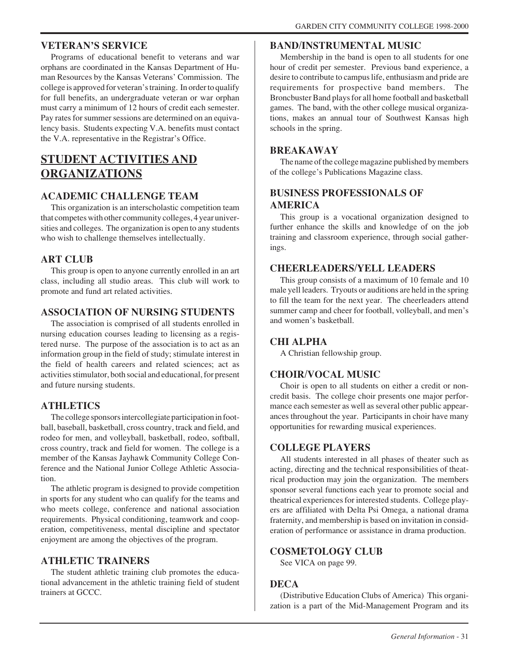#### **VETERAN'S SERVICE**

Programs of educational benefit to veterans and war orphans are coordinated in the Kansas Department of Human Resources by the Kansas Veterans' Commission. The college is approved for veteran's training. In order to qualify for full benefits, an undergraduate veteran or war orphan must carry a minimum of 12 hours of credit each semester. Pay rates for summer sessions are determined on an equivalency basis. Students expecting V.A. benefits must contact the V.A. representative in the Registrar's Office.

# **STUDENT ACTIVITIES AND ORGANIZATIONS**

#### **ACADEMIC CHALLENGE TEAM**

This organization is an interscholastic competition team that competes with other community colleges, 4 year universities and colleges. The organization is open to any students who wish to challenge themselves intellectually.

#### **ART CLUB**

This group is open to anyone currently enrolled in an art class, including all studio areas. This club will work to promote and fund art related activities.

#### **ASSOCIATION OF NURSING STUDENTS**

The association is comprised of all students enrolled in nursing education courses leading to licensing as a registered nurse. The purpose of the association is to act as an information group in the field of study; stimulate interest in the field of health careers and related sciences; act as activities stimulator, both social and educational, for present and future nursing students.

#### **ATHLETICS**

The college sponsors intercollegiate participation in football, baseball, basketball, cross country, track and field, and rodeo for men, and volleyball, basketball, rodeo, softball, cross country, track and field for women. The college is a member of the Kansas Jayhawk Community College Conference and the National Junior College Athletic Association.

The athletic program is designed to provide competition in sports for any student who can qualify for the teams and who meets college, conference and national association requirements. Physical conditioning, teamwork and cooperation, competitiveness, mental discipline and spectator enjoyment are among the objectives of the program.

#### **ATHLETIC TRAINERS**

The student athletic training club promotes the educational advancement in the athletic training field of student trainers at GCCC.

#### **BAND/INSTRUMENTAL MUSIC**

Membership in the band is open to all students for one hour of credit per semester. Previous band experience, a desire to contribute to campus life, enthusiasm and pride are requirements for prospective band members. The Broncbuster Band plays for all home football and basketball games. The band, with the other college musical organizations, makes an annual tour of Southwest Kansas high schools in the spring.

#### **BREAKAWAY**

The name of the college magazine published by members of the college's Publications Magazine class.

#### **BUSINESS PROFESSIONALS OF AMERICA**

This group is a vocational organization designed to further enhance the skills and knowledge of on the job training and classroom experience, through social gatherings.

#### **CHEERLEADERS/YELL LEADERS**

This group consists of a maximum of 10 female and 10 male yell leaders. Tryouts or auditions are held in the spring to fill the team for the next year. The cheerleaders attend summer camp and cheer for football, volleyball, and men's and women's basketball.

#### **CHI ALPHA**

A Christian fellowship group.

#### **CHOIR/VOCAL MUSIC**

Choir is open to all students on either a credit or noncredit basis. The college choir presents one major performance each semester as well as several other public appearances throughout the year. Participants in choir have many opportunities for rewarding musical experiences.

#### **COLLEGE PLAYERS**

All students interested in all phases of theater such as acting, directing and the technical responsibilities of theatrical production may join the organization. The members sponsor several functions each year to promote social and theatrical experiences for interested students. College players are affiliated with Delta Psi Omega, a national drama fraternity, and membership is based on invitation in consideration of performance or assistance in drama production.

#### **COSMETOLOGY CLUB**

See VICA on page 99.

#### **DECA**

(Distributive Education Clubs of America) This organization is a part of the Mid-Management Program and its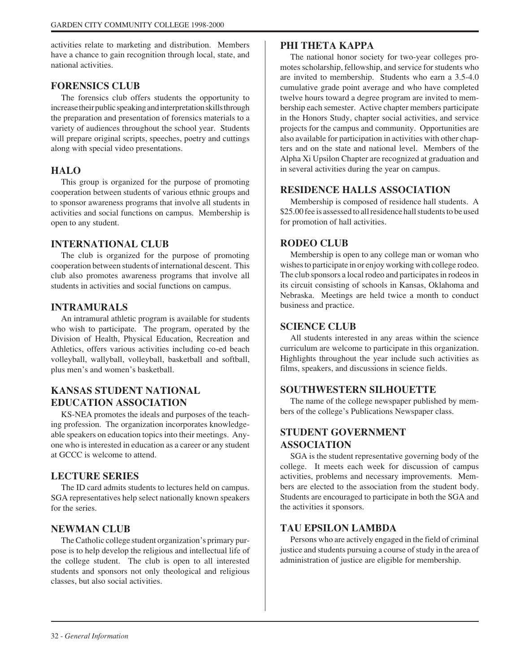activities relate to marketing and distribution. Members have a chance to gain recognition through local, state, and national activities.

#### **FORENSICS CLUB**

The forensics club offers students the opportunity to increase their public speaking and interpretation skills through the preparation and presentation of forensics materials to a variety of audiences throughout the school year. Students will prepare original scripts, speeches, poetry and cuttings along with special video presentations.

#### **HALO**

This group is organized for the purpose of promoting cooperation between students of various ethnic groups and to sponsor awareness programs that involve all students in activities and social functions on campus. Membership is open to any student.

#### **INTERNATIONAL CLUB**

The club is organized for the purpose of promoting cooperation between students of international descent. This club also promotes awareness programs that involve all students in activities and social functions on campus.

#### **INTRAMURALS**

An intramural athletic program is available for students who wish to participate. The program, operated by the Division of Health, Physical Education, Recreation and Athletics, offers various activities including co-ed beach volleyball, wallyball, volleyball, basketball and softball, plus men's and women's basketball.

#### **KANSAS STUDENT NATIONAL EDUCATION ASSOCIATION**

KS-NEA promotes the ideals and purposes of the teaching profession. The organization incorporates knowledgeable speakers on education topics into their meetings. Anyone who is interested in education as a career or any student at GCCC is welcome to attend.

#### **LECTURE SERIES**

The ID card admits students to lectures held on campus. SGA representatives help select nationally known speakers for the series.

#### **NEWMAN CLUB**

The Catholic college student organization's primary purpose is to help develop the religious and intellectual life of the college student. The club is open to all interested students and sponsors not only theological and religious classes, but also social activities.

#### **PHI THETA KAPPA**

The national honor society for two-year colleges promotes scholarship, fellowship, and service for students who are invited to membership. Students who earn a 3.5-4.0 cumulative grade point average and who have completed twelve hours toward a degree program are invited to membership each semester. Active chapter members participate in the Honors Study, chapter social activities, and service projects for the campus and community. Opportunities are also available for participation in activities with other chapters and on the state and national level. Members of the Alpha Xi Upsilon Chapter are recognized at graduation and in several activities during the year on campus.

#### **RESIDENCE HALLS ASSOCIATION**

Membership is composed of residence hall students. A \$25.00 fee is assessed to all residence hall students to be used for promotion of hall activities.

#### **RODEO CLUB**

Membership is open to any college man or woman who wishes to participate in or enjoy working with college rodeo. The club sponsors a local rodeo and participates in rodeos in its circuit consisting of schools in Kansas, Oklahoma and Nebraska. Meetings are held twice a month to conduct business and practice.

#### **SCIENCE CLUB**

All students interested in any areas within the science curriculum are welcome to participate in this organization. Highlights throughout the year include such activities as films, speakers, and discussions in science fields.

#### **SOUTHWESTERN SILHOUETTE**

The name of the college newspaper published by members of the college's Publications Newspaper class.

#### **STUDENT GOVERNMENT ASSOCIATION**

SGA is the student representative governing body of the college. It meets each week for discussion of campus activities, problems and necessary improvements. Members are elected to the association from the student body. Students are encouraged to participate in both the SGA and the activities it sponsors.

#### **TAU EPSILON LAMBDA**

Persons who are actively engaged in the field of criminal justice and students pursuing a course of study in the area of administration of justice are eligible for membership.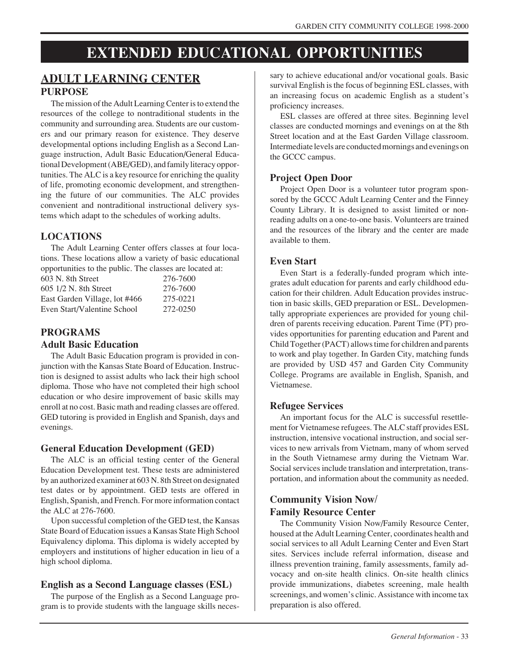# **EXTENDED EDUCATIONAL OPPORTUNITIES**

# **ADULT LEARNING CENTER PURPOSE**

The mission of the Adult Learning Center is to extend the resources of the college to nontraditional students in the community and surrounding area. Students are our customers and our primary reason for existence. They deserve developmental options including English as a Second Language instruction, Adult Basic Education/General Educational Development (ABE/GED), and family literacy opportunities. The ALC is a key resource for enriching the quality of life, promoting economic development, and strengthening the future of our communities. The ALC provides convenient and nontraditional instructional delivery systems which adapt to the schedules of working adults.

## **LOCATIONS**

The Adult Learning Center offers classes at four locations. These locations allow a variety of basic educational opportunities to the public. The classes are located at:

| 603 N. 8th Street             | 276-7600 |
|-------------------------------|----------|
| 605 1/2 N. 8th Street         | 276-7600 |
| East Garden Village, lot #466 | 275-0221 |
| Even Start/Valentine School   | 272-0250 |

# **PROGRAMS**

#### **Adult Basic Education**

The Adult Basic Education program is provided in conjunction with the Kansas State Board of Education. Instruction is designed to assist adults who lack their high school diploma. Those who have not completed their high school education or who desire improvement of basic skills may enroll at no cost. Basic math and reading classes are offered. GED tutoring is provided in English and Spanish, days and evenings.

#### **General Education Development (GED)**

The ALC is an official testing center of the General Education Development test. These tests are administered by an authorized examiner at 603 N. 8th Street on designated test dates or by appointment. GED tests are offered in English, Spanish, and French. For more information contact the ALC at 276-7600.

Upon successful completion of the GED test, the Kansas State Board of Education issues a Kansas State High School Equivalency diploma. This diploma is widely accepted by employers and institutions of higher education in lieu of a high school diploma.

# **English as a Second Language classes (ESL)**

The purpose of the English as a Second Language program is to provide students with the language skills necessary to achieve educational and/or vocational goals. Basic survival English is the focus of beginning ESL classes, with an increasing focus on academic English as a student's proficiency increases.

ESL classes are offered at three sites. Beginning level classes are conducted mornings and evenings on at the 8th Street location and at the East Garden Village classroom. Intermediate levels are conducted mornings and evenings on the GCCC campus.

# **Project Open Door**

Project Open Door is a volunteer tutor program sponsored by the GCCC Adult Learning Center and the Finney County Library. It is designed to assist limited or nonreading adults on a one-to-one basis. Volunteers are trained and the resources of the library and the center are made available to them.

#### **Even Start**

Even Start is a federally-funded program which integrates adult education for parents and early childhood education for their children. Adult Education provides instruction in basic skills, GED preparation or ESL. Developmentally appropriate experiences are provided for young children of parents receiving education. Parent Time (PT) provides opportunities for parenting education and Parent and Child Together (PACT) allows time for children and parents to work and play together. In Garden City, matching funds are provided by USD 457 and Garden City Community College. Programs are available in English, Spanish, and Vietnamese.

#### **Refugee Services**

An important focus for the ALC is successful resettlement for Vietnamese refugees. The ALC staff provides ESL instruction, intensive vocational instruction, and social services to new arrivals from Vietnam, many of whom served in the South Vietnamese army during the Vietnam War. Social services include translation and interpretation, transportation, and information about the community as needed.

#### **Community Vision Now/ Family Resource Center**

The Community Vision Now/Family Resource Center, housed at the Adult Learning Center, coordinates health and social services to all Adult Learning Center and Even Start sites. Services include referral information, disease and illness prevention training, family assessments, family advocacy and on-site health clinics. On-site health clinics provide immunizations, diabetes screening, male health screenings, and women's clinic. Assistance with income tax preparation is also offered.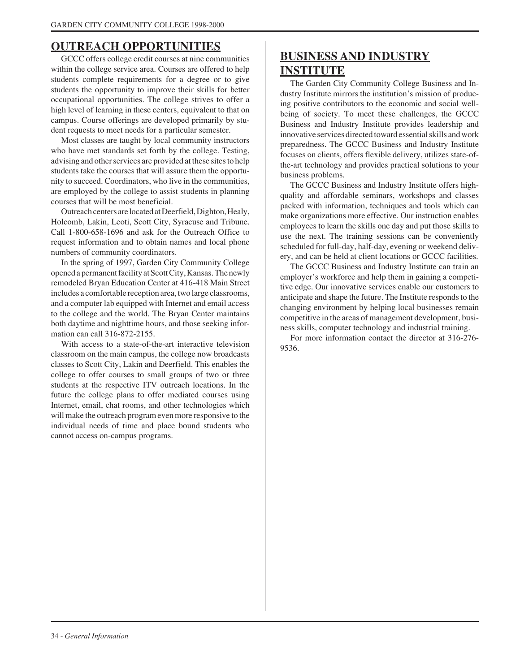# **OUTREACH OPPORTUNITIES**

GCCC offers college credit courses at nine communities within the college service area. Courses are offered to help students complete requirements for a degree or to give students the opportunity to improve their skills for better occupational opportunities. The college strives to offer a high level of learning in these centers, equivalent to that on campus. Course offerings are developed primarily by student requests to meet needs for a particular semester.

Most classes are taught by local community instructors who have met standards set forth by the college. Testing, advising and other services are provided at these sites to help students take the courses that will assure them the opportunity to succeed. Coordinators, who live in the communities, are employed by the college to assist students in planning courses that will be most beneficial.

Outreach centers are located at Deerfield, Dighton, Healy, Holcomb, Lakin, Leoti, Scott City, Syracuse and Tribune. Call 1-800-658-1696 and ask for the Outreach Office to request information and to obtain names and local phone numbers of community coordinators.

In the spring of 1997, Garden City Community College opened a permanent facility at Scott City, Kansas. The newly remodeled Bryan Education Center at 416-418 Main Street includes a comfortable reception area, two large classrooms, and a computer lab equipped with Internet and email access to the college and the world. The Bryan Center maintains both daytime and nighttime hours, and those seeking information can call 316-872-2155.

With access to a state-of-the-art interactive television classroom on the main campus, the college now broadcasts classes to Scott City, Lakin and Deerfield. This enables the college to offer courses to small groups of two or three students at the respective ITV outreach locations. In the future the college plans to offer mediated courses using Internet, email, chat rooms, and other technologies which will make the outreach program even more responsive to the individual needs of time and place bound students who cannot access on-campus programs.

# **BUSINESS AND INDUSTRY INSTITUTE**

The Garden City Community College Business and Industry Institute mirrors the institution's mission of producing positive contributors to the economic and social wellbeing of society. To meet these challenges, the GCCC Business and Industry Institute provides leadership and innovative services directed toward essential skills and work preparedness. The GCCC Business and Industry Institute focuses on clients, offers flexible delivery, utilizes state-ofthe-art technology and provides practical solutions to your business problems.

The GCCC Business and Industry Institute offers highquality and affordable seminars, workshops and classes packed with information, techniques and tools which can make organizations more effective. Our instruction enables employees to learn the skills one day and put those skills to use the next. The training sessions can be conveniently scheduled for full-day, half-day, evening or weekend delivery, and can be held at client locations or GCCC facilities.

The GCCC Business and Industry Institute can train an employer's workforce and help them in gaining a competitive edge. Our innovative services enable our customers to anticipate and shape the future. The Institute responds to the changing environment by helping local businesses remain competitive in the areas of management development, business skills, computer technology and industrial training.

For more information contact the director at 316-276- 9536.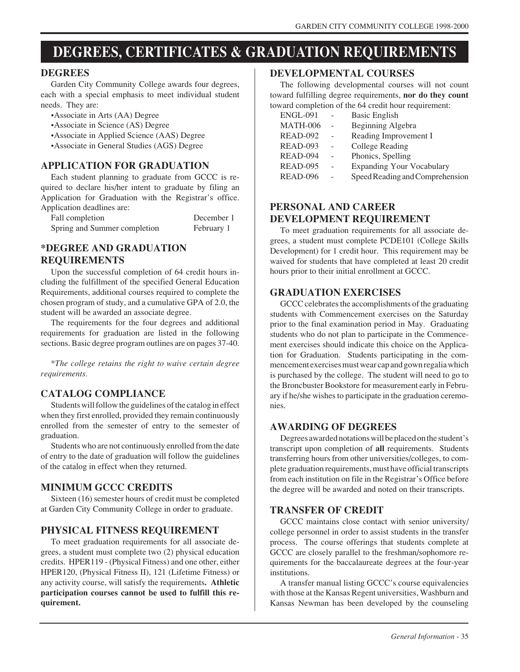# **DEGREES, CERTIFICATES & GRADUATION REQUIREMENTS**

#### **DEGREES**

Garden City Community College awards four degrees, each with a special emphasis to meet individual student needs. They are:

- •Associate in Arts (AA) Degree
- •Associate in Science (AS) Degree
- •Associate in Applied Science (AAS) Degree
- •Associate in General Studies (AGS) Degree

#### **APPLICATION FOR GRADUATION**

Each student planning to graduate from GCCC is required to declare his/her intent to graduate by filing an Application for Graduation with the Registrar's office. Application deadlines are:

| . .<br>Fall completion       | December 1 |
|------------------------------|------------|
| Spring and Summer completion | February 1 |

#### **\*DEGREE AND GRADUATION REQUIREMENTS**

Upon the successful completion of 64 credit hours including the fulfillment of the specified General Education Requirements, additional courses required to complete the chosen program of study, and a cumulative GPA of 2.0, the student will be awarded an associate degree.

The requirements for the four degrees and additional requirements for graduation are listed in the following sections. Basic degree program outlines are on pages 37-40.

*\*The college retains the right to waive certain degree requirements.*

#### **CATALOG COMPLIANCE**

Students will follow the guidelines of the catalog in effect when they first enrolled, provided they remain continuously enrolled from the semester of entry to the semester of graduation.

Students who are not continuously enrolled from the date of entry to the date of graduation will follow the guidelines of the catalog in effect when they returned.

#### **MINIMUM GCCC CREDITS**

Sixteen (16) semester hours of credit must be completed at Garden City Community College in order to graduate.

#### **PHYSICAL FITNESS REQUIREMENT**

To meet graduation requirements for all associate degrees, a student must complete two (2) physical education credits. HPER119 - (Physical Fitness) and one other, either HPER120, (Physical Fitness II), 121 (Lifetime Fitness) or any activity course, will satisfy the requirements**. Athletic participation courses cannot be used to fulfill this requirement.**

#### **DEVELOPMENTAL COURSES**

The following developmental courses will not count toward fulfilling degree requirements, **nor do they count** toward completion of the 64 credit hour requirement:

| <b>ENGL-091</b> | <b>Basic English</b>             |
|-----------------|----------------------------------|
| <b>MATH-006</b> | Beginning Algebra                |
| <b>READ-092</b> | Reading Improvement I            |
| <b>READ-093</b> | College Reading                  |
| READ-094        | Phonics, Spelling                |
| <b>READ-095</b> | <b>Expanding Your Vocabulary</b> |
| <b>READ-096</b> | Speed Reading and Comprehension  |

### **PERSONAL AND CAREER DEVELOPMENT REQUIREMENT**

To meet graduation requirements for all associate degrees, a student must complete PCDE101 (College Skills Development) for 1 credit hour. This requirement may be waived for students that have completed at least 20 credit hours prior to their initial enrollment at GCCC.

#### **GRADUATION EXERCISES**

GCCC celebrates the accomplishments of the graduating students with Commencement exercises on the Saturday prior to the final examination period in May. Graduating students who do not plan to participate in the Commencement exercises should indicate this choice on the Application for Graduation. Students participating in the commencement exercises must wear cap and gown regalia which is purchased by the college. The student will need to go to the Broncbuster Bookstore for measurement early in February if he/she wishes to participate in the graduation ceremonies.

#### **AWARDING OF DEGREES**

Degrees awarded notations will be placed on the student's transcript upon completion of **all** requirements. Students transferring hours from other universities/colleges, to complete graduation requirements, must have official transcripts from each institution on file in the Registrar's Office before the degree will be awarded and noted on their transcripts.

#### **TRANSFER OF CREDIT**

GCCC maintains close contact with senior university/ college personnel in order to assist students in the transfer process. The course offerings that students complete at GCCC are closely parallel to the freshman/sophomore requirements for the baccalaureate degrees at the four-year institutions.

A transfer manual listing GCCC's course equivalencies with those at the Kansas Regent universities, Washburn and Kansas Newman has been developed by the counseling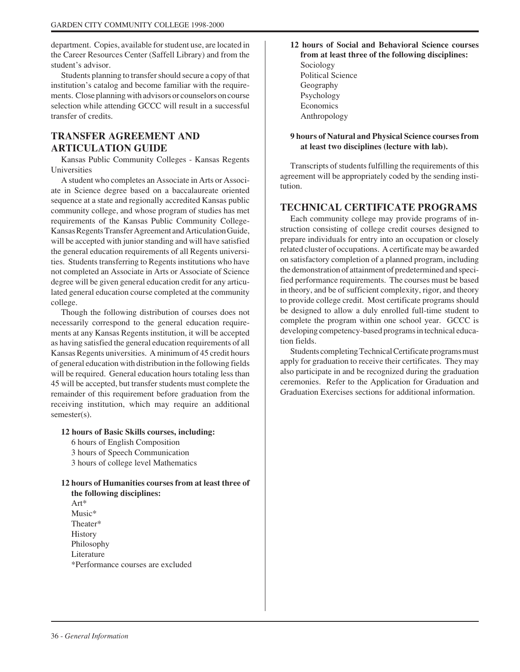department. Copies, available for student use, are located in the Career Resources Center (Saffell Library) and from the student's advisor.

Students planning to transfer should secure a copy of that institution's catalog and become familiar with the requirements. Close planning with advisors or counselors on course selection while attending GCCC will result in a successful transfer of credits.

#### **TRANSFER AGREEMENT AND ARTICULATION GUIDE**

Kansas Public Community Colleges - Kansas Regents Universities

A student who completes an Associate in Arts or Associate in Science degree based on a baccalaureate oriented sequence at a state and regionally accredited Kansas public community college, and whose program of studies has met requirements of the Kansas Public Community College-Kansas Regents Transfer Agreement and Articulation Guide, will be accepted with junior standing and will have satisfied the general education requirements of all Regents universities. Students transferring to Regents institutions who have not completed an Associate in Arts or Associate of Science degree will be given general education credit for any articulated general education course completed at the community college.

Though the following distribution of courses does not necessarily correspond to the general education requirements at any Kansas Regents institution, it will be accepted as having satisfied the general education requirements of all Kansas Regents universities. A minimum of 45 credit hours of general education with distribution in the following fields will be required. General education hours totaling less than 45 will be accepted, but transfer students must complete the remainder of this requirement before graduation from the receiving institution, which may require an additional semester(s).

#### **12 hours of Basic Skills courses, including:**

6 hours of English Composition 3 hours of Speech Communication 3 hours of college level Mathematics

**12 hours of Humanities courses from at least three of the following disciplines:**

Art\* Music\* Theater\* **History** Philosophy Literature \*Performance courses are excluded **12 hours of Social and Behavioral Science courses from at least three of the following disciplines:** Sociology Political Science Geography Psychology Economics Anthropology

**9 hours of Natural and Physical Science courses from at least two disciplines (lecture with lab).**

Transcripts of students fulfilling the requirements of this agreement will be appropriately coded by the sending institution.

#### **TECHNICAL CERTIFICATE PROGRAMS**

Each community college may provide programs of instruction consisting of college credit courses designed to prepare individuals for entry into an occupation or closely related cluster of occupations. A certificate may be awarded on satisfactory completion of a planned program, including the demonstration of attainment of predetermined and specified performance requirements. The courses must be based in theory, and be of sufficient complexity, rigor, and theory to provide college credit. Most certificate programs should be designed to allow a duly enrolled full-time student to complete the program within one school year. GCCC is developing competency-based programs in technical education fields.

Students completing Technical Certificate programs must apply for graduation to receive their certificates. They may also participate in and be recognized during the graduation ceremonies. Refer to the Application for Graduation and Graduation Exercises sections for additional information.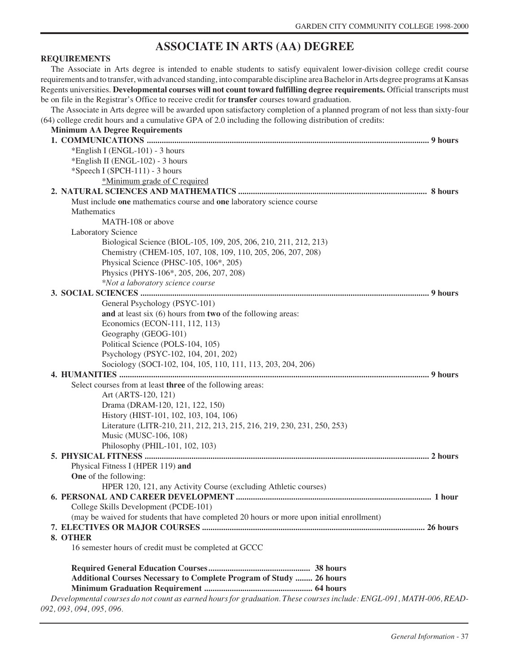# **ASSOCIATE IN ARTS (AA) DEGREE**

#### **REQUIREMENTS**

The Associate in Arts degree is intended to enable students to satisfy equivalent lower-division college credit course requirements and to transfer, with advanced standing, into comparable discipline area Bachelor in Arts degree programs at Kansas Regents universities. **Developmental courses will not count toward fulfilling degree requirements.** Official transcripts must be on file in the Registrar's Office to receive credit for **transfer** courses toward graduation.

The Associate in Arts degree will be awarded upon satisfactory completion of a planned program of not less than sixty-four (64) college credit hours and a cumulative GPA of 2.0 including the following distribution of credits:

| (04) conege create nours and a cumulative GPA of 2.0 including the following distribution of creatts:                                           |  |
|-------------------------------------------------------------------------------------------------------------------------------------------------|--|
| <b>Minimum AA Degree Requirements</b>                                                                                                           |  |
|                                                                                                                                                 |  |
| *English I (ENGL-101) - 3 hours                                                                                                                 |  |
| *English II (ENGL-102) - 3 hours                                                                                                                |  |
| *Speech I (SPCH-111) - 3 hours                                                                                                                  |  |
| *Minimum grade of C required                                                                                                                    |  |
|                                                                                                                                                 |  |
| Must include one mathematics course and one laboratory science course                                                                           |  |
| Mathematics                                                                                                                                     |  |
| MATH-108 or above                                                                                                                               |  |
| Laboratory Science                                                                                                                              |  |
| Biological Science (BIOL-105, 109, 205, 206, 210, 211, 212, 213)                                                                                |  |
| Chemistry (CHEM-105, 107, 108, 109, 110, 205, 206, 207, 208)                                                                                    |  |
| Physical Science (PHSC-105, 106*, 205)                                                                                                          |  |
| Physics (PHYS-106*, 205, 206, 207, 208)                                                                                                         |  |
| *Not a laboratory science course                                                                                                                |  |
|                                                                                                                                                 |  |
| General Psychology (PSYC-101)                                                                                                                   |  |
| and at least six (6) hours from two of the following areas:                                                                                     |  |
| Economics (ECON-111, 112, 113)                                                                                                                  |  |
| Geography (GEOG-101)                                                                                                                            |  |
| Political Science (POLS-104, 105)                                                                                                               |  |
| Psychology (PSYC-102, 104, 201, 202)                                                                                                            |  |
| Sociology (SOCI-102, 104, 105, 110, 111, 113, 203, 204, 206)                                                                                    |  |
|                                                                                                                                                 |  |
| Select courses from at least three of the following areas:                                                                                      |  |
| Art (ARTS-120, 121)                                                                                                                             |  |
| Drama (DRAM-120, 121, 122, 150)                                                                                                                 |  |
| History (HIST-101, 102, 103, 104, 106)                                                                                                          |  |
| Literature (LITR-210, 211, 212, 213, 215, 216, 219, 230, 231, 250, 253)                                                                         |  |
| Music (MUSC-106, 108)                                                                                                                           |  |
| Philosophy (PHIL-101, 102, 103)                                                                                                                 |  |
|                                                                                                                                                 |  |
| Physical Fitness I (HPER 119) and                                                                                                               |  |
| One of the following:                                                                                                                           |  |
| HPER 120, 121, any Activity Course (excluding Athletic courses)                                                                                 |  |
|                                                                                                                                                 |  |
| College Skills Development (PCDE-101)                                                                                                           |  |
| (may be waived for students that have completed 20 hours or more upon initial enrollment)                                                       |  |
|                                                                                                                                                 |  |
| 8. OTHER                                                                                                                                        |  |
| 16 semester hours of credit must be completed at GCCC                                                                                           |  |
|                                                                                                                                                 |  |
| <b>Additional Courses Necessary to Complete Program of Study  26 hours</b>                                                                      |  |
|                                                                                                                                                 |  |
| Developmental courses do not count as earned hours for graduation. These courses include: ENGL-091, MATH-006, READ-<br>092, 093, 094, 095, 096. |  |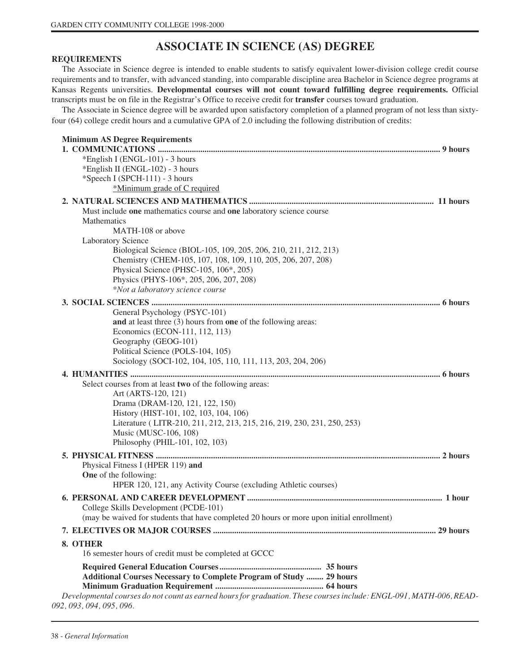# **ASSOCIATE IN SCIENCE (AS) DEGREE**

#### **REQUIREMENTS**

The Associate in Science degree is intended to enable students to satisfy equivalent lower-division college credit course requirements and to transfer, with advanced standing, into comparable discipline area Bachelor in Science degree programs at Kansas Regents universities. **Developmental courses will not count toward fulfilling degree requirements.** Official transcripts must be on file in the Registrar's Office to receive credit for **transfer** courses toward graduation.

The Associate in Science degree will be awarded upon satisfactory completion of a planned program of not less than sixtyfour (64) college credit hours and a cumulative GPA of 2.0 including the following distribution of credits:

| <b>Minimum AS Degree Requirements</b>                                                                                                                                      |  |
|----------------------------------------------------------------------------------------------------------------------------------------------------------------------------|--|
| *English I (ENGL-101) - 3 hours<br>*English II (ENGL-102) - 3 hours                                                                                                        |  |
| *Speech I (SPCH-111) - 3 hours                                                                                                                                             |  |
| *Minimum grade of C required                                                                                                                                               |  |
|                                                                                                                                                                            |  |
| Must include one mathematics course and one laboratory science course<br>Mathematics                                                                                       |  |
| MATH-108 or above<br><b>Laboratory Science</b>                                                                                                                             |  |
| Biological Science (BIOL-105, 109, 205, 206, 210, 211, 212, 213)<br>Chemistry (CHEM-105, 107, 108, 109, 110, 205, 206, 207, 208)<br>Physical Science (PHSC-105, 106*, 205) |  |
| Physics (PHYS-106*, 205, 206, 207, 208)                                                                                                                                    |  |
| *Not a laboratory science course                                                                                                                                           |  |
|                                                                                                                                                                            |  |
| General Psychology (PSYC-101)                                                                                                                                              |  |
| and at least three (3) hours from one of the following areas:<br>Economics (ECON-111, 112, 113)                                                                            |  |
| Geography (GEOG-101)                                                                                                                                                       |  |
| Political Science (POLS-104, 105)                                                                                                                                          |  |
| Sociology (SOCI-102, 104, 105, 110, 111, 113, 203, 204, 206)                                                                                                               |  |
|                                                                                                                                                                            |  |
| Select courses from at least two of the following areas:                                                                                                                   |  |
| Art (ARTS-120, 121)<br>Drama (DRAM-120, 121, 122, 150)                                                                                                                     |  |
| History (HIST-101, 102, 103, 104, 106)                                                                                                                                     |  |
| Literature (LITR-210, 211, 212, 213, 215, 216, 219, 230, 231, 250, 253)                                                                                                    |  |
| Music (MUSC-106, 108)                                                                                                                                                      |  |
| Philosophy (PHIL-101, 102, 103)                                                                                                                                            |  |
|                                                                                                                                                                            |  |
| Physical Fitness I (HPER 119) and<br>One of the following:                                                                                                                 |  |
| HPER 120, 121, any Activity Course (excluding Athletic courses)                                                                                                            |  |
|                                                                                                                                                                            |  |
| College Skills Development (PCDE-101)                                                                                                                                      |  |
| (may be waived for students that have completed 20 hours or more upon initial enrollment)                                                                                  |  |
|                                                                                                                                                                            |  |
| 8. OTHER                                                                                                                                                                   |  |
| 16 semester hours of credit must be completed at GCCC                                                                                                                      |  |
|                                                                                                                                                                            |  |
| <b>Additional Courses Necessary to Complete Program of Study  29 hours</b>                                                                                                 |  |
|                                                                                                                                                                            |  |
| Developmental courses do not count as earned hours for graduation. These courses include: ENGL-091, MATH-006, READ-<br>092, 093, 094, 095, 096.                            |  |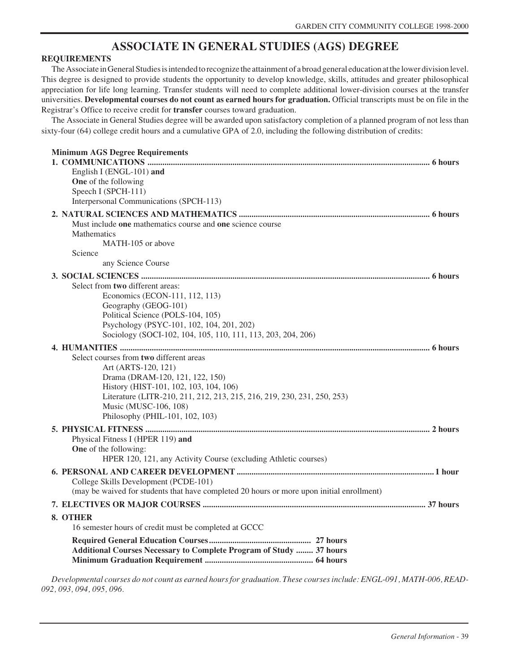## **ASSOCIATE IN GENERAL STUDIES (AGS) DEGREE**

#### **REQUIREMENTS**

The Associate in General Studies is intended to recognize the attainment of a broad general education at the lower division level. This degree is designed to provide students the opportunity to develop knowledge, skills, attitudes and greater philosophical appreciation for life long learning. Transfer students will need to complete additional lower-division courses at the transfer universities. **Developmental courses do not count as earned hours for graduation.** Official transcripts must be on file in the Registrar's Office to receive credit for **transfer** courses toward graduation.

The Associate in General Studies degree will be awarded upon satisfactory completion of a planned program of not less than sixty-four (64) college credit hours and a cumulative GPA of 2.0, including the following distribution of credits:

| <b>Minimum AGS Degree Requirements</b>                                                    |
|-------------------------------------------------------------------------------------------|
| English I (ENGL-101) and                                                                  |
| One of the following                                                                      |
| Speech I (SPCH-111)                                                                       |
| Interpersonal Communications (SPCH-113)                                                   |
|                                                                                           |
| Must include one mathematics course and one science course                                |
| <b>Mathematics</b>                                                                        |
| MATH-105 or above<br>Science                                                              |
| any Science Course                                                                        |
|                                                                                           |
| Select from two different areas:                                                          |
| Economics (ECON-111, 112, 113)                                                            |
| Geography (GEOG-101)                                                                      |
| Political Science (POLS-104, 105)                                                         |
| Psychology (PSYC-101, 102, 104, 201, 202)                                                 |
| Sociology (SOCI-102, 104, 105, 110, 111, 113, 203, 204, 206)                              |
|                                                                                           |
| Select courses from two different areas                                                   |
| Art (ARTS-120, 121)                                                                       |
| Drama (DRAM-120, 121, 122, 150)                                                           |
| History (HIST-101, 102, 103, 104, 106)                                                    |
| Literature (LITR-210, 211, 212, 213, 215, 216, 219, 230, 231, 250, 253)                   |
| Music (MUSC-106, 108)                                                                     |
| Philosophy (PHIL-101, 102, 103)                                                           |
|                                                                                           |
| Physical Fitness I (HPER 119) and                                                         |
| One of the following:                                                                     |
| HPER 120, 121, any Activity Course (excluding Athletic courses)                           |
|                                                                                           |
| College Skills Development (PCDE-101)                                                     |
| (may be waived for students that have completed 20 hours or more upon initial enrollment) |
|                                                                                           |
| 8. OTHER                                                                                  |
| 16 semester hours of credit must be completed at GCCC                                     |
|                                                                                           |
| Additional Courses Necessary to Complete Program of Study  37 hours                       |
|                                                                                           |

*Developmental courses do not count as earned hours for graduation. These courses include: ENGL-091, MATH-006, READ-092, 093, 094, 095, 096.*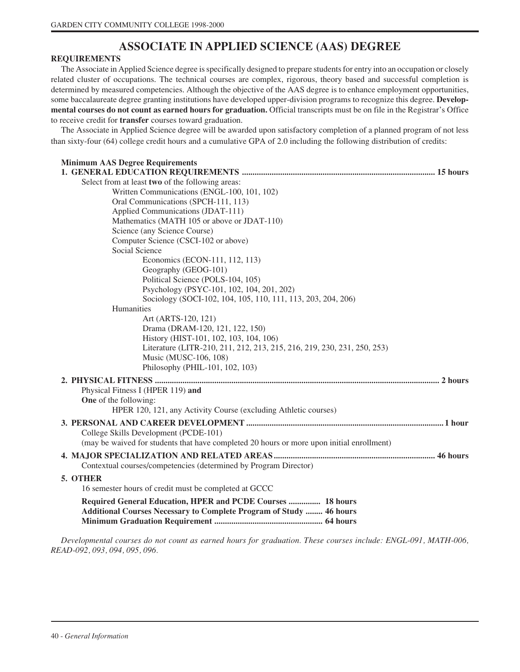# **ASSOCIATE IN APPLIED SCIENCE (AAS) DEGREE**

# **REQUIREMENTS**

The Associate in Applied Science degree is specifically designed to prepare students for entry into an occupation or closely related cluster of occupations. The technical courses are complex, rigorous, theory based and successful completion is determined by measured competencies. Although the objective of the AAS degree is to enhance employment opportunities, some baccalaureate degree granting institutions have developed upper-division programs to recognize this degree. **Developmental courses do not count as earned hours for graduation.** Official transcripts must be on file in the Registrar's Office to receive credit for **transfer** courses toward graduation.

The Associate in Applied Science degree will be awarded upon satisfactory completion of a planned program of not less than sixty-four (64) college credit hours and a cumulative GPA of 2.0 including the following distribution of credits:

| <b>Minimum AAS Degree Requirements</b>                                                                                                    |
|-------------------------------------------------------------------------------------------------------------------------------------------|
| Select from at least two of the following areas:                                                                                          |
| Written Communications (ENGL-100, 101, 102)                                                                                               |
| Oral Communications (SPCH-111, 113)                                                                                                       |
| Applied Communications (JDAT-111)                                                                                                         |
| Mathematics (MATH 105 or above or JDAT-110)                                                                                               |
| Science (any Science Course)                                                                                                              |
| Computer Science (CSCI-102 or above)                                                                                                      |
| Social Science                                                                                                                            |
| Economics (ECON-111, 112, 113)                                                                                                            |
| Geography (GEOG-101)                                                                                                                      |
| Political Science (POLS-104, 105)                                                                                                         |
| Psychology (PSYC-101, 102, 104, 201, 202)                                                                                                 |
| Sociology (SOCI-102, 104, 105, 110, 111, 113, 203, 204, 206)                                                                              |
| Humanities                                                                                                                                |
| Art (ARTS-120, 121)                                                                                                                       |
| Drama (DRAM-120, 121, 122, 150)                                                                                                           |
| History (HIST-101, 102, 103, 104, 106)                                                                                                    |
| Literature (LITR-210, 211, 212, 213, 215, 216, 219, 230, 231, 250, 253)                                                                   |
| Music (MUSC-106, 108)                                                                                                                     |
| Philosophy (PHIL-101, 102, 103)                                                                                                           |
|                                                                                                                                           |
| Physical Fitness I (HPER 119) and                                                                                                         |
| One of the following:                                                                                                                     |
| HPER 120, 121, any Activity Course (excluding Athletic courses)                                                                           |
|                                                                                                                                           |
| College Skills Development (PCDE-101)                                                                                                     |
| (may be waived for students that have completed 20 hours or more upon initial enrollment)                                                 |
| Contextual courses/competencies (determined by Program Director)                                                                          |
| 5. OTHER                                                                                                                                  |
| 16 semester hours of credit must be completed at GCCC                                                                                     |
| Required General Education, HPER and PCDE Courses  18 hours<br><b>Additional Courses Necessary to Complete Program of Study  46 hours</b> |

*Developmental courses do not count as earned hours for graduation. These courses include: ENGL-091, MATH-006, READ-092, 093, 094, 095, 096.*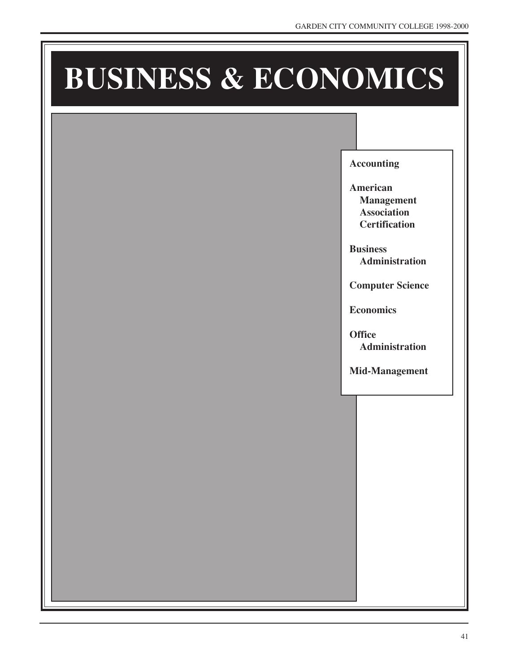# **BUSINESS & ECONOMICS**

**Accounting**

**American Management Association Certification**

**Business Administration**

**Computer Science**

**Economics**

**Office Administration**

**Mid-Management**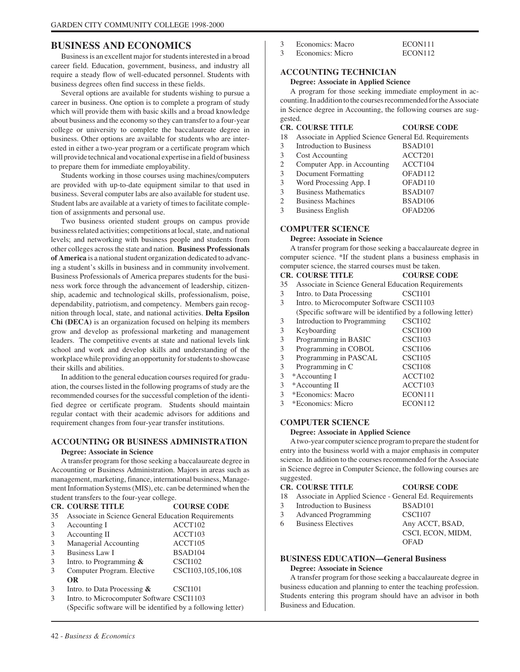# **BUSINESS AND ECONOMICS**

Business is an excellent major for students interested in a broad career field. Education, government, business, and industry all require a steady flow of well-educated personnel. Students with business degrees often find success in these fields.

Several options are available for students wishing to pursue a career in business. One option is to complete a program of study which will provide them with basic skills and a broad knowledge about business and the economy so they can transfer to a four-year college or university to complete the baccalaureate degree in business. Other options are available for students who are interested in either a two-year program or a certificate program which will provide technical and vocational expertise in a field of business to prepare them for immediate employability.

Students working in those courses using machines/computers are provided with up-to-date equipment similar to that used in business. Several computer labs are also available for student use. Student labs are available at a variety of times to facilitate completion of assignments and personal use.

Two business oriented student groups on campus provide business related activities; competitions at local, state, and national levels; and networking with business people and students from other colleges across the state and nation. **Business Professionals of America** is a national student organization dedicated to advancing a student's skills in business and in community involvement. Business Professionals of America prepares students for the business work force through the advancement of leadership, citizenship, academic and technological skills, professionalism, poise, dependability, patriotism, and competency. Members gain recognition through local, state, and national activities. **Delta Epsilon Chi (DECA)** is an organization focused on helping its members grow and develop as professional marketing and management leaders. The competitive events at state and national levels link school and work and develop skills and understanding of the workplace while providing an opportunity for students to showcase their skills and abilities.

In addition to the general education courses required for graduation, the courses listed in the following programs of study are the recommended courses for the successful completion of the identified degree or certificate program. Students should maintain regular contact with their academic advisors for additions and requirement changes from four-year transfer institutions.

## **ACCOUNTING OR BUSINESS ADMINISTRATION**

#### **Degree: Associate in Science**

A transfer program for those seeking a baccalaureate degree in Accounting or Business Administration. Majors in areas such as management, marketing, finance, international business, Management Information Systems (MIS), etc. can be determined when the student transfers to the four-year college.

|    | <b>CR. COURSE TITLE</b>                                      | <b>COURSE CODE</b>  |
|----|--------------------------------------------------------------|---------------------|
| 35 | Associate in Science General Education Requirements          |                     |
| 3  | Accounting I                                                 | ACCT102             |
| 3  | Accounting II                                                | ACCT103             |
| 3  | Managerial Accounting                                        | ACCT105             |
| 3  | Business Law I                                               | BSAD104             |
| 3  | Intro. to Programming $\&$                                   | CSCI102             |
| 3  | Computer Program. Elective                                   | CSCI103,105,106,108 |
|    | <b>OR</b>                                                    |                     |
| 3  | Intro. to Data Processing $\&$                               | CSCI101             |
| 3  | Intro. to Microcomputer Software CSCI1103                    |                     |
|    | (Specific software will be identified by a following letter) |                     |

- 3 Economics: Macro ECON111
- 3 Economics: Micro ECON112

## **ACCOUNTING TECHNICIAN**

### **Degree: Associate in Applied Science**

A program for those seeking immediate employment in accounting. In addition to the courses recommended for the Associate in Science degree in Accounting, the following courses are suggested.

|    | <b>CR. COURSE TITLE</b>                               | <b>COURSE CODE</b>  |
|----|-------------------------------------------------------|---------------------|
| 18 | Associate in Applied Science General Ed. Requirements |                     |
| 3  | Introduction to Business                              | BSAD <sub>101</sub> |
| 3  | <b>Cost Accounting</b>                                | ACCT201             |
| 2  | Computer App. in Accounting                           | ACCT104             |
| 3  | Document Formatting                                   | OFAD112             |
| 3  | Word Processing App. I                                | OFAD110             |
| 3  | <b>Business Mathematics</b>                           | BSAD107             |
| 2  | <b>Business Machines</b>                              | BSAD106             |
| 3  | <b>Business English</b>                               | OFAD <sub>206</sub> |

# **COMPUTER SCIENCE**

#### **Degree: Associate in Science**

A transfer program for those seeking a baccalaureate degree in computer science. \*If the student plans a business emphasis in computer science, the starred courses must be taken.

#### **CR. COURSE TITLE COURSE CODE**

- 35 Associate in Science General Education Requirements
- 3 Intro. to Data Processing CSCI101
- 3 Intro. to Microcomputer Software CSCI1103
- (Specific software will be identified by a following letter)
- 3 Introduction to Programming CSCI102 3 Keyboarding CSCI100
- 3 Programming in BASIC CSCI103
- 3 Programming in COBOL CSCI106
- 3 Programming in PASCAL CSCI105
- 3 Programming in C CSCI108
- 3 \*Accounting I ACCT102
- 3 \*Accounting II ACCT103
- 3 \*Economics: Macro ECON111
- 3 \*Economics: Micro ECON112

# **COMPUTER SCIENCE**

## **Degree: Associate in Applied Science**

A two-year computer science program to prepare the student for entry into the business world with a major emphasis in computer science. In addition to the courses recommended for the Associate in Science degree in Computer Science, the following courses are suggested.

| <b>CR. COURSE TITLE</b>                                    | <b>COURSE CODE</b>  |
|------------------------------------------------------------|---------------------|
| 18 Associate in Applied Science - General Ed. Requirements |                     |
| 3 Introduction to Business                                 | BSAD <sub>101</sub> |
| 3 Advanced Programming                                     | <b>CSCI107</b>      |
| 6 Business Electives                                       | Any ACCT, BSAD,     |
|                                                            | CSCI, ECON, MIDM,   |
|                                                            | OFAD                |
|                                                            |                     |

# **BUSINESS EDUCATION—General Business**

# **Degree: Associate in Science**

A transfer program for those seeking a baccalaureate degree in business education and planning to enter the teaching profession. Students entering this program should have an advisor in both Business and Education.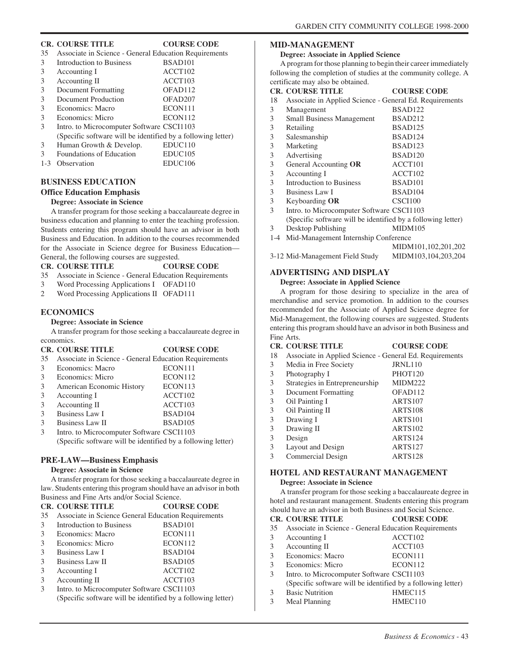# **CR. COURSE TITLE COURSE CODE**

| COUNDD CODD                                                  |
|--------------------------------------------------------------|
| Associate in Science - General Education Requirements        |
| BSAD <sub>101</sub>                                          |
| ACCT102                                                      |
| ACCT <sub>103</sub>                                          |
| OFAD <sub>112</sub>                                          |
| OFAD <sub>207</sub>                                          |
| ECON111                                                      |
| ECON112                                                      |
| Intro. to Microcomputer Software CSCI1103                    |
| (Specific software will be identified by a following letter) |
|                                                              |

3 Human Growth & Develop. EDUC110

| Foundations of Education | EDUC <sub>105</sub> |
|--------------------------|---------------------|
| 1-3 Observation          | EDUC <sub>106</sub> |

# **BUSINESS EDUCATION**

# **Office Education Emphasis**

## **Degree: Associate in Science**

A transfer program for those seeking a baccalaureate degree in business education and planning to enter the teaching profession. Students entering this program should have an advisor in both Business and Education. In addition to the courses recommended for the Associate in Science degree for Business Education— General, the following courses are suggested.

# **CR. COURSE TITLE COURSE CODE**

- 35 Associate in Science General Education Requirements
- 3 Word Processing Applications I OFAD110
- 2 Word Processing Applications II OFAD111

# **ECONOMICS**

#### **Degree: Associate in Science**

A transfer program for those seeking a baccalaureate degree in economics.<br>CP\_COUL **COURSE CODE** 

|    | UR. COURSE HILE                                              | COURSE CODE         |
|----|--------------------------------------------------------------|---------------------|
| 35 | Associate in Science - General Education Requirements        |                     |
| 3  | Economics: Macro                                             | ECON111             |
| 3  | Economics: Micro                                             | ECON112             |
| 3  | American Economic History                                    | ECON113             |
| 3  | Accounting I                                                 | ACCT <sub>102</sub> |
| 3  | Accounting II                                                | ACCT103             |
| 3  | <b>Business Law I</b>                                        | BSAD104             |
| 3  | Business Law II                                              | BSAD <sub>105</sub> |
| 3  | Intro. to Microcomputer Software CSCI1103                    |                     |
|    | (Specific software will be identified by a following letter) |                     |

# **PRE-LAW—Business Emphasis**

# **Degree: Associate in Science**

A transfer program for those seeking a baccalaureate degree in law. Students entering this program should have an advisor in both Business and Fine Arts and/or Social Science.

|    | <b>CR. COURSE TITLE</b>                                      | <b>COURSE CODE</b>  |
|----|--------------------------------------------------------------|---------------------|
| 35 | Associate in Science General Education Requirements          |                     |
| 3  | Introduction to Business                                     | BSAD <sub>101</sub> |
| 3  | Economics: Macro                                             | ECON111             |
| 3  | Economics: Micro                                             | ECON112             |
| 3  | Business Law I                                               | BSAD104             |
| 3  | Business Law II                                              | BSAD105             |
| 3  | Accounting I                                                 | ACCT102             |
| 3  | Accounting II                                                | ACCT <sub>103</sub> |
| 3  | Intro. to Microcomputer Software CSCI1103                    |                     |
|    | (Specific software will be identified by a following letter) |                     |

# **MID-MANAGEMENT**

#### **Degree: Associate in Applied Science**

A program for those planning to begin their career immediately following the completion of studies at the community college. A certificate may also be obtained.

|       | <b>CR. COURSE TITLE</b>                                      | <b>COURSE CODE</b>  |
|-------|--------------------------------------------------------------|---------------------|
| 18    | Associate in Applied Science - General Ed. Requirements      |                     |
| 3     | Management                                                   | BSAD <sub>122</sub> |
| 3     | Small Business Management                                    | BSAD212             |
| 3     | Retailing                                                    | BSAD125             |
| 3     | Salesmanship                                                 | BSAD124             |
| 3     | Marketing                                                    | BSAD123             |
| 3     | Advertising                                                  | BSAD120             |
| 3     | General Accounting OR                                        | ACCT101             |
| 3     | Accounting I                                                 | ACCT102             |
| 3     | Introduction to Business                                     | BSAD <sub>101</sub> |
| 3     | Business Law I                                               | BSAD104             |
| 3     | Keyboarding OR                                               | CSCI100             |
| 3     | Intro. to Microcomputer Software CSCI1103                    |                     |
|       | (Specific software will be identified by a following letter) |                     |
| 3     | Desktop Publishing                                           | MIDM105             |
| $1-4$ | Mid-Management Internship Conference                         |                     |
|       |                                                              | MIDM101,102,201,202 |

| 3-12 Mid-Management Field Study | MIDM103,104,203,204 |
|---------------------------------|---------------------|

# **ADVERTISING AND DISPLAY**

# **Degree: Associate in Applied Science**

A program for those desiring to specialize in the area of merchandise and service promotion. In addition to the courses recommended for the Associate of Applied Science degree for Mid-Management, the following courses are suggested. Students entering this program should have an advisor in both Business and Fine Arts.

## **CR. COURSE TITLE COURSE CODE**

# 18 Associate in Applied Science - General Ed. Requirements

- 3 Media in Free Society JRNL110 3 Photography I PHOT120 3 Strategies in Entrepreneurship MIDM222 3 Document Formatting OFAD112 3 Oil Painting I ARTS107 3 Oil Painting II ARTS108<br>3 Drawing I ARTS101 3 Drawing I ARTS101<br>3 Drawing II ARTS102
- Drawing II ARTS102 3 Design ARTS124<br>3 Layout and Design ARTS127 Layout and Design ARTS127 3 Commercial Design ARTS128

# **HOTEL AND RESTAURANT MANAGEMENT**

## **Degree: Associate in Science**

A transfer program for those seeking a baccalaureate degree in hotel and restaurant management. Students entering this program should have an advisor in both Business and Social Science.<br>CR. COURSE TITLE **CR. COURSE TITLE COURSE CODE**

|    | UR. COURSE HILLE                                             | CUURSE CUDE |
|----|--------------------------------------------------------------|-------------|
| 35 | Associate in Science - General Education Requirements        |             |
| 3  | Accounting I                                                 | ACCT102     |
| 3  | Accounting II                                                | ACCT103     |
| 3  | Economics: Macro                                             | ECON111     |
| 3  | Economics: Micro                                             | ECON112     |
| 3  | Intro. to Microcomputer Software CSCI1103                    |             |
|    | (Specific software will be identified by a following letter) |             |
| 3  | <b>Basic Nutrition</b>                                       | HMEC115     |
| 3  | Meal Planning                                                | HMEC110     |
|    |                                                              |             |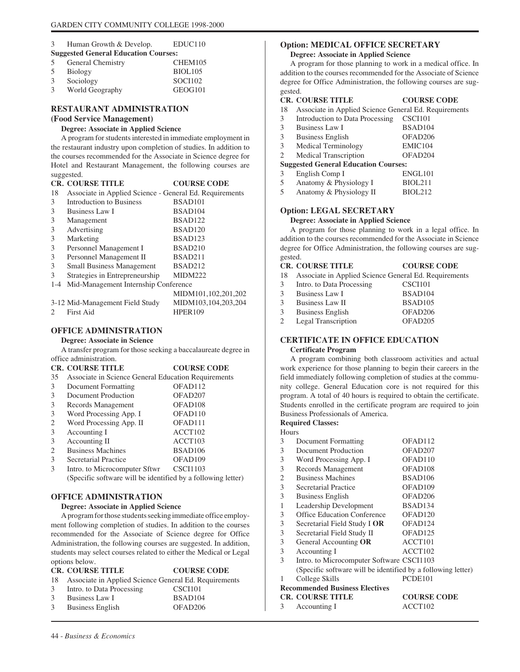# 3 Human Growth & Develop. EDUC110 **Suggested General Education Courses:**

| 5 | General Chemistry | CHEM105             |
|---|-------------------|---------------------|
| 5 | Biology           | BIOL <sub>105</sub> |
| 3 | Sociology         | SOCI102             |
| 3 | World Geography   | GEOG <sub>101</sub> |

# **RESTAURANT ADMINISTRATION**

# **(Food Service Management)**

# **Degree: Associate in Applied Science**

A program for students interested in immediate employment in the restaurant industry upon completion of studies. In addition to the courses recommended for the Associate in Science degree for Hotel and Restaurant Management, the following courses are suggested.

|         | <b>CR. COURSE TITLE</b>                                 | <b>COURSE CODE</b>  |
|---------|---------------------------------------------------------|---------------------|
| 18      | Associate in Applied Science - General Ed. Requirements |                     |
| 3       | Introduction to Business                                | BSAD <sub>101</sub> |
| 3       | Business Law I                                          | BSAD <sub>104</sub> |
| 3       | Management                                              | BSAD <sub>122</sub> |
| 3       | Advertising                                             | BSAD120             |
| 3       | Marketing                                               | BSAD <sub>123</sub> |
| 3       | Personnel Management I                                  | BSAD210             |
| 3       | Personnel Management II                                 | BSAD211             |
| 3       | <b>Small Business Management</b>                        | BSAD212             |
| 3       | Strategies in Entrepreneurship                          | <b>MIDM222</b>      |
| $1 - 4$ | Mid-Management Internship Conference                    |                     |
|         |                                                         | MIDM101,102,201,202 |
|         | 3-12 Mid-Management Field Study                         | MIDM103,104,203,204 |
|         | First Aid                                               | <b>HPFR109</b>      |

# **OFFICE ADMINISTRATION**

# **Degree: Associate in Science**

A transfer program for those seeking a baccalaureate degree in office administration.

|    | <b>CR. COURSE TITLE</b>                                      | <b>COURSE CODE</b>  |
|----|--------------------------------------------------------------|---------------------|
| 35 | Associate in Science General Education Requirements          |                     |
| 3  | Document Formatting                                          | OFAD <sub>112</sub> |
| 3  | Document Production                                          | OFAD <sub>207</sub> |
| 3  | Records Management                                           | OFAD <sub>108</sub> |
| 3  | Word Processing App. I                                       | OFAD <sub>110</sub> |
| 2  | Word Processing App. II                                      | OFAD <sub>111</sub> |
| 3  | Accounting I                                                 | ACCT102             |
| 3  | Accounting II                                                | ACCT103             |
| 2  | <b>Business Machines</b>                                     | BSAD106             |
| 3  | Secretarial Practice                                         | OFAD <sub>109</sub> |
| 3  | Intro. to Microcomputer Sftwr                                | <b>CSCI1103</b>     |
|    | (Specific software will be identified by a following letter) |                     |

# **OFFICE ADMINISTRATION**

## **Degree: Associate in Applied Science**

A program for those students seeking immediate office employment following completion of studies. In addition to the courses recommended for the Associate of Science degree for Office Administration, the following courses are suggested. In addition, students may select courses related to either the Medical or Legal options below.

### **CR. COURSE TITLE COURSE CODE** 18 Associate in Applied Science General Ed. Requirements 3 Intro. to Data Processing CSCI101

- 3 Business Law I BSAD104
- 3 Business English OFAD206

# **Option: MEDICAL OFFICE SECRETARY**

# **Degree: Associate in Applied Science**

A program for those planning to work in a medical office. In addition to the courses recommended for the Associate of Science degree for Office Administration, the following courses are suggested.

# **CR. COURSE TITLE COURSE CODE**

- 18 Associate in Applied Science General Ed. Requirements
- 3 Introduction to Data Processing CSCI101

| 3                                           | <b>Business Law I</b>                                  | BSAD104             |  |
|---------------------------------------------|--------------------------------------------------------|---------------------|--|
| 3                                           | <b>Business English</b>                                | OFAD <sub>206</sub> |  |
| 3                                           | Medical Terminology                                    | EMIC104             |  |
| 2                                           | <b>Medical Transcription</b>                           | OFAD <sub>204</sub> |  |
| <b>Suggested General Education Courses:</b> |                                                        |                     |  |
| 3                                           | English Comp I                                         | ENGL101             |  |
|                                             | $\epsilon$ $\epsilon$ $\epsilon$ $\epsilon$ $\epsilon$ | DTATA11             |  |

5 Anatomy & Physiology I BIOL211 5 Anatomy & Physiology II BIOL212

# **Option: LEGAL SECRETARY**

# **Degree: Associate in Applied Science**

A program for those planning to work in a legal office. In addition to the courses recommended for the Associate in Science degree for Office Administration, the following courses are suggested.

# **CR. COURSE TITLE COURSE CODE**

18 Associate in Applied Science General Ed. Requirements

| $\mathcal{E}$ | Intro. to Data Processing | CSCI101             |
|---------------|---------------------------|---------------------|
| $\mathcal{E}$ | Business Law I            | BSAD <sub>104</sub> |
| $\mathcal{R}$ | Business Law II           | BSAD <sub>105</sub> |
| 3             | <b>Business English</b>   | OFAD <sub>206</sub> |
|               |                           |                     |

2 Legal Transcription OFAD205

# **CERTIFICATE IN OFFICE EDUCATION**

# **Certificate Program**

A program combining both classroom activities and actual work experience for those planning to begin their careers in the field immediately following completion of studies at the community college. General Education core is not required for this program. A total of 40 hours is required to obtain the certificate. Students enrolled in the certificate program are required to join Business Professionals of America.

# **Required Classes:**

| Hours                                 |                                                              |                     |  |
|---------------------------------------|--------------------------------------------------------------|---------------------|--|
| 3                                     | Document Formatting                                          | OFAD112             |  |
| 3                                     | Document Production                                          | OFAD <sub>207</sub> |  |
| 3                                     | Word Processing App. I                                       | OFAD <sub>110</sub> |  |
| 3                                     | Records Management                                           | OFAD <sub>108</sub> |  |
| 2                                     | <b>Business Machines</b>                                     | BSAD <sub>106</sub> |  |
| 3                                     | Secretarial Practice                                         | OFAD109             |  |
| 3                                     | <b>Business English</b>                                      | OFAD <sub>206</sub> |  |
| 1                                     | Leadership Development                                       | BSAD134             |  |
| 3                                     | <b>Office Education Conference</b>                           | OFAD <sub>120</sub> |  |
| 3                                     | Secretarial Field Study I OR                                 | OFAD124             |  |
| 3                                     | Secretarial Field Study II                                   | OFAD <sub>125</sub> |  |
| 3                                     | General Accounting OR                                        | ACCT101             |  |
| 3                                     | Accounting I                                                 | ACCT102             |  |
| 3                                     | Intro. to Microcomputer Software CSCI1103                    |                     |  |
|                                       | (Specific software will be identified by a following letter) |                     |  |
| 1                                     | College Skills                                               | PCDE <sub>101</sub> |  |
| <b>Recommended Business Electives</b> |                                                              |                     |  |
|                                       | <b>CR. COURSE TITLE</b>                                      | <b>COURSE CODE</b>  |  |
| 3                                     | Accounting I                                                 | ACCT102             |  |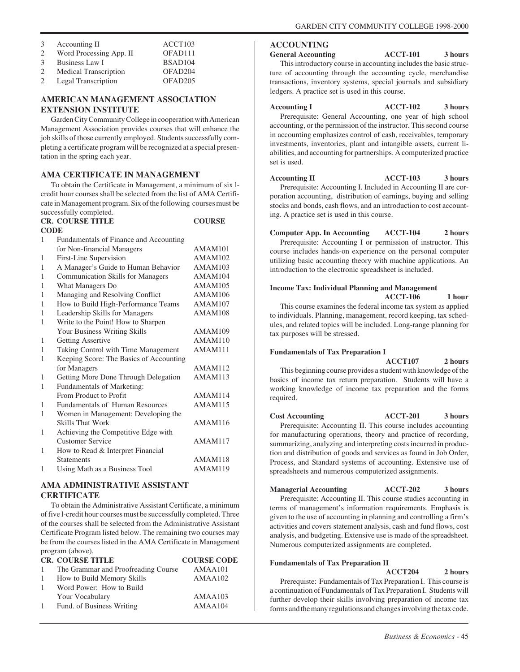| 3             | Accounting II                | ACCT103             |
|---------------|------------------------------|---------------------|
| $\mathcal{D}$ | Word Processing App. II      | OFAD111             |
| $\mathcal{R}$ | Business Law I               | BSAD <sub>104</sub> |
|               | <b>Medical Transcription</b> | OFAD <sub>204</sub> |
|               | Legal Transcription          | OFAD <sub>205</sub> |

# **AMERICAN MANAGEMENT ASSOCIATION EXTENSION INSTITUTE**

Garden City Community College in cooperation with American Management Association provides courses that will enhance the job skills of those currently employed. Students successfully completing a certificate program will be recognized at a special presentation in the spring each year.

# **AMA CERTIFICATE IN MANAGEMENT**

To obtain the Certificate in Management, a minimum of six lcredit hour courses shall be selected from the list of AMA Certificate in Management program. Six of the following courses must be successfully completed.

|             | <b>CR. COURSE TITLE</b>                  | <b>COURSE</b>       |
|-------------|------------------------------------------|---------------------|
| <b>CODE</b> |                                          |                     |
| 1           | Fundamentals of Finance and Accounting   |                     |
|             | for Non-financial Managers               | AMAM <sub>101</sub> |
| 1           | First-Line Supervision                   | AMAM102             |
| 1           | A Manager's Guide to Human Behavior      | <b>AMAM103</b>      |
| 1           | <b>Communication Skills for Managers</b> | AMAM104             |
| 1           | <b>What Managers Do</b>                  | AMAM <sub>105</sub> |
| 1           | Managing and Resolving Conflict          | AMAM106             |
| 1           | How to Build High-Performance Teams      | AMAM107             |
| 1           | Leadership Skills for Managers           | AMAM108             |
| 1           | Write to the Point! How to Sharpen       |                     |
|             | Your Business Writing Skills             | AMAM109             |
| 1           | <b>Getting Assertive</b>                 | AMAM110             |
| 1           | Taking Control with Time Management      | AMAM111             |
| 1           | Keeping Score: The Basics of Accounting  |                     |
|             | for Managers                             | AMAM112             |
| 1           | Getting More Done Through Delegation     | AMAM113             |
| 1           | <b>Fundamentals of Marketing:</b>        |                     |
|             | From Product to Profit                   | AMAM114             |
| 1           | <b>Fundamentals of Human Resources</b>   | AMAM115             |
| 1           | Women in Management: Developing the      |                     |
|             | <b>Skills That Work</b>                  | AMAM116             |
| 1           | Achieving the Competitive Edge with      |                     |
|             | <b>Customer Service</b>                  | AMAM117             |
| 1           | How to Read & Interpret Financial        |                     |
|             | <b>Statements</b>                        | AMAM118             |
| 1           | Using Math as a Business Tool            | AMAM119             |
|             |                                          |                     |

# **AMA ADMINISTRATIVE ASSISTANT CERTIFICATE**

To obtain the Administrative Assistant Certificate, a minimum of five l-credit hour courses must be successfully completed. Three of the courses shall be selected from the Administrative Assistant Certificate Program listed below. The remaining two courses may be from the courses listed in the AMA Certificate in Management program (above).

|              | <b>CR. COURSE TITLE</b>             | <b>COURSE CODE</b> |
|--------------|-------------------------------------|--------------------|
| $\mathbf{1}$ | The Grammar and Proofreading Course | AMAA101            |
| -1           | How to Build Memory Skills          | AMAA102            |
| -1           | Word Power: How to Build            |                    |
|              | Your Vocabulary                     | AMAA103            |
| $\mathbf{1}$ | Fund. of Business Writing           | AMAA104            |
|              |                                     |                    |

# **ACCOUNTING**

**General Accounting ACCT-101 3 hours** This introductory course in accounting includes the basic structure of accounting through the accounting cycle, merchandise transactions, inventory systems, special journals and subsidiary ledgers. A practice set is used in this course.

Accounting I ACCT-102 3 hours Prerequisite: General Accounting, one year of high school accounting, or the permission of the instructor. This second course in accounting emphasizes control of cash, receivables, temporary investments, inventories, plant and intangible assets, current liabilities, and accounting for partnerships. A computerized practice set is used.

Accounting II **ACCT-103** 3 hours Prerequisite: Accounting I. Included in Accounting II are corporation accounting, distribution of earnings, buying and selling stocks and bonds, cash flows, and an introduction to cost accounting. A practice set is used in this course.

# **Computer App. In Accounting ACCT-104 2 hours**

Prerequisite: Accounting I or permission of instructor. This course includes hands-on experience on the personal computer utilizing basic accounting theory with machine applications. An introduction to the electronic spreadsheet is included.

# **Income Tax: Individual Planning and Management**

**ACCT-106 1 hour** This course examines the federal income tax system as applied to individuals. Planning, management, record keeping, tax schedules, and related topics will be included. Long-range planning for tax purposes will be stressed.

## **Fundamentals of Tax Preparation I**

**ACCT107 2 hours** This beginning course provides a student with knowledge of the basics of income tax return preparation. Students will have a working knowledge of income tax preparation and the forms required.

**Cost Accounting ACCT-201 3 hours** Prerequisite: Accounting II. This course includes accounting for manufacturing operations, theory and practice of recording, summarizing, analyzing and interpreting costs incurred in production and distribution of goods and services as found in Job Order, Process, and Standard systems of accounting. Extensive use of spreadsheets and numerous computerized assignments.

# **Managerial Accounting ACCT-202 3 hours**

Prerequisite: Accounting II. This course studies accounting in terms of management's information requirements. Emphasis is given to the use of accounting in planning and controlling a firm's activities and covers statement analysis, cash and fund flows, cost analysis, and budgeting. Extensive use is made of the spreadsheet. Numerous computerized assignments are completed.

## **Fundamentals of Tax Preparation II**

**ACCT204 2 hours** Prerequiste: Fundamentals of Tax Preparation I. This course is a continuation of Fundamentals of Tax Preparation I. Students will further develop their skills involving preparation of income tax forms and the many regulations and changes involving the tax code.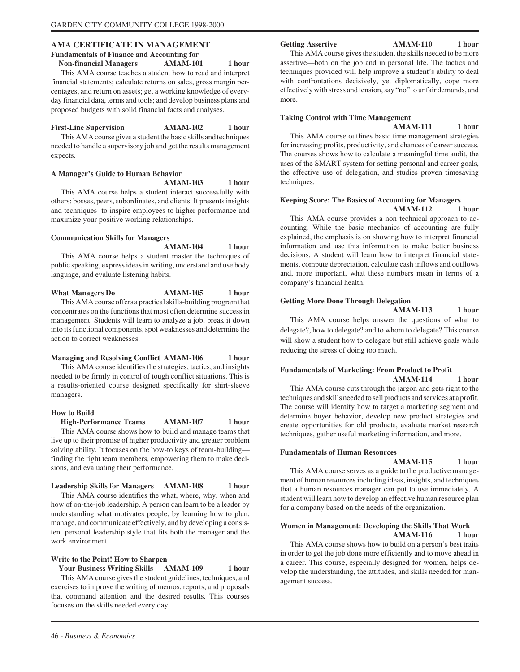# **AMA CERTIFICATE IN MANAGEMENT Fundamentals of Finance and Accounting for Non-financial Managers AMAM-101** 1 hour

This AMA course teaches a student how to read and interpret financial statements; calculate returns on sales, gross margin percentages, and return on assets; get a working knowledge of everyday financial data, terms and tools; and develop business plans and proposed budgets with solid financial facts and analyses.

## **First-Line Supervision AMAM-102 1 hour**

This AMA course gives a student the basic skills and techniques needed to handle a supervisory job and get the results management expects.

# **A Manager's Guide to Human Behavior**

**AMAM-103 1 hour**

This AMA course helps a student interact successfully with others: bosses, peers, subordinates, and clients. It presents insights and techniques to inspire employees to higher performance and maximize your positive working relationships.

# **Communication Skills for Managers**

**AMAM-104 1 hour**

This AMA course helps a student master the techniques of public speaking, express ideas in writing, understand and use body language, and evaluate listening habits.

What Managers Do **AMAM-105** 1 hour This AMA course offers a practical skills-building program that concentrates on the functions that most often determine success in management. Students will learn to analyze a job, break it down into its functional components, spot weaknesses and determine the action to correct weaknesses.

## **Managing and Resolving Conflict AMAM-106 1 hour**

This AMA course identifies the strategies, tactics, and insights needed to be firmly in control of tough conflict situations. This is a results-oriented course designed specifically for shirt-sleeve managers.

# **How to Build**

 **High-Performance Teams AMAM-107 1 hour** This AMA course shows how to build and manage teams that live up to their promise of higher productivity and greater problem solving ability. It focuses on the how-to keys of team-building finding the right team members, empowering them to make decisions, and evaluating their performance.

# **Leadership Skills for Managers AMAM-108 1 hour**

This AMA course identifies the what, where, why, when and how of on-the-job leadership. A person can learn to be a leader by understanding what motivates people, by learning how to plan, manage, and communicate effectively, and by developing a consistent personal leadership style that fits both the manager and the work environment.

## **Write to the Point! How to Sharpen**

 **Your Business Writing Skills AMAM-109 1 hour** This AMA course gives the student guidelines, techniques, and exercises to improve the writing of memos, reports, and proposals that command attention and the desired results. This courses focuses on the skills needed every day.

Getting Assertive **AMAM-110** 1 hour

This AMA course gives the student the skills needed to be more assertive—both on the job and in personal life. The tactics and techniques provided will help improve a student's ability to deal with confrontations decisively, yet diplomatically, cope more effectively with stress and tension, say "no" to unfair demands, and more.

# **Taking Control with Time Management**

**AMAM-111 1 hour**

This AMA course outlines basic time management strategies for increasing profits, productivity, and chances of career success. The courses shows how to calculate a meaningful time audit, the uses of the SMART system for setting personal and career goals, the effective use of delegation, and studies proven timesaving techniques.

# **Keeping Score: The Basics of Accounting for Managers AMAM-112 1 hour**

This AMA course provides a non technical approach to accounting. While the basic mechanics of accounting are fully explained, the emphasis is on showing how to interpret financial information and use this information to make better business decisions. A student will learn how to interpret financial statements, compute depreciation, calculate cash inflows and outflows and, more important, what these numbers mean in terms of a company's financial health.

# **Getting More Done Through Delegation**

**AMAM-113 1 hour**

This AMA course helps answer the questions of what to delegate?, how to delegate? and to whom to delegate? This course will show a student how to delegate but still achieve goals while reducing the stress of doing too much.

# **Fundamentals of Marketing: From Product to Profit AMAM-114 1 hour**

This AMA course cuts through the jargon and gets right to the techniques and skills needed to sell products and services at a profit. The course will identify how to target a marketing segment and determine buyer behavior, develop new product strategies and create opportunities for old products, evaluate market research techniques, gather useful marketing information, and more.

## **Fundamentals of Human Resources**

**AMAM-115 1 hour** This AMA course serves as a guide to the productive management of human resources including ideas, insights, and techniques that a human resources manager can put to use immediately. A student will learn how to develop an effective human resource plan for a company based on the needs of the organization.

# **Women in Management: Developing the Skills That Work AMAM-116 1 hour**

This AMA course shows how to build on a person's best traits in order to get the job done more efficiently and to move ahead in a career. This course, especially designed for women, helps develop the understanding, the attitudes, and skills needed for management success.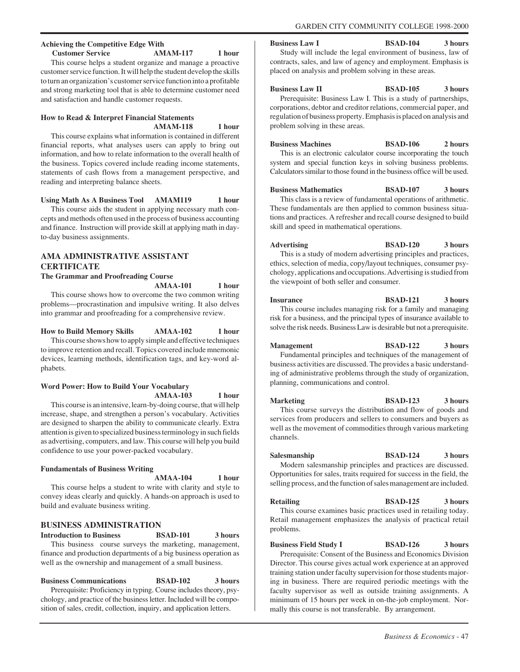# **Achieving the Competitive Edge With Customer Service AMAM-117 1 hour**

This course helps a student organize and manage a proactive customer service function. It will help the student develop the skills to turn an organization's customer service function into a profitable and strong marketing tool that is able to determine customer need and satisfaction and handle customer requests.

# **How to Read & Interpret Financial Statements AMAM-118 1 hour**

This course explains what information is contained in different financial reports, what analyses users can apply to bring out information, and how to relate information to the overall health of the business. Topics covered include reading income statements, statements of cash flows from a management perspective, and reading and interpreting balance sheets.

# **Using Math As A Business Tool AMAM119 1 hour**

This course aids the student in applying necessary math concepts and methods often used in the process of business accounting and finance. Instruction will provide skill at applying math in dayto-day business assignments.

# **AMA ADMINISTRATIVE ASSISTANT CERTIFICATE**

**The Grammar and Proofreading Course**

**AMAA-101 1 hour**

This course shows how to overcome the two common writing problems—procrastination and impulsive writing. It also delves into grammar and proofreading for a comprehensive review.

# **How to Build Memory Skills AMAA-102 1 hour**

This course shows how to apply simple and effective techniques to improve retention and recall. Topics covered include mnemonic devices, learning methods, identification tags, and key-word alphabets.

# **Word Power: How to Build Your Vocabulary AMAA-103 1 hour**

This course is an intensive, learn-by-doing course, that will help increase, shape, and strengthen a person's vocabulary. Activities are designed to sharpen the ability to communicate clearly. Extra attention is given to specialized business terminology in such fields as advertising, computers, and law. This course will help you build confidence to use your power-packed vocabulary.

# **Fundamentals of Business Writing**

# **AMAA-104 1 hour**

This course helps a student to write with clarity and style to convey ideas clearly and quickly. A hands-on approach is used to build and evaluate business writing.

# **BUSINESS ADMINISTRATION**

**Introduction to Business BSAD-101 3 hours** This business course surveys the marketing, management, finance and production departments of a big business operation as well as the ownership and management of a small business.

# **Business Communications BSAD-102 3 hours**

Prerequisite: Proficiency in typing. Course includes theory, psychology, and practice of the business letter. Included will be composition of sales, credit, collection, inquiry, and application letters.

**Business Law I BSAD-104 3 hours**

Study will include the legal environment of business, law of contracts, sales, and law of agency and employment. Emphasis is placed on analysis and problem solving in these areas.

**Business Law II BSAD-105** 3 hours Prerequisite: Business Law I. This is a study of partnerships, corporations, debtor and creditor relations, commercial paper, and regulation of business property. Emphasis is placed on analysis and problem solving in these areas.

**Business Machines BSAD-106** 2 hours This is an electronic calculator course incorporating the touch system and special function keys in solving business problems. Calculators similar to those found in the business office will be used.

**Business Mathematics BSAD-107 3 hours**

This class is a review of fundamental operations of arithmetic. These fundamentals are then applied to common business situations and practices. A refresher and recall course designed to build skill and speed in mathematical operations.

**Advertising BSAD-120 3 hours** This is a study of modern advertising principles and practices, ethics, selection of media, copy/layout techniques, consumer psychology, applications and occupations. Advertising is studied from the viewpoint of both seller and consumer.

# **Insurance BSAD-121 3 hours**

This course includes managing risk for a family and managing risk for a business, and the principal types of insurance available to solve the risk needs. Business Law is desirable but not a prerequisite.

**Management BSAD-122 3 hours** Fundamental principles and techniques of the management of business activities are discussed. The provides a basic understanding of administrative problems through the study of organization, planning, communications and control.

**Marketing BSAD-123 3 hours** This course surveys the distribution and flow of goods and services from producers and sellers to consumers and buyers as well as the movement of commodities through various marketing channels.

**Salesmanship BSAD-124 3 hours** Modern salesmanship principles and practices are discussed. Opportunities for sales, traits required for success in the field, the selling process, and the function of sales management are included.

Retailing BSAD-125 3 hours

This course examines basic practices used in retailing today. Retail management emphasizes the analysis of practical retail problems.

**Business Field Study I BSAD-126 3 hours** Prerequisite: Consent of the Business and Economics Division Director. This course gives actual work experience at an approved training station under faculty supervision for those students majoring in business. There are required periodic meetings with the faculty supervisor as well as outside training assignments. A minimum of 15 hours per week in on-the-job employment. Normally this course is not transferable. By arrangement.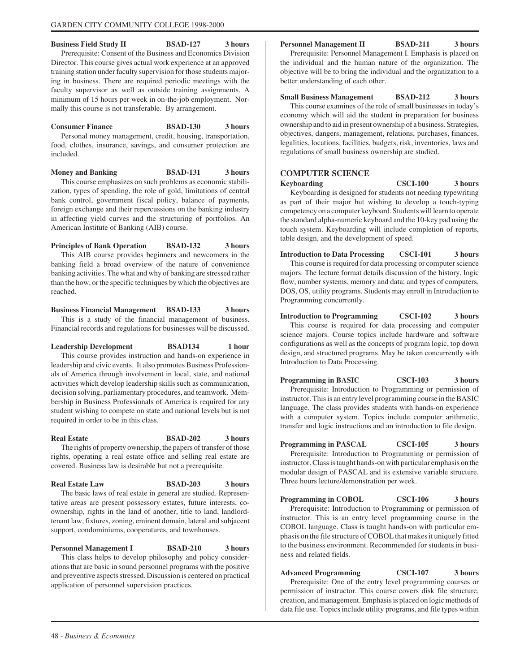**Business Field Study II BSAD-127 3 hours** Prerequisite: Consent of the Business and Economics Division Director. This course gives actual work experience at an approved training station under faculty supervision for those students majoring in business. There are required periodic meetings with the faculty supervisor as well as outside training assignments. A minimum of 15 hours per week in on-the-job employment. Normally this course is not transferable. By arrangement.

**Consumer Finance BSAD-130 3 hours** Personal money management, credit, housing, transportation, food, clothes, insurance, savings, and consumer protection are included.

**Money and Banking BSAD-131** 3 hours

This course emphasizes on such problems as economic stabilization, types of spending, the role of gold, limitations of central bank control, government fiscal policy, balance of payments, foreign exchange and their repercussions on the banking industry in affecting yield curves and the structuring of portfolios. An American Institute of Banking (AIB) course.

**Principles of Bank Operation BSAD-132 3 hours** This AIB course provides beginners and newcomers in the banking field a broad overview of the nature of convenience banking activities. The what and why of banking are stressed rather than the how, or the specific techniques by which the objectives are reached.

**Business Financial Management BSAD-133 3 hours** This is a study of the financial management of business. Financial records and regulations for businesses will be discussed.

**Leadership Development BSAD134 1 hour** This course provides instruction and hands-on experience in leadership and civic events. It also promotes Business Professionals of America through involvement in local, state, and national activities which develop leadership skills such as communication, decision solving, parliamentary procedures, and teamwork. Membership in Business Professionals of America is required for any student wishing to compete on state and national levels but is not required in order to be in this class.

Real Estate **BSAD-202** 3 hours The rights of property ownership, the papers of transfer of those rights, operating a real estate office and selling real estate are covered. Business law is desirable but not a prerequisite.

**Real Estate Law BSAD-203 3 hours** The basic laws of real estate in general are studied. Representative areas are present possessory estates, future interests, coownership, rights in the land of another, title to land, landlordtenant law, fixtures, zoning, eminent domain, lateral and subjacent support, condominiums, cooperatures, and townhouses.

**Personnel Management I BSAD-210 3 hours** This class helps to develop philosophy and policy considerations that are basic in sound personnel programs with the positive and preventive aspects stressed. Discussion is centered on practical application of personnel supervision practices.

# **Personnel Management II BSAD-211 3 hours**

Prerequisite: Personnel Management I. Emphasis is placed on the individual and the human nature of the organization. The objective will be to bring the individual and the organization to a better understanding of each other.

# **Small Business Management BSAD-212 3 hours**

This course examines of the role of small businesses in today's economy which will aid the student in preparation for business ownership and to aid in present ownership of a business. Strategies, objectives, dangers, management, relations, purchases, finances, legalities, locations, facilities, budgets, risk, inventories, laws and regulations of small business ownership are studied.

# **COMPUTER SCIENCE**

**Keyboarding CSCI-100 3 hours** Keyboarding is designed for students not needing typewriting as part of their major but wishing to develop a touch-typing competency on a computer keyboard. Students will learn to operate the standard alpha-numeric keyboard and the 10-key pad using the touch system. Keyboarding will include completion of reports, table design, and the development of speed.

**Introduction to Data Processing CSCI-101 3 hours** This course is required for data processing or computer science majors. The lecture format details discussion of the history, logic flow, number systems, memory and data; and types of computers, DOS, OS, utility programs. Students may enroll in Introduction to Programming concurrently.

**Introduction to Programming CSCI-102 3 hours** This course is required for data processing and computer science majors. Course topics include hardware and software configurations as well as the concepts of program logic, top down design, and structured programs. May be taken concurrently with Introduction to Data Processing.

**Programming in BASIC CSCI-103 3 hours** Prerequisite: Introduction to Programming or permission of instructor. This is an entry level programming course in the BASIC language. The class provides students with hands-on experience with a computer system. Topics include computer arithmetic, transfer and logic instructions and an introduction to file design.

**Programming in PASCAL CSCI-105 3 hours** Prerequisite: Introduction to Programming or permission of instructor. Class is taught hands-on with particular emphasis on the modular design of PASCAL and its extensive variable structure. Three hours lecture/demonstration per week.

**Programming in COBOL CSCI-106 3 hours** Prerequisite: Introduction to Programming or permission of instructor. This is an entry level programming course in the COBOL language. Class is taught hands-on with particular emphasis on the file structure of COBOL that makes it uniquely fitted to the business environment. Recommended for students in business and related fields.

**Advanced Programming CSCI-107 3 hours** Prerequisite: One of the entry level programming courses or permission of instructor. This course covers disk file structure, creation, and management. Emphasis is placed on logic methods of data file use. Topics include utility programs, and file types within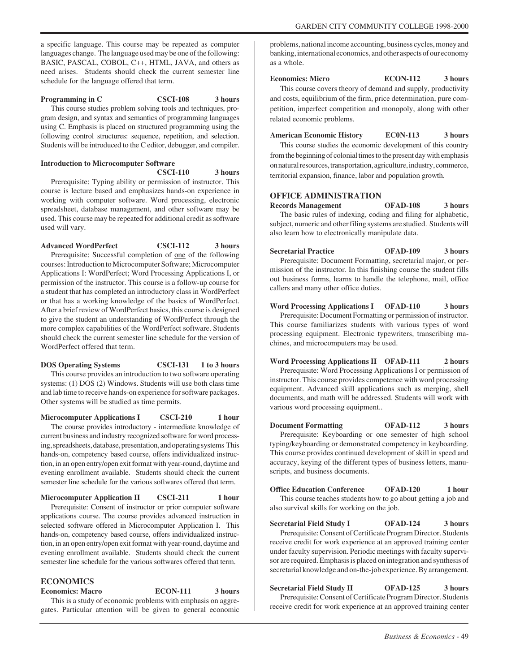a specific language. This course may be repeated as computer languages change. The language used may be one of the following: BASIC, PASCAL, COBOL, C++, HTML, JAVA, and others as need arises. Students should check the current semester line schedule for the language offered that term.

# **Programming in C** CSCI-108 3 hours

This course studies problem solving tools and techniques, program design, and syntax and semantics of programming languages using C. Emphasis is placed on structured programming using the following control structures: sequence, repetition, and selection. Students will be introduced to the C editor, debugger, and compiler.

#### **Introduction to Microcomputer Software CSCI-110 3 hours**

Prerequisite: Typing ability or permission of instructor. This course is lecture based and emphasizes hands-on experience in working with computer software. Word processing, electronic spreadsheet, database management, and other software may be used. This course may be repeated for additional credit as software used will vary.

**Advanced WordPerfect CSCI-112 3 hours**

Prerequisite: Successful completion of one of the following courses: Introduction to Microcomputer Software; Microcomputer Applications I: WordPerfect; Word Processing Applications I, or permission of the instructor. This course is a follow-up course for a student that has completed an introductory class in WordPerfect or that has a working knowledge of the basics of WordPerfect. After a brief review of WordPerfect basics, this course is designed to give the student an understanding of WordPerfect through the more complex capabilities of the WordPerfect software. Students should check the current semester line schedule for the version of WordPerfect offered that term.

**DOS Operating Systems CSCI-131 1 to 3 hours** This course provides an introduction to two software operating systems: (1) DOS (2) Windows. Students will use both class time and lab time to receive hands-on experience for software packages. Other systems will be studied as time permits.

**Microcomputer Applications I CSCI-210 1 hour** 

The course provides introductory - intermediate knowledge of current business and industry recognized software for word processing, spreadsheets, database, presentation, and operating systems This hands-on, competency based course, offers individualized instruction, in an open entry/open exit format with year-round, daytime and evening enrollment available. Students should check the current semester line schedule for the various softwares offered that term.

# **Microcomputer Application II CSCI-211 1 hour**

Prerequisite: Consent of instructor or prior computer software applications course. The course provides advanced instruction in selected software offered in Microcomputer Application I. This hands-on, competency based course, offers individualized instruction, in an open entry/open exit format with year-round, daytime and evening enrollment available. Students should check the current semester line schedule for the various softwares offered that term.

# **ECONOMICS**

**Economics: Macro ECON-111 3 hours**

This is a study of economic problems with emphasis on aggregates. Particular attention will be given to general economic

problems, national income accounting, business cycles, money and banking, international economics, and other aspects of our economy as a whole.

# **Economics: Micro ECON-112 3 hours**

This course covers theory of demand and supply, productivity and costs, equilibrium of the firm, price determination, pure competition, imperfect competition and monopoly, along with other related economic problems.

# **American Economic History EC0N-113 3 hours**

This course studies the economic development of this country from the beginning of colonial times to the present day with emphasis on natural resources, transportation, agriculture, industry, commerce, territorial expansion, finance, labor and population growth.

# **OFFICE ADMINISTRATION**

**Records Management OFAD-108 3 hours** The basic rules of indexing, coding and filing for alphabetic, subject, numeric and other filing systems are studied. Students will also learn how to electronically manipulate data.

**Secretarial Practice OFAD-109 3 hours** Prerequisite: Document Formatting, secretarial major, or permission of the instructor. In this finishing course the student fills out business forms, learns to handle the telephone, mail, office callers and many other office duties.

**Word Processing Applications I OFAD-110 3 hours** Prerequisite: Document Formatting or permission of instructor. This course familiarizes students with various types of word processing equipment. Electronic typewriters, transcribing machines, and microcomputers may be used.

**Word Processing Applications II OFAD-111 2 hours** Prerequisite: Word Processing Applications I or permission of instructor. This course provides competence with word processing equipment. Advanced skill applications such as merging, shell documents, and math will be addressed. Students will work with various word processing equipment..

**Document Formatting OFAD-112 3 hours** Prerequisite: Keyboarding or one semester of high school typing/keyboarding or demonstrated competency in keyboarding. This course provides continued development of skill in speed and accuracy, keying of the different types of business letters, manuscripts, and business documents.

**Office Education Conference OFAD-120** 1 hour This course teaches students how to go about getting a job and also survival skills for working on the job.

**Secretarial Field Study I OFAD-124 3 hours**

Prerequisite: Consent of Certificate Program Director. Students receive credit for work experience at an approved training center under faculty supervision. Periodic meetings with faculty supervisor are required. Emphasis is placed on integration and synthesis of secretarial knowledge and on-the-job experience. By arrangement.

**Secretarial Field Study II OFAD-125 3 hours** Prerequisite: Consent of Certificate Program Director. Students receive credit for work experience at an approved training center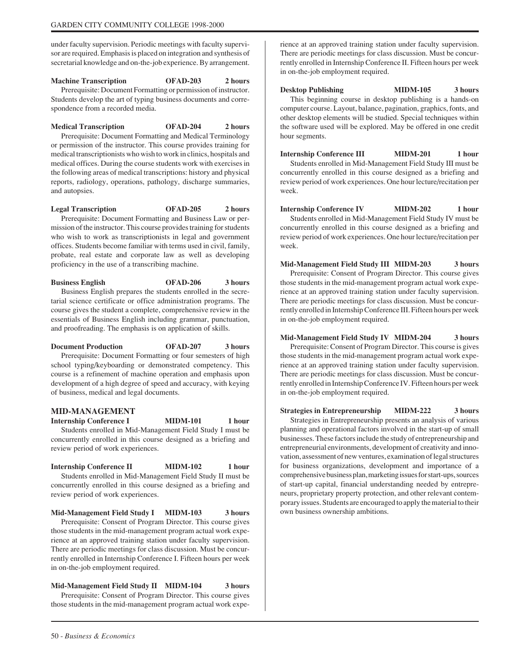under faculty supervision. Periodic meetings with faculty supervisor are required. Emphasis is placed on integration and synthesis of secretarial knowledge and on-the-job experience. By arrangement.

# **Machine Transcription OFAD-203 2 hours**

Prerequisite: Document Formatting or permission of instructor. Students develop the art of typing business documents and correspondence from a recorded media.

**Medical Transcription OFAD-204 2 hours**

Prerequisite: Document Formatting and Medical Terminology or permission of the instructor. This course provides training for medical transcriptionists who wish to work in clinics, hospitals and medical offices. During the course students work with exercises in the following areas of medical transcriptions: history and physical reports, radiology, operations, pathology, discharge summaries, and autopsies.

**Legal Transcription OFAD-205 2 hours** Prerequisite: Document Formatting and Business Law or permission of the instructor. This course provides training for students who wish to work as transcriptionists in legal and government offices. Students become familiar with terms used in civil, family, probate, real estate and corporate law as well as developing proficiency in the use of a transcribing machine.

**Business English OFAD-206 3 hours** Business English prepares the students enrolled in the secretarial science certificate or office administration programs. The course gives the student a complete, comprehensive review in the essentials of Business English including grammar, punctuation, and proofreading. The emphasis is on application of skills.

**Document Production OFAD-207 3 hours** Prerequisite: Document Formatting or four semesters of high school typing/keyboarding or demonstrated competency. This course is a refinement of machine operation and emphasis upon development of a high degree of speed and accuracy, with keying of business, medical and legal documents.

# **MID-MANAGEMENT**

**Internship Conference I MIDM-101 1 hour** Students enrolled in Mid-Management Field Study I must be concurrently enrolled in this course designed as a briefing and review period of work experiences.

**Internship Conference II MIDM-102 1 hour** Students enrolled in Mid-Management Field Study II must be concurrently enrolled in this course designed as a briefing and review period of work experiences.

**Mid-Management Field Study I MIDM-103 3 hours** Prerequisite: Consent of Program Director. This course gives those students in the mid-management program actual work experience at an approved training station under faculty supervision. There are periodic meetings for class discussion. Must be concurrently enrolled in Internship Conference I. Fifteen hours per week in on-the-job employment required.

**Mid-Management Field Study II MIDM-104 3 hours** Prerequisite: Consent of Program Director. This course gives those students in the mid-management program actual work experience at an approved training station under faculty supervision. There are periodic meetings for class discussion. Must be concurrently enrolled in Internship Conference II. Fifteen hours per week in on-the-job employment required.

**Desktop Publishing MIDM-105 3 hours** This beginning course in desktop publishing is a hands-on computer course. Layout, balance, pagination, graphics, fonts, and other desktop elements will be studied. Special techniques within the software used will be explored. May be offered in one credit hour segments.

**Internship Conference III MIDM-201 1 hour** Students enrolled in Mid-Management Field Study III must be concurrently enrolled in this course designed as a briefing and review period of work experiences. One hour lecture/recitation per week.

**Internship Conference IV MIDM-202 1 hour** Students enrolled in Mid-Management Field Study IV must be concurrently enrolled in this course designed as a briefing and review period of work experiences. One hour lecture/recitation per week.

**Mid-Management Field Study III MIDM-203 3 hours** Prerequisite: Consent of Program Director. This course gives those students in the mid-management program actual work experience at an approved training station under faculty supervision. There are periodic meetings for class discussion. Must be concurrently enrolled in Internship Conference III. Fifteen hours per week in on-the-job employment required.

**Mid-Management Field Study IV MIDM-204 3 hours**

Prerequisite: Consent of Program Director. This course is gives those students in the mid-management program actual work experience at an approved training station under faculty supervision. There are periodic meetings for class discussion. Must be concurrently enrolled in Internship Conference IV. Fifteen hours per week in on-the-job employment required.

**Strategies in Entrepreneurship MIDM-222 3 hours** Strategies in Entrepreneurship presents an analysis of various planning and operational factors involved in the start-up of small businesses. These factors include the study of entrepreneurship and entrepreneurial environments, development of creativity and innovation, assessment of new ventures, examination of legal structures for business organizations, development and importance of a comprehensive business plan, marketing issues for start-ups, sources of start-up capital, financial understanding needed by entrepreneurs, proprietary property protection, and other relevant contem-

porary issues. Students are encouraged to apply the material to their

own business ownership ambitions.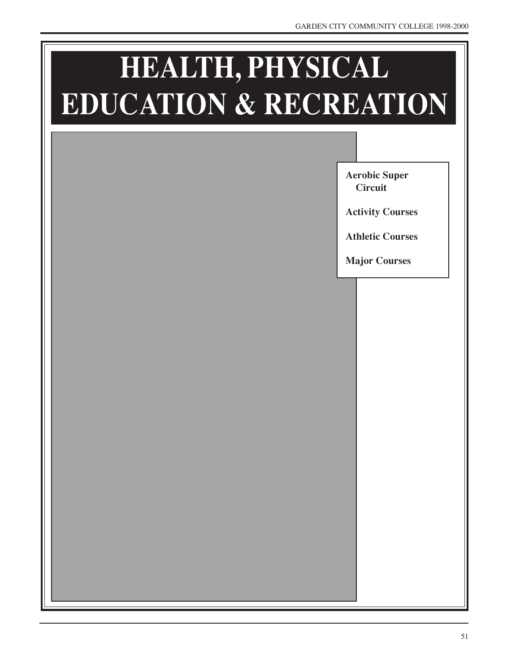# **HEALTH, PHYSICAL EDUCATION & RECREATION**

**Aerobic Super Circuit**

**Activity Courses**

**Athletic Courses**

**Major Courses**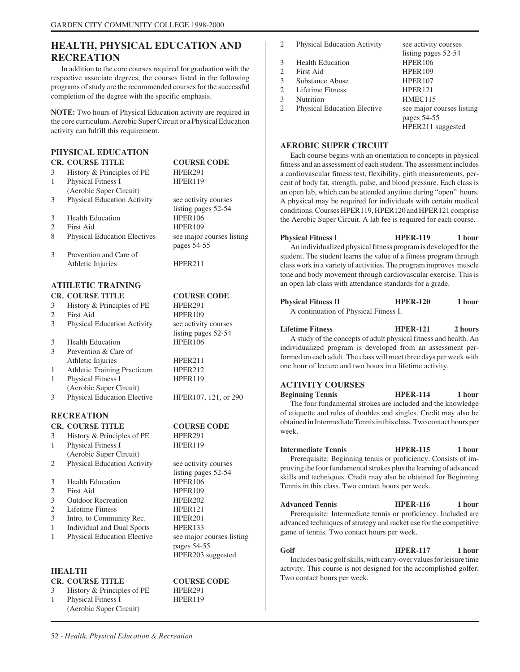# **HEALTH, PHYSICAL EDUCATION AND RECREATION**

In addition to the core courses required for graduation with the respective associate degrees, the courses listed in the following programs of study are the recommended courses for the successful completion of the degree with the specific emphasis.

**NOTE:** Two hours of Physical Education activity are required in the core curriculum. Aerobic Super Circuit or a Physical Education activity can fulfill this requirement.

# **PHYSICAL EDUCATION**

# **CR. COURSE TITLE COURSE CODE**

3 History & Principles of PE HPER291

1 Physical Fitness I HPER119

- (Aerobic Super Circuit) 3 Physical Education Activity see activity courses
- 3 Health Education
- 2 First Aid HPER109
- 8 Physical Education Electives see major courses listing
- 3 Prevention and Care of Athletic Injuries HPER211

# **ATHLETIC TRAINING CR. COURSE TITLE COURSE CODE**

|                          | History & Principles of PE | HPER291 |
|--------------------------|----------------------------|---------|
|                          | First Aid                  | HPER109 |
| $\overline{\phantom{0}}$ |                            |         |

- 3 Physical Education Activity see activity courses
- 3 Health Education HPER106
- 3 Prevention & Care of Athletic Injuries HPER211
- 1 Athletic Training Practicum HPER212 1 Physical Fitness I HPER119
- (Aerobic Super Circuit) 3 Physical Education Elective HPER107, 121, or 290

# **RECREATION**

# **CR. COURSE TITLE COURSE CODE**

- 3 History & Principles of PE HPER291 1 Physical Fitness I HPER119
- (Aerobic Super Circuit)
- 2 Physical Education Activity see activity courses
- 3 Health Education HPER106
- 2 First Aid HPER109
- 3 Outdoor Recreation HPER202
- 2 Lifetime Fitness HPER121
- 3 Intro. to Community Rec. HPER201
- 1 Individual and Dual Sports HPER133
- 1 Physical Education Elective see major courses listing

# **HEALTH**

# **CR. COURSE TITLE COURSE CODE**

- 3 History & Principles of PE HPER291
- 1 Physical Fitness I HPER119 (Aerobic Super Circuit)

| CUUNSE CUDI         |  |
|---------------------|--|
| HPER <sub>291</sub> |  |

**HPER109** listing pages 52-54

listing pages 52-54 pages 54-55 HPER203 suggested

- 2 Physical Education Activity see activity courses
- 3 Health Education HPER106
- 
- 3 Substance Abuse HPER107
- 
- 

2 First Aid HPER109 2 Lifetime Fitness HPER121 3 Nutrition HMEC115 2 Physical Education Elective see major courses listing pages 54-55 HPER211 suggested

listing pages 52-54

# **AEROBIC SUPER CIRCUIT**

Each course begins with an orientation to concepts in physical fitness and an assessment of each student. The assessment includes a cardiovascular fitness test, flexibility, girth measurements, percent of body fat, strength, pulse, and blood pressure. Each class is an open lab, which can be attended anytime during "open" hours. A physical may be required for individuals with certain medical conditions. Courses HPER119, HPER120 and HPER121 comprise the Aerobic Super Circuit. A lab fee is required for each course.

# **Physical Fitness I HPER-119** 1 hour An individualized physical fitness program is developed for the student. The student learns the value of a fitness program through class work in a variety of activities. The program improves muscle tone and body movement through cardiovascular exercise. This is an open lab class with attendance standards for a grade.

| <b>Physical Fitness II</b>           | <b>HPER-120</b> | 1 hour |
|--------------------------------------|-----------------|--------|
| A continuation of Physical Fitness I |                 |        |

A continuation of Physical Fitness I.

# **Lifetime Fitness HPER-121 2 hours**

A study of the concepts of adult physical fitness and health. An individualized program is developed from an assessment performed on each adult. The class will meet three days per week with one hour of lecture and two hours in a lifetime activity.

# **ACTIVITY COURSES**

**Beginning Tennis HPER-114** 1 hour The four fundamental strokes are included and the knowledge of etiquette and rules of doubles and singles. Credit may also be obtained in Intermediate Tennis in this class. Two contact hours per week.

# **Intermediate Tennis HPER-115** 1 hour

Prerequisite: Beginning tennis or proficiency. Consists of improving the four fundamental strokes plus the learning of advanced skills and techniques. Credit may also be obtained for Beginning Tennis in this class. Two contact hours per week.

# **Advanced Tennis HPER-116 1 hour**

Prerequisite: Intermediate tennis or proficiency. Included are advanced techniques of strategy and racket use for the competitive game of tennis. Two contact hours per week.

# Golf **HPER-117** 1 hour Includes basic golf skills, with carry-over values for leisure time activity. This course is not designed for the accomplished golfer. Two contact hours per week.

listing pages 52-54<br>HPER106 pages 54-55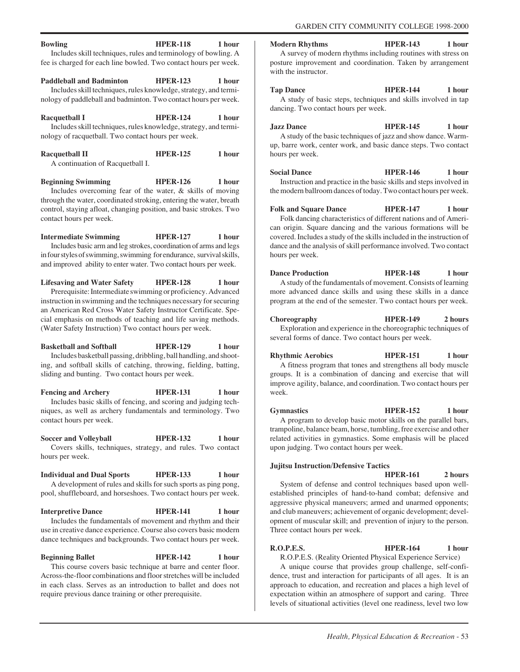### **Bowling HPER-118** 1 hour Includes skill techniques, rules and terminology of bowling. A

fee is charged for each line bowled. Two contact hours per week.

Paddleball and Badminton **HPER-123** 1 hour

Includes skill techniques, rules knowledge, strategy, and terminology of paddleball and badminton. Two contact hours per week.

Racquetball I **HPER-124** 1 hour Includes skill techniques, rules knowledge, strategy, and terminology of racquetball. Two contact hours per week.

| <b>Racquetball II</b>            | <b>HPER-125</b> | 1 hour |
|----------------------------------|-----------------|--------|
| A continuation of Racquetball I. |                 |        |

**Beginning Swimming HPER-126 1 hour** Includes overcoming fear of the water, & skills of moving through the water, coordinated stroking, entering the water, breath control, staying afloat, changing position, and basic strokes. Two contact hours per week.

**Intermediate Swimming HPER-127** 1 hour Includes basic arm and leg strokes, coordination of arms and legs in four styles of swimming, swimming for endurance, survival skills, and improved ability to enter water. Two contact hours per week.

**Lifesaving and Water Safety HPER-128 1 hour** Prerequisite: Intermediate swimming or proficiency. Advanced instruction in swimming and the techniques necessary for securing an American Red Cross Water Safety Instructor Certificate. Special emphasis on methods of teaching and life saving methods. (Water Safety Instruction) Two contact hours per week.

**Basketball and Softball HPER-129 1 hour** Includes basketball passing, dribbling, ball handling, and shooting, and softball skills of catching, throwing, fielding, batting, sliding and bunting. Two contact hours per week.

**Fencing and Archery HPER-131** 1 hour Includes basic skills of fencing, and scoring and judging techniques, as well as archery fundamentals and terminology. Two contact hours per week.

**Soccer and Volleyball <b>HPER-132** 1 hour Covers skills, techniques, strategy, and rules. Two contact hours per week.

**Individual and Dual Sports HPER-133 1 hour** A development of rules and skills for such sports as ping pong, pool, shuffleboard, and horseshoes. Two contact hours per week.

# **Interpretive Dance HPER-141** 1 hour

Includes the fundamentals of movement and rhythm and their use in creative dance experience. Course also covers basic modern dance techniques and backgrounds. Two contact hours per week.

## **Beginning Ballet HPER-142** 1 hour

This course covers basic technique at barre and center floor. Across-the-floor combinations and floor stretches will be included in each class. Serves as an introduction to ballet and does not require previous dance training or other prerequisite.

**Modern Rhythms HPER-143** 1 hour A survey of modern rhythms including routines with stress on posture improvement and coordination. Taken by arrangement with the instructor.

**Tap Dance HPER-144 1 hour** A study of basic steps, techniques and skills involved in tap dancing. Two contact hours per week.

**Jazz Dance HPER-145 1 hour**

A study of the basic techniques of jazz and show dance. Warmup, barre work, center work, and basic dance steps. Two contact hours per week.

**Social Dance HPER-146** 1 hour Instruction and practice in the basic skills and steps involved in the modern ballroom dances of today. Two contact hours per week.

Folk and Square Dance **HPER-147** 1 hour Folk dancing characteristics of different nations and of American origin. Square dancing and the various formations will be covered. Includes a study of the skills included in the instruction of dance and the analysis of skill performance involved. Two contact hours per week.

**Dance Production HPER-148** 1 hour A study of the fundamentals of movement. Consists of learning more advanced dance skills and using these skills in a dance program at the end of the semester. Two contact hours per week.

**Choreography HPER-149 2 hours** Exploration and experience in the choreographic techniques of several forms of dance. Two contact hours per week.

**Rhythmic Aerobics HPER-151** 1 hour A fitness program that tones and strengthens all body muscle groups. It is a combination of dancing and exercise that will improve agility, balance, and coordination. Two contact hours per week.

**Gymnastics HPER-152 1 hour** A program to develop basic motor skills on the parallel bars, trampoline, balance beam, horse, tumbling, free exercise and other related activities in gymnastics. Some emphasis will be placed upon judging. Two contact hours per week.

# **Jujitsu Instruction/Defensive Tactics**

**HPER-161 2 hours** System of defense and control techniques based upon wellestablished principles of hand-to-hand combat; defensive and aggressive physical maneuvers; armed and unarmed opponents; and club maneuvers; achievement of organic development; development of muscular skill; and prevention of injury to the person. Three contact hours per week.

# **R.O.P.E.S. HPER-164 1 hour**

R.O.P.E.S. (Reality Oriented Physical Experience Service)

A unique course that provides group challenge, self-confidence, trust and interaction for participants of all ages. It is an approach to education, and recreation and places a high level of expectation within an atmosphere of support and caring. Three levels of situational activities (level one readiness, level two low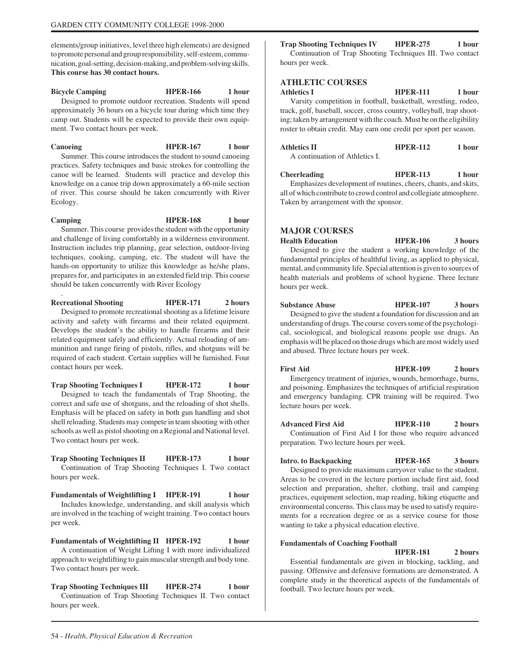elements/group initiatives, level three high elements) are designed to promote personal and group responsibility, self-esteem, communication, goal-setting, decision-making, and problem-solving skills. **This course has 30 contact hours.**

# **Bicycle Camping HPER-166** 1 hour Designed to promote outdoor recreation. Students will spend approximately 36 hours on a bicycle tour during which time they camp out. Students will be expected to provide their own equipment. Two contact hours per week.

Canoeing **HPER-167** 1 hour Summer. This course introduces the student to sound canoeing practices. Safety techniques and basic strokes for controlling the canoe will be learned. Students will practice and develop this knowledge on a canoe trip down approximately a 60-mile section of river. This course should be taken concurrently with River Ecology.

Camping **HPER-168** 1 hour Summer. This course provides the student with the opportunity and challenge of living comfortably in a wilderness environment.

Instruction includes trip planning, gear selection, outdoor-living techniques, cooking, camping, etc. The student will have the hands-on opportunity to utilize this knowledge as he/she plans, prepares for, and participates in an extended field trip. This course should be taken concurrently with River Ecology

**Recreational Shooting HPER-171 2 hours**

.

Designed to promote recreational shooting as a lifetime leisure activity and safety with firearms and their related equipment. Develops the student's the ability to handle firearms and their related equipment safely and efficiently. Actual reloading of ammunition and range firing of pistols, rifles, and shotguns will be required of each student. Certain supplies will be furnished. Four contact hours per week.

**Trap Shooting Techniques I HPER-172** 1 hour

Designed to teach the fundamentals of Trap Shooting, the correct and safe use of shotguns, and the reloading of shot shells. Emphasis will be placed on safety in both gun handling and shot shell reloading. Students may compete in team shooting with other schools as well as pistol shooting on a Regional and National level. Two contact hours per week.

**Trap Shooting Techniques II HPER-173** 1 hour Continuation of Trap Shooting Techniques I. Two contact hours per week.

Fundamentals of Weightlifting I HPER-191 1 hour Includes knowledge, understanding, and skill analysis which are involved in the teaching of weight training. Two contact hours per week.

**Fundamentals of Weightlifting II HPER-192 1 hour** A continuation of Weight Lifting I with more individualized approach to weightlifting to gain muscular strength and body tone. Two contact hours per week.

**Trap Shooting Techniques III HPER-274 1 hour** Continuation of Trap Shooting Techniques II. Two contact hours per week.

**Trap Shooting Techniques IV HPER-275 1 hour** Continuation of Trap Shooting Techniques III. Two contact hours per week.

# **ATHLETIC COURSES**

**Athletics I HPER-111 1 hour** Varsity competition in football, basketball, wrestling, rodeo, track, golf, baseball, soccer, cross country, volleyball, trap shooting; taken by arrangement with the coach. Must be on the eligibility roster to obtain credit. May earn one credit per sport per season.

| <b>Athletics II</b>            | <b>HPER-112</b> | 1 hour |
|--------------------------------|-----------------|--------|
| A continuation of Athletics I. |                 |        |

**Cheerleading HPER-113** 1 hour Emphasizes development of routines, cheers, chants, and skits,

all of which contribute to crowd control and collegiate atmosphere. Taken by arrangement with the sponsor.

# **MAJOR COURSES**

**Health Education HPER-106 3 hours** Designed to give the student a working knowledge of the fundamental principles of healthful living, as applied to physical, mental, and community life. Special attention is given to sources of health materials and problems of school hygiene. Three lecture hours per week.

**Substance Abuse HPER-107 3 hours** Designed to give the student a foundation for discussion and an understanding of drugs. The course covers some of the psychological, sociological, and biological reasons people use drugs. An emphasis will be placed on those drugs which are most widely used and abused. Three lecture hours per week.

First Aid **HPER-109** 2 hours Emergency treatment of injuries, wounds, hemorrhage, burns, and poisoning. Emphasizes the techniques of artificial respiration and emergency bandaging. CPR training will be required. Two lecture hours per week.

**Advanced First Aid HPER-110 2 hours** Continuation of First Aid I for those who require advanced preparation. Two lecture hours per week.

**Intro. to Backpacking HPER-165 3 hours** Designed to provide maximum carryover value to the student. Areas to be covered in the lecture portion include first aid, food selection and preparation, shelter, clothing, trail and camping practices, equipment selection, map reading, hiking etiquette and environmental concerns. This class may be used to satisfy requirements for a recreation degree or as a service course for those wanting to take a physical education elective.

# **Fundamentals of Coaching Football**

**HPER-181 2 hours** Essential fundamentals are given in blocking, tackling, and passing. Offensive and defensive formations are demonstrated. A complete study in the theoretical aspects of the fundamentals of football. Two lecture hours per week.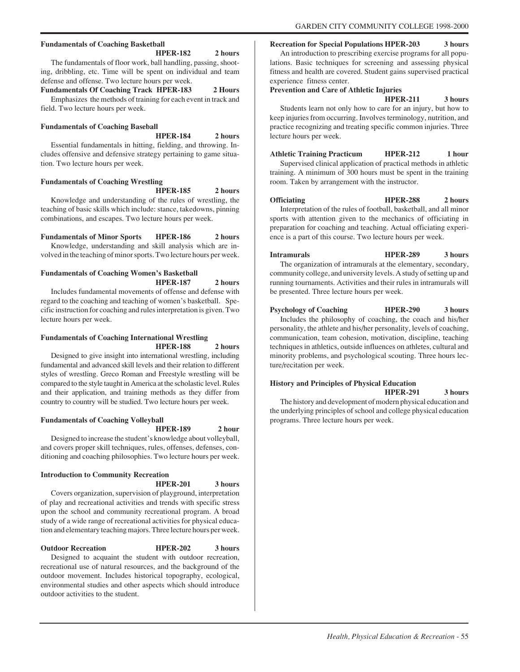# **Fundamentals of Coaching Basketball**

**HPER-182 2 hours**

The fundamentals of floor work, ball handling, passing, shooting, dribbling, etc. Time will be spent on individual and team defense and offense. Two lecture hours per week.

# **Fundamentals Of Coaching Track HPER-183 2 Hours**

Emphasizes the methods of training for each event in track and field. Two lecture hours per week.

# **Fundamentals of Coaching Baseball**

**HPER-184 2 hours**

Essential fundamentals in hitting, fielding, and throwing. Includes offensive and defensive strategy pertaining to game situation. Two lecture hours per week.

# **Fundamentals of Coaching Wrestling**

**HPER-185 2 hours**

Knowledge and understanding of the rules of wrestling, the teaching of basic skills which include: stance, takedowns, pinning combinations, and escapes. Two lecture hours per week.

**Fundamentals of Minor Sports HPER-186 2 hours** Knowledge, understanding and skill analysis which are involved in the teaching of minor sports. Two lecture hours per week.

# **Fundamentals of Coaching Women's Basketball HPER-187 2 hours**

Includes fundamental movements of offense and defense with regard to the coaching and teaching of women's basketball. Specific instruction for coaching and rules interpretation is given. Two lecture hours per week.

# **Fundamentals of Coaching International Wrestling HPER-188 2 hours**

Designed to give insight into international wrestling, including fundamental and advanced skill levels and their relation to different styles of wrestling. Greco Roman and Freestyle wrestling will be compared to the style taught in America at the scholastic level. Rules and their application, and training methods as they differ from country to country will be studied. Two lecture hours per week.

# **Fundamentals of Coaching Volleyball**

**HPER-189 2 hour**

Designed to increase the student's knowledge about volleyball, and covers proper skill techniques, rules, offenses, defenses, conditioning and coaching philosophies. Two lecture hours per week.

# **Introduction to Community Recreation**

# **HPER-201 3 hours**

Covers organization, supervision of playground, interpretation of play and recreational activities and trends with specific stress upon the school and community recreational program. A broad study of a wide range of recreational activities for physical education and elementary teaching majors. Three lecture hours per week.

**Outdoor Recreation HPER-202 3 hours** Designed to acquaint the student with outdoor recreation, recreational use of natural resources, and the background of the outdoor movement. Includes historical topography, ecological, environmental studies and other aspects which should introduce outdoor activities to the student.

**Recreation for Special Populations HPER-203 3 hours**

An introduction to prescribing exercise programs for all populations. Basic techniques for screening and assessing physical fitness and health are covered. Student gains supervised practical experience fitness center.

# **Prevention and Care of Athletic Injuries**

**HPER-211 3 hours**

Students learn not only how to care for an injury, but how to keep injuries from occurring. Involves terminology, nutrition, and practice recognizing and treating specific common injuries. Three lecture hours per week.

**Athletic Training Practicum HPER-212 1 hour**

Supervised clinical application of practical methods in athletic training. A minimum of 300 hours must be spent in the training room. Taken by arrangement with the instructor.

**Officiating HPER-288** 2 hours Interpretation of the rules of football, basketball, and all minor sports with attention given to the mechanics of officiating in preparation for coaching and teaching. Actual officiating experience is a part of this course. Two lecture hours per week.

**Intramurals HPER-289 3 hours** The organization of intramurals at the elementary, secondary, community college, and university levels. A study of setting up and running tournaments. Activities and their rules in intramurals will be presented. Three lecture hours per week.

**Psychology of Coaching HPER-290 3 hours** Includes the philosophy of coaching, the coach and his/her personality, the athlete and his/her personality, levels of coaching, communication, team cohesion, motivation, discipline, teaching techniques in athletics, outside influences on athletes, cultural and minority problems, and psychological scouting. Three hours lecture/recitation per week.

# **History and Principles of Physical Education**

**HPER-291 3 hours**

The history and development of modern physical education and the underlying principles of school and college physical education programs. Three lecture hours per week.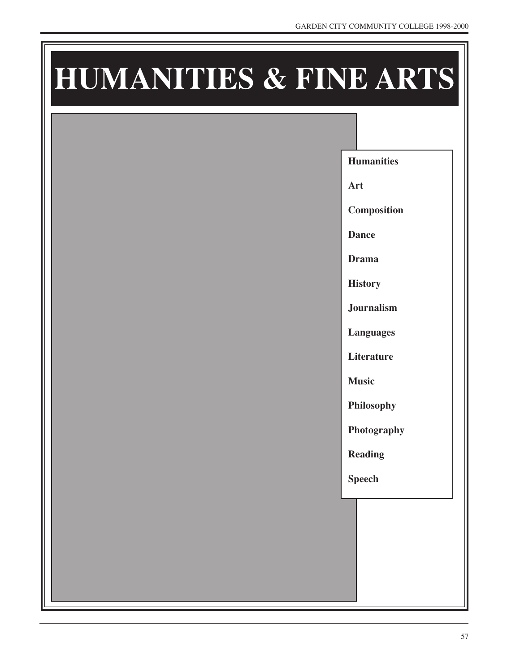# **HUMANITIES & FINE ARTS**

**Humanities**

**Art**

**Composition**

**Dance**

**Drama**

**History**

**Journalism**

**Languages**

**Literature**

**Music**

**Philosophy**

**Photography**

**Reading**

**Speech**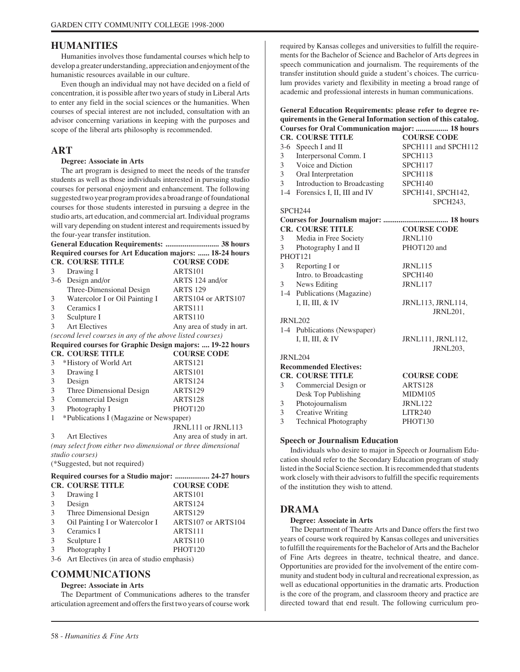# **HUMANITIES**

Humanities involves those fundamental courses which help to develop a greater understanding, appreciation and enjoyment of the humanistic resources available in our culture.

Even though an individual may not have decided on a field of concentration, it is possible after two years of study in Liberal Arts to enter any field in the social sciences or the humanities. When courses of special interest are not included, consultation with an advisor concerning variations in keeping with the purposes and scope of the liberal arts philosophy is recommended.

# **ART**

## **Degree: Associate in Arts**

The art program is designed to meet the needs of the transfer students as well as those individuals interested in pursuing studio courses for personal enjoyment and enhancement. The following suggested two year program provides a broad range of foundational courses for those students interested in pursuing a degree in the studio arts, art education, and commercial art. Individual programs will vary depending on student interest and requirements issued by the four-year transfer institution.

# **General Education Requirements: ............................ 38 hours Required courses for Art Education majors: ...... 18-24 hours CR. COURSE TITLE COURSE CODE** 3 Drawing I ARTS101 3-6 Design and/or ARTS 124 and/or Three-Dimensional Design ARTS 129 3 Watercolor I or Oil Painting I ARTS104 or ARTS107 3 Ceramics I ARTS111 3 Sculpture I ARTS110 3 Art Electives Any area of study in art. *(second level courses in any of the above listed courses)* **Required courses for Graphic Design majors: .... 19-22 hours CR. COURSE TITLE COURSE CODE** 3 \*History of World Art ARTS121 3 Drawing I ARTS101 3 Design ARTS124 3 Three Dimensional Design ARTS129 3 Commercial Design ARTS128 3 Photography I PHOT120 1 \*Publications I (Magazine or Newspaper) JRNL111 or JRNL113 3 Art Electives Any area of study in art. *(may select from either two dimensional or three dimensional studio courses)* (\*Suggested, but not required) **Required courses for a Studio major: .................. 24-27 hours CR. COURSE TITLE COURSE CODE** 3 Drawing I ARTS101 3 Design ARTS124 3 Three Dimensional Design ARTS129 3 Oil Painting I or Watercolor I ARTS107 or ARTS104 3 Ceramics I ARTS111 3 Sculpture I ARTS110

3 Photography I PHOT120

3-6 Art Electives (in area of studio emphasis)

# **COMMUNICATIONS**

# **Degree: Associate in Arts**

The Department of Communications adheres to the transfer articulation agreement and offers the first two years of course work

required by Kansas colleges and universities to fulfill the requirements for the Bachelor of Science and Bachelor of Arts degrees in speech communication and journalism. The requirements of the transfer institution should guide a student's choices. The curriculum provides variety and flexibility in meeting a broad range of academic and professional interests in human communications.

# **General Education Requirements: please refer to degree requirements in the General Information section of this catalog. Courses for Oral Communication major: ................. 18 hours**

|                | <b>CR. COURSE TITLE</b>         | <b>COURSE CODE</b>  |
|----------------|---------------------------------|---------------------|
|                | 3-6 Speech I and II             | SPCH111 and SPCH112 |
| 3              | Interpersonal Comm. I           | SPCH113             |
| 3              | Voice and Diction               | SPCH117             |
| 3 <sup>7</sup> | Oral Interpretation             | SPCH118             |
| 3 <sup>7</sup> | Introduction to Broadcasting    | SPCH140             |
|                | 1-4 Forensics I, II, III and IV | SPCH141, SPCH142,   |
|                |                                 | SPCH243,            |
|                | SPCH <sub>244</sub>             |                     |
|                |                                 |                     |
|                | <b>CR. COURSE TITLE</b>         | <b>COURSE CODE</b>  |
| 3              | Media in Free Society           | <b>JRNL110</b>      |
| $\mathfrak{Z}$ | Photography I and II            | PHOT120 and         |
|                | PHOT121                         |                     |
|                | 3 Reporting I or                | <b>JRNL115</b>      |
|                | Intro. to Broadcasting          | SPCH <sub>140</sub> |
|                | 3 News Editing                  | JRNL117             |
|                | 1-4 Publications (Magazine)     |                     |
|                | I, II, III, & IV                | JRNL113, JRNL114,   |
|                |                                 | JRNL201,            |
|                | <b>JRNL202</b>                  |                     |
|                | 1-4 Publications (Newspaper)    |                     |
|                | I, II, III, $&$ IV              | JRNL111, JRNL112,   |
|                |                                 | <b>JRNL203,</b>     |
|                | <b>JRNL204</b>                  |                     |
|                | <b>Recommended Electives:</b>   |                     |
|                | <b>CR. COURSE TITLE</b>         | <b>COURSE CODE</b>  |
| 3              | Commercial Design or            | <b>ARTS128</b>      |
|                | Desk Top Publishing             | <b>MIDM105</b>      |
| 3              | Photojournalism                 | <b>JRNL122</b>      |
| 3              | <b>Creative Writing</b>         | <b>LITR240</b>      |
| 3              | <b>Technical Photography</b>    | PHOT130             |

# **Speech or Journalism Education**

Individuals who desire to major in Speech or Journalism Education should refer to the Secondary Education program of study listed in the Social Science section. It is recommended that students work closely with their advisors to fulfill the specific requirements of the institution they wish to attend.

# **DRAMA**

## **Degree: Associate in Arts**

The Department of Theatre Arts and Dance offers the first two years of course work required by Kansas colleges and universities to fulfill the requirements for the Bachelor of Arts and the Bachelor of Fine Arts degrees in theatre, technical theatre, and dance. Opportunities are provided for the involvement of the entire community and student body in cultural and recreational expression, as well as educational opportunities in the dramatic arts. Production is the core of the program, and classroom theory and practice are directed toward that end result. The following curriculum pro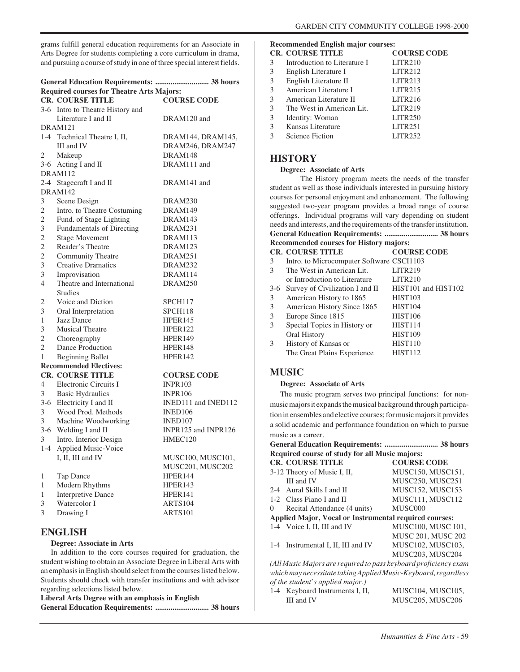grams fulfill general education requirements for an Associate in Arts Degree for students completing a core curriculum in drama, and pursuing a course of study in one of three special interest fields.

# **General Education Requirements: ............................ 38 hours Required courses for Theatre Arts Majors: CR. COURSE TITLE COURSE CODE**

|                | <b>CR. COURSE HILE</b>           | <b>COURSE CODE</b>  |
|----------------|----------------------------------|---------------------|
|                | 3-6 Intro to Theatre History and |                     |
|                | Literature I and II              | DRAM120 and         |
|                | DRAM121                          |                     |
|                | 1-4 Technical Theatre I, II,     | DRAM144, DRAM145,   |
|                | III and IV                       | DRAM246, DRAM247    |
| 2              | Makeup                           | DRAM148             |
|                | 3-6 Acting I and II              | DRAM111 and         |
|                | DRAM112                          |                     |
|                | 2-4 Stagecraft I and II          | DRAM141 and         |
|                | <b>DRAM142</b>                   |                     |
| 3              | Scene Design                     | DRAM230             |
| $\overline{2}$ | Intro. to Theatre Costuming      | DRAM149             |
| $\overline{c}$ | Fund. of Stage Lighting          | DRAM143             |
| 3              | Fundamentals of Directing        | DRAM231             |
| 2              | <b>Stage Movement</b>            | DRAM113             |
| $\overline{c}$ | Reader's Theatre                 | DRAM123             |
| $\overline{c}$ | Community Theatre                | DRAM251             |
| 3              | <b>Creative Dramatics</b>        | DRAM232             |
| 3              | Improvisation                    | DRAM114             |
| $\overline{4}$ | Theatre and International        | DRAM250             |
|                | <b>Studies</b>                   |                     |
| 2              | Voice and Diction                | SPCH117             |
| 3              | Oral Interpretation              | SPCH118             |
| 1              | <b>Jazz Dance</b>                | HPER <sub>145</sub> |
| 3              | <b>Musical Theatre</b>           | HPER122             |
| $\overline{2}$ | Choreography                     | HPER149             |
| 2              | Dance Production                 | HPER148             |
| 1              | <b>Beginning Ballet</b>          | <b>HPER142</b>      |
|                | <b>Recommended Electives:</b>    |                     |
|                | <b>CR. COURSE TITLE</b>          | <b>COURSE CODE</b>  |
| 4              | Electronic Circuits I            | <b>INPR103</b>      |
| 3              | <b>Basic Hydraulics</b>          | <b>INPR106</b>      |
|                | 3-6 Electricity I and II         | INED111 and INED112 |
| 3              | Wood Prod. Methods               | INED <sub>106</sub> |
| 3              | Machine Woodworking              | INED107             |
|                | 3-6 Welding I and II             | INPR125 and INPR126 |
| 3              | Intro. Interior Design           | HMEC120             |
| $1-4$          | <b>Applied Music-Voice</b>       |                     |
|                | I, II, III and IV                | MUSC100, MUSC101,   |
|                |                                  | MUSC201, MUSC202    |
| 1              | Tap Dance                        | HPER144             |
| 1              | Modern Rhythms                   | HPER <sub>143</sub> |
| 1              | <b>Interpretive Dance</b>        | HPER141             |
| 3              | Watercolor I                     | ARTS104             |
| 3              | Drawing I                        | ARTS101             |
|                |                                  |                     |

# **ENGLISH**

## **Degree: Associate in Arts**

In addition to the core courses required for graduation, the student wishing to obtain an Associate Degree in Liberal Arts with an emphasis in English should select from the courses listed below. Students should check with transfer institutions and with advisor regarding selections listed below.

# **Liberal Arts Degree with an emphasis in English General Education Requirements: ............................ 38 hours**

# **Recommended English major courses:**

|   | <b>CR. COURSE TITLE</b>      | <b>COURSE CODE</b>  |
|---|------------------------------|---------------------|
| 3 | Introduction to Literature I | <b>LITR210</b>      |
| 3 | English Literature I         | <b>LITR212</b>      |
| 3 | English Literature II        | LITR213             |
| 3 | American Literature I        | LITR215             |
| 3 | American Literature II       | LITR216             |
| 3 | The West in American Lit.    | <b>LITR219</b>      |
| 3 | Identity: Woman              | LITR <sub>250</sub> |
| 3 | Kansas Literature            | LITR251             |
| 3 | Science Fiction              | <b>LITR252</b>      |
|   |                              |                     |

# **HISTORY**

## **Degree: Associate of Arts**

The History program meets the needs of the transfer student as well as those individuals interested in pursuing history courses for personal enjoyment and enhancement. The following suggested two-year program provides a broad range of course offerings. Individual programs will vary depending on student needs and interests, and the requirements of the transfer institution. **General Education Requirements: ............................ 38 hours**

# **Recommended courses for History majors:**

|       | <b>CR. COURSE TITLE</b>                   | <b>COURSE CODE</b>  |
|-------|-------------------------------------------|---------------------|
| 3     | Intro. to Microcomputer Software CSCI1103 |                     |
| 3     | The West in American Lit.                 | <b>LITR219</b>      |
|       | or Introduction to Literature             | LITR210             |
| $3-6$ | Survey of Civilization I and II           | HIST101 and HIST102 |
| 3     | American History to 1865                  | <b>HIST103</b>      |
| 3     | American History Since 1865               | <b>HIST104</b>      |
| 3     | Europe Since 1815                         | <b>HIST106</b>      |
| 3     | Special Topics in History or              | HIST <sub>114</sub> |
|       | Oral History                              | <b>HIST109</b>      |
| 3     | History of Kansas or                      | <b>HIST110</b>      |
|       | The Great Plains Experience               | <b>HIST112</b>      |
|       |                                           |                     |

# **MUSIC**

# **Degree: Associate of Arts**

The music program serves two principal functions: for nonmusic majors it expands the musical background through participation in ensembles and elective courses; for music majors it provides a solid academic and performance foundation on which to pursue music as a career.

# **General Education Requirements: ............................ 38 hours Required course of study for all Music majors:**

|          | <b>CR. COURSE TITLE</b>                                          | <b>COURSE CODE</b>        |
|----------|------------------------------------------------------------------|---------------------------|
|          | 3-12 Theory of Music I, II,                                      | MUSC150, MUSC151,         |
|          | III and IV                                                       | <b>MUSC250, MUSC251</b>   |
|          | 2-4 Aural Skills I and II                                        | MUSC152, MUSC153          |
|          | 1-2 Class Piano I and II                                         | MUSC111, MUSC112          |
| $\Omega$ | Recital Attendance (4 units)                                     | MUSC000                   |
|          | <b>Applied Major, Vocal or Instrumental required courses:</b>    |                           |
|          | 1-4 Voice I, II, III and IV                                      | <b>MUSC100, MUSC 101,</b> |
|          |                                                                  | <b>MUSC 201, MUSC 202</b> |
|          | 1-4 Instrumental I, II, III and IV                               | MUSC102, MUSC103,         |
|          |                                                                  | MUSC203, MUSC204          |
|          | (All Music Majors are required to pass keyboard proficiency exam |                           |
|          | which may necessitate taking Applied Music-Keyboard, regardless  |                           |
|          | of the student's applied major.)                                 |                           |
|          | 1-4 Keyboard Instruments I, II,                                  | MUSC104, MUSC105,         |

| 1-4 Keyboard Instruments I, II, | MUSC104, MUSC105, |
|---------------------------------|-------------------|
| III and IV                      | MUSC205, MUSC206  |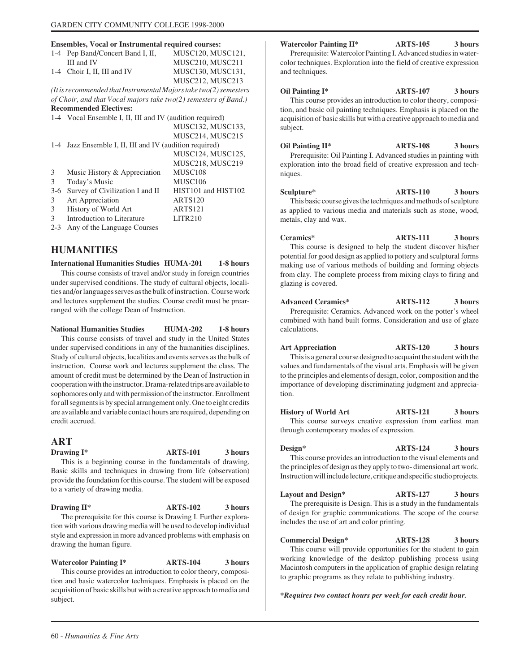# **Ensembles, Vocal or Instrumental required courses:**

|         | Ensembles, Vocal or Instrumental required courses:                |                     |
|---------|-------------------------------------------------------------------|---------------------|
|         | 1-4 Pep Band/Concert Band I, II,                                  | MUSC120, MUSC121,   |
|         | III and IV                                                        | MUSC210, MUSC211    |
|         | 1-4 Choir I, II, III and IV                                       | MUSC130, MUSC131,   |
|         |                                                                   | MUSC212, MUSC213    |
|         | (It is recommended that Instrumental Majors take two(2) semesters |                     |
|         | of Choir, and that Vocal majors take two(2) semesters of Band.)   |                     |
|         | <b>Recommended Electives:</b>                                     |                     |
|         | 1-4 Vocal Ensemble I, II, III and IV (audition required)          |                     |
|         |                                                                   | MUSC132, MUSC133,   |
|         |                                                                   | MUSC214, MUSC215    |
|         | 1-4 Jazz Ensemble I, II, III and IV (audition required)           |                     |
|         |                                                                   | MUSC124, MUSC125,   |
|         |                                                                   | MUSC218, MUSC219    |
| 3       | Music History & Appreciation                                      | MUSC108             |
| 3       | Today's Music                                                     | MUSC106             |
| $3-6$   | Survey of Civilization I and II                                   | HIST101 and HIST102 |
| 3       | Art Appreciation                                                  | <b>ARTS120</b>      |
| 3       | History of World Art                                              | ARTS121             |
| 3       | Introduction to Literature                                        | <b>LITR210</b>      |
| $2 - 3$ | Any of the Language Courses                                       |                     |

# **HUMANITIES**

#### **International Humanities Studies HUMA-201 1-8 hours**

This course consists of travel and/or study in foreign countries under supervised conditions. The study of cultural objects, localities and/or languages serves as the bulk of instruction. Course work and lectures supplement the studies. Course credit must be prearranged with the college Dean of Instruction.

**National Humanities Studies HUMA-202 1-8 hours** This course consists of travel and study in the United States

under supervised conditions in any of the humanities disciplines. Study of cultural objects, localities and events serves as the bulk of instruction. Course work and lectures supplement the class. The amount of credit must be determined by the Dean of Instruction in cooperation with the instructor. Drama-related trips are available to sophomores only and with permission of the instructor. Enrollment for all segments is by special arrangement only. One to eight credits are available and variable contact hours are required, depending on credit accrued.

# **ART**

**Drawing I\*** ARTS-101 3 hours

This is a beginning course in the fundamentals of drawing. Basic skills and techniques in drawing from life (observation) provide the foundation for this course. The student will be exposed to a variety of drawing media.

**Drawing II\*** ARTS-102 3 hours The prerequisite for this course is Drawing I. Further exploration with various drawing media will be used to develop individual style and expression in more advanced problems with emphasis on drawing the human figure.

**Watercolor Painting I\* ARTS-104 3 hours** This course provides an introduction to color theory, composition and basic watercolor techniques. Emphasis is placed on the acquisition of basic skills but with a creative approach to media and subject.

**Watercolor Painting II\* ARTS-105 3 hours** Prerequisite: Watercolor Painting I. Advanced studies in water-

color techniques. Exploration into the field of creative expression and techniques.

**Oil Painting I\* ARTS-107 3 hours** This course provides an introduction to color theory, composition, and basic oil painting techniques. Emphasis is placed on the acquisition of basic skills but with a creative approach to media and subject.

**Oil Painting II\* ARTS-108 3 hours** Prerequisite: Oil Painting I. Advanced studies in painting with exploration into the broad field of creative expression and techniques.

**Sculpture\* ARTS-110 3 hours** This basic course gives the techniques and methods of sculpture as applied to various media and materials such as stone, wood, metals, clay and wax.

**Ceramics\* ARTS-111 3 hours** This course is designed to help the student discover his/her potential for good design as applied to pottery and sculptural forms making use of various methods of building and forming objects from clay. The complete process from mixing clays to firing and glazing is covered.

**Advanced Ceramics\* ARTS-112 3 hours** Prerequisite: Ceramics. Advanced work on the potter's wheel combined with hand built forms. Consideration and use of glaze calculations.

**Art Appreciation ARTS-120 3 hours** This is a general course designed to acquaint the student with the values and fundamentals of the visual arts. Emphasis will be given to the principles and elements of design, color, composition and the importance of developing discriminating judgment and appreciation.

**History of World Art ARTS-121 3 hours** This course surveys creative expression from earliest man through contemporary modes of expression.

**Design\* ARTS-124 3 hours** This course provides an introduction to the visual elements and the principles of design as they apply to two- dimensional art work. Instruction will include lecture, critique and specific studio projects.

**Layout and Design\* ARTS-127 3 hours** The prerequisite is Design. This is a study in the fundamentals of design for graphic communications. The scope of the course includes the use of art and color printing.

**Commercial Design\* ARTS-128 3 hours** This course will provide opportunities for the student to gain working knowledge of the desktop publishing process using Macintosh computers in the application of graphic design relating to graphic programs as they relate to publishing industry.

*\*Requires two contact hours per week for each credit hour.*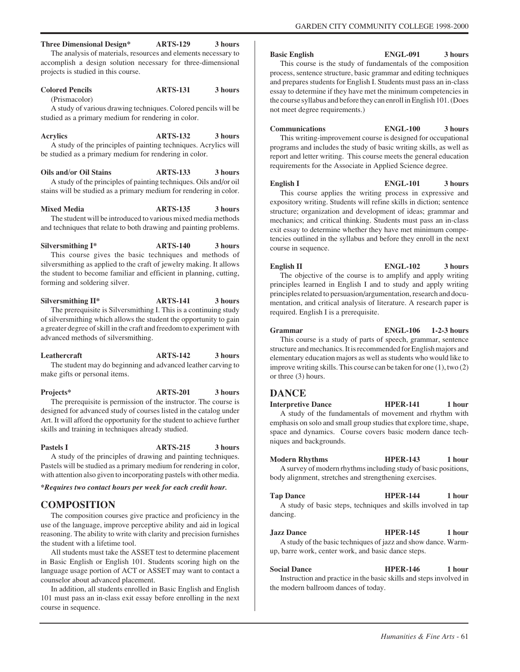**Three Dimensional Design\* ARTS-129 3 hours** The analysis of materials, resources and elements necessary to accomplish a design solution necessary for three-dimensional projects is studied in this course.

#### **Colored Pencils ARTS-131 3 hours** (Prismacolor)

A study of various drawing techniques. Colored pencils will be studied as a primary medium for rendering in color.

**Acrylics ARTS-132 3 hours** A study of the principles of painting techniques. Acrylics will be studied as a primary medium for rendering in color.

**Oils and/or Oil Stains ARTS-133** 3 hours A study of the principles of painting techniques. Oils and/or oil stains will be studied as a primary medium for rendering in color.

**Mixed Media ARTS-135 3 hours** The student will be introduced to various mixed media methods and techniques that relate to both drawing and painting problems.

**Silversmithing I\* ARTS-140 3 hours**

This course gives the basic techniques and methods of silversmithing as applied to the craft of jewelry making. It allows the student to become familiar and efficient in planning, cutting, forming and soldering silver.

Silversmithing II<sup>\*</sup> ARTS-141 3 hours The prerequisite is Silversmithing I. This is a continuing study of silversmithing which allows the student the opportunity to gain a greater degree of skill in the craft and freedom to experiment with advanced methods of silversmithing.

**Leathercraft ARTS-142 3 hours** The student may do beginning and advanced leather carving to make gifts or personal items.

**Projects\* ARTS-201 3 hours** The prerequisite is permission of the instructor. The course is designed for advanced study of courses listed in the catalog under Art. It will afford the opportunity for the student to achieve further skills and training in techniques already studied.

# Pastels I **ARTS-215** 3 hours

A study of the principles of drawing and painting techniques. Pastels will be studied as a primary medium for rendering in color, with attention also given to incorporating pastels with other media.

*\*Requires two contact hours per week for each credit hour.*

# **COMPOSITION**

The composition courses give practice and proficiency in the use of the language, improve perceptive ability and aid in logical reasoning. The ability to write with clarity and precision furnishes the student with a lifetime tool.

All students must take the ASSET test to determine placement in Basic English or English 101. Students scoring high on the language usage portion of ACT or ASSET may want to contact a counselor about advanced placement.

In addition, all students enrolled in Basic English and English 101 must pass an in-class exit essay before enrolling in the next course in sequence.

# **Basic English ENGL-091 3 hours**

GARDEN CITY COMMUNITY COLLEGE 1998-2000

This course is the study of fundamentals of the composition process, sentence structure, basic grammar and editing techniques and prepares students for English I. Students must pass an in-class essay to determine if they have met the minimum competencies in the course syllabus and before they can enroll in English 101. (Does not meet degree requirements.)

**Communications ENGL-100 3 hours** This writing-improvement course is designed for occupational programs and includes the study of basic writing skills, as well as report and letter writing. This course meets the general education requirements for the Associate in Applied Science degree.

**English I ENGL-101 3 hours** This course applies the writing process in expressive and expository writing. Students will refine skills in diction; sentence structure; organization and development of ideas; grammar and mechanics; and critical thinking. Students must pass an in-class exit essay to determine whether they have met minimum competencies outlined in the syllabus and before they enroll in the next course in sequence.

**English II ENGL-102 3 hours** The objective of the course is to amplify and apply writing principles learned in English I and to study and apply writing principles related to persuasion/argumentation, research and documentation, and critical analysis of literature. A research paper is required. English I is a prerequisite.

**Grammar ENGL-106 1-2-3 hours** This course is a study of parts of speech, grammar, sentence structure and mechanics. It is recommended for English majors and elementary education majors as well as students who would like to improve writing skills. This course can be taken for one (1), two (2) or three (3) hours.

# **DANCE**

**Interpretive Dance HPER-141** 1 hour A study of the fundamentals of movement and rhythm with emphasis on solo and small group studies that explore time, shape, space and dynamics. Course covers basic modern dance techniques and backgrounds.

**Modern Rhythms HPER-143** 1 hour A survey of modern rhythms including study of basic positions, body alignment, stretches and strengthening exercises.

Tap Dance **HPER-144** 1 hour A study of basic steps, techniques and skills involved in tap dancing.

**Jazz Dance HPER-145 1 hour** A study of the basic techniques of jazz and show dance. Warmup, barre work, center work, and basic dance steps.

**Social Dance HPER-146** 1 hour Instruction and practice in the basic skills and steps involved in the modern ballroom dances of today.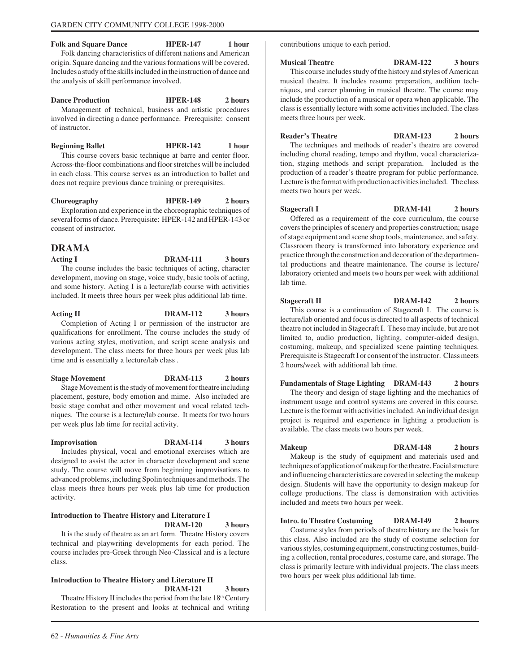Folk and Square Dance **HPER-147** 1 hour

Folk dancing characteristics of different nations and American origin. Square dancing and the various formations will be covered. Includes a study of the skills included in the instruction of dance and the analysis of skill performance involved.

**Dance Production HPER-148** 2 hours Management of technical, business and artistic procedures involved in directing a dance performance. Prerequisite: consent of instructor.

**Beginning Ballet HPER-142** 1 hour This course covers basic technique at barre and center floor. Across-the-floor combinations and floor stretches will be included in each class. This course serves as an introduction to ballet and does not require previous dance training or prerequisites.

**Choreography HPER-149 2 hours** Exploration and experience in the choreographic techniques of several forms of dance. Prerequisite: HPER-142 and HPER-143 or consent of instructor.

# **DRAMA**

Acting I DRAM-111 3 hours The course includes the basic techniques of acting, character development, moving on stage, voice study, basic tools of acting, and some history. Acting I is a lecture/lab course with activities included. It meets three hours per week plus additional lab time.

Acting II DRAM-112 3 hours Completion of Acting I or permission of the instructor are qualifications for enrollment. The course includes the study of various acting styles, motivation, and script scene analysis and development. The class meets for three hours per week plus lab time and is essentially a lecture/lab class .

**Stage Movement DRAM-113 2 hours** Stage Movement is the study of movement for theatre including placement, gesture, body emotion and mime. Also included are basic stage combat and other movement and vocal related techniques. The course is a lecture/lab course. It meets for two hours per week plus lab time for recital activity.

**Improvisation DRAM-114 3 hours** Includes physical, vocal and emotional exercises which are

designed to assist the actor in character development and scene study. The course will move from beginning improvisations to advanced problems, including Spolin techniques and methods. The class meets three hours per week plus lab time for production activity.

# **Introduction to Theatre History and Literature I DRAM-120 3 hours**

It is the study of theatre as an art form. Theatre History covers technical and playwriting developments for each period. The course includes pre-Greek through Neo-Classical and is a lecture class.

# **Introduction to Theatre History and Literature II DRAM-121 3 hours**

Theatre History II includes the period from the late  $18<sup>th</sup>$  Century Restoration to the present and looks at technical and writing contributions unique to each period.

**Musical Theatre DRAM-122 3 hours** This course includes study of the history and styles of American musical theatre. It includes resume preparation, audition techniques, and career planning in musical theatre. The course may include the production of a musical or opera when applicable. The class is essentially lecture with some activities included. The class meets three hours per week.

**Reader's Theatre DRAM-123 2 hours** The techniques and methods of reader's theatre are covered including choral reading, tempo and rhythm, vocal characterization, staging methods and script preparation. Included is the production of a reader's theatre program for public performance. Lecture is the format with production activities included. The class meets two hours per week.

**Stagecraft I DRAM-141 2 hours** Offered as a requirement of the core curriculum, the course covers the principles of scenery and properties construction; usage of stage equipment and scene shop tools, maintenance, and safety. Classroom theory is transformed into laboratory experience and practice through the construction and decoration of the departmental productions and theatre maintenance. The course is lecture/ laboratory oriented and meets two hours per week with additional lab time.

**Stagecraft II** DRAM-142 2 hours This course is a continuation of Stagecraft I. The course is lecture/lab oriented and focus is directed to all aspects of technical theatre not included in Stagecraft I. These may include, but are not limited to, audio production, lighting, computer-aided design, costuming, makeup, and specialized scene painting techniques. Prerequisite is Stagecraft I or consent of the instructor. Class meets 2 hours/week with additional lab time.

**Fundamentals of Stage Lighting DRAM-143 2 hours** The theory and design of stage lighting and the mechanics of

instrument usage and control systems are covered in this course. Lecture is the format with activities included. An individual design project is required and experience in lighting a production is available. The class meets two hours per week.

**Makeup DRAM-148 2 hours** Makeup is the study of equipment and materials used and techniques of application of makeup for the theatre. Facial structure and influencing characteristics are covered in selecting the makeup design. Students will have the opportunity to design makeup for college productions. The class is demonstration with activities included and meets two hours per week.

**Intro. to Theatre Costuming DRAM-149 2 hours** Costume styles from periods of theatre history are the basis for this class. Also included are the study of costume selection for various styles, costuming equipment, constructing costumes, building a collection, rental procedures, costume care, and storage. The class is primarily lecture with individual projects. The class meets two hours per week plus additional lab time.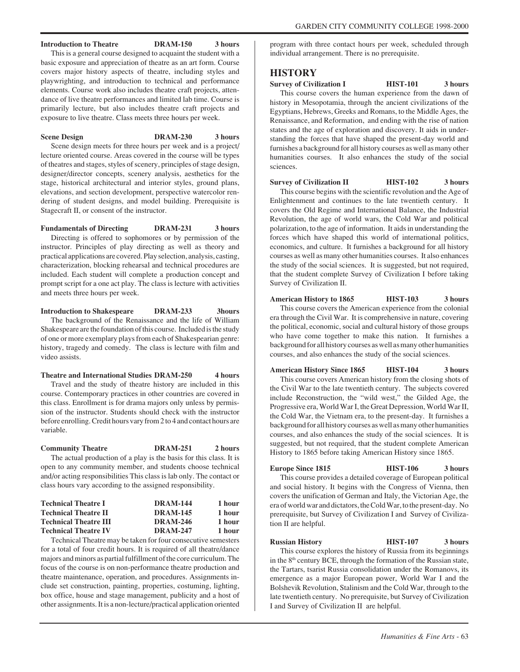# **Introduction to Theatre DRAM-150 3 hours**

This is a general course designed to acquaint the student with a basic exposure and appreciation of theatre as an art form. Course covers major history aspects of theatre, including styles and playwrighting, and introduction to technical and performance elements. Course work also includes theatre craft projects, attendance of live theatre performances and limited lab time. Course is primarily lecture, but also includes theatre craft projects and exposure to live theatre. Class meets three hours per week.

## **Scene Design DRAM-230 3 hours**

Scene design meets for three hours per week and is a project/ lecture oriented course. Areas covered in the course will be types of theatres and stages, styles of scenery, principles of stage design, designer/director concepts, scenery analysis, aesthetics for the stage, historical architectural and interior styles, ground plans, elevations, and section development, perspective watercolor rendering of student designs, and model building. Prerequisite is Stagecraft II, or consent of the instructor.

# **Fundamentals of Directing DRAM-231 3 hours**

Directing is offered to sophomores or by permission of the instructor. Principles of play directing as well as theory and practical applications are covered. Play selection, analysis, casting, characterization, blocking rehearsal and technical procedures are included. Each student will complete a production concept and prompt script for a one act play. The class is lecture with activities and meets three hours per week.

**Introduction to Shakespeare DRAM-233 3hours** The background of the Renaissance and the life of William Shakespeare are the foundation of this course. Included is the study of one or more exemplary plays from each of Shakespearian genre: history, tragedy and comedy. The class is lecture with film and video assists.

## **Theatre and International Studies DRAM-250 4 hours**

Travel and the study of theatre history are included in this course. Contemporary practices in other countries are covered in this class. Enrollment is for drama majors only unless by permission of the instructor. Students should check with the instructor before enrolling. Credit hours vary from 2 to 4 and contact hours are variable.

## **Community Theatre DRAM-251 2 hours**

The actual production of a play is the basis for this class. It is open to any community member, and students choose technical and/or acting responsibilities This class is lab only. The contact or class hours vary according to the assigned responsibility.

| <b>DRAM-144</b> | 1 hour |
|-----------------|--------|
| <b>DRAM-145</b> | 1 hour |
| <b>DRAM-246</b> | 1 hour |
| <b>DRAM-247</b> | 1 hour |
|                 |        |

Technical Theatre may be taken for four consecutive semesters for a total of four credit hours. It is required of all theatre/dance majors and minors as partial fulfillment of the core curriculum. The focus of the course is on non-performance theatre production and theatre maintenance, operation, and procedures. Assignments include set construction, painting, properties, costuming, lighting, box office, house and stage management, publicity and a host of other assignments. It is a non-lecture/practical application oriented program with three contact hours per week, scheduled through individual arrangement. There is no prerequisite.

# **HISTORY**

**Survey of Civilization I HIST-101** 3 hours This course covers the human experience from the dawn of

history in Mesopotamia, through the ancient civilizations of the Egyptians, Hebrews, Greeks and Romans, to the Middle Ages, the Renaissance, and Reformation, and ending with the rise of nation states and the age of exploration and discovery. It aids in understanding the forces that have shaped the present-day world and furnishes a background for all history courses as well as many other humanities courses. It also enhances the study of the social sciences.

**Survey of Civilization II HIST-102** 3 hours This course begins with the scientific revolution and the Age of Enlightenment and continues to the late twentieth century. It covers the Old Regime and International Balance, the Industrial Revolution, the age of world wars, the Cold War and political polarization, to the age of information. It aids in understanding the forces which have shaped this world of international politics, economics, and culture. It furnishes a background for all history courses as well as many other humanities courses. It also enhances the study of the social sciences. It is suggested, but not required, that the student complete Survey of Civilization I before taking Survey of Civilization II.

# **American History to 1865 HIST-103 3 hours**

This course covers the American experience from the colonial era through the Civil War. It is comprehensive in nature, covering the political, economic, social and cultural history of those groups who have come together to make this nation. It furnishes a background for all history courses as well as many other humanities courses, and also enhances the study of the social sciences.

**American History Since 1865 HIST-104 3 hours** This course covers American history from the closing shots of the Civil War to the late twentieth century. The subjects covered include Reconstruction, the "wild west," the Gilded Age, the Progressive era, World War I, the Great Depression, World War II, the Cold War, the Vietnam era, to the present-day. It furnishes a background for all history courses as well as many other humanities courses, and also enhances the study of the social sciences. It is suggested, but not required, that the student complete American History to 1865 before taking American History since 1865.

# **Europe Since 1815 HIST-106** 3 hours

This course provides a detailed coverage of European political and social history. It begins with the Congress of Vienna, then covers the unification of German and Italy, the Victorian Age, the era of world war and dictators, the Cold War, to the present-day. No prerequisite, but Survey of Civilization I and Survey of Civilization II are helpful.

# **Russian History HIST-107 3 hours**

This course explores the history of Russia from its beginnings in the 8th century BCE, through the formation of the Russian state, the Tartars, tsarist Russia consolidation under the Romanovs, its emergence as a major European power, World War I and the Bolshevik Revolution, Stalinism and the Cold War, through to the late twentieth century. No prerequisite, but Survey of Civilization I and Survey of Civilization II are helpful.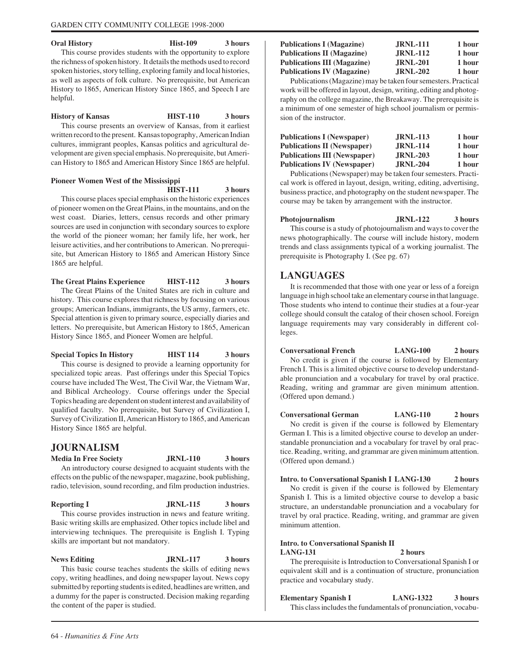#### **Oral History Hist-109** 3 hours

This course provides students with the opportunity to explore the richness of spoken history. It details the methods used to record spoken histories, story telling, exploring family and local histories, as well as aspects of folk culture. No prerequisite, but American History to 1865, American History Since 1865, and Speech I are helpful.

# **History of Kansas HIST-110 3 hours**

This course presents an overview of Kansas, from it earliest written record to the present. Kansas topography, American Indian cultures, immigrant peoples, Kansas politics and agricultural development are given special emphasis. No prerequisite, but American History to 1865 and American History Since 1865 are helpful.

#### **Pioneer Women West of the Mississippi HIST-111 3 hours**

This course places special emphasis on the historic experiences of pioneer women on the Great Plains, in the mountains, and on the west coast. Diaries, letters, census records and other primary sources are used in conjunction with secondary sources to explore the world of the pioneer woman; her family life, her work, her leisure activities, and her contributions to American. No prerequisite, but American History to 1865 and American History Since 1865 are helpful.

**The Great Plains Experience HIST-112 3 hours** The Great Plains of the United States are rich in culture and history. This course explores that richness by focusing on various groups; American Indians, immigrants, the US army, farmers, etc. Special attention is given to primary source, especially diaries and letters. No prerequisite, but American History to 1865, American History Since 1865, and Pioneer Women are helpful.

**Special Topics In History HIST 114 3 hours** This course is designed to provide a learning opportunity for specialized topic areas. Past offerings under this Special Topics course have included The West, The Civil War, the Vietnam War, and Biblical Archeology. Course offerings under the Special Topics heading are dependent on student interest and availability of qualified faculty. No prerequisite, but Survey of Civilization I, Survey of Civilization II, American History to 1865, and American History Since 1865 are helpful.

# **JOURNALISM**

**Media In Free Society JRNL-110 3 hours**

An introductory course designed to acquaint students with the effects on the public of the newspaper, magazine, book publishing, radio, television, sound recording, and film production industries.

**Reporting I** JRNL-115 3 hours

This course provides instruction in news and feature writing. Basic writing skills are emphasized. Other topics include libel and interviewing techniques. The prerequisite is English I. Typing skills are important but not mandatory.

# **News Editing JRNL-117 3 hours**

This basic course teaches students the skills of editing news copy, writing headlines, and doing newspaper layout. News copy submitted by reporting students is edited, headlines are written, and a dummy for the paper is constructed. Decision making regarding the content of the paper is studied.

# Publications I (Magazine) **JRNL-111** 1 hour Publications II (Magazine) **JRNL-112** 1 hour Publications III (Magazine) JRNL-201 1 hour **Publications IV (Magazine) JRNL-202 1 hour**

Publications (Magazine) may be taken four semesters. Practical work will be offered in layout, design, writing, editing and photography on the college magazine, the Breakaway. The prerequisite is a minimum of one semester of high school journalism or permission of the instructor.

| <b>Publications I (Newspaper)</b>   | <b>JRNL-113</b> | 1 hour |
|-------------------------------------|-----------------|--------|
| <b>Publications II (Newspaper)</b>  | <b>JRNL-114</b> | 1 hour |
| <b>Publications III (Newspaper)</b> | <b>JRNL-203</b> | 1 hour |
| <b>Publications IV (Newspaper)</b>  | <b>JRNL-204</b> | 1 hour |

Publications (Newspaper) may be taken four semesters. Practical work is offered in layout, design, writing, editing, advertising, business practice, and photography on the student newspaper. The course may be taken by arrangement with the instructor.

**Photojournalism JRNL-122 3 hours** This course is a study of photojournalism and ways to cover the news photographically. The course will include history, modern trends and class assignments typical of a working journalist. The prerequisite is Photography I. (See pg. 67)

# **LANGUAGES**

It is recommended that those with one year or less of a foreign language in high school take an elementary course in that language. Those students who intend to continue their studies at a four-year college should consult the catalog of their chosen school. Foreign language requirements may vary considerably in different colleges.

**Conversational French LANG-100 2 hours** No credit is given if the course is followed by Elementary French I. This is a limited objective course to develop understandable pronunciation and a vocabulary for travel by oral practice. Reading, writing and grammar are given minimum attention. (Offered upon demand.)

**Conversational German LANG-110 2 hours** No credit is given if the course is followed by Elementary German I. This is a limited objective course to develop an understandable pronunciation and a vocabulary for travel by oral practice. Reading, writing, and grammar are given minimum attention. (Offered upon demand.)

**Intro. to Conversational Spanish I LANG-130 2 hours** No credit is given if the course is followed by Elementary Spanish I. This is a limited objective course to develop a basic structure, an understandable pronunciation and a vocabulary for travel by oral practice. Reading, writing, and grammar are given minimum attention.

# **Intro. to Conversational Spanish II LANG-131 2 hours**

The prerequisite is Introduction to Conversational Spanish I or equivalent skill and is a continuation of structure, pronunciation practice and vocabulary study.

**Elementary Spanish I LANG-1322 3 hours** This class includes the fundamentals of pronunciation, vocabu-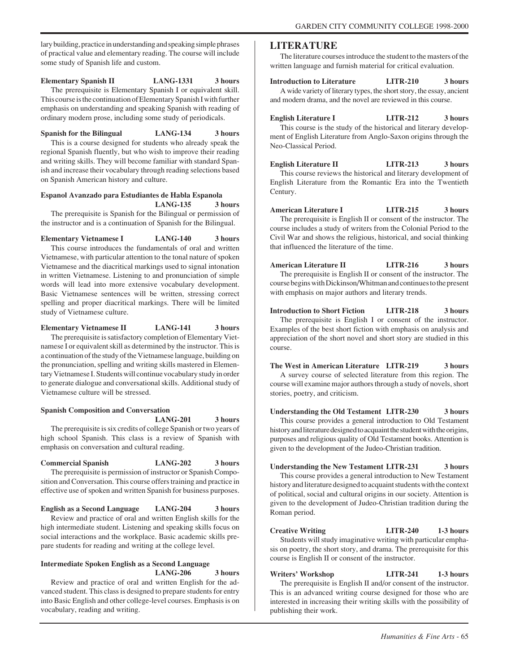lary building, practice in understanding and speaking simple phrases of practical value and elementary reading. The course will include some study of Spanish life and custom.

**Elementary Spanish II LANG-1331 3 hours**

The prerequisite is Elementary Spanish I or equivalent skill. This course is the continuation of Elementary Spanish I with further emphasis on understanding and speaking Spanish with reading of ordinary modern prose, including some study of periodicals.

**Spanish for the Bilingual LANG-134 3 hours**

This is a course designed for students who already speak the regional Spanish fluently, but who wish to improve their reading and writing skills. They will become familiar with standard Spanish and increase their vocabulary through reading selections based on Spanish American history and culture.

# **Espanol Avanzado para Estudiantes de Habla Espanola LANG-135 3 hours**

The prerequisite is Spanish for the Bilingual or permission of the instructor and is a continuation of Spanish for the Bilingual.

**Elementary Vietnamese I LANG-140 3 hours**

This course introduces the fundamentals of oral and written Vietnamese, with particular attention to the tonal nature of spoken Vietnamese and the diacritical markings used to signal intonation in written Vietnamese. Listening to and pronunciation of simple words will lead into more extensive vocabulary development. Basic Vietnamese sentences will be written, stressing correct spelling and proper diacritical markings. There will be limited study of Vietnamese culture.

**Elementary Vietnamese II LANG-141 3 hours**

The prerequisite is satisfactory completion of Elementary Vietnamese I or equivalent skill as determined by the instructor. This is a continuation of the study of the Vietnamese language, building on the pronunciation, spelling and writing skills mastered in Elementary Vietnamese I. Students will continue vocabulary study in order to generate dialogue and conversational skills. Additional study of Vietnamese culture will be stressed.

# **Spanish Composition and Conversation**

**LANG-201 3 hours**

The prerequisite is six credits of college Spanish or two years of high school Spanish. This class is a review of Spanish with emphasis on conversation and cultural reading.

#### **Commercial Spanish LANG-202 3 hours**

The prerequisite is permission of instructor or Spanish Composition and Conversation. This course offers training and practice in effective use of spoken and written Spanish for business purposes.

**English as a Second Language LANG-204 3 hours** Review and practice of oral and written English skills for the high intermediate student. Listening and speaking skills focus on social interactions and the workplace. Basic academic skills prepare students for reading and writing at the college level.

# **Intermediate Spoken English as a Second Language LANG-206 3 hours**

Review and practice of oral and written English for the advanced student. This class is designed to prepare students for entry into Basic English and other college-level courses. Emphasis is on vocabulary, reading and writing.

# **LITERATURE**

The literature courses introduce the student to the masters of the written language and furnish material for critical evaluation.

# **Introduction to Literature LITR-210 3 hours**

A wide variety of literary types, the short story, the essay, ancient and modern drama, and the novel are reviewed in this course.

**English Literature I LITR-212 3 hours**

This course is the study of the historical and literary development of English Literature from Anglo-Saxon origins through the Neo-Classical Period.

**English Literature II LITR-213 3 hours** This course reviews the historical and literary development of English Literature from the Romantic Era into the Twentieth Century.

**American Literature I LITR-215 3 hours** The prerequisite is English II or consent of the instructor. The course includes a study of writers from the Colonial Period to the Civil War and shows the religious, historical, and social thinking that influenced the literature of the time.

**American Literature II LITR-216 3 hours** The prerequisite is English II or consent of the instructor. The course begins with Dickinson/Whitman and continues to the present with emphasis on major authors and literary trends.

**Introduction to Short Fiction LITR-218 3 hours** The prerequisite is English I or consent of the instructor. Examples of the best short fiction with emphasis on analysis and appreciation of the short novel and short story are studied in this course.

**The West in American Literature LITR-219 3 hours** A survey course of selected literature from this region. The course will examine major authors through a study of novels, short stories, poetry, and criticism.

**Understanding the Old Testament LITR-230 3 hours** This course provides a general introduction to Old Testament history and literature designed to acquaint the student with the origins, purposes and religious quality of Old Testament books. Attention is given to the development of the Judeo-Christian tradition.

## **Understanding the New Testament LITR-231 3 hours**

This course provides a general introduction to New Testament history and literature designed to acquaint students with the context of political, social and cultural origins in our society. Attention is given to the development of Judeo-Christian tradition during the Roman period.

# **Creative Writing LITR-240 1-3 hours**

Students will study imaginative writing with particular emphasis on poetry, the short story, and drama. The prerequisite for this course is English II or consent of the instructor.

**Writers' Workshop LITR-241 1-3 hours**

The prerequisite is English II and/or consent of the instructor. This is an advanced writing course designed for those who are interested in increasing their writing skills with the possibility of publishing their work.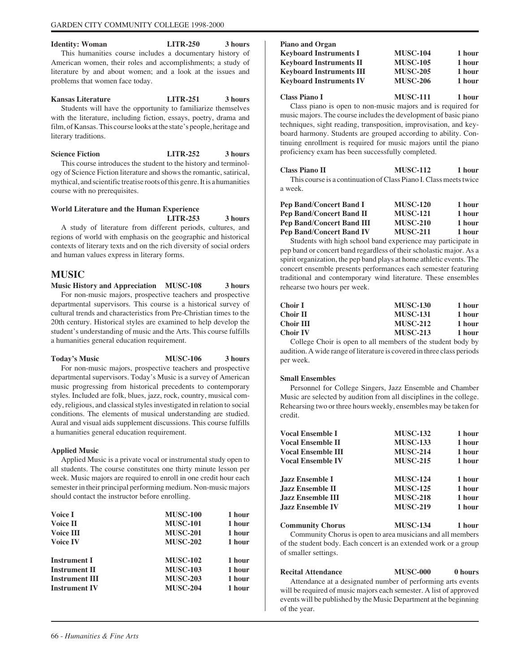| <b>Identity: Woman</b>                                      | <b>LITR-250</b> | 3 hours |
|-------------------------------------------------------------|-----------------|---------|
| This humanities course includes a documentary history of    |                 |         |
| American women, their roles and accomplishments; a study of |                 |         |
| literature by and about women; and a look at the issues and |                 |         |
| problems that women face today.                             |                 |         |

**Kansas Literature LITR-251 3 hours** Students will have the opportunity to familiarize themselves with the literature, including fiction, essays, poetry, drama and film, of Kansas. This course looks at the state's people, heritage and literary traditions.

**Science Fiction LITR-252** 3 hours This course introduces the student to the history and terminology of Science Fiction literature and shows the romantic, satirical, mythical, and scientific treatise roots of this genre. It is a humanities

# **World Literature and the Human Experience LITR-253 3 hours**

A study of literature from different periods, cultures, and regions of world with emphasis on the geographic and historical contexts of literary texts and on the rich diversity of social orders and human values express in literary forms.

# **MUSIC**

course with no prerequisites.

**Music History and Appreciation MUSC-108 3 hours**

For non-music majors, prospective teachers and prospective departmental supervisors. This course is a historical survey of cultural trends and characteristics from Pre-Christian times to the 20th century. Historical styles are examined to help develop the student's understanding of music and the Arts. This course fulfills a humanities general education requirement.

| <b>Today's Music</b> | <b>MUSC-106</b> | 3 hours |
|----------------------|-----------------|---------|
|                      |                 |         |

For non-music majors, prospective teachers and prospective departmental supervisors. Today's Music is a survey of American music progressing from historical precedents to contemporary styles. Included are folk, blues, jazz, rock, country, musical comedy, religious, and classical styles investigated in relation to social conditions. The elements of musical understanding are studied. Aural and visual aids supplement discussions. This course fulfills a humanities general education requirement.

# **Applied Music**

Applied Music is a private vocal or instrumental study open to all students. The course constitutes one thirty minute lesson per week. Music majors are required to enroll in one credit hour each semester in their principal performing medium. Non-music majors should contact the instructor before enrolling.

| Voice I               | <b>MUSC-100</b> | 1 hour |
|-----------------------|-----------------|--------|
| Voice II              | <b>MUSC-101</b> | 1 hour |
| Voice III             | <b>MUSC-201</b> | 1 hour |
| <b>Voice IV</b>       | <b>MUSC-202</b> | 1 hour |
| <b>Instrument I</b>   | <b>MUSC-102</b> | 1 hour |
| <b>Instrument II</b>  | <b>MUSC-103</b> | 1 hour |
| <b>Instrument III</b> | <b>MUSC-203</b> | 1 hour |
| <b>Instrument IV</b>  | <b>MUSC-204</b> | 1 hour |
|                       |                 |        |

| <b>Piano and Organ</b>                                            |                 |        |
|-------------------------------------------------------------------|-----------------|--------|
| <b>Keyboard Instruments I</b>                                     | <b>MUSC-104</b> | 1 hour |
| <b>Keyboard Instruments II</b>                                    | <b>MUSC-105</b> | 1 hour |
| <b>Keyboard Instruments III</b>                                   | <b>MUSC-205</b> | 1 hour |
| <b>Keyboard Instruments IV</b>                                    | <b>MUSC-206</b> | 1 hour |
| Class Piano I                                                     | <b>MUSC-111</b> | 1 hour |
| Class piano is open to non-music majors and is required for       |                 |        |
| music majors. The course includes the development of basic piano  |                 |        |
| techniques, sight reading, transposition, improvisation, and key- |                 |        |
| board harmony. Students are grouped according to ability. Con-    |                 |        |
| tinuing enrollment is required for music majors until the piano   |                 |        |
| proficiency exam has been successfully completed.                 |                 |        |
|                                                                   |                 |        |

| <b>Class Piano II</b> | MUSC-112 1 hour                                                   |  |
|-----------------------|-------------------------------------------------------------------|--|
|                       | This course is a continuation of Class Piano I. Class meets twice |  |
| a week.               |                                                                   |  |
|                       |                                                                   |  |

| <b>MUSC-120</b> | 1 hour |
|-----------------|--------|
| <b>MUSC-121</b> | 1 hour |
| <b>MUSC-210</b> | 1 hour |
| <b>MUSC-211</b> | 1 hour |
|                 |        |

Students with high school band experience may participate in pep band or concert band regardless of their scholastic major. As a spirit organization, the pep band plays at home athletic events. The concert ensemble presents performances each semester featuring traditional and contemporary wind literature. These ensembles rehearse two hours per week.

| Choir I   | <b>MUSC-130</b> | 1 hour |
|-----------|-----------------|--------|
| Choir II  | <b>MUSC-131</b> | 1 hour |
| Choir III | <b>MUSC-212</b> | 1 hour |
| Choir IV  | <b>MUSC-213</b> | 1 hour |

College Choir is open to all members of the student body by audition. A wide range of literature is covered in three class periods per week.

# **Small Ensembles**

Personnel for College Singers, Jazz Ensemble and Chamber Music are selected by audition from all disciplines in the college. Rehearsing two or three hours weekly, ensembles may be taken for credit.

| <b>Vocal Ensemble I</b>   | <b>MUSC-132</b> | 1 hour |
|---------------------------|-----------------|--------|
| <b>Vocal Ensemble II</b>  | <b>MUSC-133</b> | 1 hour |
| <b>Vocal Ensemble III</b> | <b>MUSC-214</b> | 1 hour |
| <b>Vocal Ensemble IV</b>  | <b>MUSC-215</b> | 1 hour |
| <b>Jazz Ensemble I</b>    | <b>MUSC-124</b> | 1 hour |
| <b>Jazz Ensemble II</b>   | <b>MUSC-125</b> | 1 hour |
| <b>Jazz Ensemble III</b>  | <b>MUSC-218</b> | 1 hour |
| <b>Jazz Ensemble IV</b>   | <b>MUSC-219</b> | 1 hour |
| <b>Community Chorus</b>   | <b>MUSC-134</b> | 1 hour |

Community Chorus is open to area musicians and all members of the student body. Each concert is an extended work or a group of smaller settings.

**Recital Attendance MUSC-000** 0 hours Attendance at a designated number of performing arts events will be required of music majors each semester. A list of approved events will be published by the Music Department at the beginning of the year.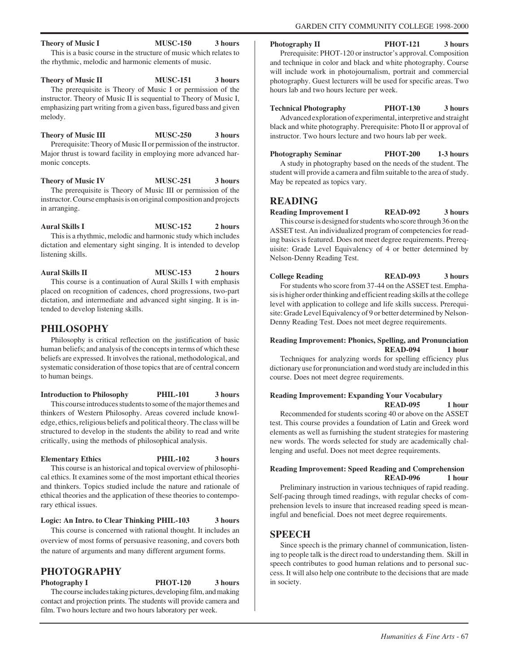# **Theory of Music I** MUSC-150 3 hours

This is a basic course in the structure of music which relates to the rhythmic, melodic and harmonic elements of music.

**Theory of Music II** MUSC-151 3 hours The prerequisite is Theory of Music I or permission of the instructor. Theory of Music II is sequential to Theory of Music I, emphasizing part writing from a given bass, figured bass and given melody.

**Theory of Music III MUSC-250 3 hours** Prerequisite: Theory of Music II or permission of the instructor. Major thrust is toward facility in employing more advanced harmonic concepts.

**Theory of Music IV MUSC-251** 3 hours The prerequisite is Theory of Music III or permission of the instructor. Course emphasis is on original composition and projects in arranging.

**Aural Skills I MUSC-152 2 hours** This is a rhythmic, melodic and harmonic study which includes dictation and elementary sight singing. It is intended to develop listening skills.

**Aural Skills II MUSC-153 2 hours** This course is a continuation of Aural Skills I with emphasis placed on recognition of cadences, chord progressions, two-part dictation, and intermediate and advanced sight singing. It is intended to develop listening skills.

# **PHILOSOPHY**

Philosophy is critical reflection on the justification of basic human beliefs; and analysis of the concepts in terms of which these beliefs are expressed. It involves the rational, methodological, and systematic consideration of those topics that are of central concern to human beings.

**Introduction to Philosophy PHIL-101 3 hours** This course introduces students to some of the major themes and thinkers of Western Philosophy. Areas covered include knowledge, ethics, religious beliefs and political theory. The class will be structured to develop in the students the ability to read and write critically, using the methods of philosophical analysis.

# **Elementary Ethics PHIL-102 3 hours**

This course is an historical and topical overview of philosophical ethics. It examines some of the most important ethical theories and thinkers. Topics studied include the nature and rationale of ethical theories and the application of these theories to contemporary ethical issues.

# **Logic: An Intro. to Clear Thinking PHIL-103 3 hours**

This course is concerned with rational thought. It includes an overview of most forms of persuasive reasoning, and covers both the nature of arguments and many different argument forms.

# **PHOTOGRAPHY**

Photography I PHOT-120 3 hours

The course includes taking pictures, developing film, and making contact and projection prints. The students will provide camera and film. Two hours lecture and two hours laboratory per week.

Photography II PHOT-121 3 hours

Prerequisite: PHOT-120 or instructor's approval. Composition and technique in color and black and white photography. Course will include work in photojournalism, portrait and commercial photography. Guest lecturers will be used for specific areas. Two hours lab and two hours lecture per week.

# **Technical Photography PHOT-130 3 hours**

Advanced exploration of experimental, interpretive and straight black and white photography. Prerequisite: Photo II or approval of instructor. Two hours lecture and two hours lab per week.

**Photography Seminar PHOT-200 1-3 hours** A study in photography based on the needs of the student. The student will provide a camera and film suitable to the area of study. May be repeated as topics vary.

# **READING**

**Reading Improvement I READ-092 3 hours** This course is designed for students who score through 36 on the ASSET test. An individualized program of competencies for reading basics is featured. Does not meet degree requirements. Prerequisite: Grade Level Equivalency of 4 or better determined by Nelson-Denny Reading Test.

**College Reading READ-093 3 hours** For students who score from 37-44 on the ASSET test. Emphasis is higher order thinking and efficient reading skills at the college level with application to college and life skills success. Prerequisite: Grade Level Equivalency of 9 or better determined by Nelson-Denny Reading Test. Does not meet degree requirements.

# **Reading Improvement: Phonics, Spelling, and Pronunciation READ-094 1 hour**

Techniques for analyzing words for spelling efficiency plus dictionary use for pronunciation and word study are included in this course. Does not meet degree requirements.

# **Reading Improvement: Expanding Your Vocabulary READ-095 1 hour**

Recommended for students scoring 40 or above on the ASSET test. This course provides a foundation of Latin and Greek word elements as well as furnishing the student strategies for mastering new words. The words selected for study are academically challenging and useful. Does not meet degree requirements.

# **Reading Improvement: Speed Reading and Comprehension READ-096 1 hour**

Preliminary instruction in various techniques of rapid reading. Self-pacing through timed readings, with regular checks of comprehension levels to insure that increased reading speed is meaningful and beneficial. Does not meet degree requirements.

# **SPEECH**

Since speech is the primary channel of communication, listening to people talk is the direct road to understanding them. Skill in speech contributes to good human relations and to personal success. It will also help one contribute to the decisions that are made in society.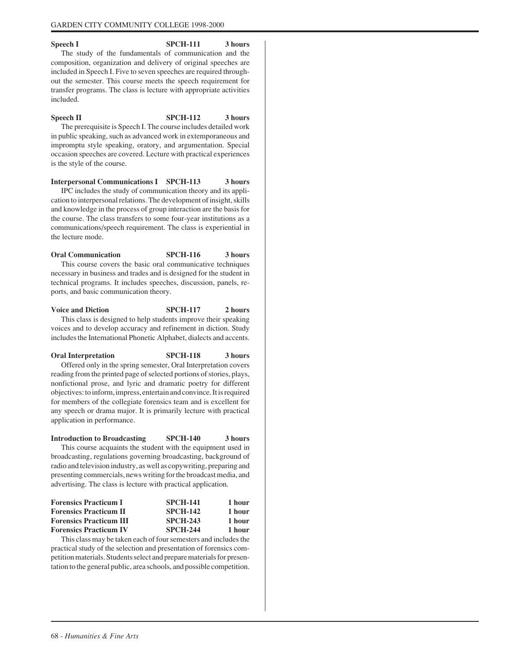Speech I SPCH-111 3 hours The study of the fundamentals of communication and the composition, organization and delivery of original speeches are included in Speech I. Five to seven speeches are required throughout the semester. This course meets the speech requirement for transfer programs. The class is lecture with appropriate activities included.

# Speech II SPCH-112 3 hours The prerequisite is Speech I. The course includes detailed work in public speaking, such as advanced work in extemporaneous and

impromptu style speaking, oratory, and argumentation. Special occasion speeches are covered. Lecture with practical experiences is the style of the course.

**Interpersonal Communications I SPCH-113 3 hours** IPC includes the study of communication theory and its application to interpersonal relations. The development of insight, skills and knowledge in the process of group interaction are the basis for the course. The class transfers to some four-year institutions as a communications/speech requirement. The class is experiential in the lecture mode.

**Oral Communication SPCH-116 3 hours** This course covers the basic oral communicative techniques necessary in business and trades and is designed for the student in technical programs. It includes speeches, discussion, panels, reports, and basic communication theory.

**Voice and Diction** SPCH-117 2 hours This class is designed to help students improve their speaking voices and to develop accuracy and refinement in diction. Study includes the International Phonetic Alphabet, dialects and accents.

**Oral Interpretation SPCH-118 3 hours** Offered only in the spring semester, Oral Interpretation covers

reading from the printed page of selected portions of stories, plays, nonfictional prose, and lyric and dramatic poetry for different objectives: to inform, impress, entertain and convince. It is required for members of the collegiate forensics team and is excellent for any speech or drama major. It is primarily lecture with practical application in performance.

**Introduction to Broadcasting SPCH-140 3 hours** This course acquaints the student with the equipment used in broadcasting, regulations governing broadcasting, background of radio and television industry, as well as copywriting, preparing and presenting commercials, news writing for the broadcast media, and advertising. The class is lecture with practical application.

| <b>SPCH-141</b> | 1 hour |
|-----------------|--------|
| <b>SPCH-142</b> | 1 hour |
| <b>SPCH-243</b> | 1 hour |
| <b>SPCH-244</b> | 1 hour |
|                 |        |

This class may be taken each of four semesters and includes the practical study of the selection and presentation of forensics competition materials. Students select and prepare materials for presentation to the general public, area schools, and possible competition.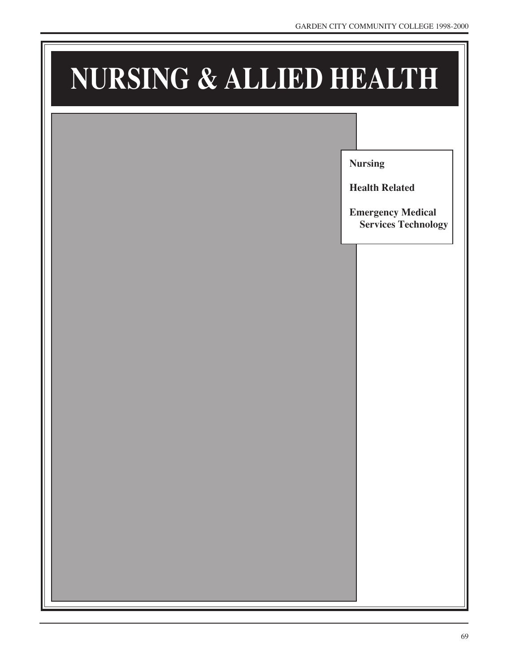# **NURSING & ALLIED HEALTH**

**Nursing**

**Health Related**

**Emergency Medical Services Technology**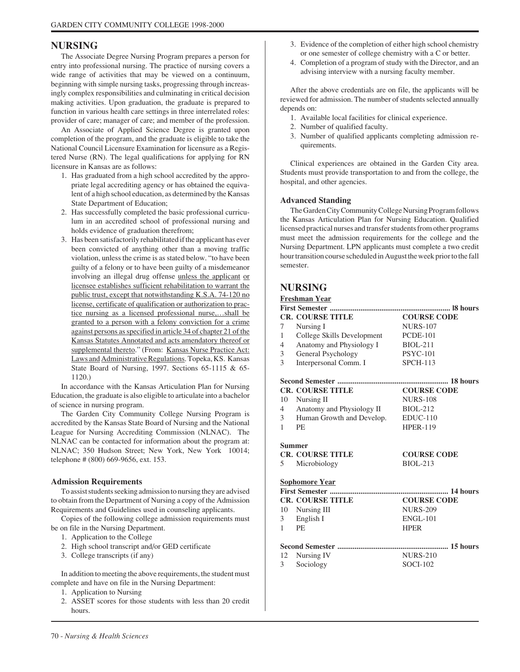# **NURSING**

The Associate Degree Nursing Program prepares a person for entry into professional nursing. The practice of nursing covers a wide range of activities that may be viewed on a continuum, beginning with simple nursing tasks, progressing through increasingly complex responsibilities and culminating in critical decision making activities. Upon graduation, the graduate is prepared to function in various health care settings in three interrelated roles: provider of care; manager of care; and member of the profession.

An Associate of Applied Science Degree is granted upon completion of the program, and the graduate is eligible to take the National Council Licensure Examination for licensure as a Registered Nurse (RN). The legal qualifications for applying for RN licensure in Kansas are as follows:

- 1. Has graduated from a high school accredited by the appropriate legal accrediting agency or has obtained the equivalent of a high school education, as determined by the Kansas State Department of Education;
- 2. Has successfully completed the basic professional curriculum in an accredited school of professional nursing and holds evidence of graduation therefrom;
- 3. Has been satisfactorily rehabilitated if the applicant has ever been convicted of anything other than a moving traffic violation, unless the crime is as stated below. "to have been guilty of a felony or to have been guilty of a misdemeanor involving an illegal drug offense unless the applicant or licensee establishes sufficient rehabilitation to warrant the public trust, except that notwithstanding K.S.A. 74-120 no license, certificate of qualification or authorization to practice nursing as a licensed professional nurse,…shall be granted to a person with a felony conviction for a crime against persons as specified in article 34 of chapter 21 of the Kansas Statutes Annotated and acts amendatory thereof or supplemental thereto." (From: Kansas Nurse Practice Act: Laws and Administrative Regulations. Topeka, KS. Kansas State Board of Nursing, 1997. Sections 65-1115 & 65- 1120.)

In accordance with the Kansas Articulation Plan for Nursing Education, the graduate is also eligible to articulate into a bachelor of science in nursing program.

The Garden City Community College Nursing Program is accredited by the Kansas State Board of Nursing and the National League for Nursing Accrediting Commission (NLNAC). The NLNAC can be contacted for information about the program at: NLNAC; 350 Hudson Street; New York, New York 10014; telephone # (800) 669-9656, ext. 153.

# **Admission Requirements**

To assist students seeking admission to nursing they are advised to obtain from the Department of Nursing a copy of the Admission Requirements and Guidelines used in counseling applicants.

Copies of the following college admission requirements must be on file in the Nursing Department.

- 1. Application to the College
- 2. High school transcript and/or GED certificate
- 3. College transcripts (if any)

In addition to meeting the above requirements, the student must complete and have on file in the Nursing Department:

- 1. Application to Nursing
- 2. ASSET scores for those students with less than 20 credit hours.
- 3. Evidence of the completion of either high school chemistry or one semester of college chemistry with a C or better.
- 4. Completion of a program of study with the Director, and an advising interview with a nursing faculty member.

After the above credentials are on file, the applicants will be reviewed for admission. The number of students selected annually depends on:

- 1. Available local facilities for clinical experience.
- 2. Number of qualified faculty.
- 3. Number of qualified applicants completing admission requirements.

Clinical experiences are obtained in the Garden City area. Students must provide transportation to and from the college, the hospital, and other agencies.

# **Advanced Standing**

The Garden City Community College Nursing Program follows the Kansas Articulation Plan for Nursing Education. Qualified licensed practical nurses and transfer students from other programs must meet the admission requirements for the college and the Nursing Department. LPN applicants must complete a two credit hour transition course scheduled in August the week prior to the fall semester.

# **NURSING**

# **Freshman Year**

| <b>CR. COURSE TITLE</b>    | <b>COURSE CODE</b>        |
|----------------------------|---------------------------|
| Nursing I                  | <b>NURS-107</b>           |
| College Skills Development | <b>PCDE-101</b>           |
| Anatomy and Physiology I   | <b>BIOL-211</b>           |
| General Psychology         | <b>PSYC-101</b>           |
| Interpersonal Comm. I      | <b>SPCH-113</b>           |
|                            |                           |
| <b>CR. COURSE TITLE</b>    | <b>COURSE CODE</b>        |
| Nursing II                 | <b>NURS-108</b>           |
|                            | <b>BIOL-212</b>           |
| Human Growth and Develop.  | $EDUC-110$                |
| <b>PE</b>                  | <b>HPER-119</b>           |
| <b>Summer</b>              |                           |
| <b>CR. COURSE TITLE</b>    | <b>COURSE CODE</b>        |
| Microbiology               | <b>BIOL-213</b>           |
| <b>Sophomore Year</b>      |                           |
|                            |                           |
| <b>CR. COURSE TITLE</b>    | <b>COURSE CODE</b>        |
| 10 Nursing III             | <b>NURS-209</b>           |
| English I                  | <b>ENGL-101</b>           |
| <b>PE</b>                  | <b>HPER</b>               |
|                            |                           |
| Nursing IV                 | <b>NURS-210</b>           |
| Sociology                  | <b>SOCI-102</b>           |
|                            | Anatomy and Physiology II |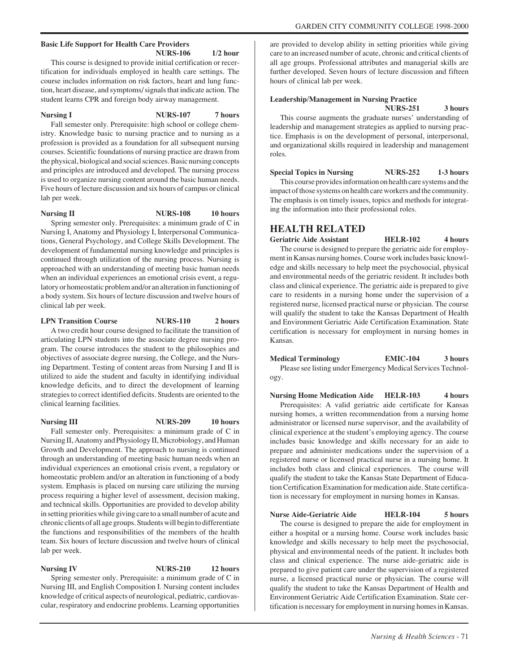#### **Basic Life Support for Health Care Providers NURS-106 1/2 hour**

This course is designed to provide initial certification or recertification for individuals employed in health care settings. The course includes information on risk factors, heart and lung function, heart disease, and symptoms/ signals that indicate action. The student learns CPR and foreign body airway management.

**Nursing I** NURS-107 7 hours

Fall semester only. Prerequisite: high school or college chemistry. Knowledge basic to nursing practice and to nursing as a profession is provided as a foundation for all subsequent nursing courses. Scientific foundations of nursing practice are drawn from the physical, biological and social sciences. Basic nursing concepts and principles are introduced and developed. The nursing process is used to organize nursing content around the basic human needs. Five hours of lecture discussion and six hours of campus or clinical lab per week.

**Nursing II** NURS-108 10 hours

Spring semester only. Prerequisites: a minimum grade of C in Nursing I, Anatomy and Physiology I, Interpersonal Communications, General Psychology, and College Skills Development. The development of fundamental nursing knowledge and principles is continued through utilization of the nursing process. Nursing is approached with an understanding of meeting basic human needs when an individual experiences an emotional crisis event, a regulatory or homeostatic problem and/or an alteration in functioning of a body system. Six hours of lecture discussion and twelve hours of clinical lab per week.

## **LPN Transition Course 5 10 NURS-110 2 hours**

A two credit hour course designed to facilitate the transition of articulating LPN students into the associate degree nursing program. The course introduces the student to the philosophies and

objectives of associate degree nursing, the College, and the Nursing Department. Testing of content areas from Nursing I and II is utilized to aide the student and faculty in identifying individual knowledge deficits, and to direct the development of learning strategies to correct identified deficits. Students are oriented to the clinical learning facilities.

## **Nursing III** NURS-209 10 hours

Fall semester only. Prerequisites: a minimum grade of C in Nursing II, Anatomy and Physiology II, Microbiology, and Human Growth and Development. The approach to nursing is continued through an understanding of meeting basic human needs when an individual experiences an emotional crisis event, a regulatory or homeostatic problem and/or an alteration in functioning of a body system. Emphasis is placed on nursing care utilizing the nursing process requiring a higher level of assessment, decision making, and technical skills. Opportunities are provided to develop ability in setting priorities while giving care to a small number of acute and chronic clients of all age groups. Students will begin to differentiate the functions and responsibilities of the members of the health team. Six hours of lecture discussion and twelve hours of clinical lab per week.

**NURS-210** 12 hours

Spring semester only. Prerequisite: a minimum grade of C in Nursing III, and English Composition I. Nursing content includes knowledge of critical aspects of neurological, pediatric, cardiovascular, respiratory and endocrine problems. Learning opportunities

are provided to develop ability in setting priorities while giving care to an increased number of acute, chronic and critical clients of all age groups. Professional attributes and managerial skills are further developed. Seven hours of lecture discussion and fifteen hours of clinical lab per week.

#### **Leadership/Management in Nursing Practice NURS-251 3 hours**

This course augments the graduate nurses' understanding of leadership and management strategies as applied to nursing practice. Emphasis is on the development of personal, interpersonal, and organizational skills required in leadership and management roles.

**Special Topics in Nursing NURS-252 1-3 hours** This course provides information on health care systems and the impact of those systems on health care workers and the community. The emphasis is on timely issues, topics and methods for integrating the information into their professional roles.

# **HEALTH RELATED**

**Geriatric Aide Assistant HELR-102 4 hours** The course is designed to prepare the geriatric aide for employment in Kansas nursing homes. Course work includes basic knowledge and skills necessary to help meet the psychosocial, physical and environmental needs of the geriatric resident. It includes both class and clinical experience. The geriatric aide is prepared to give care to residents in a nursing home under the supervision of a registered nurse, licensed practical nurse or physician. The course will qualify the student to take the Kansas Department of Health and Environment Geriatric Aide Certification Examination. State certification is necessary for employment in nursing homes in Kansas.

**Medical Terminology EMIC-104 3 hours** Please see listing under Emergency Medical Services Technology.

**Nursing Home Medication Aide HELR-103 4 hours** Prerequisites: A valid geriatric aide certificate for Kansas nursing homes, a written recommendation from a nursing home administrator or licensed nurse supervisor, and the availability of clinical experience at the student's employing agency. The course includes basic knowledge and skills necessary for an aide to prepare and administer medications under the supervision of a registered nurse or licensed practical nurse in a nursing home. It includes both class and clinical experiences. The course will qualify the student to take the Kansas State Department of Education Certification Examination for medication aide. State certification is necessary for employment in nursing homes in Kansas.

**Nurse Aide-Geriatric Aide HELR-104 5 hours** The course is designed to prepare the aide for employment in either a hospital or a nursing home. Course work includes basic knowledge and skills necessary to help meet the psychosocial, physical and environmental needs of the patient. It includes both class and clinical experience. The nurse aide-geriatric aide is prepared to give patient care under the supervision of a registered nurse, a licensed practical nurse or physician. The course will qualify the student to take the Kansas Department of Health and Environment Geriatric Aide Certification Examination. State certification is necessary for employment in nursing homes in Kansas.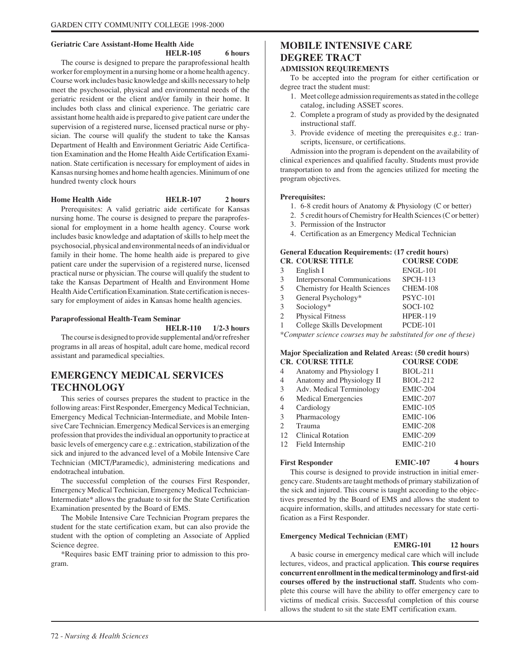# **Geriatric Care Assistant-Home Health Aide**

#### **HELR-105 6 hours**

The course is designed to prepare the paraprofessional health worker for employment in a nursing home or a home health agency. Course work includes basic knowledge and skills necessary to help meet the psychosocial, physical and environmental needs of the geriatric resident or the client and/or family in their home. It includes both class and clinical experience. The geriatric care assistant home health aide is prepared to give patient care under the supervision of a registered nurse, licensed practical nurse or physician. The course will qualify the student to take the Kansas Department of Health and Environment Geriatric Aide Certification Examination and the Home Health Aide Certification Examination. State certification is necessary for employment of aides in Kansas nursing homes and home health agencies. Minimum of one hundred twenty clock hours

# **Home Health Aide HELR-107 2 hours**

Prerequisites: A valid geriatric aide certificate for Kansas nursing home. The course is designed to prepare the paraprofessional for employment in a home health agency. Course work includes basic knowledge and adaptation of skills to help meet the psychosocial, physical and environmental needs of an individual or family in their home. The home health aide is prepared to give patient care under the supervision of a registered nurse, licensed practical nurse or physician. The course will qualify the student to take the Kansas Department of Health and Environment Home Health Aide Certification Examination. State certification is necessary for employment of aides in Kansas home health agencies.

#### **Paraprofessional Health-Team Seminar**

**HELR-110 1/2-3 hours**

The course is designed to provide supplemental and/or refresher programs in all areas of hospital, adult care home, medical record assistant and paramedical specialties.

# **EMERGENCY MEDICAL SERVICES TECHNOLOGY**

This series of courses prepares the student to practice in the following areas: First Responder, Emergency Medical Technician, Emergency Medical Technician-Intermediate, and Mobile Intensive Care Technician. Emergency Medical Services is an emerging profession that provides the individual an opportunity to practice at basic levels of emergency care e.g.: extrication, stabilization of the sick and injured to the advanced level of a Mobile Intensive Care Technician (MICT/Paramedic), administering medications and endotracheal intubation.

The successful completion of the courses First Responder, Emergency Medical Technician, Emergency Medical Technician-Intermediate\* allows the graduate to sit for the State Certification Examination presented by the Board of EMS.

The Mobile Intensive Care Technician Program prepares the student for the state certification exam, but can also provide the student with the option of completing an Associate of Applied Science degree.

\*Requires basic EMT training prior to admission to this program.

# **MOBILE INTENSIVE CARE DEGREE TRACT**

# **ADMISSION REQUIREMENTS**

To be accepted into the program for either certification or degree tract the student must:

- 1. Meet college admission requirements as stated in the college catalog, including ASSET scores.
- 2. Complete a program of study as provided by the designated instructional staff.
- 3. Provide evidence of meeting the prerequisites e.g.: transcripts, licensure, or certifications.

Admission into the program is dependent on the availability of clinical experiences and qualified faculty. Students must provide transportation to and from the agencies utilized for meeting the program objectives.

#### **Prerequisites:**

- 1. 6-8 credit hours of Anatomy & Physiology (C or better)
- 2. 5 credit hours of Chemistry for Health Sciences (C or better)
- 3. Permission of the Instructor
- 4. Certification as an Emergency Medical Technician

#### **General Education Requirements: (17 credit hours) CR. COURSE TITLE**

|               | ек, сооков птев               | COUNDD COD          |
|---------------|-------------------------------|---------------------|
| 3             | English I                     | <b>ENGL-101</b>     |
| $\mathcal{F}$ | Interpersonal Communications  | $SPCH-113$          |
| .5            | Chemistry for Health Sciences | CHEM-108            |
| 3             | General Psychology*           | <b>PSYC-101</b>     |
| 3             | Sociology*                    | $SOCI-102$          |
| 2             | <b>Physical Fitness</b>       | <b>HPER-119</b>     |
|               | College Skills Development    | <b>PCDE-101</b>     |
|               |                               | $1 \cdot 1 \cdot 1$ |

*\*Computer science courses may be substituted for one of these)*

#### **Major Specialization and Related Areas: (50 credit hours) CR. COURSE TITLE**

| 4              | Anatomy and Physiology I   | <b>BIOL-211</b> |
|----------------|----------------------------|-----------------|
| 4              | Anatomy and Physiology II  | <b>BIOL-212</b> |
| 3              | Adv. Medical Terminology   | EMIC-204        |
| 6              | <b>Medical Emergencies</b> | <b>EMIC-207</b> |
| 4              | Cardiology                 | <b>EMIC-105</b> |
| 3              | Pharmacology               | $EMIC-106$      |
| $\mathfrak{D}$ | Trauma                     | EMIC-208        |
| 12             | <b>Clinical Rotation</b>   | <b>EMIC-209</b> |
| 12             | Field Internship           | $EMIC-210$      |
|                |                            |                 |

#### **First Responder EMIC-107 4 hours**

This course is designed to provide instruction in initial emergency care. Students are taught methods of primary stabilization of the sick and injured. This course is taught according to the objectives presented by the Board of EMS and allows the student to acquire information, skills, and attitudes necessary for state certification as a First Responder.

## **Emergency Medical Technician (EMT)**

**EMRG-101 12 hours** A basic course in emergency medical care which will include lectures, videos, and practical application. **This course requires concurrent enrollment in the medical terminology and first-aid courses offered by the instructional staff.** Students who complete this course will have the ability to offer emergency care to victims of medical crisis. Successful completion of this course allows the student to sit the state EMT certification exam.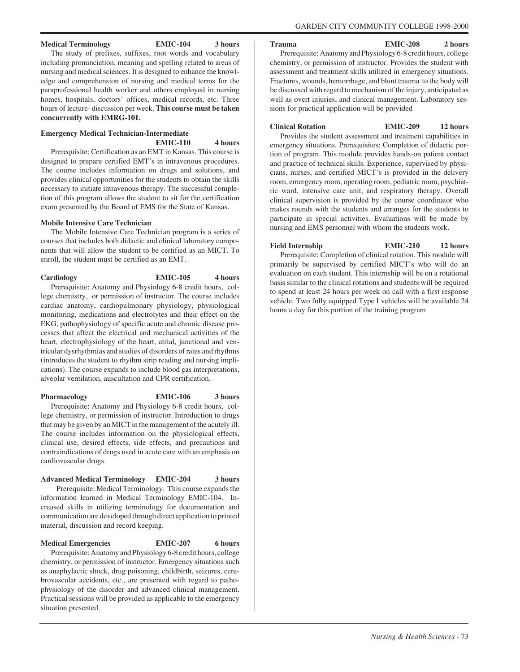# **Medical Terminology EMIC-104 3 hours**

#### **Trauma EMIC-208 2 hours**

The study of prefixes, suffixes, root words and vocabulary including pronunciation, meaning and spelling related to areas of nursing and medical sciences. It is designed to enhance the knowledge and comprehension of nursing and medical terms for the paraprofessional health worker and others employed in nursing homes, hospitals, doctors' offices, medical records, etc. Three hours of lecture- discussion per week. **This course must be taken concurrently with EMRG-101.**

# **Emergency Medical Technician-Intermediate EMIC-110 4 hours**

Prerequisite: Certification as an EMT in Kansas. This course is designed to prepare certified EMT's in intravenous procedures. The course includes information on drugs and solutions, and provides clinical opportunities for the students to obtain the skills necessary to initiate intravenous therapy. The successful completion of this program allows the student to sit for the certification exam presented by the Board of EMS for the State of Kansas.

# **Mobile Intensive Care Technician**

The Mobile Intensive Care Technician program is a series of courses that includes both didactic and clinical laboratory components that will allow the student to be certified as an MICT. To enroll, the student must be certified as an EMT.

**Cardiology EMIC-105 4 hours**

Prerequisite: Anatomy and Physiology 6-8 credit hours, college chemistry, or permission of instructor. The course includes cardiac anatomy, cardiopulmonary physiology, physiological monitoring, medications and electrolytes and their effect on the EKG, pathophysiology of specific acute and chronic disease processes that affect the electrical and mechanical activities of the heart, electrophysiology of the heart, atrial, junctional and ventricular dysrhythmias and studies of disorders of rates and rhythms (introduces the student to rhythm strip reading and nursing implications). The course expands to include blood gas interpretations, alveolar ventilation, auscultation and CPR certification.

Pharmacology **EMIC-106** 3 hours Prerequisite: Anatomy and Physiology 6-8 credit hours, college chemistry, or permission of instructor. Introduction to drugs that may be given by an MICT in the management of the acutely ill. The course includes information on the physiological effects, clinical use, desired effects, side effects, and precautions and contraindications of drugs used in acute care with an emphasis on cardiovascular drugs.

# **Advanced Medical Terminology EMIC-204 3 hours** Prerequisite: Medical Terminology. This course expands the information learned in Medical Terminology EMIC-104. Increased skills in utilizing terminology for documentation and communication are developed through direct application to printed material, discussion and record keeping.

**Medical Emergencies EMIC-207 6 hours** Prerequisite: Anatomy and Physiology 6-8 credit hours, college chemistry, or permission of instructor. Emergency situations such as anaphylactic shock, drug poisoning, childbirth, seizures, cerebrovascular accidents, etc., are presented with regard to pathophysiology of the disorder and advanced clinical management. Practical sessions will be provided as applicable to the emergency situation presented.

Prerequisite: Anatomy and Physiology 6-8 credit hours, college chemistry, or permission of instructor. Provides the student with assessment and treatment skills utilized in emergency situations. Fractures, wounds, hemorrhage, and blunt trauma to the body will be discussed with regard to mechanism of the injury, anticipated as well as overt injuries, and clinical management. Laboratory sessions for practical application will be provided

**Clinical Rotation EMIC-209 12 hours**

Provides the student assessment and treatment capabilities in emergency situations. Prerequisites: Completion of didactic portion of program. This module provides hands-on patient contact and practice of technical skills. Experience, supervised by physicians, nurses, and certified MICT's is provided in the delivery room, emergency room, operating room, pediatric room, psychiatric ward, intensive care unit, and respiratory therapy. Overall clinical supervision is provided by the course coordinator who makes rounds with the students and arranges for the students to participate in special activities. Evaluations will be made by nursing and EMS personnel with whom the students work.

Field Internship **EMIC-210** 12 hours Prerequisite: Completion of clinical rotation. This module will primarily be supervised by certified MICT's who will do an evaluation on each student. This internship will be on a rotational basis similar to the clinical rotations and students will be required to spend at least 24 hours per week on call with a first response vehicle. Two fully equipped Type I vehicles will be available 24 hours a day for this portion of the training program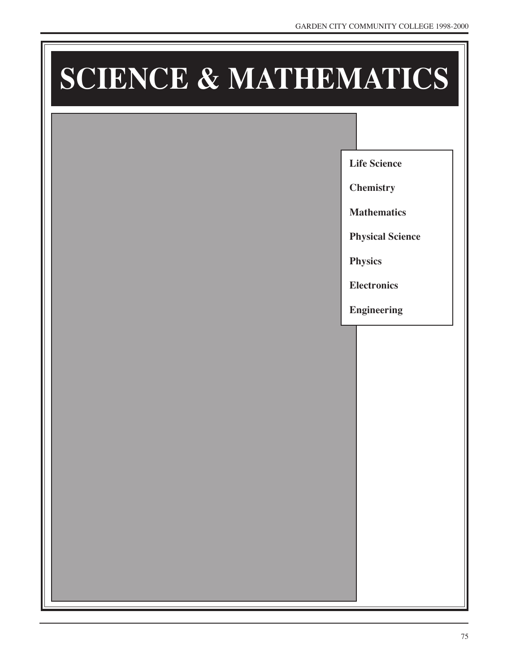# **SCIENCE & MATHEMATICS**

**Life Science**

**Chemistry**

**Mathematics**

**Physical Science**

**Physics**

**Electronics**

**Engineering**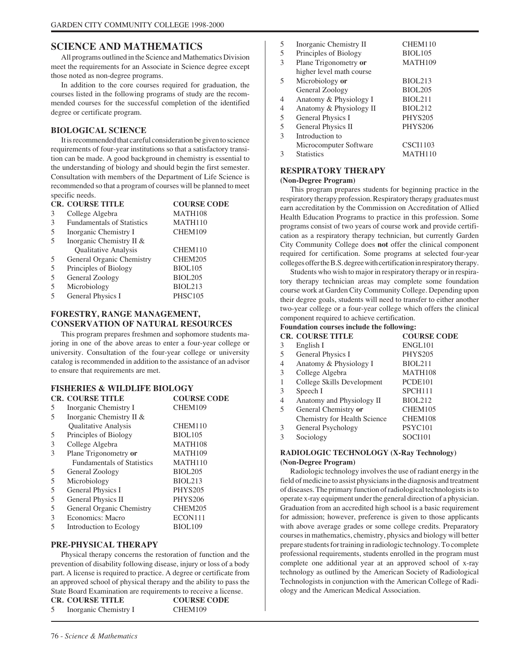# **SCIENCE AND MATHEMATICS**

All programs outlined in the Science and Mathematics Division meet the requirements for an Associate in Science degree except those noted as non-degree programs.

In addition to the core courses required for graduation, the courses listed in the following programs of study are the recommended courses for the successful completion of the identified degree or certificate program.

# **BIOLOGICAL SCIENCE**

It is recommended that careful consideration be given to science requirements of four-year institutions so that a satisfactory transition can be made. A good background in chemistry is essential to the understanding of biology and should begin the first semester. Consultation with members of the Department of Life Science is recommended so that a program of courses will be planned to meet specific needs.

| <b>CR. COURSE TITLE</b>           | <b>COURSE CODE</b> |
|-----------------------------------|--------------------|
| College Algebra                   | MATH108            |
| <b>Fundamentals of Statistics</b> | MATH110            |
| Inorganic Chemistry I             | CHEM109            |
| Inorganic Chemistry II &          |                    |
| Qualitative Analysis              | CHEM110            |
| General Organic Chemistry         | CHEM205            |
| Principles of Biology             | <b>BIOL105</b>     |
| General Zoology                   | <b>BIOL205</b>     |
| Microbiology                      | BIOL213            |
| General Physics I                 | PHSC105            |
|                                   |                    |

# **FORESTRY, RANGE MANAGEMENT, CONSERVATION OF NATURAL RESOURCES**

This program prepares freshmen and sophomore students majoring in one of the above areas to enter a four-year college or university. Consultation of the four-year college or university catalog is recommended in addition to the assistance of an advisor to ensure that requirements are met.

#### **FISHERIES & WILDLIFE BIOLOGY CR. COURSE TITLE COURSE CODE**

|   | UR. UUURSE HILE                   | UUUNSE UUDE         |
|---|-----------------------------------|---------------------|
| 5 | Inorganic Chemistry I             | CHEM109             |
| 5 | Inorganic Chemistry II &          |                     |
|   | <b>Qualitative Analysis</b>       | CHEM110             |
| 5 | Principles of Biology             | <b>BIOL105</b>      |
| 3 | College Algebra                   | MATH108             |
| 3 | Plane Trigonometry or             | MATH <sub>109</sub> |
|   | <b>Fundamentals of Statistics</b> | <b>MATH110</b>      |
| 5 | General Zoology                   | <b>BIOL205</b>      |
| 5 | Microbiology                      | BIOL213             |
| 5 | General Physics I                 | <b>PHYS205</b>      |
| 5 | General Physics II                | <b>PHYS206</b>      |
| 5 | General Organic Chemistry         | CHEM205             |
| 3 | Economics: Macro                  | ECON111             |
| 5 | Introduction to Ecology           | BIOL <sub>109</sub> |
|   |                                   |                     |

# **PRE-PHYSICAL THERAPY**

Physical therapy concerns the restoration of function and the prevention of disability following disease, injury or loss of a body part. A license is required to practice. A degree or certificate from an approved school of physical therapy and the ability to pass the State Board Examination are requirements to receive a license.<br>COLORED TITLE **CR. COURSE TITLE** 

|   | <b>CR. COURSE IIILE</b> | <b>COURSE CODE</b> |
|---|-------------------------|--------------------|
| 5 | Inorganic Chemistry I   | CHEM109            |

| Inorganic Chemistry II   | CHEM110         |
|--------------------------|-----------------|
| Principles of Biology    | <b>BIOL105</b>  |
| Plane Trigonometry or    | MATH109         |
| higher level math course |                 |
| Microbiology or          | <b>BIOL213</b>  |
| General Zoology          | <b>BIOL205</b>  |
| Anatomy & Physiology I   | <b>BIOL211</b>  |
| Anatomy & Physiology II  | <b>BIOL212</b>  |
| General Physics I        | PHYS205         |
| General Physics II       | <b>PHYS206</b>  |
| Introduction to          |                 |
| Microcomputer Software   | <b>CSCI1103</b> |
| <b>Statistics</b>        | <b>MATH110</b>  |
|                          |                 |

# **RESPIRATORY THERAPY**

**(Non-Degree Program)**

This program prepares students for beginning practice in the respiratory therapy profession. Respiratory therapy graduates must earn accreditation by the Commission on Accreditation of Allied Health Education Programs to practice in this profession. Some programs consist of two years of course work and provide certification as a respiratory therapy technician, but currently Garden City Community College does **not** offer the clinical component required for certification. Some programs at selected four-year colleges offer the B.S. degree with certification in respiratory therapy.

Students who wish to major in respiratory therapy or in respiratory therapy technician areas may complete some foundation course work at Garden City Community College. Depending upon their degree goals, students will need to transfer to either another two-year college or a four-year college which offers the clinical component required to achieve certification.

# **Foundation courses include the following:**

|   | <b>CR. COURSE TITLE</b>      | <b>COURSE CODE</b>  |
|---|------------------------------|---------------------|
| 3 | English I                    | ENGL101             |
| 5 | General Physics I            | <b>PHYS205</b>      |
| 4 | Anatomy & Physiology I       | <b>BIOL211</b>      |
| 3 | College Algebra              | MATH108             |
|   | College Skills Development   | PCDE101             |
| 3 | Speech I                     | SPCH111             |
| 4 | Anatomy and Physiology II    | <b>BIOL212</b>      |
| 5 | General Chemistry or         | CHEM105             |
|   | Chemistry for Health Science | CHEM108             |
| 3 | General Psychology           | PSYC <sub>101</sub> |
| 3 | Sociology                    | <b>SOCI101</b>      |
|   |                              |                     |

# **RADIOLOGIC TECHNOLOGY (X-Ray Technology) (Non-Degree Program)**

Radiologic technology involves the use of radiant energy in the field of medicine to assist physicians in the diagnosis and treatment of diseases. The primary function of radiological technologists is to operate x-ray equipment under the general direction of a physician. Graduation from an accredited high school is a basic requirement for admission; however, preference is given to those applicants with above average grades or some college credits. Preparatory courses in mathematics, chemistry, physics and biology will better prepare students for training in radiologic technology. To complete professional requirements, students enrolled in the program must complete one additional year at an approved school of x-ray technology as outlined by the American Society of Radiological Technologists in conjunction with the American College of Radiology and the American Medical Association.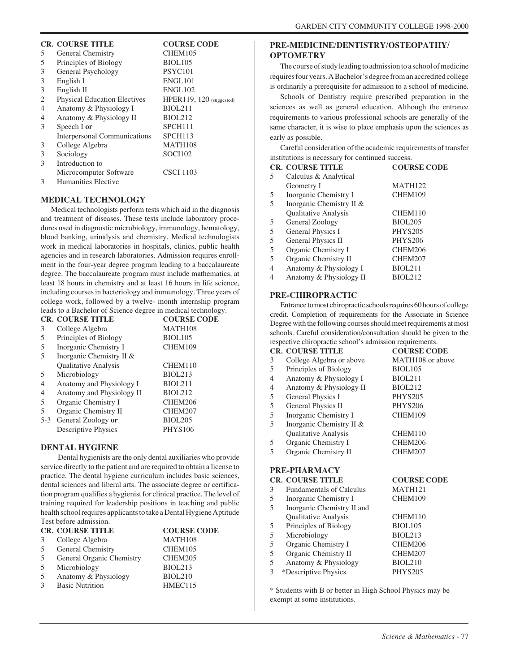# **CR. COURSE TITLE COURSE CODE**

| 5 | General Chemistry                   | CHEM105                  |
|---|-------------------------------------|--------------------------|
| 5 | Principles of Biology               | <b>BIOL105</b>           |
| 3 | General Psychology                  | <b>PSYC101</b>           |
| 3 | English I                           | ENGL <sub>101</sub>      |
| 3 | English II                          | <b>ENGL102</b>           |
| 2 | <b>Physical Education Electives</b> | HPER119, 120 (suggested) |
| 4 | Anatomy & Physiology I              | <b>BIOL211</b>           |
| 4 | Anatomy & Physiology II             | <b>BIOL212</b>           |
| 3 | Speech I or                         | SPCH111                  |
|   | <b>Interpersonal Communications</b> | SPCH <sub>113</sub>      |
| 3 | College Algebra                     | MATH108                  |
| 3 | Sociology                           | SOCI102                  |
| 3 | Introduction to                     |                          |
|   | Microcomputer Software              | <b>CSCI 1103</b>         |
| 3 | Humanities Elective                 |                          |

#### **MEDICAL TECHNOLOGY**

Medical technologists perform tests which aid in the diagnosis and treatment of diseases. These tests include laboratory procedures used in diagnostic microbiology, immunology, hematology, blood banking, urinalysis and chemistry. Medical technologists work in medical laboratories in hospitals, clinics, public health agencies and in research laboratories. Admission requires enrollment in the four-year degree program leading to a baccalaureate degree. The baccalaureate program must include mathematics, at least 18 hours in chemistry and at least 16 hours in life science, including courses in bacteriology and immunology. Three years of college work, followed by a twelve- month internship program leads to a Bachelor of Science degree in medical technology.

|                          | <b>CR. COURSE TITLE</b>   | <b>COURSE CODE</b> |
|--------------------------|---------------------------|--------------------|
| 3                        | College Algebra           | MATH108            |
| 5                        | Principles of Biology     | <b>BIOL105</b>     |
| 5                        | Inorganic Chemistry I     | CHEM109            |
| 5                        | Inorganic Chemistry II &  |                    |
|                          | Qualitative Analysis      | CHEM110            |
| .5                       | Microbiology              | <b>BIOL213</b>     |
| $\overline{4}$           | Anatomy and Physiology I  | BIOL211            |
| $\overline{4}$           | Anatomy and Physiology II | <b>BIOL212</b>     |
| 5                        | Organic Chemistry I       | CHEM206            |
| $\overline{\phantom{1}}$ | Organic Chemistry II      | CHEM207            |
| $5-3$                    | General Zoology or        | <b>BIOL205</b>     |
|                          | Descriptive Physics       | <b>PHYS106</b>     |

## **DENTAL HYGIENE**

 Dental hygienists are the only dental auxiliaries who provide service directly to the patient and are required to obtain a license to practice. The dental hygiene curriculum includes basic sciences, dental sciences and liberal arts. The associate degree or certification program qualifies a hygienist for clinical practice. The level of training required for leadership positions in teaching and public health school requires applicants to take a Dental Hygiene Aptitude Test before admission.

|   | <b>CR. COURSE TITLE</b>   | <b>COURSE CODE</b> |
|---|---------------------------|--------------------|
| 3 | College Algebra           | MATH108            |
| 5 | General Chemistry         | CHEM105            |
| 5 | General Organic Chemistry | CHEM205            |
| 5 | Microbiology              | BIOL213            |
| 5 | Anatomy & Physiology      | <b>BIOL210</b>     |
| κ | <b>Basic Nutrition</b>    | HMEC115            |
|   |                           |                    |

# **PRE-MEDICINE/DENTISTRY/OSTEOPATHY/ OPTOMETRY**

The course of study leading to admission to a school of medicine requires four years. A Bachelor's degree from an accredited college is ordinarily a prerequisite for admission to a school of medicine.

Schools of Dentistry require prescribed preparation in the sciences as well as general education. Although the entrance requirements to various professional schools are generally of the same character, it is wise to place emphasis upon the sciences as early as possible.

Careful consideration of the academic requirements of transfer institutions is necessary for continued success.

| motivations is necessary for commuca success. |                             |                    |  |
|-----------------------------------------------|-----------------------------|--------------------|--|
|                                               | <b>CR. COURSE TITLE</b>     | <b>COURSE CODE</b> |  |
| 5.                                            | Calculus & Analytical       |                    |  |
|                                               | Geometry I                  | <b>MATH122</b>     |  |
| 5                                             | Inorganic Chemistry I       | CHEM109            |  |
| 5                                             | Inorganic Chemistry II &    |                    |  |
|                                               | <b>Qualitative Analysis</b> | CHEM110            |  |
| 5                                             | General Zoology             | <b>BIOL205</b>     |  |
| 5                                             | General Physics I           | <b>PHYS205</b>     |  |
| 5                                             | General Physics II          | <b>PHYS206</b>     |  |
| 5                                             | Organic Chemistry I         | CHEM206            |  |
| 5                                             | Organic Chemistry II        | CHEM207            |  |
| 4                                             | Anatomy & Physiology I      | <b>BIOL211</b>     |  |
| 4                                             | Anatomy & Physiology II     | BIOL212            |  |

#### **PRE-CHIROPRACTIC**

Entrance to most chiropractic schools requires 60 hours of college credit. Completion of requirements for the Associate in Science Degree with the following courses should meet requirements at most schools. Careful consideration/consultation should be given to the respective chiropractic school's admission requirements.

| <b>CR. COURSE TITLE</b>  | <b>COURSE CODE</b>  |
|--------------------------|---------------------|
| College Algebra or above | MATH108 or above    |
| Principles of Biology    | <b>BIOL105</b>      |
| Anatomy & Physiology I   | BIOL <sub>211</sub> |
| Anatomy & Physiology II  | <b>BIOL212</b>      |
| General Physics I        | <b>PHYS205</b>      |
| General Physics II       | <b>PHYS206</b>      |
| Inorganic Chemistry I    | CHEM109             |
| Inorganic Chemistry II & |                     |
| Qualitative Analysis     | CHEM110             |
| Organic Chemistry I      | CHEM206             |
| Organic Chemistry II     | CHEM207             |
|                          |                     |
|                          |                     |

# **PRE-PHARMACY**

|   | <b>CR. COURSE TITLE</b>         | <b>COURSE CODE</b>  |
|---|---------------------------------|---------------------|
| 3 | <b>Fundamentals of Calculus</b> | MATH <sub>121</sub> |
| 5 | Inorganic Chemistry I           | CHEM109             |
| 5 | Inorganic Chemistry II and      |                     |
|   | <b>Qualitative Analysis</b>     | CHEM110             |
| 5 | Principles of Biology           | <b>BIOL105</b>      |
| 5 | Microbiology                    | BIOL213             |
| 5 | Organic Chemistry I             | CHEM206             |
| 5 | Organic Chemistry II            | CHEM207             |
| 5 | Anatomy & Physiology            | <b>BIOL210</b>      |
| 3 | *Descriptive Physics            | <b>PHYS205</b>      |
|   |                                 |                     |

\* Students with B or better in High School Physics may be exempt at some institutions.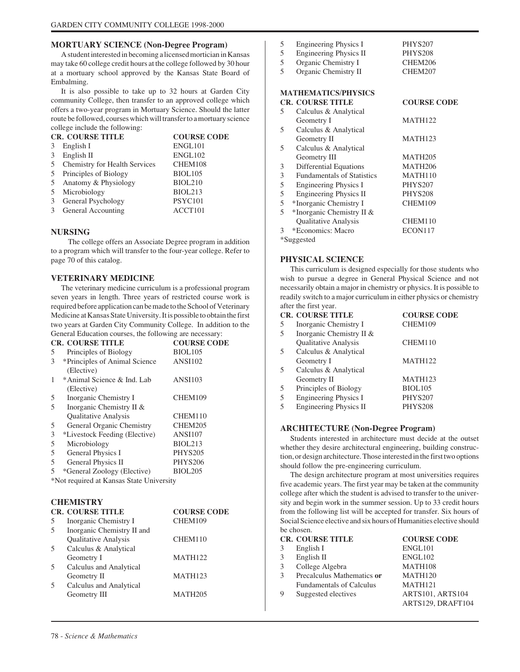## **MORTUARY SCIENCE (Non-Degree Program)**

A student interested in becoming a licensed mortician in Kansas may take 60 college credit hours at the college followed by 30 hour at a mortuary school approved by the Kansas State Board of Embalming.

It is also possible to take up to 32 hours at Garden City community College, then transfer to an approved college which offers a two-year program in Mortuary Science. Should the latter route be followed, courses which will transfer to a mortuary science college include the following:

|    | <b>CR. COURSE TITLE</b>       | <b>COURSE CODE</b> |
|----|-------------------------------|--------------------|
|    | English I                     | ENGL101            |
| 3  | English II                    | ENGL102            |
| 5  | Chemistry for Health Services | CHEM108            |
| 5  | Principles of Biology         | <b>BIOL105</b>     |
| .5 | Anatomy & Physiology          | <b>BIOL210</b>     |
|    | Microbiology                  | <b>BIOL213</b>     |
| 3  | General Psychology            | PSYC101            |
|    | General Accounting            | ACCT101            |

#### **NURSING**

 The college offers an Associate Degree program in addition to a program which will transfer to the four-year college. Refer to page 70 of this catalog.

#### **VETERINARY MEDICINE**

The veterinary medicine curriculum is a professional program seven years in length. Three years of restricted course work is required before application can be made to the School of Veterinary Medicine at Kansas State University. It is possible to obtain the first two years at Garden City Community College. In addition to the General Education courses, the following are necessary:

| <b>CR. COURSE TITLE</b>       | <b>COURSE CODE</b>  |
|-------------------------------|---------------------|
| Principles of Biology         | BIOL <sub>105</sub> |
| *Principles of Animal Science | <b>ANSI102</b>      |
| (Elective)                    |                     |
| *Animal Science & Ind. Lab    | <b>ANSI103</b>      |
| (Elective)                    |                     |
| Inorganic Chemistry I         | CHEM109             |
| Inorganic Chemistry II &      |                     |
| Qualitative Analysis          | CHEM110             |
| General Organic Chemistry     | CHEM205             |
| *Livestock Feeding (Elective) | <b>ANSI107</b>      |
| Microbiology                  | BIOL213             |
| General Physics I             | <b>PHYS205</b>      |
| General Physics II            | <b>PHYS206</b>      |
| *General Zoology (Elective)   | <b>BIOL205</b>      |
|                               |                     |

\*Not required at Kansas State University

#### **CHEMISTRY**

|    | <b>CR. COURSE TITLE</b>    | <b>COURSE CODE</b>  |
|----|----------------------------|---------------------|
| 5  | Inorganic Chemistry I      | CHEM109             |
| .5 | Inorganic Chemistry II and |                     |
|    | Qualitative Analysis       | CHEM110             |
| -5 | Calculus & Analytical      |                     |
|    | Geometry I                 | <b>MATH122</b>      |
| .5 | Calculus and Analytical    |                     |
|    | Geometry II                | <b>MATH123</b>      |
|    | Calculus and Analytical    |                     |
|    | Geometry III               | MATH <sub>205</sub> |
|    |                            |                     |

| 5 | Engineering Physics I             | <b>PHYS207</b>      |
|---|-----------------------------------|---------------------|
| 5 | <b>Engineering Physics II</b>     | <b>PHYS208</b>      |
| 5 | Organic Chemistry I               | CHEM206             |
| 5 | Organic Chemistry II              | CHEM207             |
|   | <b>MATHEMATICS/PHYSICS</b>        |                     |
|   | <b>CR. COURSE TITLE</b>           | <b>COURSE CODE</b>  |
| 5 | Calculus & Analytical             |                     |
|   | Geometry I                        | <b>MATH122</b>      |
| 5 | Calculus & Analytical             |                     |
|   | Geometry II                       | <b>MATH123</b>      |
| 5 | Calculus & Analytical             |                     |
|   | Geometry III                      | <b>MATH205</b>      |
| 3 | <b>Differential Equations</b>     | MATH <sub>206</sub> |
| 3 | <b>Fundamentals of Statistics</b> | MATH110             |
| 5 | Engineering Physics I             | <b>PHYS207</b>      |
| 5 | Engineering Physics II            | <b>PHYS208</b>      |
| 5 | *Inorganic Chemistry I            | CHEM109             |
| 5 | *Inorganic Chemistry II &         |                     |
|   | Qualitative Analysis              | CHEM110             |
| 3 | *Economics: Macro                 | ECON117             |
|   | *Suggested                        |                     |
|   |                                   |                     |

#### **PHYSICAL SCIENCE**

This curriculum is designed especially for those students who wish to pursue a degree in General Physical Science and not necessarily obtain a major in chemistry or physics. It is possible to readily switch to a major curriculum in either physics or chemistry after the first year.

|   | <b>CR. COURSE TITLE</b>       | <b>COURSE CODE</b> |
|---|-------------------------------|--------------------|
| 5 | Inorganic Chemistry I         | CHEM109            |
| 5 | Inorganic Chemistry II &      |                    |
|   | <b>Qualitative Analysis</b>   | CHEM110            |
| 5 | Calculus & Analytical         |                    |
|   | Geometry I                    | <b>MATH122</b>     |
| 5 | Calculus & Analytical         |                    |
|   | Geometry II                   | <b>MATH123</b>     |
| 5 | Principles of Biology         | <b>BIOL105</b>     |
| 5 | <b>Engineering Physics I</b>  | <b>PHYS207</b>     |
| 5 | <b>Engineering Physics II</b> | <b>PHYS208</b>     |

#### **ARCHITECTURE (Non-Degree Program)**

Students interested in architecture must decide at the outset whether they desire architectural engineering, building construction, or design architecture. Those interested in the first two options should follow the pre-engineering curriculum.

The design architecture program at most universities requires five academic years. The first year may be taken at the community college after which the student is advised to transfer to the university and begin work in the summer session. Up to 33 credit hours from the following list will be accepted for transfer. Six hours of Social Science elective and six hours of Humanities elective should be chosen.

|               | <b>CR. COURSE TITLE</b>         | <b>COURSE CODE</b>      |
|---------------|---------------------------------|-------------------------|
|               | English I                       | ENGL101                 |
| 3             | English II                      | ENGL102                 |
| 3             | College Algebra                 | MATH108                 |
| $\mathcal{R}$ | Precalculus Mathematics or      | MATH <sub>120</sub>     |
|               | <b>Fundamentals of Calculus</b> | <b>MATH121</b>          |
| 9             | Suggested electives             | <b>ARTS101, ARTS104</b> |
|               |                                 | ARTS129, DRAFT104       |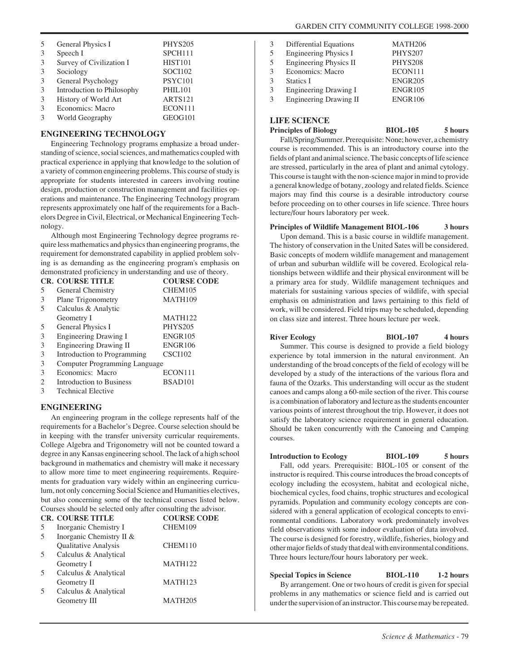| 5<br>3 | General Physics I<br>Speech I | <b>PHYS205</b><br>SPCH111 |
|--------|-------------------------------|---------------------------|
| 3      | Survey of Civilization I      | <b>HIST101</b>            |
| 3      | Sociology                     | <b>SOCI102</b>            |
| 3      | General Psychology            | PSYC101                   |
| 3      | Introduction to Philosophy    | <b>PHIL101</b>            |
| 3      | History of World Art          | <b>ARTS121</b>            |
| 3      | Economics: Macro              | ECON111                   |
| 3      | World Geography               | GEOG101                   |

#### **ENGINEERING TECHNOLOGY**

Engineering Technology programs emphasize a broad understanding of science, social sciences, and mathematics coupled with practical experience in applying that knowledge to the solution of a variety of common engineering problems. This course of study is appropriate for students interested in careers involving routine design, production or construction management and facilities operations and maintenance. The Engineering Technology program represents approximately one half of the requirements for a Bachelors Degree in Civil, Electrical, or Mechanical Engineering Technology.

Although most Engineering Technology degree programs require less mathematics and physics than engineering programs, the requirement for demonstrated capability in applied problem solving is as demanding as the engineering program's emphasis on demonstrated proficiency in understanding and use of theory.

|   | <b>CR. COURSE TITLE</b>              | <b>COURSE CODE</b>  |
|---|--------------------------------------|---------------------|
| 5 | General Chemistry                    | CHEM105             |
| 3 | Plane Trigonometry                   | MATH109             |
| 5 | Calculus & Analytic                  |                     |
|   | Geometry I                           | <b>MATH122</b>      |
| 5 | General Physics I                    | <b>PHYS205</b>      |
| 3 | <b>Engineering Drawing I</b>         | <b>ENGR105</b>      |
| 3 | <b>Engineering Drawing II</b>        | <b>ENGR106</b>      |
| 3 | Introduction to Programming          | CSCI102             |
| 3 | <b>Computer Programming Language</b> |                     |
| 3 | Economics: Macro                     | ECON111             |
| 2 | Introduction to Business             | BSAD <sub>101</sub> |
| 3 | <b>Technical Elective</b>            |                     |

#### **ENGINEERING**

An engineering program in the college represents half of the requirements for a Bachelor's Degree. Course selection should be in keeping with the transfer university curricular requirements. College Algebra and Trigonometry will not be counted toward a degree in any Kansas engineering school. The lack of a high school background in mathematics and chemistry will make it necessary to allow more time to meet engineering requirements. Requirements for graduation vary widely within an engineering curriculum, not only concerning Social Science and Humanities electives, but also concerning some of the technical courses listed below. Courses should be selected only after consulting the advisor.

|   | <b>CR. COURSE TITLE</b>     | <b>COURSE CODE</b>  |
|---|-----------------------------|---------------------|
| 5 | Inorganic Chemistry I       | CHEM109             |
| 5 | Inorganic Chemistry II &    |                     |
|   | <b>Qualitative Analysis</b> | CHEM110             |
| 5 | Calculus & Analytical       |                     |
|   | Geometry I                  | <b>MATH122</b>      |
| 5 | Calculus & Analytical       |                     |
|   | Geometry II                 | MATH123             |
| 5 | Calculus & Analytical       |                     |
|   | Geometry III                | MATH <sub>205</sub> |
|   |                             |                     |

| 3  | Differential Equations        | MATH206        |
|----|-------------------------------|----------------|
|    |                               |                |
| 5  | <b>Engineering Physics I</b>  | PHYS207        |
| 5. | Engineering Physics II        | PHYS208        |
| 3  | Economics: Macro              | ECON111        |
| 3  | Statics I                     | <b>ENGR205</b> |
| 3  | Engineering Drawing I         | <b>ENGR105</b> |
| 3  | <b>Engineering Drawing II</b> | <b>ENGR106</b> |
|    |                               |                |

#### **LIFE SCIENCE**

**Principles of Biology BIOL-105 5 hours**

Fall/Spring/Summer. Prerequisite: None; however, a chemistry course is recommended. This is an introductory course into the fields of plant and animal science. The basic concepts of life science are stressed, particularly in the area of plant and animal cytology. This course is taught with the non-science major in mind to provide a general knowledge of botany, zoology and related fields. Science majors may find this course is a desirable introductory course before proceeding on to other courses in life science. Three hours lecture/four hours laboratory per week.

#### **Principles of Wildlife Management BIOL-106 3 hours**

Upon demand. This is a basic course in wildlife management. The history of conservation in the United Sates will be considered. Basic concepts of modern wildlife management and management of urban and suburban wildlife will be covered. Ecological relationships between wildlife and their physical environment will be a primary area for study. Wildlife management techniques and materials for sustaining various species of wildlife, with special emphasis on administration and laws pertaining to this field of work, will be considered. Field trips may be scheduled, depending on class size and interest. Three hours lecture per week.

River Ecology BIOL-107 4 hours Summer. This course is designed to provide a field biology experience by total immersion in the natural environment. An understanding of the broad concepts of the field of ecology will be developed by a study of the interactions of the various flora and fauna of the Ozarks. This understanding will occur as the student canoes and camps along a 60-mile section of the river. This course is a combination of laboratory and lecture as the students encounter various points of interest throughout the trip. However, it does not satisfy the laboratory science requirement in general education. Should be taken concurrently with the Canoeing and Camping courses.

**Introduction to Ecology BIOL-109 5 hours** Fall, odd years. Prerequisite: BIOL-105 or consent of the instructor is required. This course introduces the broad concepts of ecology including the ecosystem, habitat and ecological niche, biochemical cycles, food chains, trophic structures and ecological pyramids. Population and community ecology concepts are considered with a general application of ecological concepts to environmental conditions. Laboratory work predominately involves field observations with some indoor evaluation of data involved. The course is designed for forestry, wildlife, fisheries, biology and other major fields of study that deal with environmental conditions. Three hours lecture/four hours laboratory per week.

**Special Topics in Science BIOL-110 1-2 hours** By arrangement. One or two hours of credit is given for special problems in any mathematics or science field and is carried out under the supervision of an instructor. This course may be repeated.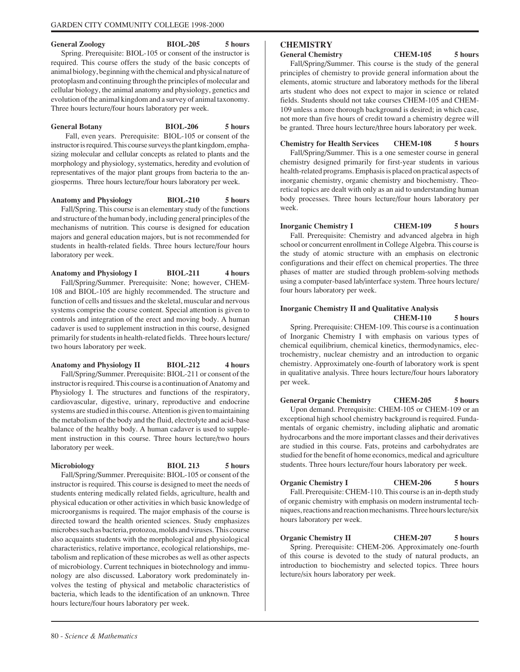**General Zoology BIOL-205 5 hours**

Spring. Prerequisite: BIOL-105 or consent of the instructor is required. This course offers the study of the basic concepts of animal biology, beginning with the chemical and physical nature of protoplasm and continuing through the principles of molecular and cellular biology, the animal anatomy and physiology, genetics and evolution of the animal kingdom and a survey of animal taxonomy. Three hours lecture/four hours laboratory per week.

**General Botany BIOL-206 5 hours** Fall, even years. Prerequisite: BIOL-105 or consent of the instructor is required. This course surveys the plant kingdom, emphasizing molecular and cellular concepts as related to plants and the morphology and physiology, systematics, heredity and evolution of representatives of the major plant groups from bacteria to the angiosperms. Three hours lecture/four hours laboratory per week.

**Anatomy and Physiology BlOL-210 5 hours** Fall/Spring. This course is an elementary study of the functions and structure of the human body, including general principles of the mechanisms of nutrition. This course is designed for education majors and general education majors, but is not recommended for students in health-related fields. Three hours lecture/four hours laboratory per week.

**Anatomy and Physiology I BIOL-211 4 hours** Fall/Spring/Summer. Prerequisite: None; however, CHEM-108 and BIOL-105 are highly recommended. The structure and function of cells and tissues and the skeletal, muscular and nervous systems comprise the course content. Special attention is given to controls and integration of the erect and moving body. A human cadaver is used to supplement instruction in this course, designed primarily for students in health-related fields. Three hours lecture/ two hours laboratory per week.

**Anatomy and Physiology II BIOL-212 4 hours** Fall/Spring/Summer. Prerequisite: BIOL-211 or consent of the instructor is required. This course is a continuation of Anatomy and Physiology I. The structures and functions of the respiratory, cardiovascular, digestive, urinary, reproductive and endocrine systems are studied in this course. Attention is given to maintaining the metabolism of the body and the fluid, electrolyte and acid-base balance of the healthy body. A human cadaver is used to supplement instruction in this course. Three hours lecture/two hours laboratory per week.

#### **Microbiology BIOL 213 5 hours**

Fall/Spring/Summer. Prerequisite: BIOL-105 or consent of the instructor is required. This course is designed to meet the needs of students entering medically related fields, agriculture, health and physical education or other activities in which basic knowledge of microorganisms is required. The major emphasis of the course is directed toward the health oriented sciences. Study emphasizes microbes such as bacteria, protozoa, molds and viruses. This course also acquaints students with the morphological and physiological characteristics, relative importance, ecological relationships, metabolism and replication of these microbes as well as other aspects of microbiology. Current techniques in biotechnology and immunology are also discussed. Laboratory work predominately involves the testing of physical and metabolic characteristics of bacteria, which leads to the identification of an unknown. Three hours lecture/four hours laboratory per week.

# **CHEMISTRY**

**General Chemistry CHEM-105 5 hours**

Fall/Spring/Summer. This course is the study of the general principles of chemistry to provide general information about the elements, atomic structure and laboratory methods for the liberal arts student who does not expect to major in science or related fields. Students should not take courses CHEM-105 and CHEM-109 unless a more thorough background is desired; in which case, not more than five hours of credit toward a chemistry degree will be granted. Three hours lecture/three hours laboratory per week.

**Chemistry for Health Services CHEM-108 5 hours**

Fall/Spring/Summer. This is a one semester course in general chemistry designed primarily for first-year students in various health-related programs. Emphasis is placed on practical aspects of inorganic chemistry, organic chemistry and biochemistry. Theoretical topics are dealt with only as an aid to understanding human body processes. Three hours lecture/four hours laboratory per week.

**Inorganic Chemistry I CHEM-109 5 hours** Fall. Prerequisite: Chemistry and advanced algebra in high school or concurrent enrollment in College Algebra. This course is the study of atomic structure with an emphasis on electronic configurations and their effect on chemical properties. The three phases of matter are studied through problem-solving methods using a computer-based lab/interface system. Three hours lecture/ four hours laboratory per week.

## **Inorganic Chemistry II and Qualitative Analysis CHEM-110 5 hours**

Spring. Prerequisite: CHEM-109. This course is a continuation of Inorganic Chemistry I with emphasis on various types of chemical equilibrium, chemical kinetics, thermodynamics, electrochemistry, nuclear chemistry and an introduction to organic chemistry. Approximately one-fourth of laboratory work is spent in qualitative analysis. Three hours lecture/four hours laboratory per week.

**General Organic Chemistry CHEM-205 5 hours** Upon demand. Prerequisite: CHEM-105 or CHEM-109 or an exceptional high school chemistry background is required. Fundamentals of organic chemistry, including aliphatic and aromatic hydrocarbons and the more important classes and their derivatives are studied in this course. Fats, proteins and carbohydrates are studied for the benefit of home economics, medical and agriculture students. Three hours lecture/four hours laboratory per week.

**Organic Chemistry I CHEM-206 5 hours** Fall. Prerequisite: CHEM-110. This course is an in-depth study of organic chemistry with emphasis on modern instrumental techniques, reactions and reaction mechanisms. Three hours lecture/six hours laboratory per week.

**Organic Chemistry II CHEM-207 5 hours** Spring. Prerequisite: CHEM-206. Approximately one-fourth of this course is devoted to the study of natural products, an introduction to biochemistry and selected topics. Three hours lecture/six hours laboratory per week.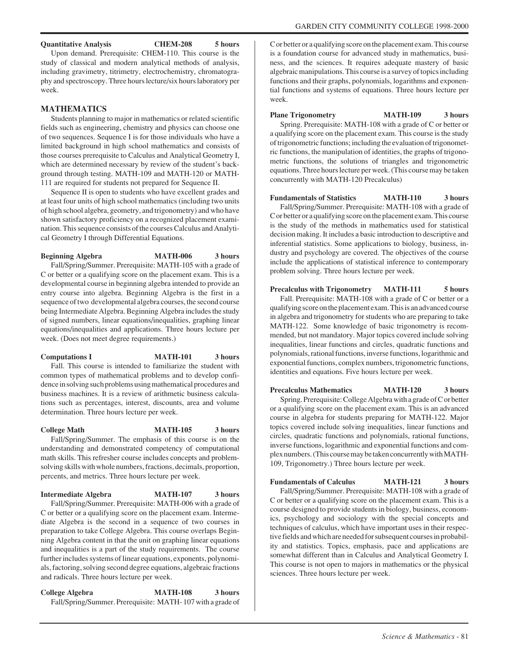#### **Quantitative Analysis CHEM-208 5 hours**

Upon demand. Prerequisite: CHEM-110. This course is the study of classical and modern analytical methods of analysis, including gravimetry, titrimetry, electrochemistry, chromatography and spectroscopy. Three hours lecture/six hours laboratory per week.

#### **MATHEMATICS**

Students planning to major in mathematics or related scientific fields such as engineering, chemistry and physics can choose one of two sequences. Sequence I is for those individuals who have a limited background in high school mathematics and consists of those courses prerequisite to Calculus and Analytical Geometry I, which are determined necessary by review of the student's background through testing. MATH-109 and MATH-120 or MATH-111 are required for students not prepared for Sequence II.

Sequence II is open to students who have excellent grades and at least four units of high school mathematics (including two units of high school algebra, geometry, and trigonometry) and who have shown satisfactory proficiency on a recognized placement examination. This sequence consists of the courses Calculus and Analytical Geometry I through Differential Equations.

**Beginning Algebra MATH-006 3 hours**

Fall/Spring/Summer. Prerequisite: MATH-105 with a grade of C or better or a qualifying score on the placement exam. This is a developmental course in beginning algebra intended to provide an entry course into algebra. Beginning Algebra is the first in a sequence of two developmental algebra courses, the second course being Intermediate Algebra. Beginning Algebra includes the study of signed numbers, linear equations/inequalities, graphing linear equations/inequalities and applications. Three hours lecture per week. (Does not meet degree requirements.)

#### **Computations I MATH-101 3 hours** Fall. This course is intended to familiarize the student with

common types of mathematical problems and to develop confidence in solving such problems using mathematical procedures and business machines. It is a review of arithmetic business calculations such as percentages, interest, discounts, area and volume determination. Three hours lecture per week.

#### **College Math MATH-105 3 hours**

Fall/Spring/Summer. The emphasis of this course is on the understanding and demonstrated competency of computational math skills. This refresher course includes concepts and problemsolving skills with whole numbers, fractions, decimals, proportion, percents, and metrics. Three hours lecture per week.

#### **Intermediate Algebra MATH-107 3 hours**

Fall/Spring/Summer. Prerequisite: MATH-006 with a grade of C or better or a qualifying score on the placement exam. Intermediate Algebra is the second in a sequence of two courses in preparation to take College Algebra. This course overlaps Beginning Algebra content in that the unit on graphing linear equations and inequalities is a part of the study requirements. The course further includes systems of linear equations, exponents, polynomials, factoring, solving second degree equations, algebraic fractions and radicals. Three hours lecture per week.

**College Algebra MATH-108 3 hours** Fall/Spring/Summer. Prerequisite: MATH- 107 with a grade of

C or better or a qualifying score on the placement exam. This course is a foundation course for advanced study in mathematics, business, and the sciences. It requires adequate mastery of basic algebraic manipulations. This course is a survey of topics including functions and their graphs, polynomials, logarithms and exponential functions and systems of equations. Three hours lecture per week.

**Plane Trigonometry MATH-109 3 hours** Spring. Prerequisite: MATH-108 with a grade of C or better or a qualifying score on the placement exam. This course is the study of trigonometric functions; including the evaluation of trigonometric functions, the manipulation of identities, the graphs of trigonometric functions, the solutions of triangles and trigonometric equations. Three hours lecture per week. (This course may be taken concurrently with MATH-120 Precalculus)

**Fundamentals of Statistics MATH-110 3 hours** Fall/Spring/Summer. Prerequisite: MATH-108 with a grade of C or better or a qualifying score on the placement exam. This course is the study of the methods in mathematics used for statistical decision making. It includes a basic introduction to descriptive and inferential statistics. Some applications to biology, business, industry and psychology are covered. The objectives of the course include the applications of statistical inference to contemporary problem solving. Three hours lecture per week.

**Precalculus with Trigonometry MATH-111 5 hours** Fall. Prerequisite: MATH-108 with a grade of C or better or a qualifying score on the placement exam. This is an advanced course in algebra and trigonometry for students who are preparing to take MATH-122. Some knowledge of basic trigonometry is recommended, but not mandatory. Major topics covered include solving inequalities, linear functions and circles, quadratic functions and polynomials, rational functions, inverse functions, logarithmic and exponential functions, complex numbers, trigonometric functions, identities and equations. Five hours lecture per week.

**Precalculus Mathematics MATH-120 3 hours** Spring. Prerequisite: College Algebra with a grade of C or better or a qualifying score on the placement exam. This is an advanced course in algebra for students preparing for MATH-122. Major topics covered include solving inequalities, linear functions and circles, quadratic functions and polynomials, rational functions, inverse functions, logarithmic and exponential functions and complex numbers. (This course may be taken concurrently with MATH-109, Trigonometry.) Three hours lecture per week.

**Fundamentals of Calculus MATH-121 3 hours** Fall/Spring/Summer. Prerequisite: MATH-108 with a grade of C or better or a qualifying score on the placement exam. This is a course designed to provide students in biology, business, economics, psychology and sociology with the special concepts and techniques of calculus, which have important uses in their respective fields and which are needed for subsequent courses in probability and statistics. Topics, emphasis, pace and applications are somewhat different than in Calculus and Analytical Geometry I. This course is not open to majors in mathematics or the physical sciences. Three hours lecture per week.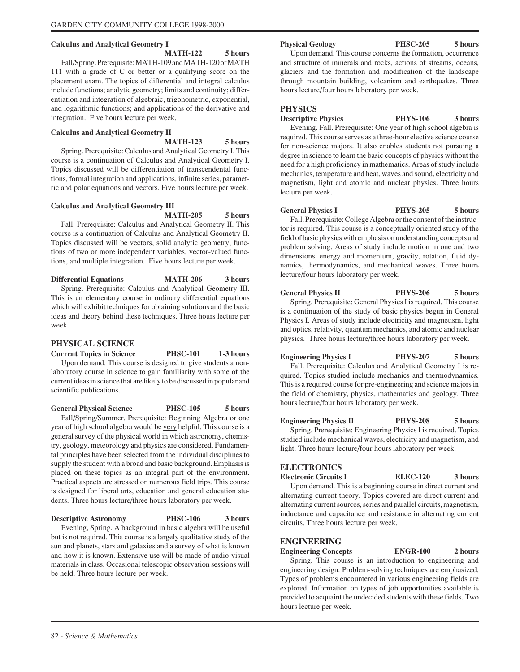#### **Calculus and Analytical Geometry I**

**MATH-122 5 hours** Fall/Spring. Prerequisite: MATH-109 and MATH-120 or MATH

111 with a grade of C or better or a qualifying score on the placement exam. The topics of differential and integral calculus include functions; analytic geometry; limits and continuity; differentiation and integration of algebraic, trigonometric, exponential, and logarithmic functions; and applications of the derivative and integration. Five hours lecture per week.

# **Calculus and Analytical Geometry II MATH-123 5 hours**

Spring. Prerequisite: Calculus and Analytical Geometry I. This course is a continuation of Calculus and Analytical Geometry I. Topics discussed will be differentiation of transcendental functions, formal integration and applications, infinite series, parametric and polar equations and vectors. Five hours lecture per week.

# **Calculus and Analytical Geometry III**

**MATH-205 5 hours**

Fall. Prerequisite: Calculus and Analytical Geometry II. This course is a continuation of Calculus and Analytical Geometry II. Topics discussed will be vectors, solid analytic geometry, functions of two or more independent variables, vector-valued functions, and multiple integration. Five hours lecture per week.

**Differential Equations MATH-206 3 hours** Spring. Prerequisite: Calculus and Analytical Geometry III. This is an elementary course in ordinary differential equations which will exhibit techniques for obtaining solutions and the basic ideas and theory behind these techniques. Three hours lecture per week.

# **PHYSICAL SCIENCE**

**Current Topics in Science PHSC-101 1-3 hours** Upon demand. This course is designed to give students a nonlaboratory course in science to gain familiarity with some of the current ideas in science that are likely to be discussed in popular and scientific publications.

**General Physical Science PHSC-105 5 hours**

Fall/Spring/Summer. Prerequisite: Beginning Algebra or one year of high school algebra would be very helpful. This course is a general survey of the physical world in which astronomy, chemistry, geology, meteorology and physics are considered. Fundamental principles have been selected from the individual disciplines to supply the student with a broad and basic background. Emphasis is placed on these topics as an integral part of the environment. Practical aspects are stressed on numerous field trips. This course is designed for liberal arts, education and general education students. Three hours lecture/three hours laboratory per week.

**Descriptive Astronomy PHSC-106 3 hours** Evening, Spring. A background in basic algebra will be useful but is not required. This course is a largely qualitative study of the sun and planets, stars and galaxies and a survey of what is known and how it is known. Extensive use will be made of audio-visual materials in class. Occasional telescopic observation sessions will be held. Three hours lecture per week.

**Physical Geology PHSC-205 5 hours**

Upon demand. This course concerns the formation, occurrence and structure of minerals and rocks, actions of streams, oceans, glaciers and the formation and modification of the landscape through mountain building, volcanism and earthquakes. Three hours lecture/four hours laboratory per week.

# **PHYSICS**

**Descriptive Physics PHYS-106 3 hours**

Evening. Fall. Prerequisite: One year of high school algebra is required. This course serves as a three-hour elective science course for non-science majors. It also enables students not pursuing a degree in science to learn the basic concepts of physics without the need for a high proficiency in mathematics. Areas of study include mechanics, temperature and heat, waves and sound, electricity and magnetism, light and atomic and nuclear physics. Three hours lecture per week.

**General Physics I PHYS-205 5 hours** Fall. Prerequisite: College Algebra or the consent of the instructor is required. This course is a conceptually oriented study of the field of basic physics with emphasis on understanding concepts and problem solving. Areas of study include motion in one and two dimensions, energy and momentum, gravity, rotation, fluid dynamics, thermodynamics, and mechanical waves. Three hours lecture/four hours laboratory per week.

**General Physics II PHYS-206 5 hours** Spring. Prerequisite: General Physics I is required. This course is a continuation of the study of basic physics begun in General Physics I. Areas of study include electricity and magnetism, light and optics, relativity, quantum mechanics, and atomic and nuclear physics. Three hours lecture/three hours laboratory per week.

**Engineering Physics I PHYS-207 5 hours** Fall. Prerequisite: Calculus and Analytical Geometry I is required. Topics studied include mechanics and thermodynamics. This is a required course for pre-engineering and science majors in the field of chemistry, physics, mathematics and geology. Three hours lecture/four hours laboratory per week.

**Engineering Physics II PHYS-208 5 hours** Spring. Prerequisite: Engineering Physics I is required. Topics studied include mechanical waves, electricity and magnetism, and light. Three hours lecture/four hours laboratory per week.

# **ELECTRONICS**

**Electronic Circuits I ELEC-120 3 hours** Upon demand. This is a beginning course in direct current and alternating current theory. Topics covered are direct current and alternating current sources, series and parallel circuits, magnetism, inductance and capacitance and resistance in alternating current circuits. Three hours lecture per week.

# **ENGINEERING**

**Engineering Concepts ENGR-100 2 hours**

Spring. This course is an introduction to engineering and engineering design. Problem-solving techniques are emphasized. Types of problems encountered in various engineering fields are explored. Information on types of job opportunities available is provided to acquaint the undecided students with these fields. Two hours lecture per week.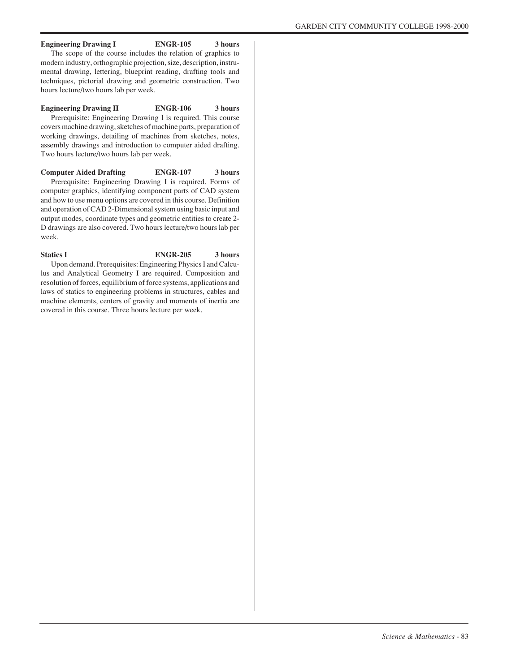#### **Engineering Drawing I ENGR-105 3 hours**

The scope of the course includes the relation of graphics to modern industry, orthographic projection, size, description, instrumental drawing, lettering, blueprint reading, drafting tools and techniques, pictorial drawing and geometric construction. Two hours lecture/two hours lab per week.

#### **Engineering Drawing II ENGR-106 3 hours**

Prerequisite: Engineering Drawing I is required. This course covers machine drawing, sketches of machine parts, preparation of working drawings, detailing of machines from sketches, notes, assembly drawings and introduction to computer aided drafting. Two hours lecture/two hours lab per week.

**Computer Aided Drafting ENGR-107 3 hours** Prerequisite: Engineering Drawing I is required. Forms of computer graphics, identifying component parts of CAD system and how to use menu options are covered in this course. Definition and operation of CAD 2-Dimensional system using basic input and output modes, coordinate types and geometric entities to create 2- D drawings are also covered. Two hours lecture/two hours lab per week.

# Statics I ENGR-205 3 hours

Upon demand. Prerequisites: Engineering Physics I and Calculus and Analytical Geometry I are required. Composition and resolution of forces, equilibrium of force systems, applications and laws of statics to engineering problems in structures, cables and machine elements, centers of gravity and moments of inertia are covered in this course. Three hours lecture per week.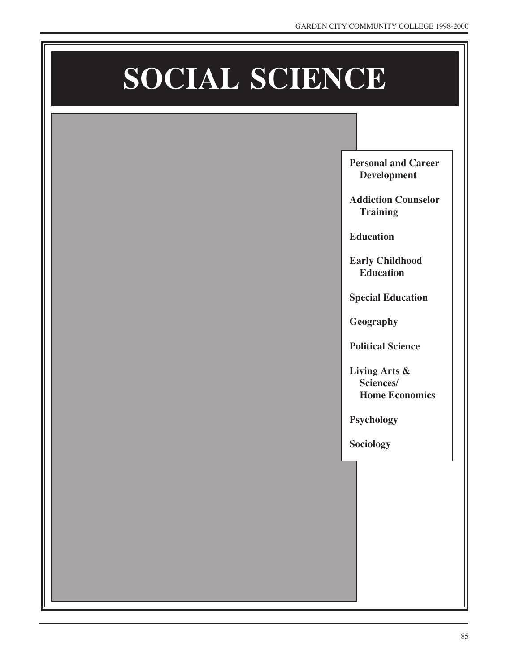# **SOCIAL SCIENCE**

**Personal and Career Development**

**Addiction Counselor Training**

**Education**

**Early Childhood Education**

**Special Education**

**Geography**

**Political Science**

**Living Arts & Sciences/ Home Economics**

**Psychology**

**Sociology**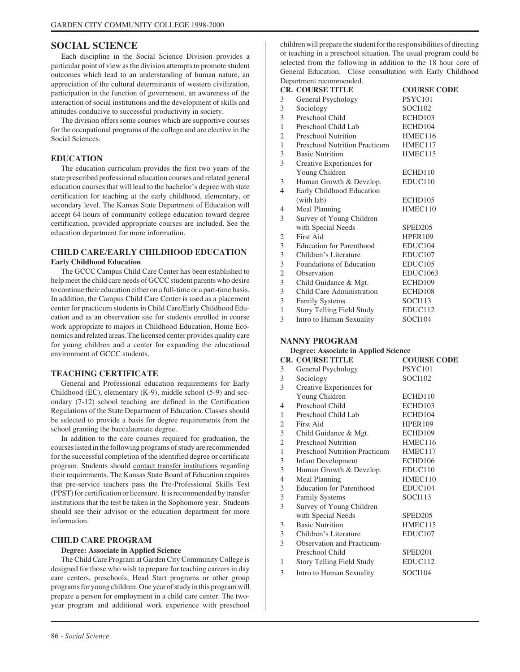# **SOCIAL SCIENCE**

Each discipline in the Social Science Division provides a particular point of view as the division attempts to promote student outcomes which lead to an understanding of human nature, an appreciation of the cultural determinants of western civilization, participation in the function of government, an awareness of the interaction of social institutions and the development of skills and attitudes conducive to successful productivity in society.

The division offers some courses which are supportive courses for the occupational programs of the college and are elective in the Social Sciences.

#### **EDUCATION**

The education curriculum provides the first two years of the state prescribed professional education courses and related general education courses that will lead to the bachelor's degree with state certification for teaching at the early childhood, elementary, or secondary level. The Kansas State Department of Education will accept 64 hours of community college education toward degree certification, provided appropriate courses are included. See the education department for more information.

#### **CHILD CARE/EARLY CHILDHOOD EDUCATION Early Childhood Education**

The GCCC Campus Child Care Center has been established to help meet the child care needs of GCCC student parents who desire to continue their education either on a full-time or a part-time basis. In addition, the Campus Child Care Center is used as a placement center for practicum students in Child Care/Early Childhood Education and as an observation site for students enrolled in course work appropriate to majors in Childhood Education, Home Economics and related areas. The licensed center provides quality care for young children and a center for expanding the educational environment of GCCC students.

#### **TEACHING CERTIFICATE**

General and Professional education requirements for Early Childhood (EC), elementary (K-9), middle school (5-9) and secondary (7-12) school teaching are defined in the Certification Regulations of the State Department of Education. Classes should be selected to provide a basis for degree requirements from the school granting the baccalaureate degree.

In addition to the core courses required for graduation, the courses listed in the following programs of study are recommended for the successful completion of the identified degree or certificate program. Students should contact transfer institutions regarding their requirements. The Kansas State Board of Education requires that pre-service teachers pass the Pre-Professional Skills Test (PPST) for certification or licensure. It is recommended by transfer institutions that the test be taken in the Sophomore year. Students should see their advisor or the education department for more information.

#### **CHILD CARE PROGRAM**

#### **Degree: Associate in Applied Science**

The Child Care Program at Garden City Community College is designed for those who wish to prepare for teaching careers in day care centers, preschools, Head Start programs or other group programs for young children. One year of study in this program will prepare a person for employment in a child care center. The twoyear program and additional work experience with preschool

children will prepare the student for the responsibilities of directing or teaching in a preschool situation. The usual program could be selected from the following in addition to the 18 hour core of General Education. Close consultation with Early Childhood Department recommended.

|                | <b>CR. COURSE TITLE</b>              | <b>COURSE CODE</b>  |
|----------------|--------------------------------------|---------------------|
| 3              | General Psychology                   | <b>PSYC101</b>      |
| 3              | Sociology                            | <b>SOCI102</b>      |
| 3              | Preschool Child                      | ECHD103             |
| 1              | Preschool Child Lab                  | ECHD104             |
| $\mathfrak{2}$ | <b>Preschool Nutrition</b>           | HMEC116             |
| $\mathbf{1}$   | <b>Preschool Nutrition Practicum</b> | HMEC117             |
| 3              | <b>Basic Nutrition</b>               | HMEC115             |
| 3              | Creative Experiences for             |                     |
|                | Young Children                       | ECHD110             |
| 3              | Human Growth & Develop.              | EDUC110             |
| 4              | Early Childhood Education            |                     |
|                | (with lab)                           | ECHD105             |
| 4              | Meal Planning                        | HMEC110             |
| 3              | Survey of Young Children             |                     |
|                | with Special Needs                   | SPED <sub>205</sub> |
| 2              | First Aid                            | HPER109             |
| 3              | <b>Education for Parenthood</b>      | EDUC104             |
| 3              | Children's Literature                | EDUC <sub>107</sub> |
| 3              | Foundations of Education             | EDUC <sub>105</sub> |
| 2              | Observation                          | <b>EDUC1063</b>     |
| 3              | Child Guidance & Mgt.                | ECHD109             |
| 3              | Child Care Administration            | ECHD108             |
| 3              | <b>Family Systems</b>                | SOCI113             |
| $\mathbf{1}$   | Story Telling Field Study            | EDUC112             |
| 3              | Intro to Human Sexuality             | <b>SOCI104</b>      |

#### **NANNY PROGRAM**

#### **Degree: Associate in Applied Science**

|              | <b>CR. COURSE TITLE</b>              | <b>COURSE CODE</b>  |
|--------------|--------------------------------------|---------------------|
| 3            | General Psychology                   | PSYC101             |
| 3            | Sociology                            | <b>SOCI102</b>      |
| 3            | Creative Experiences for             |                     |
|              | Young Children                       | ECHD110             |
| 4            | Preschool Child                      | ECHD103             |
| 1            | Preschool Child Lab                  | ECHD104             |
| 2            | First Aid                            | HPER <sub>109</sub> |
| 3            | Child Guidance & Mgt.                | ECHD109             |
| 2            | <b>Preschool Nutrition</b>           | HMEC116             |
| $\mathbf{1}$ | <b>Preschool Nutrition Practicum</b> | HMEC117             |
| 3            | <b>Infant Development</b>            | ECHD106             |
| 3            | Human Growth & Develop.              | EDUC110             |
| 4            | Meal Planning                        | HMEC110             |
| 3            | <b>Education for Parenthood</b>      | EDUC104             |
| 3            | <b>Family Systems</b>                | SOCI113             |
| 3            | Survey of Young Children             |                     |
|              | with Special Needs                   | SPED <sub>205</sub> |
| 3            | <b>Basic Nutrition</b>               | HMEC115             |
| 3            | Children's Literature                | EDUC <sub>107</sub> |
| 3            | <b>Observation and Practicum-</b>    |                     |
|              | Preschool Child                      | SPED <sub>201</sub> |
| 1            | Story Telling Field Study            | EDUC112             |
| 3            | Intro to Human Sexuality             | <b>SOCI104</b>      |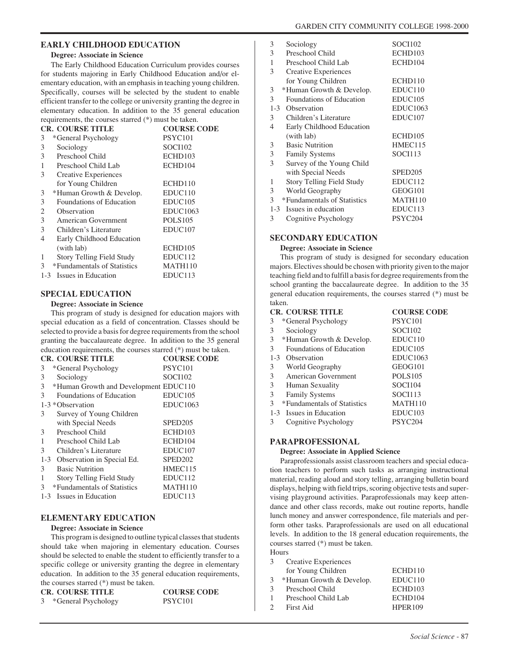#### **EARLY CHILDHOOD EDUCATION**

#### **Degree: Associate in Science**

The Early Childhood Education Curriculum provides courses for students majoring in Early Childhood Education and/or elementary education, with an emphasis in teaching young children. Specifically, courses will be selected by the student to enable efficient transfer to the college or university granting the degree in elementary education. In addition to the 35 general education requirements, the courses starred (\*) must be taken.

|   | <b>CR. COURSE TITLE</b>          | <b>COURSE CODE</b>  |
|---|----------------------------------|---------------------|
| 3 | *General Psychology              | PSYC <sub>101</sub> |
| 3 | Sociology                        | <b>SOCI102</b>      |
| 3 | Preschool Child                  | ECHD103             |
| 1 | Preschool Child Lab              | ECHD104             |
| 3 | Creative Experiences             |                     |
|   | for Young Children               | ECHD110             |
| 3 | *Human Growth & Develop.         | EDUC110             |
| 3 | Foundations of Education         | EDUC <sub>105</sub> |
| 2 | Observation                      | <b>EDUC1063</b>     |
| 3 | American Government              | <b>POLS105</b>      |
| 3 | Children's Literature            | EDUC <sub>107</sub> |
| 4 | Early Childhood Education        |                     |
|   | (with lab)                       | ECHD105             |
| 1 | <b>Story Telling Field Study</b> | EDUC112             |
| 3 | *Fundamentals of Statistics      | <b>MATH110</b>      |
|   | 1-3 Issues in Education          | EDUC113             |

# **SPECIAL EDUCATION**

#### **Degree: Associate in Science**

This program of study is designed for education majors with special education as a field of concentration. Classes should be selected to provide a basis for degree requirements from the school granting the baccalaureate degree. In addition to the 35 general education requirements, the courses starred (\*) must be taken.

| <b>CR. COURSE TITLE</b>                    | <b>COURSE CODE</b>  |
|--------------------------------------------|---------------------|
| *General Psychology<br>3                   | PSYC <sub>101</sub> |
| 3<br>Sociology                             | <b>SOCI102</b>      |
| 3<br>*Human Growth and Development EDUC110 |                     |
| 3<br>Foundations of Education              | EDUC <sub>105</sub> |
| 1-3 * Observation                          | <b>EDUC1063</b>     |
| 3<br>Survey of Young Children              |                     |
| with Special Needs                         | SPED <sub>205</sub> |
| Preschool Child<br>3                       | ECHD103             |
| Preschool Child Lab                        | ECHD104             |
| 3<br>Children's Literature                 | EDUC <sub>107</sub> |
| Observation in Special Ed.<br>$1 - 3$      | SPED <sub>202</sub> |
| <b>Basic Nutrition</b><br>3                | HMEC115             |
| 1<br><b>Story Telling Field Study</b>      | EDUC112             |
| *Fundamentals of Statistics<br>3           | MATH110             |
| 1-3 Issues in Education                    | EDUC113             |

#### **ELEMENTARY EDUCATION**

#### **Degree: Associate in Science**

This program is designed to outline typical classes that students should take when majoring in elementary education. Courses should be selected to enable the student to efficiently transfer to a specific college or university granting the degree in elementary education. In addition to the 35 general education requirements, the courses starred (\*) must be taken.

| <b>CR. COURSE TITLE</b> | <b>COURSE CODE</b>  |
|-------------------------|---------------------|
| 3 *General Psychology   | PSYC <sub>101</sub> |

| 3              | Sociology                        | <b>SOCI102</b>      |
|----------------|----------------------------------|---------------------|
| 3              | Preschool Child                  | ECHD103             |
| 1              | Preschool Child Lab              | ECHD104             |
| 3              | <b>Creative Experiences</b>      |                     |
|                | for Young Children               | ECHD110             |
| 3              | *Human Growth & Develop.         | EDUC110             |
| 3              | Foundations of Education         | EDUC <sub>105</sub> |
| $1 - 3$        | Observation                      | <b>EDUC1063</b>     |
| 3              | Children's Literature            | EDUC107             |
| $\overline{4}$ | Early Childhood Education        |                     |
|                | (with lab)                       | ECHD105             |
| 3              | <b>Basic Nutrition</b>           | HMEC115             |
| 3              | <b>Family Systems</b>            | SOCI113             |
| 3              | Survey of the Young Child        |                     |
|                | with Special Needs               | SPED <sub>205</sub> |
| 1              | <b>Story Telling Field Study</b> | EDUC112             |
| 3              | World Geography                  | GEOG101             |
| 3              | *Fundamentals of Statistics      | MATH110             |
| $1 - 3$        | Issues in education              | EDUC113             |
| 3              | Cognitive Psychology             | PSYC204             |
|                |                                  |                     |

#### **SECONDARY EDUCATION**

#### **Degree: Associate in Science**

This program of study is designed for secondary education majors. Electives should be chosen with priority given to the major teaching field and to fulfill a basis for degree requirements from the school granting the baccalaureate degree. In addition to the 35 general education requirements, the courses starred (\*) must be taken.

|                | <b>CR. COURSE TITLE</b>         | <b>COURSE CODE</b>  |
|----------------|---------------------------------|---------------------|
| 3              | *General Psychology             | <b>PSYC101</b>      |
| 3              | Sociology                       | <b>SOCI102</b>      |
| 3              | *Human Growth & Develop.        | EDUC110             |
| 3 <sup>1</sup> | <b>Foundations of Education</b> | EDUC <sub>105</sub> |
| $1 - 3$        | Observation                     | <b>EDUC1063</b>     |
| 3              | World Geography                 | GEOG101             |
| 3              | American Government             | <b>POLS105</b>      |
| 3              | Human Sexuality                 | <b>SOCI104</b>      |
| 3              | <b>Family Systems</b>           | SOCI113             |
| 3              | *Fundamentals of Statistics     | MATH110             |
|                | 1-3 Issues in Education         | EDUC <sub>103</sub> |
| 3              | Cognitive Psychology            | PSYC204             |
|                |                                 |                     |

#### **PARAPROFESSIONAL**

#### **Degree: Associate in Applied Science**

Paraprofessionals assist classroom teachers and special education teachers to perform such tasks as arranging instructional material, reading aloud and story telling, arranging bulletin board displays, helping with field trips, scoring objective tests and supervising playground activities. Paraprofessionals may keep attendance and other class records, make out routine reports, handle lunch money and answer correspondence, file materials and perform other tasks. Paraprofessionals are used on all educational levels. In addition to the 18 general education requirements, the courses starred (\*) must be taken.

Hours 3 Creative Experiences for Young Children ECHD110 3 \*Human Growth & Develop. EDUC110 3 Preschool Child ECHD103 1 Preschool Child Lab ECHD104 2 First Aid HPER109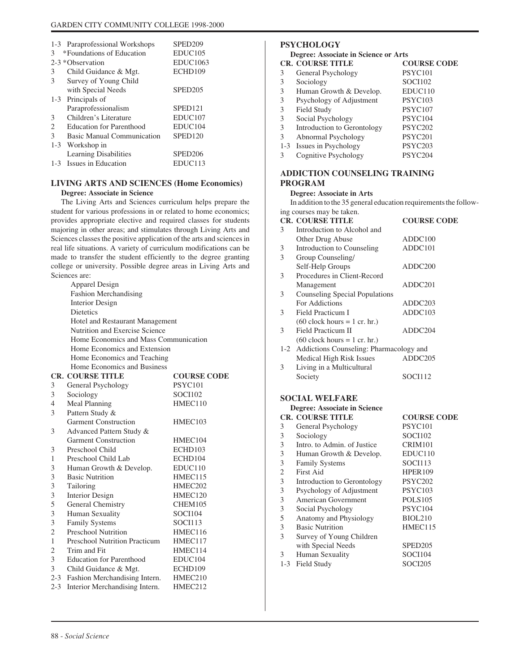|         | 1-3 Paraprofessional Workshops | SPED <sub>209</sub> |
|---------|--------------------------------|---------------------|
| 3       | *Foundations of Education      | EDUC <sub>105</sub> |
|         | 2-3 * Observation              |                     |
|         |                                | <b>EDUC1063</b>     |
| 3       | Child Guidance & Mgt.          | ECHD109             |
| 3       | Survey of Young Child          |                     |
|         | with Special Needs             | SPED <sub>205</sub> |
| $1 - 3$ | Principals of                  |                     |
|         | Paraprofessionalism            | SPED <sub>121</sub> |
| 3       | Children's Literature          | EDUC <sub>107</sub> |
| 2       | Education for Parenthood       | EDUC104             |
| 3       | Basic Manual Communication     | SPED <sub>120</sub> |
|         | 1-3 Workshop in                |                     |
|         | Learning Disabilities          | SPED <sub>206</sub> |
|         | 1-3 Issues in Education        | EDUC113             |

# **LIVING ARTS AND SCIENCES (Home Economics)**

# **Degree: Associate in Science**

The Living Arts and Sciences curriculum helps prepare the student for various professions in or related to home economics; provides appropriate elective and required classes for students majoring in other areas; and stimulates through Living Arts and Sciences classes the positive application of the arts and sciences in real life situations. A variety of curriculum modifications can be made to transfer the student efficiently to the degree granting college or university. Possible degree areas in Living Arts and Sciences are:

|                | <b>Apparel Design</b>                 |                     |  |
|----------------|---------------------------------------|---------------------|--|
|                | <b>Fashion Merchandising</b>          |                     |  |
|                | <b>Interior Design</b>                |                     |  |
|                | <b>Dietetics</b>                      |                     |  |
|                | Hotel and Restaurant Management       |                     |  |
|                | Nutrition and Exercise Science        |                     |  |
|                | Home Economics and Mass Communication |                     |  |
|                | Home Economics and Extension          |                     |  |
|                | Home Economics and Teaching           |                     |  |
|                | Home Economics and Business           |                     |  |
|                | <b>CR. COURSE TITLE</b>               | <b>COURSE CODE</b>  |  |
| 3              | General Psychology                    | PSYC <sub>101</sub> |  |
| 3              | Sociology                             | <b>SOCI102</b>      |  |
| 4              | Meal Planning                         | HMEC110             |  |
| 3              | Pattern Study &                       |                     |  |
|                | <b>Garment Construction</b>           | HMEC103             |  |
| 3              | Advanced Pattern Study &              |                     |  |
|                | <b>Garment Construction</b>           | HMEC104             |  |
| 3              | Preschool Child                       | ECHD103             |  |
| 1              | Preschool Child Lab                   | ECHD104             |  |
| 3              | Human Growth & Develop.               | EDUC110             |  |
| 3              | <b>Basic Nutrition</b>                | HMEC115             |  |
| 3              | Tailoring                             | HMEC202             |  |
| 3              | <b>Interior Design</b>                | HMEC120             |  |
| 5              | General Chemistry                     | CHEM105             |  |
| 3              | Human Sexuality                       | <b>SOCI104</b>      |  |
| 3              | Family Systems                        | SOCI113             |  |
| $\overline{2}$ | <b>Preschool Nutrition</b>            | HMEC116             |  |
| 1              | <b>Preschool Nutrition Practicum</b>  | HMEC117             |  |
| $\overline{2}$ | Trim and Fit                          | HMEC114             |  |
| 3              | <b>Education for Parenthood</b>       | EDUC104             |  |
| 3              | Child Guidance & Mgt.                 | ECHD109             |  |
| $2 - 3$        | Fashion Merchandising Intern.         | HMEC210             |  |
| $2 - 3$        | Interior Merchandising Intern.        | HMEC212             |  |
|                |                                       |                     |  |

# **PSYCHOLOGY**

# **Degree: Associate in Science or Arts**

| Degree: Associate in Science or Arts |                             |                     |
|--------------------------------------|-----------------------------|---------------------|
|                                      | <b>CR. COURSE TITLE</b>     | <b>COURSE CODE</b>  |
| 3                                    | General Psychology          | PSYC <sub>101</sub> |
| 3                                    | Sociology                   | <b>SOCI102</b>      |
| 3                                    | Human Growth & Develop.     | EDUC110             |
| 3                                    | Psychology of Adjustment    | <b>PSYC103</b>      |
| 3                                    | Field Study                 | <b>PSYC107</b>      |
| 3                                    | Social Psychology           | PSYC104             |
| 3                                    | Introduction to Gerontology | PSYC <sub>202</sub> |
| 3                                    | Abnormal Psychology         | PSYC <sub>201</sub> |
|                                      | 1-3 Issues in Psychology    | PSYC <sub>203</sub> |
| 3                                    | Cognitive Psychology        | PSYC204             |
|                                      |                             |                     |

# **ADDICTION COUNSELING TRAINING PROGRAM**

#### **Degree: Associate in Arts**

In addition to the 35 general education requirements the following courses may be taken.

|   | <b>CR. COURSE TITLE</b>                     | <b>COURSE CODE</b> |
|---|---------------------------------------------|--------------------|
| 3 | Introduction to Alcohol and                 |                    |
|   | Other Drug Abuse                            | ADDC100            |
| 3 | Introduction to Counseling                  | ADDC101            |
| 3 | Group Counseling/                           |                    |
|   | Self-Help Groups                            | ADDC200            |
| 3 | Procedures in Client-Record                 |                    |
|   | Management                                  | ADDC201            |
| 3 | Counseling Special Populations              |                    |
|   | For Addictions                              | ADDC203            |
| 3 | Field Practicum I                           | ADDC103            |
|   | $(60$ clock hours = 1 cr. hr.)              |                    |
| 3 | Field Practicum II                          | ADDC204            |
|   | $(60$ clock hours = 1 cr. hr.)              |                    |
|   | 1-2 Addictions Counseling: Pharmacology and |                    |
|   | Medical High Risk Issues                    | ADDC205            |
| 3 | Living in a Multicultural                   |                    |
|   | Society                                     | SOCI112            |
|   |                                             |                    |

# **SOCIAL WELFARE**

#### **Degree: Associate in Science**

|         | <b>CR. COURSE TITLE</b>     | <b>COURSE CODE</b>  |
|---------|-----------------------------|---------------------|
| 3       | General Psychology          | PSYC101             |
| 3       | Sociology                   | <b>SOCI102</b>      |
| 3       | Intro. to Admin. of Justice | CRIM101             |
| 3       | Human Growth & Develop.     | EDUC110             |
| 3       | <b>Family Systems</b>       | SOCI113             |
| 2       | First Aid                   | <b>HPER109</b>      |
| 3       | Introduction to Gerontology | PSYC <sub>202</sub> |
| 3       | Psychology of Adjustment    | <b>PSYC103</b>      |
| 3       | American Government         | POLS <sub>105</sub> |
| 3       | Social Psychology           | PSYC104             |
| 5       | Anatomy and Physiology      | <b>BIOL210</b>      |
| 3       | <b>Basic Nutrition</b>      | HMEC115             |
| 3       | Survey of Young Children    |                     |
|         | with Special Needs          | SPED <sub>205</sub> |
| 3       | Human Sexuality             | SOCI104             |
| $1 - 3$ | Field Study                 | SOCI205             |
|         |                             |                     |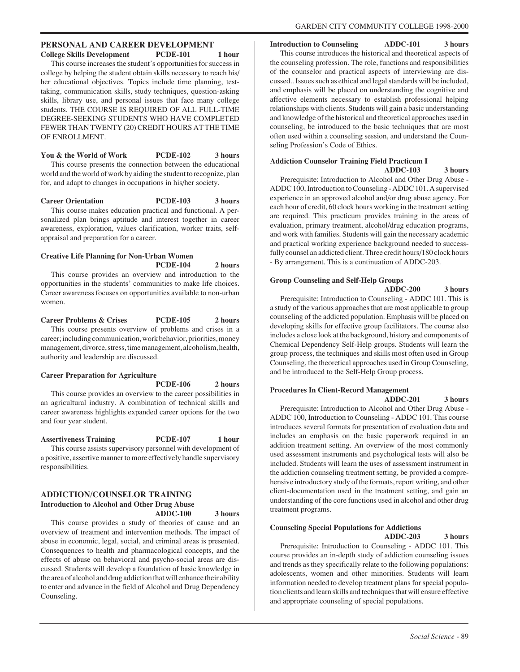# **PERSONAL AND CAREER DEVELOPMENT**

College Skills Development PCDE-101 1 hour This course increases the student's opportunities for success in college by helping the student obtain skills necessary to reach his/ her educational objectives. Topics include time planning, testtaking, communication skills, study techniques, question-asking skills, library use, and personal issues that face many college students. THE COURSE IS REQUIRED OF ALL FULL-TIME DEGREE-SEEKING STUDENTS WHO HAVE COMPLETED FEWER THAN TWENTY (20) CREDIT HOURS AT THE TIME OF ENROLLMENT.

You & the World of Work PCDE-102 3 hours This course presents the connection between the educational world and the world of work by aiding the student to recognize, plan for, and adapt to changes in occupations in his/her society.

**Career Orientation PCDE-103 3 hours** This course makes education practical and functional. A personalized plan brings aptitude and interest together in career awareness, exploration, values clarification, worker traits, selfappraisal and preparation for a career.

#### **Creative Life Planning for Non-Urban Women PCDE-104 2 hours**

This course provides an overview and introduction to the opportunities in the students' communities to make life choices. Career awareness focuses on opportunities available to non-urban women.

#### **Career Problems & Crises PCDE-105 2 hours** This course presents overview of problems and crises in a career; including communication, work behavior, priorities, money management, divorce, stress, time management, alcoholism, health, authority and leadership are discussed.

#### **Career Preparation for Agriculture**

**PCDE-106 2 hours**

This course provides an overview to the career possibilities in an agricultural industry. A combination of technical skills and career awareness highlights expanded career options for the two and four year student.

#### **Assertiveness Training PCDE-107 1 hour** This course assists supervisory personnel with development of a positive, assertive manner to more effectively handle supervisory responsibilities.

#### **ADDICTION/COUNSELOR TRAINING Introduction to Alcohol and Other Drug Abuse ADDC-100 3 hours**

This course provides a study of theories of cause and an overview of treatment and intervention methods. The impact of abuse in economic, legal, social, and criminal areas is presented. Consequences to health and pharmacological concepts, and the effects of abuse on behavioral and psycho-social areas are discussed. Students will develop a foundation of basic knowledge in the area of alcohol and drug addiction that will enhance their ability to enter and advance in the field of Alcohol and Drug Dependency Counseling.

**Introduction to Counseling ADDC-101 3 hours**

This course introduces the historical and theoretical aspects of the counseling profession. The role, functions and responsibilities of the counselor and practical aspects of interviewing are discussed.. Issues such as ethical and legal standards will be included, and emphasis will be placed on understanding the cognitive and affective elements necessary to establish professional helping relationships with clients. Students will gain a basic understanding and knowledge of the historical and theoretical approaches used in counseling, be introduced to the basic techniques that are most often used within a counseling session, and understand the Counseling Profession's Code of Ethics.

# **Addiction Counselor Training Field Practicum I**

**ADDC-103 3 hours**

Prerequisite: Introduction to Alcohol and Other Drug Abuse - ADDC 100, Introduction to Counseling - ADDC 101. A supervised experience in an approved alcohol and/or drug abuse agency. For each hour of credit, 60 clock hours working in the treatment setting are required. This practicum provides training in the areas of evaluation, primary treatment, alcohol/drug education programs, and work with families. Students will gain the necessary academic and practical working experience background needed to successfully counsel an addicted client. Three credit hours/180 clock hours - By arrangement. This is a continuation of ADDC-203.

# **Group Counseling and Self-Help Groups**

**ADDC-200 3 hours** Prerequisite: Introduction to Counseling - ADDC 101. This is a study of the various approaches that are most applicable to group counseling of the addicted population. Emphasis will be placed on developing skills for effective group facilitators. The course also includes a close look at the background, history and components of Chemical Dependency Self-Help groups. Students will learn the group process, the techniques and skills most often used in Group Counseling, the theoretical approaches used in Group Counseling, and be introduced to the Self-Help Group process.

# **Procedures In Client-Record Management**

**ADDC-201 3 hours**

Prerequisite: Introduction to Alcohol and Other Drug Abuse - ADDC 100, Introduction to Counseling - ADDC 101. This course introduces several formats for presentation of evaluation data and includes an emphasis on the basic paperwork required in an addition treatment setting. An overview of the most commonly used assessment instruments and psychological tests will also be included. Students will learn the uses of assessment instrument in the addiction counseling treatment setting, be provided a comprehensive introductory study of the formats, report writing, and other client-documentation used in the treatment setting, and gain an understanding of the core functions used in alcohol and other drug treatment programs.

# **Counseling Special Populations for Addictions**

**ADDC-203 3 hours** Prerequisite: Introduction to Counseling - ADDC 101. This course provides an in-depth study of addiction counseling issues and trends as they specifically relate to the following populations: adolescents, women and other minorities. Students will learn information needed to develop treatment plans for special population clients and learn skills and techniques that will ensure effective and appropriate counseling of special populations.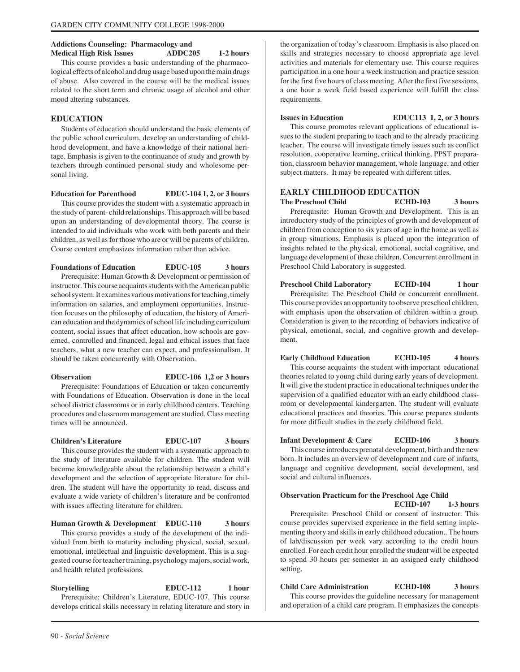#### **Addictions Counseling: Pharmacology and Medical High Risk Issues ADDC205 1-2 hours**

This course provides a basic understanding of the pharmacological effects of alcohol and drug usage based upon the main drugs of abuse. Also covered in the course will be the medical issues related to the short term and chronic usage of alcohol and other mood altering substances.

# **EDUCATION**

Students of education should understand the basic elements of the public school curriculum, develop an understanding of childhood development, and have a knowledge of their national heritage. Emphasis is given to the continuance of study and growth by teachers through continued personal study and wholesome personal living.

**Education for Parenthood EDUC-104 1, 2, or 3 hours**

This course provides the student with a systematic approach in the study of parent- child relationships. This approach will be based upon an understanding of developmental theory. The course is intended to aid individuals who work with both parents and their children, as well as for those who are or will be parents of children. Course content emphasizes information rather than advice.

**Foundations of Education EDUC-105 3 hours** Prerequisite: Human Growth & Development or permission of instructor. This course acquaints students with the American public school system. It examines various motivations for teaching, timely information on salaries, and employment opportunities. Instruction focuses on the philosophy of education, the history of American education and the dynamics of school life including curriculum content, social issues that affect education, how schools are governed, controlled and financed, legal and ethical issues that face teachers, what a new teacher can expect, and professionalism. It should be taken concurrently with Observation.

**Observation EDUC-106 1,2 or 3 hours** Prerequisite: Foundations of Education or taken concurrently with Foundations of Education. Observation is done in the local school district classrooms or in early childhood centers. Teaching procedures and classroom management are studied. Class meeting

**Children's Literature EDUC-107 3 hours** This course provides the student with a systematic approach to the study of literature available for children. The student will become knowledgeable about the relationship between a child's development and the selection of appropriate literature for children. The student will have the opportunity to read, discuss and evaluate a wide variety of children's literature and be confronted with issues affecting literature for children.

**Human Growth & Development EDUC-110 3 hours** This course provides a study of the development of the individual from birth to maturity including physical, social, sexual, emotional, intellectual and linguistic development. This is a suggested course for teacher training, psychology majors, social work, and health related professions.

**Storytelling EDUC-112 1 hour** Prerequisite: Children's Literature, EDUC-107. This course develops critical skills necessary in relating literature and story in the organization of today's classroom. Emphasis is also placed on skills and strategies necessary to choose appropriate age level activities and materials for elementary use. This course requires participation in a one hour a week instruction and practice session for the first five hours of class meeting. After the first five sessions, a one hour a week field based experience will fulfill the class requirements.

**Issues in Education EDUC113 1, 2, or 3 hours**

This course promotes relevant applications of educational issues to the student preparing to teach and to the already practicing teacher. The course will investigate timely issues such as conflict resolution, cooperative learning, critical thinking, PPST preparation, classroom behavior management, whole language, and other subject matters. It may be repeated with different titles.

#### **EARLY CHILDHOOD EDUCATION**

**The Preschool Child ECHD-103 3 hours** Prerequisite: Human Growth and Development. This is an introductory study of the principles of growth and development of children from conception to six years of age in the home as well as in group situations. Emphasis is placed upon the integration of insights related to the physical, emotional, social cognitive, and language development of these children. Concurrent enrollment in Preschool Child Laboratory is suggested.

**Preschool Child Laboratory ECHD-104 1 hour** Prerequisite: The Preschool Child or concurrent enrollment. This course provides an opportunity to observe preschool children, with emphasis upon the observation of children within a group. Consideration is given to the recording of behaviors indicative of physical, emotional, social, and cognitive growth and development.

**Early Childhood Education ECHD-105 4 hours** This course acquaints the student with important educational theories related to young child during early years of development. It will give the student practice in educational techniques under the supervision of a qualified educator with an early childhood classroom or developmental kindergarten. The student will evaluate educational practices and theories. This course prepares students for more difficult studies in the early childhood field.

**Infant Development & Care ECHD-106 3 hours** This course introduces prenatal development, birth and the new born. It includes an overview of development and care of infants, language and cognitive development, social development, and social and cultural influences.

# **Observation Practicum for the Preschool Age Child**

**ECHD-107 1-3 hours** Prerequisite: Preschool Child or consent of instructor. This course provides supervised experience in the field setting implementing theory and skills in early childhood education.. The hours of lab/discussion per week vary according to the credit hours enrolled. For each credit hour enrolled the student will be expected to spend 30 hours per semester in an assigned early childhood setting.

**Child Care Administration ECHD-108 3 hours** This course provides the guideline necessary for management and operation of a child care program. It emphasizes the concepts

times will be announced.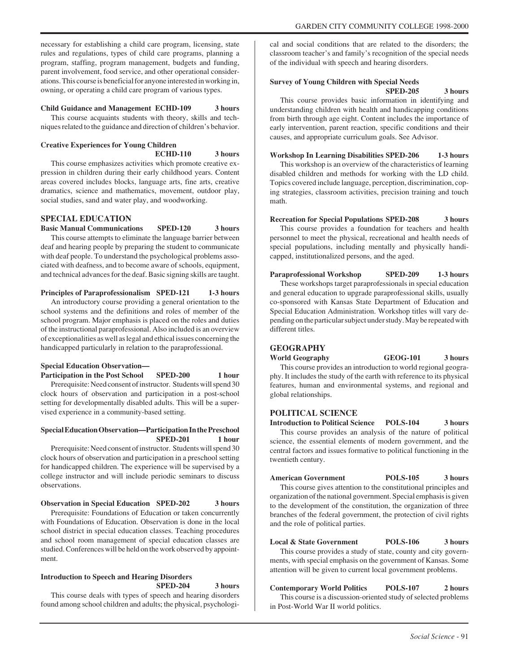necessary for establishing a child care program, licensing, state rules and regulations, types of child care programs, planning a program, staffing, program management, budgets and funding, parent involvement, food service, and other operational considerations. This course is beneficial for anyone interested in working in, owning, or operating a child care program of various types.

#### **Child Guidance and Management ECHD-109 3 hours**

This course acquaints students with theory, skills and techniques related to the guidance and direction of children's behavior.

#### **Creative Experiences for Young Children ECHD-110 3 hours**

This course emphasizes activities which promote creative expression in children during their early childhood years. Content areas covered includes blocks, language arts, fine arts, creative dramatics, science and mathematics, movement, outdoor play, social studies, sand and water play, and woodworking.

#### **SPECIAL EDUCATION**

**Basic Manual Communications SPED-120 3 hours**

This course attempts to eliminate the language barrier between deaf and hearing people by preparing the student to communicate with deaf people. To understand the psychological problems associated with deafness, and to become aware of schools, equipment, and technical advances for the deaf. Basic signing skills are taught.

#### **Principles of Paraprofessionalism SPED-121 1-3 hours**

An introductory course providing a general orientation to the school systems and the definitions and roles of member of the school program. Major emphasis is placed on the roles and duties of the instructional paraprofessional. Also included is an overview of exceptionalities as well as legal and ethical issues concerning the handicapped particularly in relation to the paraprofessional.

#### **Special Education Observation—**

Participation in the Post School SPED-200 1 hour

Prerequisite: Need consent of instructor. Students will spend 30 clock hours of observation and participation in a post-school setting for developmentally disabled adults. This will be a supervised experience in a community-based setting.

#### **Special Education Observation—Participation In the Preschool SPED-201** 1 hour

Prerequisite: Need consent of instructor. Students will spend 30 clock hours of observation and participation in a preschool setting for handicapped children. The experience will be supervised by a college instructor and will include periodic seminars to discuss observations.

#### **Observation in Special Education SPED-202 3 hours**

Prerequisite: Foundations of Education or taken concurrently with Foundations of Education. Observation is done in the local school district in special education classes. Teaching procedures and school room management of special education classes are studied. Conferences will be held on the work observed by appointment.

#### **Introduction to Speech and Hearing Disorders SPED-204 3 hours**

This course deals with types of speech and hearing disorders found among school children and adults; the physical, psychologi-

cal and social conditions that are related to the disorders; the classroom teacher's and family's recognition of the special needs of the individual with speech and hearing disorders.

#### **Survey of Young Children with Special Needs SPED-205 3 hours**

This course provides basic information in identifying and understanding children with health and handicapping conditions from birth through age eight. Content includes the importance of early intervention, parent reaction, specific conditions and their causes, and appropriate curriculum goals. See Advisor.

#### **Workshop In Learning Disabilities SPED-206 1-3 hours**

This workshop is an overview of the characteristics of learning disabled children and methods for working with the LD child. Topics covered include language, perception, discrimination, coping strategies, classroom activities, precision training and touch math.

#### **Recreation for Special Populations SPED-208 3 hours**

This course provides a foundation for teachers and health personnel to meet the physical, recreational and health needs of special populations, including mentally and physically handicapped, institutionalized persons, and the aged.

#### **Paraprofessional Workshop SPED-209 1-3 hours** These workshops target paraprofessionals in special education

and general education to upgrade paraprofessional skills, usually co-sponsored with Kansas State Department of Education and Special Education Administration. Workshop titles will vary depending on the particular subject under study. May be repeated with different titles.

#### **GEOGRAPHY**

global relationships.

**World Geography GEOG-101 3 hours** This course provides an introduction to world regional geography. It includes the study of the earth with reference to its physical features, human and environmental systems, and regional and

#### **POLITICAL SCIENCE**

**Introduction to Political Science POLS-104 3 hours** This course provides an analysis of the nature of political science, the essential elements of modern government, and the central factors and issues formative to political functioning in the twentieth century.

**American Government POLS-105 3 hours** This course gives attention to the constitutional principles and organization of the national government. Special emphasis is given to the development of the constitution, the organization of three branches of the federal government, the protection of civil rights and the role of political parties.

#### **Local & State Government POLS-106 3 hours**

This course provides a study of state, county and city governments, with special emphasis on the government of Kansas. Some attention will be given to current local government problems.

**Contemporary World Politics POLS-107 2 hours** This course is a discussion-oriented study of selected problems in Post-World War II world politics.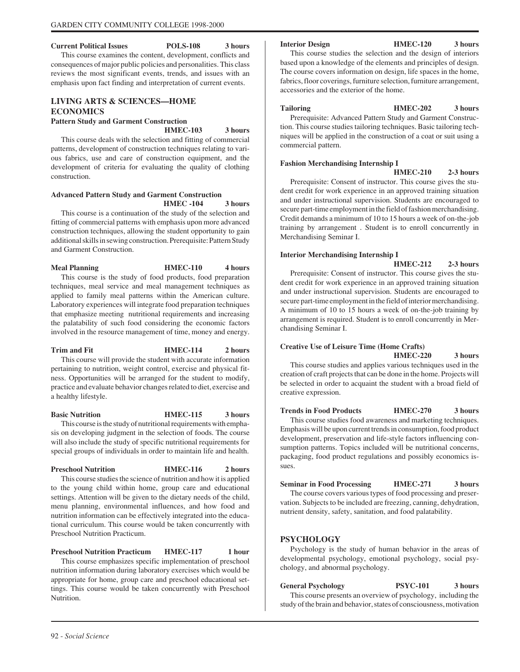#### **Current Political Issues POLS-108 3 hours**

This course examines the content, development, conflicts and consequences of major public policies and personalities. This class reviews the most significant events, trends, and issues with an emphasis upon fact finding and interpretation of current events.

# **LIVING ARTS & SCIENCES—HOME ECONOMICS**

#### **Pattern Study and Garment Construction**

#### **HMEC-103 3 hours**

This course deals with the selection and fitting of commercial patterns, development of construction techniques relating to various fabrics, use and care of construction equipment, and the development of criteria for evaluating the quality of clothing construction.

#### **Advanced Pattern Study and Garment Construction HMEC -104 3 hours**

This course is a continuation of the study of the selection and fitting of commercial patterns with emphasis upon more advanced construction techniques, allowing the student opportunity to gain additional skills in sewing construction. Prerequisite: Pattern Study and Garment Construction.

## **Meal Planning HMEC-110 4 hours** This course is the study of food products, food preparation techniques, meal service and meal management techniques as applied to family meal patterns within the American culture. Laboratory experiences will integrate food preparation techniques

that emphasize meeting nutritional requirements and increasing the palatability of such food considering the economic factors involved in the resource management of time, money and energy.

# Trim and Fit **HMEC-114** 2 hours

This course will provide the student with accurate information pertaining to nutrition, weight control, exercise and physical fitness. Opportunities will be arranged for the student to modify, practice and evaluate behavior changes related to diet, exercise and a healthy lifestyle.

#### **Basic Nutrition HMEC-115** 3 hours

This course is the study of nutritional requirements with emphasis on developing judgment in the selection of foods. The course will also include the study of specific nutritional requirements for special groups of individuals in order to maintain life and health.

#### **Preschool Nutrition HMEC-116 2 hours**

This course studies the science of nutrition and how it is applied to the young child within home, group care and educational settings. Attention will be given to the dietary needs of the child, menu planning, environmental influences, and how food and nutrition information can be effectively integrated into the educational curriculum. This course would be taken concurrently with Preschool Nutrition Practicum.

#### **Preschool Nutrition Practicum HMEC-117** 1 hour

This course emphasizes specific implementation of preschool nutrition information during laboratory exercises which would be appropriate for home, group care and preschool educational settings. This course would be taken concurrently with Preschool Nutrition.

**Interior Design HMEC-120 3 hours**

This course studies the selection and the design of interiors based upon a knowledge of the elements and principles of design. The course covers information on design, life spaces in the home, fabrics, floor coverings, furniture selection, furniture arrangement, accessories and the exterior of the home.

#### **Tailoring HMEC-202 3 hours**

Prerequisite: Advanced Pattern Study and Garment Construction. This course studies tailoring techniques. Basic tailoring techniques will be applied in the construction of a coat or suit using a commercial pattern.

#### **Fashion Merchandising Internship I**

**HMEC-210 2-3 hours**

Prerequisite: Consent of instructor. This course gives the student credit for work experience in an approved training situation and under instructional supervision. Students are encouraged to secure part-time employment in the field of fashion merchandising. Credit demands a minimum of 10 to 15 hours a week of on-the-job training by arrangement . Student is to enroll concurrently in Merchandising Seminar I.

#### **Interior Merchandising Internship I**

**HMEC-212 2-3 hours** Prerequisite: Consent of instructor. This course gives the stu-

dent credit for work experience in an approved training situation and under instructional supervision. Students are encouraged to secure part-time employment in the field of interior merchandising. A minimum of 10 to 15 hours a week of on-the-job training by arrangement is required. Student is to enroll concurrently in Merchandising Seminar I.

#### **Creative Use of Leisure Time (Home Crafts) HMEC-220 3 hours**

This course studies and applies various techniques used in the creation of craft projects that can be done in the home. Projects will be selected in order to acquaint the student with a broad field of creative expression.

**Trends in Food Products HMEC-270 3 hours** This course studies food awareness and marketing techniques. Emphasis will be upon current trends in consumption, food product development, preservation and life-style factors influencing consumption patterns. Topics included will be nutritional concerns, packaging, food product regulations and possibly economics issues.

**Seminar in Food Processing HMEC-271 3 hours** The course covers various types of food processing and preservation. Subjects to be included are freezing, canning, dehydration, nutrient density, safety, sanitation, and food palatability.

# **PSYCHOLOGY**

Psychology is the study of human behavior in the areas of developmental psychology, emotional psychology, social psychology, and abnormal psychology.

**General Psychology PSYC-101 3 hours** This course presents an overview of psychology, including the study of the brain and behavior, states of consciousness, motivation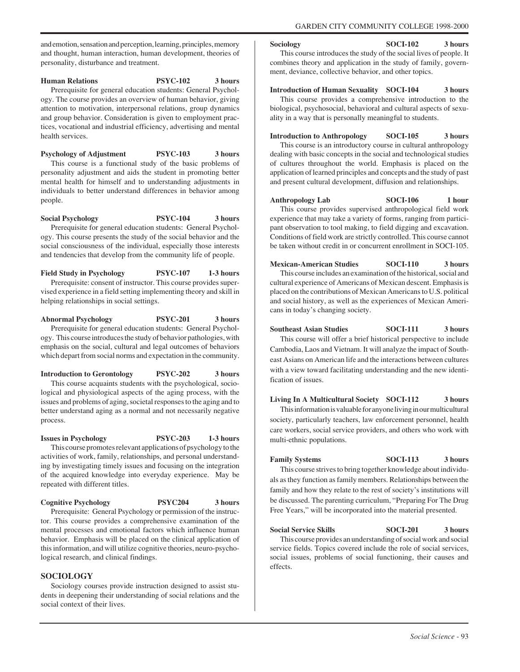and emotion, sensation and perception, learning, principles, memory and thought, human interaction, human development, theories of personality, disturbance and treatment.

#### **Human Relations PSYC-102 3 hours**

Prerequisite for general education students: General Psychology. The course provides an overview of human behavior, giving attention to motivation, interpersonal relations, group dynamics and group behavior. Consideration is given to employment practices, vocational and industrial efficiency, advertising and mental health services.

**Psychology of Adjustment PSYC-103 3 hours** This course is a functional study of the basic problems of personality adjustment and aids the student in promoting better mental health for himself and to understanding adjustments in individuals to better understand differences in behavior among people.

#### **Social Psychology PSYC-104 3 hours**

Prerequisite for general education students: General Psychology. This course presents the study of the social behavior and the social consciousness of the individual, especially those interests and tendencies that develop from the community life of people.

**Field Study in Psychology PSYC-107 1-3 hours** Prerequisite: consent of instructor. This course provides supervised experience in a field setting implementing theory and skill in helping relationships in social settings.

**Abnormal Psychology PSYC-201 3 hours** Prerequisite for general education students: General Psychology. This course introduces the study of behavior pathologies, with emphasis on the social, cultural and legal outcomes of behaviors which depart from social norms and expectation in the community.

**Introduction to Gerontology PSYC-202 3 hours** This course acquaints students with the psychological, socio-

logical and physiological aspects of the aging process, with the issues and problems of aging, societal responses to the aging and to better understand aging as a normal and not necessarily negative process.

#### **Issues in Psychology PSYC-203 1-3 hours** This course promotes relevant applications of psychology to the activities of work, family, relationships, and personal understand-

ing by investigating timely issues and focusing on the integration of the acquired knowledge into everyday experience. May be repeated with different titles.

**Cognitive Psychology PSYC204 3 hours**

Prerequisite: General Psychology or permission of the instructor. This course provides a comprehensive examination of the mental processes and emotional factors which influence human behavior. Emphasis will be placed on the clinical application of this information, and will utilize cognitive theories, neuro-psychological research, and clinical findings.

#### **SOCIOLOGY**

Sociology courses provide instruction designed to assist students in deepening their understanding of social relations and the social context of their lives.

#### Sociology SOCI-102 3 hours

This course introduces the study of the social lives of people. It combines theory and application in the study of family, government, deviance, collective behavior, and other topics.

#### **Introduction of Human Sexuality SOCI-104 3 hours**

This course provides a comprehensive introduction to the biological, psychosocial, behavioral and cultural aspects of sexuality in a way that is personally meaningful to students.

**Introduction to Anthropology SOCI-105 3 hours** This course is an introductory course in cultural anthropology dealing with basic concepts in the social and technological studies of cultures throughout the world. Emphasis is placed on the application of learned principles and concepts and the study of past and present cultural development, diffusion and relationships.

**Anthropology Lab SOCI-106 1 hour** This course provides supervised anthropological field work experience that may take a variety of forms, ranging from participant observation to tool making, to field digging and excavation. Conditions of field work are strictly controlled. This course cannot be taken without credit in or concurrent enrollment in SOCI-105.

**Mexican-American Studies SOCI-110 3 hours** This course includes an examination of the historical, social and cultural experience of Americans of Mexican descent. Emphasis is placed on the contributions of Mexican Americans to U.S. political and social history, as well as the experiences of Mexican Americans in today's changing society.

# **Southeast Asian Studies SOCI-111 3 hours**

This course will offer a brief historical perspective to include Cambodia, Laos and Vietnam. It will analyze the impact of Southeast Asians on American life and the interactions between cultures with a view toward facilitating understanding and the new identification of issues.

#### **Living In A Multicultural Society SOCI-112 3 hours**

This information is valuable for anyone living in our multicultural society, particularly teachers, law enforcement personnel, health care workers, social service providers, and others who work with multi-ethnic populations.

# **Family Systems** SOCI-113 3 hours

This course strives to bring together knowledge about individuals as they function as family members. Relationships between the family and how they relate to the rest of society's institutions will be discussed. The parenting curriculum, "Preparing For The Drug Free Years," will be incorporated into the material presented.

#### **Social Service Skills SOCI-201** 3 hours

This course provides an understanding of social work and social service fields. Topics covered include the role of social services, social issues, problems of social functioning, their causes and effects.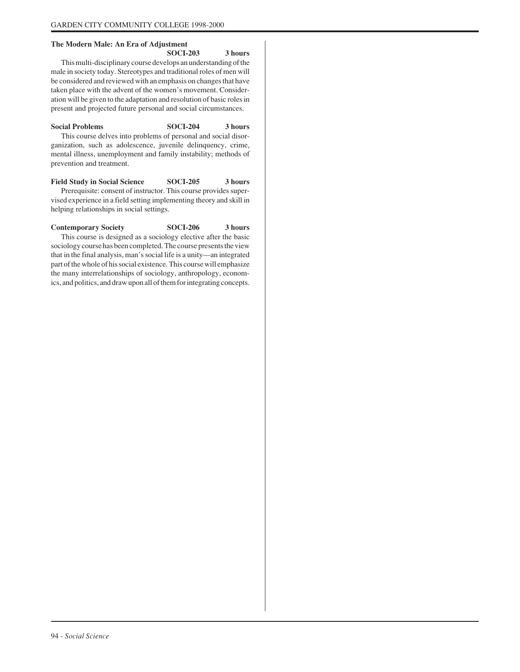## **The Modern Male: An Era of Adjustment**

**SOCI-203 3 hours** This multi-disciplinary course develops an understanding of the male in society today. Stereotypes and traditional roles of men will be considered and reviewed with an emphasis on changes that have taken place with the advent of the women's movement. Consideration will be given to the adaptation and resolution of basic roles in present and projected future personal and social circumstances.

**Social Problems SOCI-204 3 hours** This course delves into problems of personal and social disorganization, such as adolescence, juvenile delinquency, crime, mental illness, unemployment and family instability; methods of prevention and treatment.

**Field Study in Social Science SOCI-205 3 hours** Prerequisite: consent of instructor. This course provides supervised experience in a field setting implementing theory and skill in helping relationships in social settings.

# Contemporary Society SOCI-206 3 hours This course is designed as a sociology elective after the basic

sociology course has been completed. The course presents the view that in the final analysis, man's social life is a unity—an integrated part of the whole of his social existence. This course will emphasize the many interrelationships of sociology, anthropology, economics, and politics, and draw upon all of them for integrating concepts.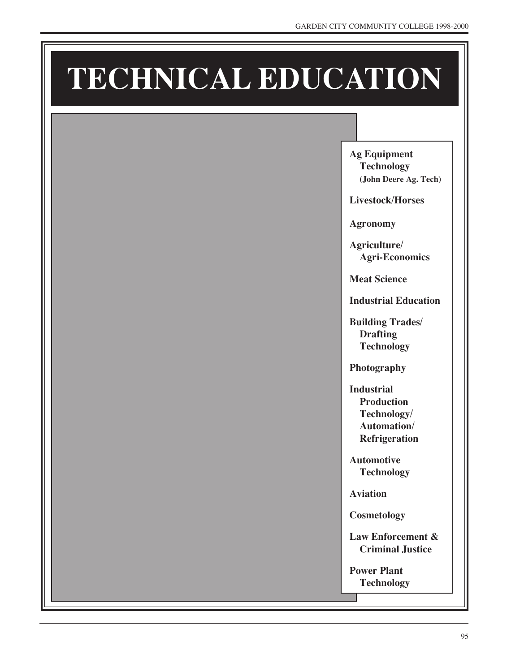# **TECHNICAL EDUCATION**

**Ag Equipment Technology (John Deere Ag. Tech)**

**Livestock/Horses**

**Agronomy**

**Agriculture/ Agri-Economics**

**Meat Science**

**Industrial Education**

**Building Trades/ Drafting Technology**

**Photography**

**Industrial Production Technology/ Automation/ Refrigeration**

**Automotive Technology**

**Aviation**

**Cosmetology**

**Law Enforcement & Criminal Justice**

**Power Plant Technology**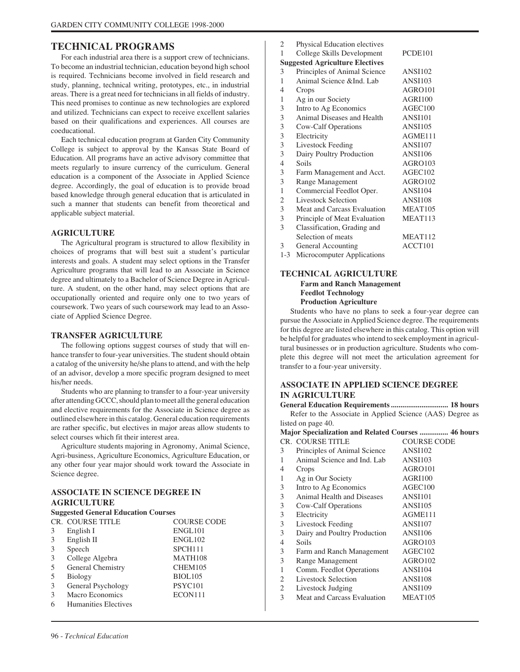# **TECHNICAL PROGRAMS**

For each industrial area there is a support crew of technicians. To become an industrial technician, education beyond high school is required. Technicians become involved in field research and study, planning, technical writing, prototypes, etc., in industrial areas. There is a great need for technicians in all fields of industry. This need promises to continue as new technologies are explored and utilized. Technicians can expect to receive excellent salaries based on their qualifications and experiences. All courses are coeducational.

Each technical education program at Garden City Community College is subject to approval by the Kansas State Board of Education. All programs have an active advisory committee that meets regularly to insure currency of the curriculum. General education is a component of the Associate in Applied Science degree. Accordingly, the goal of education is to provide broad based knowledge through general education that is articulated in such a manner that students can benefit from theoretical and applicable subject material.

#### **AGRICULTURE**

The Agricultural program is structured to allow flexibility in choices of programs that will best suit a student's particular interests and goals. A student may select options in the Transfer Agriculture programs that will lead to an Associate in Science degree and ultimately to a Bachelor of Science Degree in Agriculture. A student, on the other hand, may select options that are occupationally oriented and require only one to two years of coursework. Two years of such coursework may lead to an Associate of Applied Science Degree.

#### **TRANSFER AGRICULTURE**

The following options suggest courses of study that will enhance transfer to four-year universities. The student should obtain a catalog of the university he/she plans to attend, and with the help of an advisor, develop a more specific program designed to meet his/her needs.

Students who are planning to transfer to a four-year university after attending GCCC, should plan to meet all the general education and elective requirements for the Associate in Science degree as outlined elsewhere in this catalog. General education requirements are rather specific, but electives in major areas allow students to select courses which fit their interest area.

Agriculture students majoring in Agronomy, Animal Science, Agri-business, Agriculture Economics, Agriculture Education, or any other four year major should work toward the Associate in Science degree.

#### **ASSOCIATE IN SCIENCE DEGREE IN AGRICULTURE**

| <b>Suggested General Education Courses</b> |                         |                     |
|--------------------------------------------|-------------------------|---------------------|
|                                            | <b>CR. COURSE TITLE</b> | <b>COURSE CODE</b>  |
| 3                                          | English I               | ENGL101             |
| 3                                          | English II              | ENGL102             |
| 3                                          | Speech                  | SPCH <sub>111</sub> |
| 3                                          | College Algebra         | MATH108             |
| .5                                         | General Chemistry       | CHEM105             |
| 5                                          | Biology                 | <b>BIOL105</b>      |
| 3                                          | General Psychology      | PSYC <sub>101</sub> |
| 3                                          | Macro Economics         | ECON111             |
| 6                                          | Humanities Electives    |                     |

| 2              | Physical Education electives           |                |
|----------------|----------------------------------------|----------------|
| 1              | College Skills Development             | PCDE101        |
|                | <b>Suggested Agriculture Electives</b> |                |
| 3              | Principles of Animal Science           | <b>ANSI102</b> |
| 1              | Animal Science & Ind. Lab              | <b>ANSI103</b> |
| 4              | Crops                                  | AGRO101        |
| 1              | Ag in our Society                      | <b>AGRI100</b> |
| 3              | Intro to Ag Economics                  | AGEC100        |
| 3              | Animal Diseases and Health             | <b>ANSI101</b> |
| 3              | Cow-Calf Operations                    | <b>ANSI105</b> |
| 3              | Electricity                            | AGME111        |
| 3              | Livestock Feeding                      | <b>ANSI107</b> |
| 3              | Dairy Poultry Production               | <b>ANSI106</b> |
| $\overline{4}$ | Soils                                  | AGRO103        |
| 3              | Farm Management and Acct.              | AGEC102        |
| 3              | Range Management                       | AGRO102        |
| 1              | Commercial Feedlot Oper.               | <b>ANSI104</b> |
| 2              | <b>Livestock Selection</b>             | <b>ANSI108</b> |
| 3              | Meat and Carcass Evaluation            | MEAT105        |
| 3              | Principle of Meat Evaluation           | MEAT113        |
| 3              | Classification, Grading and            |                |
|                | Selection of meats                     | MEAT112        |
| 3              | General Accounting                     | ACCT101        |
| $1 - 3$        | Microcomputer Applications             |                |

#### **TECHNICAL AGRICULTURE Farm and Ranch Management Feedlot Technology**

#### **Production Agriculture**

Students who have no plans to seek a four-year degree can pursue the Associate in Applied Science degree. The requirements for this degree are listed elsewhere in this catalog. This option will be helpful for graduates who intend to seek employment in agricultural businesses or in production agriculture. Students who complete this degree will not meet the articulation agreement for transfer to a four-year university.

# **ASSOCIATE IN APPLIED SCIENCE DEGREE IN AGRICULTURE**

**General Education Requirements .............................. 18 hours** Refer to the Associate in Applied Science (AAS) Degree as listed on page 40.

| Major Specialization and Related Courses  46 hours |                              |                     |  |
|----------------------------------------------------|------------------------------|---------------------|--|
|                                                    | <b>CR. COURSE TITLE</b>      | <b>COURSE CODE</b>  |  |
| 3                                                  | Principles of Animal Science | <b>ANSI102</b>      |  |
| 1                                                  | Animal Science and Ind. Lab  | <b>ANSI103</b>      |  |
| 4                                                  | Crops                        | AGRO101             |  |
| 1                                                  | Ag in Our Society            | AGRI100             |  |
| 3                                                  | Intro to Ag Economics        | AGEC100             |  |
| 3                                                  | Animal Health and Diseases   | <b>ANSI101</b>      |  |
| 3                                                  | Cow-Calf Operations          | <b>ANSI105</b>      |  |
| 3                                                  | Electricity                  | AGME111             |  |
| 3                                                  | Livestock Feeding            | <b>ANSI107</b>      |  |
| 3                                                  | Dairy and Poultry Production | <b>ANSI106</b>      |  |
| 4                                                  | Soils                        | AGRO103             |  |
| 3                                                  | Farm and Ranch Management    | AGEC <sub>102</sub> |  |
| 3                                                  | Range Management             | AGRO102             |  |
| 1                                                  | Comm. Feedlot Operations     | ANSI104             |  |
| 2                                                  | Livestock Selection          | ANSI108             |  |
| 2                                                  | Livestock Judging            | <b>ANSI109</b>      |  |
| 3                                                  | Meat and Carcass Evaluation  | MEAT <sub>105</sub> |  |
|                                                    |                              |                     |  |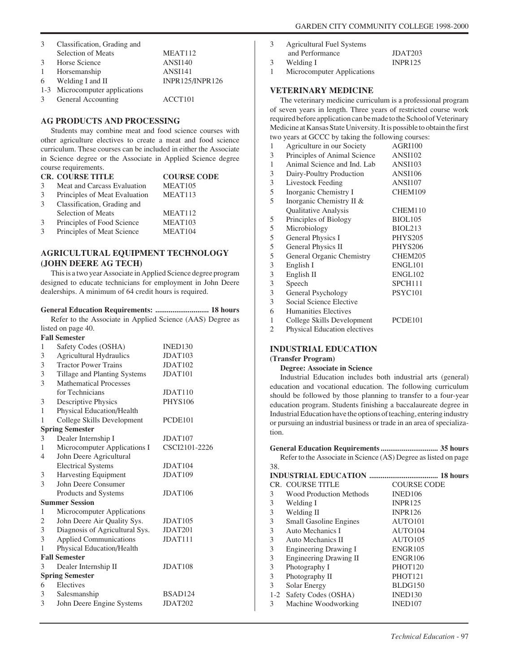| 3 | Classification, Grading and    |                     |
|---|--------------------------------|---------------------|
|   | Selection of Meats             | MEAT <sub>112</sub> |
| 3 | <b>Horse Science</b>           | ANSI140             |
| 1 | Horsemanship                   | <b>ANSI141</b>      |
|   | $6$ Welding I and II           | INPR125/INPR126     |
|   | 1-3 Microcomputer applications |                     |
| 3 | General Accounting             | ACCT <sub>101</sub> |

#### **AG PRODUCTS AND PROCESSING**

Students may combine meat and food science courses with other agriculture electives to create a meat and food science curriculum. These courses can be included in either the Associate in Science degree or the Associate in Applied Science degree course requirements.

|   | <b>CR. COURSE TITLE</b>       | <b>COURSE CODE</b>  |
|---|-------------------------------|---------------------|
| 3 | Meat and Carcass Evaluation   | MEAT <sub>105</sub> |
| 3 | Principles of Meat Evaluation | MEAT113             |
| 3 | Classification, Grading and   |                     |
|   | Selection of Meats            | MEAT <sub>112</sub> |
| 3 | Principles of Food Science    | MEAT <sub>103</sub> |
| 3 | Principles of Meat Science    | MEAT104             |

# **AGRICULTURAL EQUIPMENT TECHNOLOGY (JOHN DEERE AG TECH)**

This is a two year Associate in Applied Science degree program designed to educate technicians for employment in John Deere dealerships. A minimum of 64 credit hours is required.

#### **General Education Requirements: ............................ 18 hours**

Refer to the Associate in Applied Science (AAS) Degree as listed on page 40.

|                        | <b>Fall Semester</b>           |                     |
|------------------------|--------------------------------|---------------------|
| 1                      | Safety Codes (OSHA)            | INED130             |
| 3                      | <b>Agricultural Hydraulics</b> | JDAT <sub>103</sub> |
| 3                      | <b>Tractor Power Trains</b>    | JDAT <sub>102</sub> |
| 3                      | Tillage and Planting Systems   | JDAT101             |
| 3                      | <b>Mathematical Processes</b>  |                     |
|                        | for Technicians                | JDAT110             |
| 3                      | Descriptive Physics            | <b>PHYS106</b>      |
| 1                      | Physical Education/Health      |                     |
| 1                      | College Skills Development     | PCDE <sub>101</sub> |
|                        | <b>Spring Semester</b>         |                     |
| 3                      | Dealer Internship I            | JDAT <sub>107</sub> |
| 1                      | Microcomputer Applications I   | CSCI2101-2226       |
| 4                      | John Deere Agricultural        |                     |
|                        | <b>Electrical Systems</b>      | JDAT <sub>104</sub> |
| 3                      | <b>Harvesting Equipment</b>    | JDAT109             |
| 3                      | John Deere Consumer            |                     |
|                        | Products and Systems           | JDAT <sub>106</sub> |
|                        | <b>Summer Session</b>          |                     |
| 1                      | Microcomputer Applications     |                     |
| 2                      | John Deere Air Quality Sys.    | JDAT <sub>105</sub> |
| 3                      | Diagnosis of Agricultural Sys. | JDAT201             |
| 3                      | <b>Applied Communications</b>  | JDAT111             |
| 1                      | Physical Education/Health      |                     |
|                        | <b>Fall Semester</b>           |                     |
| 3                      | Dealer Internship II           | JDAT108             |
| <b>Spring Semester</b> |                                |                     |
| 6                      | Electives                      |                     |
| 3                      | Salesmanship                   | BSAD124             |
| 3                      | John Deere Engine Systems      | JDAT202             |
|                        |                                |                     |

- 3 Agricultural Fuel Systems
- and Performance JDAT203 3 Welding I INPR125
- 1 Microcomputer Applications

#### **VETERINARY MEDICINE**

The veterinary medicine curriculum is a professional program of seven years in length. Three years of restricted course work required before application can be made to the School of Veterinary Medicine at Kansas State University. It is possible to obtain the first two years at GCCC by taking the following courses:

| 1              | Agriculture in our Society          | <b>AGRI100</b> |
|----------------|-------------------------------------|----------------|
| 3              | Principles of Animal Science        | <b>ANSI102</b> |
| $\mathbf{1}$   | Animal Science and Ind. Lab         | <b>ANSI103</b> |
| 3              | Dairy-Poultry Production            | <b>ANSI106</b> |
| 3              | Livestock Feeding                   | <b>ANSI107</b> |
| 5              | Inorganic Chemistry I               | CHEM109        |
| 5              | Inorganic Chemistry II &            |                |
|                | Qualitative Analysis                | CHEM110        |
| 5              | Principles of Biology               | <b>BIOL105</b> |
| 5              | Microbiology                        | <b>BIOL213</b> |
| 5              | General Physics I                   | <b>PHYS205</b> |
| 5              | General Physics II                  | <b>PHYS206</b> |
| 5              | General Organic Chemistry           | CHEM205        |
| 3              | English I                           | ENGL101        |
| 3              | English II                          | ENGL102        |
| 3              | Speech                              | SPCH111        |
| 3              | General Psychology                  | PSYC101        |
| 3              | Social Science Elective             |                |
| 6              | <b>Humanities Electives</b>         |                |
| 1              | College Skills Development          | PCDE101        |
| $\overline{2}$ | <b>Physical Education electives</b> |                |

#### **INDUSTRIAL EDUCATION**

#### **(Transfer Program)**

#### **Degree: Associate in Science**

Industrial Education includes both industrial arts (general) education and vocational education. The following curriculum should be followed by those planning to transfer to a four-year education program. Students finishing a baccalaureate degree in Industrial Education have the options of teaching, entering industry or pursuing an industrial business or trade in an area of specialization.

#### **General Education Requirements .............................. 35 hours** Refer to the Associate in Science (AS) Degree as listed on page 38.

|   | <b>CR. COURSE TITLE</b>       | <b>COURSE CODE</b> |
|---|-------------------------------|--------------------|
| 3 | Wood Production Methods       | INED106            |
| 3 | Welding I                     | <b>INPR125</b>     |
| 3 | Welding II                    | <b>INPR126</b>     |
| 3 | <b>Small Gasoline Engines</b> | AUTO101            |
| 3 | Auto Mechanics I              | AUTO104            |
| 3 | Auto Mechanics II             | AUTO105            |
| 3 | Engineering Drawing I         | <b>ENGR105</b>     |
| 3 | Engineering Drawing II        | <b>ENGR106</b>     |
| 3 | Photography I                 | PHOT120            |
| 3 | Photography II                | PHOT121            |
| 3 | Solar Energy                  | BLDG150            |
|   | 1-2 Safety Codes (OSHA)       | INED130            |
| 3 | Machine Woodworking           | INED107            |
|   |                               |                    |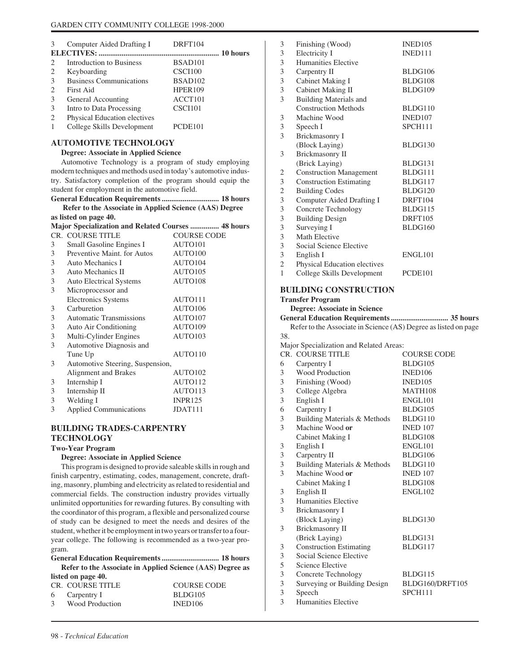| 3 | Computer Aided Drafting I      | DRFT104             |
|---|--------------------------------|---------------------|
|   |                                |                     |
| 2 | Introduction to Business       | BSAD <sub>101</sub> |
| 2 | Keyboarding                    | CSCI100             |
| 3 | <b>Business Communications</b> | BSAD <sub>102</sub> |
| 2 | <b>First Aid</b>               | <b>HPER109</b>      |
| 3 | General Accounting             | ACCT101             |
| 3 | Intro to Data Processing       | CSCI101             |
| 2 | Physical Education electives   |                     |
|   | College Skills Development     | PCDE <sub>101</sub> |

#### **AUTOMOTIVE TECHNOLOGY**

#### **Degree: Associate in Applied Science**

Automotive Technology is a program of study employing modern techniques and methods used in today's automotive industry. Satisfactory completion of the program should equip the student for employment in the automotive field.<br>Concrete Education Requirements

| Refer to the Associate in Applied Science (AAS) Degree |  |
|--------------------------------------------------------|--|
| as listed on page 40.                                  |  |

|   | Major Specialization and Related Courses  48 hours |                    |  |  |
|---|----------------------------------------------------|--------------------|--|--|
|   | CR. COURSE TITLE                                   | <b>COURSE CODE</b> |  |  |
| 3 | Small Gasoline Engines I                           | AUTO101            |  |  |
| 3 | Preventive Maint, for Autos                        | AUTO100            |  |  |
| 3 | Auto Mechanics I                                   | AUTO104            |  |  |
| 3 | Auto Mechanics II                                  | AUTO105            |  |  |
| 3 | <b>Auto Electrical Systems</b>                     | AUTO108            |  |  |
| 3 | Microprocessor and                                 |                    |  |  |
|   | Electronics Systems                                | AUTO111            |  |  |
| 3 | Carburetion                                        | AUTO106            |  |  |
| 3 | <b>Automatic Transmissions</b>                     | AUTO107            |  |  |
| 3 | <b>Auto Air Conditioning</b>                       | AUTO109            |  |  |
| 3 | Multi-Cylinder Engines                             | AUTO103            |  |  |
| 3 | Automotive Diagnosis and                           |                    |  |  |
|   | Tune Up                                            | AUTO110            |  |  |
| 3 | Automotive Steering, Suspension,                   |                    |  |  |
|   | Alignment and Brakes                               | AUTO102            |  |  |
| 3 | Internship I                                       | AUTO112            |  |  |
| 3 | Internship II                                      | AUTO113            |  |  |
| 3 | Welding I                                          | <b>INPR125</b>     |  |  |
| 3 | <b>Applied Communications</b>                      | JDAT111            |  |  |
|   |                                                    |                    |  |  |

# **BUILDING TRADES-CARPENTRY TECHNOLOGY**

#### **Two-Year Program**

#### **Degree: Associate in Applied Science**

This program is designed to provide saleable skills in rough and finish carpentry, estimating, codes, management, concrete, drafting, masonry, plumbing and electricity as related to residential and commercial fields. The construction industry provides virtually unlimited opportunities for rewarding futures. By consulting with the coordinator of this program, a flexible and personalized course of study can be designed to meet the needs and desires of the student, whether it be employment in two years or transfer to a fouryear college. The following is recommended as a two-year program.

#### **General Education Requirements .............................. 18 hours Refer to the Associate in Applied Science (AAS) Degree as**

| Refer to the Associate in Applied Science (AAS) Degre |                     |  |
|-------------------------------------------------------|---------------------|--|
| listed on page 40.                                    |                     |  |
| CR. COURSE TITLE                                      | COURSE CODE         |  |
| 6 Carpentry I                                         | BLDG105             |  |
| Wood Production                                       | INED <sub>106</sub> |  |
|                                                       |                     |  |

| 3              | Finishing (Wood)               | <b>INED105</b> |
|----------------|--------------------------------|----------------|
| 3              | Electricity I                  | INED111        |
| 3              | <b>Humanities Elective</b>     |                |
| 3              | Carpentry II                   | BLDG106        |
| 3              | Cabinet Making I               | BLDG108        |
| 3              | Cabinet Making II              | BLDG109        |
| 3              | <b>Building Materials and</b>  |                |
|                | <b>Construction Methods</b>    | BLDG110        |
| 3              | Machine Wood                   | INED107        |
| 3              | Speech I                       | SPCH111        |
| 3              | Brickmasonry I                 |                |
|                | (Block Laying)                 | BLDG130        |
| 3              | Brickmasonry II                |                |
|                | (Brick Laying)                 | BLDG131        |
| 2              | <b>Construction Management</b> | BLDG111        |
| 3              | <b>Construction Estimating</b> | BLDG117        |
| $\overline{2}$ | <b>Building Codes</b>          | BLDG120        |
| 3              | Computer Aided Drafting I      | DRFT104        |
| 3              | Concrete Technology            | BLDG115        |
| 3              | <b>Building Design</b>         | DRFT105        |
| 3              | Surveying I                    | BLDG160        |
| 3              | Math Elective                  |                |
| 3              | Social Science Elective        |                |
| 3              | English I                      | ENGL101        |
| $\overline{2}$ | Physical Education electives   |                |
| 1              | College Skills Development     | PCDE101        |

# **BUILDING CONSTRUCTION**

# **Transfer Program Degree: Associate in Science General Education Requirements .............................. 35 hours** Refer to the Associate in Science (AS) Degree as listed on page

#### 38.

Major Specialization and Related Areas:

|   | <b>CR. COURSE TITLE</b>        | <b>COURSE CODE</b>  |
|---|--------------------------------|---------------------|
| 6 | Carpentry I                    | BLDG105             |
| 3 | Wood Production                | INED <sub>106</sub> |
| 3 | Finishing (Wood)               | INED <sub>105</sub> |
| 3 | College Algebra                | MATH108             |
| 3 | English I                      | ENGL101             |
| 6 | Carpentry I                    | BLDG105             |
| 3 | Building Materials & Methods   | BLDG110             |
| 3 | Machine Wood or                | <b>INED 107</b>     |
|   | Cabinet Making I               | BLDG108             |
| 3 | English I                      | ENGL101             |
| 3 | Carpentry II                   | BLDG106             |
| 3 | Building Materials & Methods   | BLDG110             |
| 3 | Machine Wood or                | <b>INED 107</b>     |
|   | Cabinet Making I               | BLDG108             |
| 3 | English II                     | ENGL102             |
| 3 | Humanities Elective            |                     |
| 3 | Brickmasonry I                 |                     |
|   | (Block Laying)                 | BLDG130             |
| 3 | Brickmasonry II                |                     |
|   | (Brick Laying)                 | BLDG131             |
| 3 | <b>Construction Estimating</b> | BLDG117             |
| 3 | Social Science Elective        |                     |
| 5 | Science Elective               |                     |
| 3 | Concrete Technology            | BLDG115             |
| 3 | Surveying or Building Design   | BLDG160/DRFT105     |
| 3 | Speech                         | SPCH111             |
| 3 | <b>Humanities Elective</b>     |                     |
|   |                                |                     |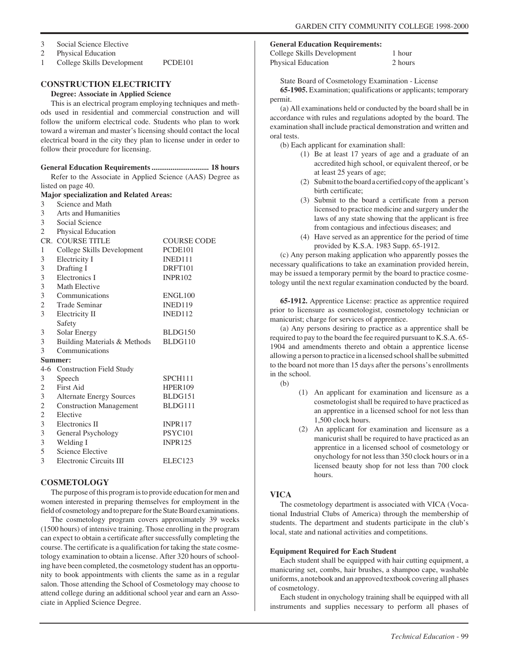- 3 Social Science Elective
- 2 Physical Education
- 1 College Skills Development PCDE101

# **CONSTRUCTION ELECTRICITY**

**Degree: Associate in Applied Science**

This is an electrical program employing techniques and methods used in residential and commercial construction and will follow the uniform electrical code. Students who plan to work toward a wireman and master's licensing should contact the local electrical board in the city they plan to license under in order to follow their procedure for licensing.

#### **General Education Requirements .............................. 18 hours**

Refer to the Associate in Applied Science (AAS) Degree as listed on page 40.

**Major specialization and Related Areas:**

- 3 Science and Math
- 3 Arts and Humanities

| 3              | Social Science                  |                     |
|----------------|---------------------------------|---------------------|
| $\overline{2}$ | Physical Education              |                     |
|                | <b>CR. COURSE TITLE</b>         | <b>COURSE CODE</b>  |
| 1              | College Skills Development      | PCDE101             |
| 3              | Electricity I                   | INED111             |
| 3              | Drafting I                      | DRFT101             |
| 3              | Electronics I                   | <b>INPR102</b>      |
| 3              | Math Elective                   |                     |
| 3              | Communications                  | ENGL100             |
| 2              | <b>Trade Seminar</b>            | INED119             |
| 3              | Electricity II                  | INED112             |
|                | Safety                          |                     |
| 3              | Solar Energy                    | BLDG150             |
| 3              | Building Materials & Methods    | BLDG110             |
| 3              | Communications                  |                     |
|                | Summer:                         |                     |
|                | 4-6 Construction Field Study    |                     |
| 3              | Speech                          | SPCH111             |
| 2              | First Aid                       | <b>HPER109</b>      |
| 3              | <b>Alternate Energy Sources</b> | BLDG151             |
| $\sqrt{2}$     | <b>Construction Management</b>  | BLDG111             |
| $\overline{c}$ | Elective                        |                     |
| 3              | Electronics II                  | <b>INPR117</b>      |
| 3              | General Psychology              | <b>PSYC101</b>      |
| $\mathfrak{Z}$ | Welding I                       | <b>INPR125</b>      |
| 5              | <b>Science Elective</b>         |                     |
| 3              | Electronic Circuits III         | ELEC <sub>123</sub> |

#### **COSMETOLOGY**

The purpose of this program is to provide education for men and women interested in preparing themselves for employment in the field of cosmetology and to prepare for the State Board examinations.

The cosmetology program covers approximately 39 weeks (1500 hours) of intensive training. Those enrolling in the program can expect to obtain a certificate after successfully completing the course. The certificate is a qualification for taking the state cosmetology examination to obtain a license. After 320 hours of schooling have been completed, the cosmetology student has an opportunity to book appointments with clients the same as in a regular salon. Those attending the School of Cosmetology may choose to attend college during an additional school year and earn an Associate in Applied Science Degree.

#### **General Education Requirements:**

| College Skills Development | 1 hour  |
|----------------------------|---------|
| Physical Education         | 2 hours |

State Board of Cosmetology Examination - License

**65-1905.** Examination; qualifications or applicants; temporary permit.

(a) All examinations held or conducted by the board shall be in accordance with rules and regulations adopted by the board. The examination shall include practical demonstration and written and oral tests.

(b) Each applicant for examination shall:

- (1) Be at least 17 years of age and a graduate of an accredited high school, or equivalent thereof, or be at least 25 years of age;
- (2) Submit to the board a certified copy of the applicant's birth certificate;
- (3) Submit to the board a certificate from a person licensed to practice medicine and surgery under the laws of any state showing that the applicant is free from contagious and infectious diseases; and
- (4) Have served as an apprentice for the period of time provided by K.S.A. 1983 Supp. 65-1912.

(c) Any person making application who apparently posses the necessary qualifications to take an examination provided herein, may be issued a temporary permit by the board to practice cosmetology until the next regular examination conducted by the board.

**65-1912.** Apprentice License: practice as apprentice required prior to licensure as cosmetologist, cosmetology technician or manicurist; charge for services of apprentice.

(a) Any persons desiring to practice as a apprentice shall be required to pay to the board the fee required pursuant to K.S.A. 65- 1904 and amendments thereto and obtain a apprentice license allowing a person to practice in a licensed school shall be submitted to the board not more than 15 days after the persons's enrollments in the school.

- (b)
- (1) An applicant for examination and licensure as a cosmetologist shall be required to have practiced as an apprentice in a licensed school for not less than 1,500 clock hours.
- (2) An applicant for examination and licensure as a manicurist shall be required to have practiced as an apprentice in a licensed school of cosmetology or onychology for not less than 350 clock hours or in a licensed beauty shop for not less than 700 clock hours.

#### **VICA**

The cosmetology department is associated with VICA (Vocational Industrial Clubs of America) through the membership of students. The department and students participate in the club's local, state and national activities and competitions.

#### **Equipment Required for Each Student**

Each student shall be equipped with hair cutting equipment, a manicuring set, combs, hair brushes, a shampoo cape, washable uniforms, a notebook and an approved textbook covering all phases of cosmetology.

Each student in onychology training shall be equipped with all instruments and supplies necessary to perform all phases of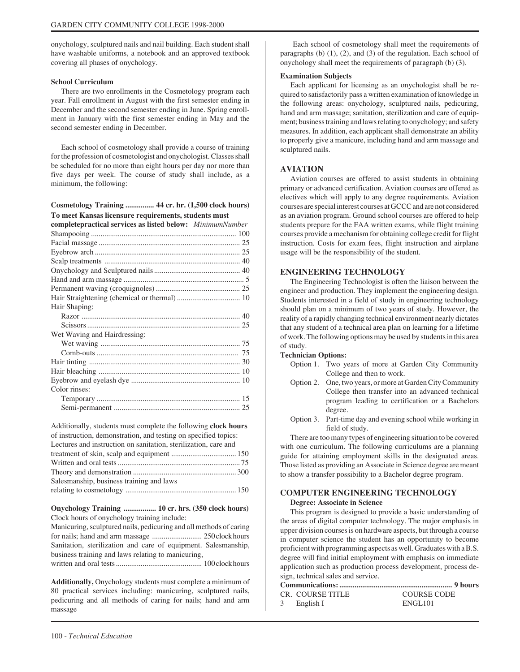onychology, sculptured nails and nail building. Each student shall have washable uniforms, a notebook and an approved textbook covering all phases of onychology.

#### **School Curriculum**

There are two enrollments in the Cosmetology program each year. Fall enrollment in August with the first semester ending in December and the second semester ending in June. Spring enrollment in January with the first semester ending in May and the second semester ending in December.

Each school of cosmetology shall provide a course of training for the profession of cosmetologist and onychologist. Classes shall be scheduled for no more than eight hours per day nor more than five days per week. The course of study shall include, as a minimum, the following:

| Cosmetology Training  44 cr. hr. (1,500 clock hours) |  |
|------------------------------------------------------|--|
| To meet Kansas licensure requirements, students must |  |

| To meet Transas nechsule I equit ements, students must    |  |  |  |
|-----------------------------------------------------------|--|--|--|
| completepractical services as listed below: MinimumNumber |  |  |  |
|                                                           |  |  |  |

| Hair Shaping:                |
|------------------------------|
|                              |
|                              |
| Wet Waving and Hairdressing: |
|                              |
|                              |
|                              |
|                              |
|                              |
| Color rinses:                |
|                              |
|                              |

Additionally, students must complete the following **clock hours** of instruction, demonstration, and testing on specified topics: Lectures and instruction on sanitation, sterilization, care and treatment of skin, scalp and equipment .................................. 150

| Salesmanship, business training and laws |  |
|------------------------------------------|--|
|                                          |  |

**Onychology Training ................. 10 cr. hrs. (350 clock hours)** Clock hours of onychology training include:

Manicuring, sculptured nails, pedicuring and all methods of caring for nails; hand and arm massage .......................... 250 clock hours Sanitation, sterilization and care of equipment. Salesmanship, business training and laws relating to manicuring, written and oral tests ............................................. 100 clock hours

**Additionally,** Onychology students must complete a minimum of 80 practical services including: manicuring, sculptured nails, pedicuring and all methods of caring for nails; hand and arm massage

 Each school of cosmetology shall meet the requirements of paragraphs  $(b)$   $(1)$ ,  $(2)$ , and  $(3)$  of the regulation. Each school of onychology shall meet the requirements of paragraph (b) (3).

#### **Examination Subjects**

Each applicant for licensing as an onychologist shall be required to satisfactorily pass a written examination of knowledge in the following areas: onychology, sculptured nails, pedicuring, hand and arm massage; sanitation, sterilization and care of equipment; business training and laws relating to onychology; and safety measures. In addition, each applicant shall demonstrate an ability to properly give a manicure, including hand and arm massage and sculptured nails.

#### **AVIATION**

Aviation courses are offered to assist students in obtaining primary or advanced certification. Aviation courses are offered as electives which will apply to any degree requirements. Aviation courses are special interest courses at GCCC and are not considered as an aviation program. Ground school courses are offered to help students prepare for the FAA written exams, while flight training courses provide a mechanism for obtaining college credit for flight instruction. Costs for exam fees, flight instruction and airplane usage will be the responsibility of the student.

#### **ENGINEERING TECHNOLOGY**

The Engineering Technologist is often the liaison between the engineer and production. They implement the engineering design. Students interested in a field of study in engineering technology should plan on a minimum of two years of study. However, the reality of a rapidly changing technical environment nearly dictates that any student of a technical area plan on learning for a lifetime of work. The following options may be used by students in this area of study.

#### **Technician Options:**

- Option 1. Two years of more at Garden City Community College and then to work.
- Option 2. One, two years, or more at Garden City Community College then transfer into an advanced technical program leading to certification or a Bachelors degree.
- Option 3. Part-time day and evening school while working in field of study.

There are too many types of engineering situation to be covered with one curriculum. The following curriculums are a planning guide for attaining employment skills in the designated areas. Those listed as providing an Associate in Science degree are meant to show a transfer possibility to a Bachelor degree program.

# **COMPUTER ENGINEERING TECHNOLOGY**

**Degree: Associate in Science**

This program is designed to provide a basic understanding of the areas of digital computer technology. The major emphasis in upper division courses is on hardware aspects, but through a course in computer science the student has an opportunity to become proficient with programming aspects as well. Graduates with a B.S. degree will find initial employment with emphasis on immediate application such as production process development, process design, technical sales and service.

|  | CR. COURSE TITLE | COURSE CODE         |
|--|------------------|---------------------|
|  | 3 English I      | ENGL <sub>101</sub> |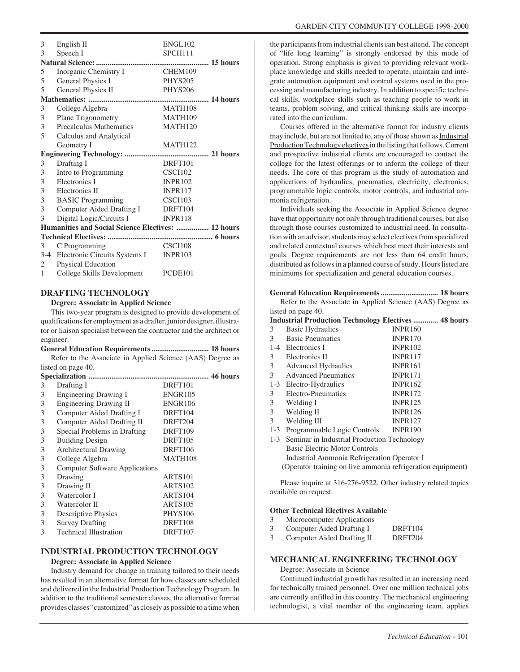| 3                                                  | English II                                | <b>ENGL102</b>      |
|----------------------------------------------------|-------------------------------------------|---------------------|
| 3                                                  | Speech I                                  | SPCH <sub>111</sub> |
|                                                    |                                           |                     |
| 5                                                  | Inorganic Chemistry I                     | CHEM109             |
| 5                                                  | General Physics I                         | PHYS205             |
| 5                                                  | General Physics II                        | <b>PHYS206</b>      |
|                                                    |                                           |                     |
| 3                                                  | College Algebra                           | <b>MATH108</b>      |
| 3                                                  | Plane Trigonometry                        | MATH109             |
| 3                                                  | Precalculus Mathematics                   | MATH <sub>120</sub> |
| 5                                                  | Calculus and Analytical                   |                     |
|                                                    | Geometry I                                | <b>MATH122</b>      |
|                                                    |                                           |                     |
| 3                                                  | Drafting I                                | DRFT <sub>101</sub> |
| 3                                                  | Intro to Programming                      | <b>CSCI102</b>      |
| 3                                                  | Electronics I                             | <b>INPR102</b>      |
| 3                                                  | Electronics II                            | <b>INPR117</b>      |
| 3                                                  | <b>BASIC Programming</b>                  | <b>CSCI103</b>      |
| 3                                                  | Computer Aided Drafting I                 | DRFT104             |
| 3                                                  | Digital Logic/Circuits I                  | INPR118             |
| Humanities and Social Science Electives:  12 hours |                                           |                     |
|                                                    |                                           |                     |
| 3                                                  | C Programming                             | CSCI108             |
|                                                    | 3-4 Electronic Circuits Systems I INPR103 |                     |
| 2                                                  | Physical Education                        |                     |
| $\mathbf{1}$                                       | College Skills Development                | PCDE101             |

#### **DRAFTING TECHNOLOGY**

**Degree: Associate in Applied Science**

This two-year program is designed to provide development of qualifications for employment as a drafter, junior designer, illustrator or liaison specialist between the contractor and the architect or engineer.

**General Education Requirements .............................. 18 hours** Refer to the Associate in Applied Science (AAS) Degree as listed on page 40.

| 3 | Drafting I                            | DRFT101        |
|---|---------------------------------------|----------------|
| 3 | <b>Engineering Drawing I</b>          | <b>ENGR105</b> |
| 3 | <b>Engineering Drawing II</b>         | <b>ENGR106</b> |
| 3 | Computer Aided Drafting I             | DRFT104        |
| 3 | Computer Aided Drafting II            | DRFT204        |
| 3 | Special Problems in Drafting          | DRFT109        |
| 3 | <b>Building Design</b>                | DRFT105        |
| 3 | <b>Architectural Drawing</b>          | DRFT106        |
| 3 | College Algebra                       | MATH108        |
| 3 | <b>Computer Software Applications</b> |                |
| 3 | Drawing                               | ARTS101        |
| 3 | Drawing II                            | <b>ARTS102</b> |
| 3 | Watercolor I                          | ARTS104        |
| 3 | Watercolor II                         | <b>ARTS105</b> |
| 3 | Descriptive Physics                   | <b>PHYS106</b> |
| 3 | <b>Survey Drafting</b>                | DRFT108        |
| 3 | <b>Technical Illustration</b>         | DRFT107        |

#### **INDUSTRIAL PRODUCTION TECHNOLOGY**

#### **Degree: Associate in Applied Science**

Industry demand for change in training tailored to their needs has resulted in an alternative format for how classes are scheduled and delivered in the Industrial Production Technology Program. In addition to the traditional semester classes, the alternative format provides classes "customized" as closely as possible to a time when

the participants from industrial clients can best attend. The concept of "life long learning" is strongly endorsed by this mode of operation. Strong emphasis is given to providing relevant workplace knowledge and skills needed to operate, maintain and integrate automation equipment and control systems used in the processing and manufacturing industry. In addition to specific technical skills, workplace skills such as teaching people to work in teams, problem solving, and critical thinking skills are incorporated into the curriculum.

Courses offered in the alternative format for industry clients may include, but are not limited to, any of those shown as Industrial Production Technology electives in the listing that follows. Current and prospective industrial clients are encouraged to contact the college for the latest offerings or to inform the college of their needs. The core of this program is the study of automation and applications of hydraulics, pneumatics, electricity, electronics, programmable logic controls, motor controls, and industrial ammonia refrigeration.

Individuals seeking the Associate in Applied Science degree have that opportunity not only through traditional courses, but also through those courses customized to industrial need. In consultation with an advisor, students may select electives from specialized and related contextual courses which best meet their interests and goals. Degree requirements are not less than 64 credit hours, distributed as follows in a planned course of study. Hours listed are minimums for specialization and general education courses.

#### **General Education Requirements .............................. 18 hours**

Refer to the Associate in Applied Science (AAS) Degree as listed on page 40.

#### **Industrial Production Technology Electives ............. 48 hours**

| 3       | <b>Basic Hydraulics</b>                     | <b>INPR160</b> |
|---------|---------------------------------------------|----------------|
| 3       | <b>Basic Pneumatics</b>                     | <b>INPR170</b> |
| $1 - 4$ | Electronics I                               | <b>INPR102</b> |
| 3       | Electronics II                              | <b>INPR117</b> |
| 3       | <b>Advanced Hydraulics</b>                  | <b>INPR161</b> |
| 3       | <b>Advanced Pneumatics</b>                  | <b>INPR171</b> |
| $1-3$   | Electro-Hydraulics                          | <b>INPR162</b> |
| 3       | Electro-Pneumatics                          | <b>INPR172</b> |
| 3       | Welding I                                   | <b>INPR125</b> |
| 3       | Welding II                                  | <b>INPR126</b> |
| 3       | Welding III                                 | <b>INPR127</b> |
| $1 - 3$ | Programmable Logic Controls                 | <b>INPR190</b> |
| $1-3$   | Seminar in Industrial Production Technology |                |
|         | <b>Basic Electric Motor Controls</b>        |                |
|         | Industrial Ammonia Refrigeration Operator I |                |

(Operator training on live ammonia refrigeration equipment)

Please inquire at 316-276-9522. Other industry related topics available on request.

#### **Other Technical Electives Available**

- 3 Microcomputer Applications
- 3 Computer Aided Drafting I DRFT104
- 3 Computer Aided Drafting II DRFT204

#### **MECHANICAL ENGINEERING TECHNOLOGY**

Degree: Associate in Science

Continued industrial growth has resulted in an increasing need for technically trained personnel. Over one million technical jobs are currently unfilled in this country. The mechanical engineering technologist, a vital member of the engineering team, applies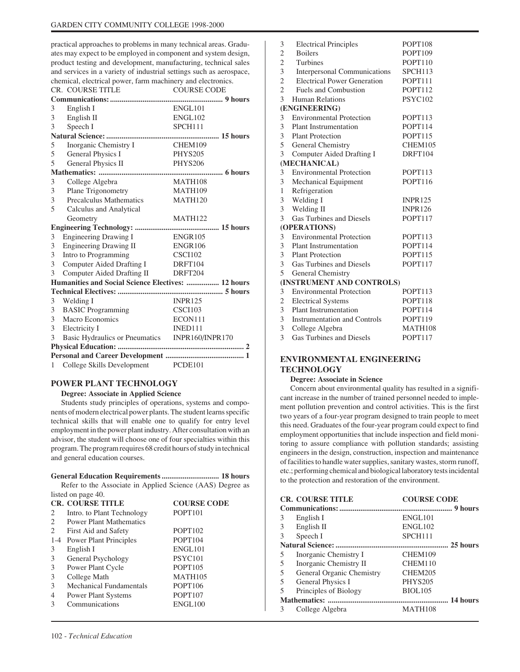practical approaches to problems in many technical areas. Graduates may expect to be employed in component and system design, product testing and development, manufacturing, technical sales and services in a variety of industrial settings such as aerospace, chemical, electrical power, farm machinery and electronics.

|                | <b>CR. COURSE TITLE</b>                            | <b>COURSE CODE</b>  |
|----------------|----------------------------------------------------|---------------------|
|                |                                                    |                     |
| 3              | English I                                          | ENGL <sub>101</sub> |
| 3              | English II                                         | ENGL102             |
| 3              | Speech I                                           | SPCH111             |
|                |                                                    |                     |
| 5              | Inorganic Chemistry I                              | CHEM109             |
| 5              | General Physics I                                  | PHYS205             |
| 5              | General Physics II                                 | <b>PHYS206</b>      |
|                |                                                    |                     |
| 3              | College Algebra                                    | <b>MATH108</b>      |
| 3              | Plane Trigonometry                                 | MATH109             |
| 3              | Precalculus Mathematics                            | <b>MATH120</b>      |
| 5              | Calculus and Analytical                            |                     |
|                | Geometry                                           | MATH <sub>122</sub> |
|                |                                                    |                     |
| 3              | <b>Engineering Drawing I</b>                       | ENGR105             |
| 3              | Engineering Drawing II                             | <b>ENGR106</b>      |
| 3              | Intro to Programming                               | <b>CSCI102</b>      |
| 3              | Computer Aided Drafting I                          | DRFT104             |
| 3              | Computer Aided Drafting II                         | DRFT204             |
|                | Humanities and Social Science Electives:  12 hours |                     |
|                |                                                    |                     |
| 3              | Welding I                                          | <b>INPR125</b>      |
| 3              | <b>BASIC</b> Programming                           | <b>CSCI103</b>      |
| $\overline{3}$ | Macro Economics                                    | ECON111             |
|                | 3 Electricity I                                    | INED111             |
| 3              | Basic Hydraulics or Pneumatics INPR160/INPR170     |                     |
|                |                                                    |                     |
|                |                                                    |                     |
| $\mathbf{1}$   | College Skills Development                         | PCDE101             |

#### **POWER PLANT TECHNOLOGY**

#### **Degree: Associate in Applied Science**

Students study principles of operations, systems and components of modern electrical power plants. The student learns specific technical skills that will enable one to qualify for entry level employment in the power plant industry. After consultation with an advisor, the student will choose one of four specialties within this program. The program requires 68 credit hours of study in technical and general education courses.

#### **General Education Requirements .............................. 18 hours**

Refer to the Associate in Applied Science (AAS) Degree as listed on page 40.

|                | <b>CR. COURSE TITLE</b>        | <b>COURSE CODE</b>  |  |
|----------------|--------------------------------|---------------------|--|
| 2              | Intro. to Plant Technology     | POPT <sub>101</sub> |  |
| 2              | <b>Power Plant Mathematics</b> |                     |  |
| 2              | First Aid and Safety           | POPT <sub>102</sub> |  |
| $1 - 4$        | <b>Power Plant Principles</b>  | POPT104             |  |
| 3              | English I                      | ENGL101             |  |
| 3              | General Psychology             | PSYC <sub>101</sub> |  |
| 3              | Power Plant Cycle              | POPT <sub>105</sub> |  |
| 3              | College Math                   | <b>MATH105</b>      |  |
| 3              | <b>Mechanical Fundamentals</b> | POPT106             |  |
| $\overline{4}$ | <b>Power Plant Systems</b>     | POPT <sub>107</sub> |  |
| 3              | Communications                 | ENGL100             |  |
|                |                                |                     |  |

| 3              | <b>Electrical Principles</b>       | POPT108        |
|----------------|------------------------------------|----------------|
| $\overline{2}$ | <b>Boilers</b>                     | POPT109        |
| $\overline{c}$ | <b>Turbines</b>                    | POPT110        |
| 3              | Interpersonal Communications       | SPCH113        |
| $\overline{c}$ | <b>Electrical Power Generation</b> | POPT111        |
| $\overline{2}$ | <b>Fuels and Combustion</b>        | POPT112        |
| 3              | <b>Human Relations</b>             | PSYC102        |
|                | (ENGINEERING)                      |                |
| 3              | <b>Environmental Protection</b>    | POPT113        |
| 3              | <b>Plant Instrumentation</b>       | POPT114        |
| 3              | <b>Plant Protection</b>            | POPT115        |
| 5              | General Chemistry                  | CHEM105        |
| 3              | Computer Aided Drafting I          | DRFT104        |
|                | (MECHANICAL)                       |                |
| 3              | <b>Environmental Protection</b>    | POPT113        |
| 3              | Mechanical Equipment               | <b>POPT116</b> |
| 1              | Refrigeration                      |                |
| 3              | Welding I                          | <b>INPR125</b> |
| 3              | Welding II                         | <b>INPR126</b> |
| 3              | <b>Gas Turbines and Diesels</b>    | POPT117        |
|                | (OPERATIONS)                       |                |
| 3              | <b>Environmental Protection</b>    | POPT113        |
| 3              | Plant Instrumentation              | POPT114        |
| 3              | <b>Plant Protection</b>            | POPT115        |
| 3              | Gas Turbines and Diesels           | POPT117        |
| 5              | General Chemistry                  |                |
|                | (INSTRUMENT AND CONTROLS)          |                |
| 3              | <b>Environmental Protection</b>    | POPT113        |
| 2              | <b>Electrical Systems</b>          | POPT118        |
| 3              | <b>Plant Instrumentation</b>       | POPT114        |
| 3              | Instrumentation and Controls       | POPT119        |
| 3              | College Algebra                    | MATH108        |
| 3              | <b>Gas Turbines and Diesels</b>    | POPT117        |

# **ENVIRONMENTAL ENGINEERING TECHNOLOGY**

#### **Degree: Associate in Science**

Concern about environmental quality has resulted in a significant increase in the number of trained personnel needed to implement pollution prevention and control activities. This is the first two years of a four-year program designed to train people to meet this need. Graduates of the four-year program could expect to find employment opportunities that include inspection and field monitoring to assure compliance with pollution standards; assisting engineers in the design, construction, inspection and maintenance of facilities to handle water supplies, sanitary wastes, storm runoff, etc.; performing chemical and biological laboratory tests incidental to the protection and restoration of the environment.

|   | <b>CR. COURSE TITLE</b>   | <b>COURSE CODE</b>  |
|---|---------------------------|---------------------|
|   |                           |                     |
| 3 | English I                 | <b>ENGL101</b>      |
| 3 | English II                | <b>ENGL102</b>      |
| 3 | Speech I                  | SPCH <sub>111</sub> |
|   |                           |                     |
| 5 | Inorganic Chemistry I     | CHEM109             |
| 5 | Inorganic Chemistry II    | CHEM110             |
| 5 | General Organic Chemistry | CHEM205             |
| 5 | General Physics I         | <b>PHYS205</b>      |
| 5 | Principles of Biology     | <b>BIOL105</b>      |
|   |                           |                     |
| 3 | College Algebra           | <b>MATH108</b>      |
|   |                           |                     |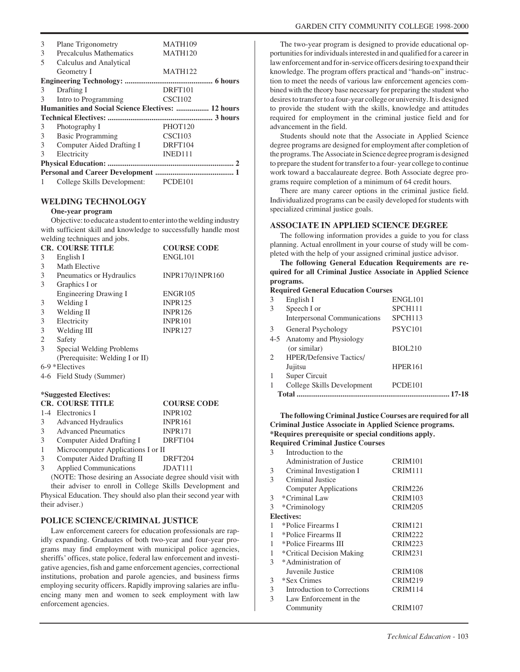| 3 | Plane Trigonometry                                 | MATH109             |  |
|---|----------------------------------------------------|---------------------|--|
|   |                                                    |                     |  |
| 3 | Precalculus Mathematics                            | <b>MATH120</b>      |  |
| 5 | Calculus and Analytical                            |                     |  |
|   | Geometry I                                         | <b>MATH122</b>      |  |
|   |                                                    |                     |  |
| 3 | Drafting I                                         | DRFT101             |  |
| 3 | Intro to Programming                               | CSCI102             |  |
|   | Humanities and Social Science Electives:  12 hours |                     |  |
|   |                                                    |                     |  |
| 3 | Photography I                                      | PHOT <sub>120</sub> |  |
| 3 | <b>Basic Programming</b>                           | CSCI103             |  |
| 3 | Computer Aided Drafting I                          | DRFT104             |  |
|   |                                                    |                     |  |
| 3 | Electricity                                        | INED <sub>111</sub> |  |
|   |                                                    |                     |  |
|   |                                                    |                     |  |

#### **WELDING TECHNOLOGY**

#### **One-year program**

Objective: to educate a student to enter into the welding industry with sufficient skill and knowledge to successfully handle most welding techniques and jobs.

|   | <b>CR. COURSE TITLE</b>         | <b>COURSE CODE</b> |
|---|---------------------------------|--------------------|
| 3 | English I                       | ENGL101            |
| 3 | Math Elective                   |                    |
| 3 | Pneumatics or Hydraulics        | INPR170/1NPR160    |
| 3 | Graphics I or                   |                    |
|   | <b>Engineering Drawing I</b>    | <b>ENGR105</b>     |
| 3 | Welding I                       | <b>INPR125</b>     |
| 3 | Welding II                      | <b>INPR126</b>     |
| 3 | Electricity                     | <b>INPR101</b>     |
| 3 | Welding III                     | <b>INPR127</b>     |
| 2 | Safety                          |                    |
| 3 | Special Welding Problems        |                    |
|   | (Prerequisite: Welding I or II) |                    |
|   | $6-9$ *Electives                |                    |
|   | 4-6 Field Study (Summer)        |                    |
|   |                                 |                    |
|   | *Suggested Electives:           |                    |

|                | <b>CR. COURSE TITLE</b>            | <b>COURSE CODE</b>                |
|----------------|------------------------------------|-----------------------------------|
|                | 1-4 Electronics I                  | <b>INPR102</b>                    |
| 3 <sup>7</sup> | <b>Advanced Hydraulics</b>         | <b>INPR161</b>                    |
|                | 3 Advanced Pneumatics              | <b>INPR171</b>                    |
| 3              | Computer Aided Drafting I          | DRFT104                           |
| $\mathbf{1}$   | Microcomputer Applications I or II |                                   |
| 3              | Computer Aided Drafting II         | DRFT204                           |
|                | $\lambda$ 1 1 $\alpha$ $\lambda$   | $T\Gamma$ $\Lambda$ $T\Gamma$ 1.1 |

Applied Communications JDAT111 (NOTE: Those desiring an Associate degree should visit with their adviser to enroll in College Skills Development and

Physical Education. They should also plan their second year with their adviser.)

#### **POLICE SCIENCE/CRIMINAL JUSTICE**

Law enforcement careers for education professionals are rapidly expanding. Graduates of both two-year and four-year programs may find employment with municipal police agencies, sheriffs' offices, state police, federal law enforcement and investigative agencies, fish and game enforcement agencies, correctional institutions, probation and parole agencies, and business firms employing security officers. Rapidly improving salaries are influencing many men and women to seek employment with law enforcement agencies.

The two-year program is designed to provide educational opportunities for individuals interested in and qualified for a career in law enforcement and for in-service officers desiring to expand their knowledge. The program offers practical and "hands-on" instruction to meet the needs of various law enforcement agencies combined with the theory base necessary for preparing the student who desires to transfer to a four-year college or university. It is designed to provide the student with the skills, knowledge and attitudes required for employment in the criminal justice field and for advancement in the field.

Students should note that the Associate in Applied Science degree programs are designed for employment after completion of the programs. The Associate in Science degree program is designed to prepare the student for transfer to a four- year college to continue work toward a baccalaureate degree. Both Associate degree programs require completion of a minimum of 64 credit hours.

There are many career options in the criminal justice field. Individualized programs can be easily developed for students with specialized criminal justice goals.

#### **ASSOCIATE IN APPLIED SCIENCE DEGREE**

The following information provides a guide to you for class planning. Actual enrollment in your course of study will be completed with the help of your assigned criminal justice advisor.

**The following General Education Requirements are required for all Criminal Justice Associate in Applied Science programs.**

#### **Required General Education Courses**

| 3              | English I                      | ENGL101             |
|----------------|--------------------------------|---------------------|
| 3              | Speech I or                    | SPCH111             |
|                | Interpersonal Communications   | SPCH <sub>113</sub> |
| 3              | General Psychology             | PSYC <sub>101</sub> |
|                | 4-5 Anatomy and Physiology     |                     |
|                | (or similar)                   | <b>BIOL210</b>      |
| $\overline{2}$ | <b>HPER/Defensive Tactics/</b> |                     |
|                | Jujitsu                        | HPER161             |
| 1              | Super Circuit                  |                     |
| 1              | College Skills Development     | PCDE101             |
|                | Total                          |                     |
|                |                                |                     |

#### **The following Criminal Justice Courses are required for all Criminal Justice Associate in Applied Science programs. \*Requires prerequisite or special conditions apply. Required Criminal Justice Courses**

| 3 | Introduction to the          |                     |
|---|------------------------------|---------------------|
|   | Administration of Justice    | CRIM <sub>101</sub> |
| 3 | Criminal Investigation I     | CRIM111             |
| 3 | Criminal Justice             |                     |
|   | <b>Computer Applications</b> | CRIM226             |
| 3 | *Criminal Law                | CRIM103             |
| 3 | *Criminology                 | <b>CRIM205</b>      |
|   | Electives:                   |                     |
| 1 | *Police Firearms I           | <b>CRIM121</b>      |
|   | *Police Firearms II          | <b>CRIM222</b>      |
|   | *Police Firearms III         | <b>CRIM223</b>      |
|   | *Critical Decision Making    | <b>CRIM231</b>      |
| 3 | *Administration of           |                     |
|   | Juvenile Justice             | CRIM108             |
| 3 | *Sex Crimes                  | <b>CRIM219</b>      |
| 3 | Introduction to Corrections  | CRIM114             |
| 3 | Law Enforcement in the       |                     |
|   | Community                    | CRIM107             |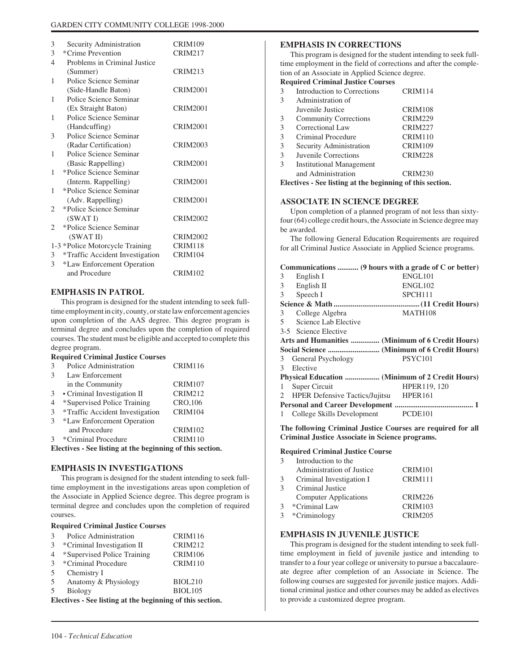| 3                     | Security Administration         | <b>CRIM109</b>  |
|-----------------------|---------------------------------|-----------------|
| 3                     | *Crime Prevention               | <b>CRIM217</b>  |
| 4                     | Problems in Criminal Justice    |                 |
|                       | (Summer)                        | <b>CRIM213</b>  |
| 1                     | Police Science Seminar          |                 |
|                       | (Side-Handle Baton)             | CRIM2001        |
| 1                     | Police Science Seminar          |                 |
|                       | (Ex Straight Baton)             | <b>CRIM2001</b> |
| 1                     | Police Science Seminar          |                 |
|                       | (Handcuffing)                   | <b>CRIM2001</b> |
| 3                     | Police Science Seminar          |                 |
|                       | (Radar Certification)           | <b>CRIM2003</b> |
| 1                     | Police Science Seminar          |                 |
|                       | (Basic Rappelling)              | <b>CRIM2001</b> |
| 1                     | *Police Science Seminar         |                 |
|                       | (Interm. Rappelling)            | <b>CRIM2001</b> |
| 1                     | *Police Science Seminar         |                 |
|                       | (Adv. Rappelling)               | <b>CRIM2001</b> |
| 2                     | *Police Science Seminar         |                 |
|                       | (SWATI)                         | <b>CRIM2002</b> |
| $\mathcal{D}_{\cdot}$ | *Police Science Seminar         |                 |
|                       | (SWATII)                        | <b>CRIM2002</b> |
|                       | 1-3 *Police Motorcycle Training | CRIM118         |
| 3                     | *Traffic Accident Investigation | CRIM104         |
| 3                     | *Law Enforcement Operation      |                 |
|                       | and Procedure                   | <b>CRIM102</b>  |
|                       |                                 |                 |

#### **EMPHASIS IN PATROL**

This program is designed for the student intending to seek fulltime employment in city, county, or state law enforcement agencies upon completion of the AAS degree. This degree program is terminal degree and concludes upon the completion of required courses. The student must be eligible and accepted to complete this degree program.

#### **Required Criminal Justice Courses**

| 3              | Police Administration                                     | CRIM116        |
|----------------|-----------------------------------------------------------|----------------|
| $\mathcal{F}$  | Law Enforcement                                           |                |
|                | in the Community                                          | CRIM107        |
| 3              | • Criminal Investigation II                               | <b>CRIM212</b> |
| $\overline{4}$ | *Supervised Police Training                               | CRO, 106       |
| 3              | <i>*Traffic Accident Investigation</i>                    | CRIM104        |
| 3              | *Law Enforcement Operation                                |                |
|                | and Procedure                                             | <b>CRIM102</b> |
| $\mathcal{F}$  | *Criminal Procedure                                       | CRIM110        |
|                | Electives - See listing at the beginning of this section. |                |

#### **EMPHASIS IN INVESTIGATIONS**

This program is designed for the student intending to seek fulltime employment in the investigations areas upon completion of the Associate in Applied Science degree. This degree program is terminal degree and concludes upon the completion of required courses.

#### **Required Criminal Justice Courses**

| $\mathcal{R}$ | Police Administration                                     | CRIM116        |
|---------------|-----------------------------------------------------------|----------------|
| 3             | *Criminal Investigation II                                | <b>CRIM212</b> |
| 4             | *Supervised Police Training                               | CRIM106        |
| $\mathcal{R}$ | *Criminal Procedure                                       | CRIM110        |
| .5            | Chemistry I                                               |                |
| $\sim$        | Anatomy & Physiology                                      | <b>BIOL210</b> |
| 5             | Biology                                                   | <b>BIOL105</b> |
|               | Electives - See listing at the beginning of this section. |                |

#### **EMPHASIS IN CORRECTIONS**

This program is designed for the student intending to seek fulltime employment in the field of corrections and after the completion of an Associate in Applied Science degree.

#### **Required Criminal Justice Courses**

| 3             | Introduction to Corrections                               | CRIM114        |
|---------------|-----------------------------------------------------------|----------------|
| $\mathcal{E}$ | Administration of                                         |                |
|               | Juvenile Justice                                          | CRIM108        |
| 3             | <b>Community Corrections</b>                              | <b>CRIM229</b> |
| 3             | Correctional Law                                          | <b>CRIM227</b> |
| 3             | Criminal Procedure                                        | CRIM110        |
| 3             | Security Administration                                   | CRIM109        |
| 3             | Juvenile Corrections                                      | CRIM228        |
| $\mathcal{F}$ | <b>Institutional Management</b>                           |                |
|               | and Administration                                        | <b>CRIM230</b> |
|               | Electives - See listing at the beginning of this section. |                |

#### **ASSOCIATE IN SCIENCE DEGREE**

Upon completion of a planned program of not less than sixtyfour (64) college credit hours, the Associate in Science degree may be awarded.

The following General Education Requirements are required for all Criminal Justice Associate in Applied Science programs.

#### **Communications ........... (9 hours with a grade of C or better)**

| 3 <sup>7</sup> | English I                                | ENGL101             |
|----------------|------------------------------------------|---------------------|
| $\mathfrak{Z}$ | English II                               | ENGL102             |
| 3              | Speech I                                 | SPCH111             |
|                |                                          |                     |
|                | 3 College Algebra                        | MATH108             |
| 5 <sup>7</sup> | Science Lab Elective                     |                     |
|                | 3-5 Science Elective                     |                     |
|                |                                          |                     |
|                |                                          |                     |
|                |                                          |                     |
|                | 3 General Psychology                     | PSYC <sub>101</sub> |
| 3              | Elective                                 |                     |
|                |                                          |                     |
| 1              | Super Circuit                            | HPER119, 120        |
|                | 2 HPER Defensive Tactics/Jujitsu HPER161 |                     |
|                |                                          |                     |

#### **The following Criminal Justice Courses are required for all Criminal Justice Associate in Science programs.**

# **Required Criminal Justice Course**

| $\mathcal{R}$ | Introduction to the          |                |
|---------------|------------------------------|----------------|
|               | Administration of Justice    | CRIM101        |
| 3             | Criminal Investigation I     | CRIM111        |
| $\mathcal{R}$ | Criminal Justice             |                |
|               | <b>Computer Applications</b> | <b>CRIM226</b> |
| $\mathcal{R}$ | *Criminal Law                | CRIM103        |
| 3             | *Criminology                 | CRIM205        |

#### **EMPHASIS IN JUVENILE JUSTICE**

This program is designed for the student intending to seek fulltime employment in field of juvenile justice and intending to transfer to a four year college or university to pursue a baccalaureate degree after completion of an Associate in Science. The following courses are suggested for juvenile justice majors. Additional criminal justice and other courses may be added as electives to provide a customized degree program.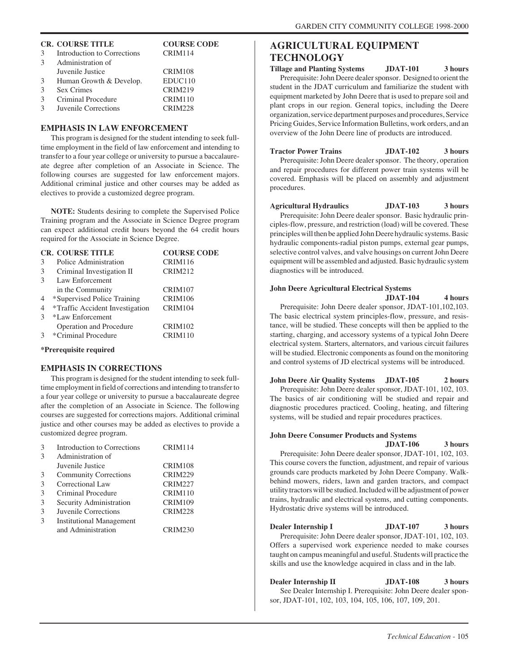|               | <b>CR. COURSE TITLE</b>     | <b>COURSE CODE</b>  |
|---------------|-----------------------------|---------------------|
| 3             | Introduction to Corrections | CRIM114             |
| $\mathcal{R}$ | Administration of           |                     |
|               | Juvenile Justice            | CRIM108             |
| 3             | Human Growth & Develop.     | EDUC <sub>110</sub> |
| $\mathcal{F}$ | Sex Crimes                  | <b>CRIM219</b>      |
| $\mathcal{E}$ | Criminal Procedure          | CRIM110             |
| $\mathcal{R}$ | Juvenile Corrections        | <b>CRIM228</b>      |

#### **EMPHASIS IN LAW ENFORCEMENT**

This program is designed for the student intending to seek fulltime employment in the field of law enforcement and intending to transfer to a four year college or university to pursue a baccalaureate degree after completion of an Associate in Science. The following courses are suggested for law enforcement majors. Additional criminal justice and other courses may be added as electives to provide a customized degree program.

**NOTE:** Students desiring to complete the Supervised Police Training program and the Associate in Science Degree program can expect additional credit hours beyond the 64 credit hours required for the Associate in Science Degree.

|                | <b>CR. COURSE TITLE</b>         | <b>COURSE CODE</b> |
|----------------|---------------------------------|--------------------|
| 3              | Police Administration           | CRIM116            |
| 3              | Criminal Investigation II       | <b>CRIM212</b>     |
| $\mathcal{F}$  | Law Enforcement                 |                    |
|                | in the Community                | <b>CRIM107</b>     |
| $\overline{4}$ | *Supervised Police Training     | CRIM106            |
| $\overline{4}$ | *Traffic Accident Investigation | CRIM104            |
| $\mathcal{R}$  | *Law Enforcement                |                    |
|                | Operation and Procedure         | CRIM102            |
|                | *Criminal Procedure             | CRIM110            |
|                |                                 |                    |

#### **\*Prerequisite required**

#### **EMPHASIS IN CORRECTIONS**

This program is designed for the student intending to seek fulltime employment in field of corrections and intending to transfer to a four year college or university to pursue a baccalaureate degree after the completion of an Associate in Science. The following courses are suggested for corrections majors. Additional criminal justice and other courses may be added as electives to provide a customized degree program.

| 3 | Introduction to Corrections     | CRIM114        |
|---|---------------------------------|----------------|
| 3 | Administration of               |                |
|   | Juvenile Justice                | CRIM108        |
| 3 | <b>Community Corrections</b>    | <b>CRIM229</b> |
| 3 | Correctional Law                | <b>CRIM227</b> |
| 3 | Criminal Procedure              | CRIM110        |
| 3 | Security Administration         | CRIM109        |
| 3 | Juvenile Corrections            | CRIM228        |
| 3 | <b>Institutional Management</b> |                |
|   | and Administration              | CRIM230        |
|   |                                 |                |

# **AGRICULTURAL EQUIPMENT TECHNOLOGY**

**Tillage and Planting Systems JDAT-101 3 hours** Prerequisite: John Deere dealer sponsor. Designed to orient the student in the JDAT curriculum and familiarize the student with equipment marketed by John Deere that is used to prepare soil and plant crops in our region. General topics, including the Deere organization, service department purposes and procedures, Service Pricing Guides, Service Information Bulletins, work orders, and an overview of the John Deere line of products are introduced.

**Tractor Power Trains JDAT-102 3 hours** Prerequisite: John Deere dealer sponsor. The theory, operation and repair procedures for different power train systems will be covered. Emphasis will be placed on assembly and adjustment procedures.

**Agricultural Hydraulics JDAT-103 3 hours** Prerequisite: John Deere dealer sponsor. Basic hydraulic principles-flow, pressure, and restriction (load) will be covered. These principles will then be applied John Deere hydraulic systems. Basic hydraulic components-radial piston pumps, external gear pumps, selective control valves, and valve housings on current John Deere equipment will be assembled and adjusted. Basic hydraulic system diagnostics will be introduced.

#### **John Deere Agricultural Electrical Systems**

**JDAT-104 4 hours**

Prerequisite: John Deere dealer sponsor, JDAT-101,102,103. The basic electrical system principles-flow, pressure, and resistance, will be studied. These concepts will then be applied to the starting, charging, and accessory systems of a typical John Deere electrical system. Starters, alternators, and various circuit failures will be studied. Electronic components as found on the monitoring and control systems of JD electrical systems will be introduced.

**John Deere Air Quality Systems JDAT-105 2 hours** Prerequisite: John Deere dealer sponsor, JDAT-101, 102, 103. The basics of air conditioning will be studied and repair and diagnostic procedures practiced. Cooling, heating, and filtering systems, will be studied and repair procedures practices.

#### **John Deere Consumer Products and Systems JDAT-106 3 hours**

Prerequisite: John Deere dealer sponsor, JDAT-101, 102, 103. This course covers the function, adjustment, and repair of various grounds care products marketed by John Deere Company. Walkbehind mowers, riders, lawn and garden tractors, and compact utility tractors will be studied. Included will be adjustment of power trains, hydraulic and electrical systems, and cutting components. Hydrostatic drive systems will be introduced.

**Dealer Internship I JDAT-107** 3 hours Prerequisite: John Deere dealer sponsor, JDAT-101, 102, 103. Offers a supervised work experience needed to make courses taught on campus meaningful and useful. Students will practice the skills and use the knowledge acquired in class and in the lab.

**Dealer Internship II JDAT-108** 3 hours See Dealer Internship I. Prerequisite: John Deere dealer sponsor, JDAT-101, 102, 103, 104, 105, 106, 107, 109, 201.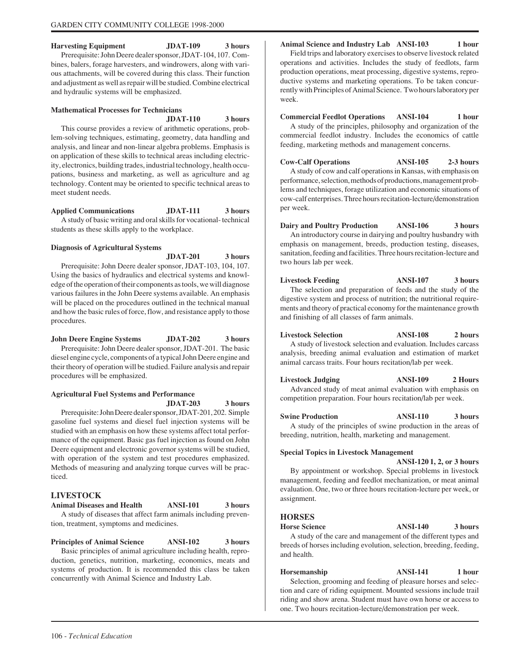# **Harvesting Equipment JDAT-109 3 hours**

Prerequisite: John Deere dealer sponsor, JDAT-104, 107. Combines, balers, forage harvesters, and windrowers, along with various attachments, will be covered during this class. Their function and adjustment as well as repair will be studied. Combine electrical and hydraulic systems will be emphasized.

#### **Mathematical Processes for Technicians**

#### **JDAT-110 3 hours**

This course provides a review of arithmetic operations, problem-solving techniques, estimating, geometry, data handling and analysis, and linear and non-linear algebra problems. Emphasis is on application of these skills to technical areas including electricity, electronics, building trades, industrial technology, health occupations, business and marketing, as well as agriculture and ag technology. Content may be oriented to specific technical areas to meet student needs.

**Applied Communications JDAT-111 3 hours** A study of basic writing and oral skills for vocational- technical students as these skills apply to the workplace.

#### **Diagnosis of Agricultural Systems**

**JDAT-201 3 hours** Prerequisite: John Deere dealer sponsor, JDAT-103, 104, 107. Using the basics of hydraulics and electrical systems and knowledge of the operation of their components as tools, we will diagnose various failures in the John Deere systems available. An emphasis will be placed on the procedures outlined in the technical manual and how the basic rules of force, flow, and resistance apply to those procedures.

**John Deere Engine Systems JDAT-202 3 hours** Prerequisite: John Deere dealer sponsor, JDAT-201. The basic diesel engine cycle, components of a typical John Deere engine and their theory of operation will be studied. Failure analysis and repair procedures will be emphasized.

#### **Agricultural Fuel Systems and Performance**

**JDAT-203 3 hours** Prerequisite: John Deere dealer sponsor, JDAT-201, 202. Simple gasoline fuel systems and diesel fuel injection systems will be studied with an emphasis on how these systems affect total performance of the equipment. Basic gas fuel injection as found on John Deere equipment and electronic governor systems will be studied, with operation of the system and test procedures emphasized. Methods of measuring and analyzing torque curves will be prac-

#### **LIVESTOCK**

ticed.

**Animal Diseases and Health ANSI-101 3 hours** A study of diseases that affect farm animals including prevention, treatment, symptoms and medicines.

#### **Principles of Animal Science ANSI-102 3 hours**

Basic principles of animal agriculture including health, reproduction, genetics, nutrition, marketing, economics, meats and systems of production. It is recommended this class be taken concurrently with Animal Science and Industry Lab.

#### **Animal Science and Industry Lab ANSI-103 1 hour**

Field trips and laboratory exercises to observe livestock related operations and activities. Includes the study of feedlots, farm production operations, meat processing, digestive systems, reproductive systems and marketing operations. To be taken concurrently with Principles of Animal Science. Two hours laboratory per week.

**Commercial Feedlot Operations ANSI-104 1 hour** A study of the principles, philosophy and organization of the commercial feedlot industry. Includes the economics of cattle feeding, marketing methods and management concerns.

**Cow-Calf Operations ANSI-105 2-3 hours** A study of cow and calf operations in Kansas, with emphasis on performance, selection, methods of productions, management problems and techniques, forage utilization and economic situations of cow-calf enterprises. Three hours recitation-lecture/demonstration per week.

**Dairy and Poultry Production ANSI-106 3 hours** An introductory course in dairying and poultry husbandry with emphasis on management, breeds, production testing, diseases, sanitation, feeding and facilities. Three hours recitation-lecture and two hours lab per week.

**Livestock Feeding ANSI-107 3 hours** The selection and preparation of feeds and the study of the digestive system and process of nutrition; the nutritional requirements and theory of practical economy for the maintenance growth and finishing of all classes of farm animals.

**Livestock Selection ANSI-108 2 hours**

A study of livestock selection and evaluation. Includes carcass analysis, breeding animal evaluation and estimation of market animal carcass traits. Four hours recitation/lab per week.

**Livestock Judging ANSI-109 2 Hours** Advanced study of meat animal evaluation with emphasis on competition preparation. Four hours recitation/lab per week.

**Swine Production ANSI-110 3 hours** A study of the principles of swine production in the areas of breeding, nutrition, health, marketing and management.

#### **Special Topics in Livestock Management**

**ANSI-120 1, 2, or 3 hours** By appointment or workshop. Special problems in livestock management, feeding and feedlot mechanization, or meat animal evaluation. One, two or three hours recitation-lecture per week, or assignment.

#### **HORSES**

**Horse Science ANSI-140 3 hours**

A study of the care and management of the different types and breeds of horses including evolution, selection, breeding, feeding, and health.

**Horsemanship ANSI-141** 1 hour Selection, grooming and feeding of pleasure horses and selection and care of riding equipment. Mounted sessions include trail riding and show arena. Student must have own horse or access to one. Two hours recitation-lecture/demonstration per week.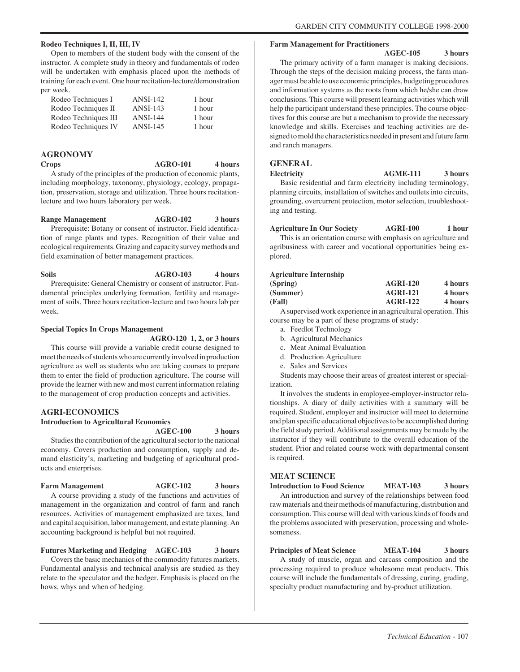#### **Rodeo Techniques I, II, III, IV**

Open to members of the student body with the consent of the instructor. A complete study in theory and fundamentals of rodeo will be undertaken with emphasis placed upon the methods of training for each event. One hour recitation-lecture/demonstration per week.

| Rodeo Techniques I   | $ANSI-142$      | 1 hour |
|----------------------|-----------------|--------|
| Rodeo Techniques II  | $ANSI-143$      | 1 hour |
| Rodeo Techniques III | <b>ANSI-144</b> | 1 hour |
| Rodeo Techniques IV  | $ANSI-145$      | 1 hour |

#### **AGRONOMY**

**Crops AGRO-101 4 hours**

A study of the principles of the production of economic plants, including morphology, taxonomy, physiology, ecology, propagation, preservation, storage and utilization. Three hours recitationlecture and two hours laboratory per week.

#### **Range Management AGRO-102 3 hours**

Prerequisite: Botany or consent of instructor. Field identification of range plants and types. Recognition of their value and ecological requirements. Grazing and capacity survey methods and field examination of better management practices.

# Soils **AGRO-103** 4 hours Prerequisite: General Chemistry or consent of instructor. Fun-

damental principles underlying formation, fertility and management of soils. Three hours recitation-lecture and two hours lab per week.

#### **Special Topics In Crops Management**

**AGRO-120 1, 2, or 3 hours**

This course will provide a variable credit course designed to meet the needs of students who are currently involved in production agriculture as well as students who are taking courses to prepare them to enter the field of production agriculture. The course will provide the learner with new and most current information relating to the management of crop production concepts and activities.

#### **AGRI-ECONOMICS**

# **Introduction to Agricultural Economics**

**AGEC-100 3 hours**

Studies the contribution of the agricultural sector to the national economy. Covers production and consumption, supply and demand elasticity's, marketing and budgeting of agricultural products and enterprises.

#### Farm Management **AGEC-102** 3 hours

A course providing a study of the functions and activities of management in the organization and control of farm and ranch resources. Activities of management emphasized are taxes, land and capital acquisition, labor management, and estate planning. An accounting background is helpful but not required.

#### **Futures Marketing and Hedging AGEC-103 3 hours**

Covers the basic mechanics of the commodity futures markets. Fundamental analysis and technical analysis are studied as they relate to the speculator and the hedger. Emphasis is placed on the hows, whys and when of hedging.

#### **Farm Management for Practitioners**

#### **AGEC-105 3 hours**

The primary activity of a farm manager is making decisions. Through the steps of the decision making process, the farm manager must be able to use economic principles, budgeting procedures and information systems as the roots from which he/she can draw conclusions. This course will present learning activities which will help the participant understand these principles. The course objectives for this course are but a mechanism to provide the necessary knowledge and skills. Exercises and teaching activities are designed to mold the characteristics needed in present and future farm and ranch managers.

#### **GENERAL**

**Electricity AGME-111 3 hours** Basic residential and farm electricity including terminology, planning circuits, installation of switches and outlets into circuits, grounding, overcurrent protection, motor selection, troubleshooting and testing.

#### **Agriculture In Our Society AGRI-100 1 hour**

This is an orientation course with emphasis on agriculture and agribusiness with career and vocational opportunities being explored.

#### **Agriculture Internship**

| (Spring) | <b>AGRI-120</b> | 4 hours |
|----------|-----------------|---------|
| (Summer) | <b>AGRI-121</b> | 4 hours |
| (Fall)   | <b>AGRI-122</b> | 4 hours |

A supervised work experience in an agricultural operation. This course may be a part of these programs of study:

- a. Feedlot Technology
- b. Agricultural Mechanics
- c. Meat Animal Evaluation
- d. Production Agriculture
- e. Sales and Services

Students may choose their areas of greatest interest or specialization.

It involves the students in employee-employer-instructor relationships. A diary of daily activities with a summary will be required. Student, employer and instructor will meet to determine and plan specific educational objectives to be accomplished during the field study period. Additional assignments may be made by the instructor if they will contribute to the overall education of the student. Prior and related course work with departmental consent is required.

# **MEAT SCIENCE**

**Introduction to Food Science MEAT-103 3 hours** An introduction and survey of the relationships between food raw materials and their methods of manufacturing, distribution and consumption. This course will deal with various kinds of foods and the problems associated with preservation, processing and wholesomeness.

**Principles of Meat Science MEAT-104 3 hours**

A study of muscle, organ and carcass composition and the processing required to produce wholesome meat products. This course will include the fundamentals of dressing, curing, grading, specialty product manufacturing and by-product utilization.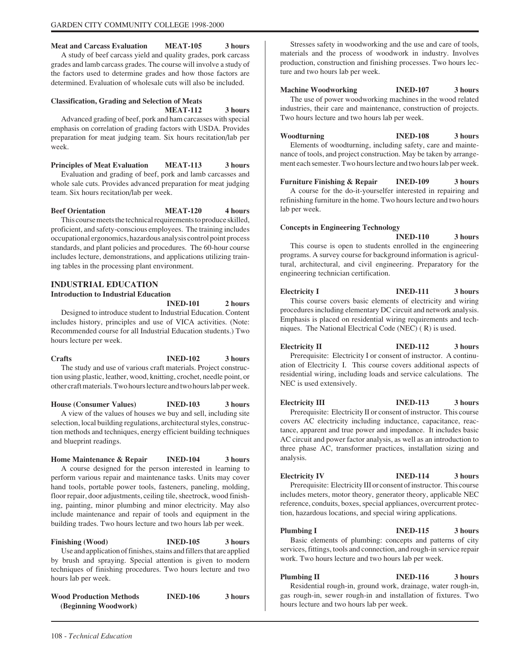#### **Meat and Carcass Evaluation MEAT-105 3 hours**

A study of beef carcass yield and quality grades, pork carcass grades and lamb carcass grades. The course will involve a study of the factors used to determine grades and how those factors are determined. Evaluation of wholesale cuts will also be included.

#### **Classification, Grading and Selection of Meats**

**MEAT-112 3 hours**

Advanced grading of beef, pork and ham carcasses with special emphasis on correlation of grading factors with USDA. Provides preparation for meat judging team. Six hours recitation/lab per week.

#### **Principles of Meat Evaluation MEAT-113 3 hours**

Evaluation and grading of beef, pork and lamb carcasses and whole sale cuts. Provides advanced preparation for meat judging team. Six hours recitation/lab per week.

**Beef Orientation MEAT-120** 4 hours

This course meets the technical requirements to produce skilled, proficient, and safety-conscious employees. The training includes occupational ergonomics, hazardous analysis control point process standards, and plant policies and procedures. The 60-hour course includes lecture, demonstrations, and applications utilizing training tables in the processing plant environment.

# **INDUSTRIAL EDUCATION Introduction to Industrial Education**

**INED-101 2 hours**

Designed to introduce student to Industrial Education. Content includes history, principles and use of VICA activities. (Note: Recommended course for all Industrial Education students.) Two hours lecture per week.

**Crafts INED-102 3 hours** The study and use of various craft materials. Project construction using plastic, leather, wood, knitting, crochet, needle point, or other craft materials. Two hours lecture and two hours lab per week.

**House (Consumer Values) INED-103 3 hours** A view of the values of houses we buy and sell, including site selection, local building regulations, architectural styles, construction methods and techniques, energy efficient building techniques and blueprint readings.

**Home Maintenance & Repair INED-104 3 hours** A course designed for the person interested in learning to perform various repair and maintenance tasks. Units may cover hand tools, portable power tools, fasteners, paneling, molding, floor repair, door adjustments, ceiling tile, sheetrock, wood finishing, painting, minor plumbing and minor electricity. May also include maintenance and repair of tools and equipment in the building trades. Two hours lecture and two hours lab per week.

**Finishing (Wood) INED-105 3 hours** Use and application of finishes, stains and fillers that are applied by brush and spraying. Special attention is given to modern techniques of finishing procedures. Two hours lecture and two hours lab per week.

**Wood Production Methods INED-106 3 hours (Beginning Woodwork)**

Stresses safety in woodworking and the use and care of tools, materials and the process of woodwork in industry. Involves production, construction and finishing processes. Two hours lecture and two hours lab per week.

**Machine Woodworking INED-107 3 hours** The use of power woodworking machines in the wood related industries, their care and maintenance, construction of projects. Two hours lecture and two hours lab per week.

**Woodturning INED-108 3 hours** Elements of woodturning, including safety, care and maintenance of tools, and project construction. May be taken by arrangement each semester. Two hours lecture and two hours lab per week.

**Furniture Finishing & Repair INED-109 3 hours** A course for the do-it-yourselfer interested in repairing and refinishing furniture in the home. Two hours lecture and two hours lab per week.

#### **Concepts in Engineering Technology**

**INED-110 3 hours** This course is open to students enrolled in the engineering programs. A survey course for background information is agricultural, architectural, and civil engineering. Preparatory for the engineering technician certification.

**Electricity I INED-111** 3 hours This course covers basic elements of electricity and wiring procedures including elementary DC circuit and network analysis. Emphasis is placed on residential wiring requirements and techniques. The National Electrical Code (NEC) ( R) is used.

**Electricity II INED-112** 3 hours Prerequisite: Electricity I or consent of instructor. A continuation of Electricity I. This course covers additional aspects of residential wiring, including loads and service calculations. The NEC is used extensively.

**Electricity III INED-113** 3 hours Prerequisite: Electricity II or consent of instructor. This course covers AC electricity including inductance, capacitance, reactance, apparent and true power and impedance. It includes basic AC circuit and power factor analysis, as well as an introduction to three phase AC, transformer practices, installation sizing and analysis.

**Electricity IV INED-114 3 hours** Prerequisite: Electricity III or consent of instructor. This course includes meters, motor theory, generator theory, applicable NEC reference, conduits, boxes, special appliances, overcurrent protection, hazardous locations, and special wiring applications.

**Plumbing I INED-115** 3 hours Basic elements of plumbing: concepts and patterns of city services, fittings, tools and connection, and rough-in service repair work. Two hours lecture and two hours lab per week.

**Plumbing II INED-116** 3 hours Residential rough-in, ground work, drainage, water rough-in, gas rough-in, sewer rough-in and installation of fixtures. Two hours lecture and two hours lab per week.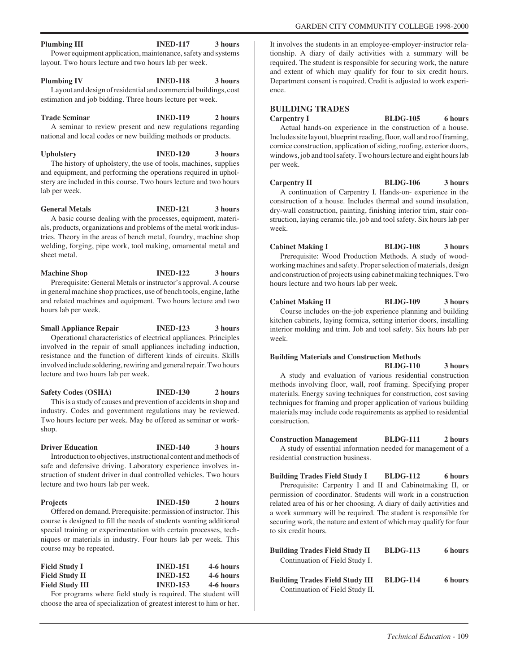## **Plumbing III INED-117** 3 hours Power equipment application, maintenance, safety and systems

layout. Two hours lecture and two hours lab per week.

**Plumbing IV INED-118** 3 hours

Layout and design of residential and commercial buildings, cost estimation and job bidding. Three hours lecture per week.

**Trade Seminar INED-119 2 hours**

A seminar to review present and new regulations regarding national and local codes or new building methods or products.

**Upholstery INED-120 3 hours** The history of upholstery, the use of tools, machines, supplies and equipment, and performing the operations required in upholstery are included in this course. Two hours lecture and two hours lab per week.

**General Metals INED-121 3 hours** A basic course dealing with the processes, equipment, materials, products, organizations and problems of the metal work indus-

tries. Theory in the areas of bench metal, foundry, machine shop welding, forging, pipe work, tool making, ornamental metal and sheet metal.

**Machine Shop INED-122** 3 hours Prerequisite: General Metals or instructor's approval. A course in general machine shop practices, use of bench tools, engine, lathe and related machines and equipment. Two hours lecture and two hours lab per week.

**Small Appliance Repair INED-123 3 hours** Operational characteristics of electrical appliances. Principles involved in the repair of small appliances including induction, resistance and the function of different kinds of circuits. Skills involved include soldering, rewiring and general repair. Two hours lecture and two hours lab per week.

**Safety Codes (OSHA) INED-130 2 hours** This is a study of causes and prevention of accidents in shop and industry. Codes and government regulations may be reviewed. Two hours lecture per week. May be offered as seminar or workshop.

#### **Driver Education INED-140** 3 hours

Introduction to objectives, instructional content and methods of safe and defensive driving. Laboratory experience involves instruction of student driver in dual controlled vehicles. Two hours lecture and two hours lab per week.

| <b>Projects</b>                                                     | <b>INED-150</b> | 2 hours |
|---------------------------------------------------------------------|-----------------|---------|
| Offered on demand. Prerequisite: permission of instructor. This     |                 |         |
| course is designed to fill the needs of students wanting additional |                 |         |
|                                                                     |                 |         |

special training or experimentation with certain processes, techniques or materials in industry. Four hours lab per week. This course may be repeated.

| <b>Field Study I</b>   | <b>INED-151</b> | 4-6 hours |
|------------------------|-----------------|-----------|
| <b>Field Study II</b>  | <b>INED-152</b> | 4-6 hours |
| <b>Field Study III</b> | <b>INED-153</b> | 4-6 hours |

For programs where field study is required. The student will choose the area of specialization of greatest interest to him or her.

It involves the students in an employee-employer-instructor relationship. A diary of daily activities with a summary will be required. The student is responsible for securing work, the nature and extent of which may qualify for four to six credit hours. Department consent is required. Credit is adjusted to work experience.

# **BUILDING TRADES**

Carpentry I BLDG-105 6 hours Actual hands-on experience in the construction of a house. Includes site layout, blueprint reading, floor, wall and roof framing, cornice construction, application of siding, roofing, exterior doors, windows, job and tool safety. Two hours lecture and eight hours lab per week.

Carpentry II BLDG-106 3 hours A continuation of Carpentry I. Hands-on- experience in the construction of a house. Includes thermal and sound insulation, dry-wall construction, painting, finishing interior trim, stair construction, laying ceramic tile, job and tool safety. Six hours lab per week.

**Cabinet Making I BLDG-108 3 hours** Prerequisite: Wood Production Methods. A study of woodworking machines and safety. Proper selection of materials, design and construction of projects using cabinet making techniques. Two hours lecture and two hours lab per week.

Cabinet Making II BLDG-109 3 hours Course includes on-the-job experience planning and building kitchen cabinets, laying formica, setting interior doors, installing interior molding and trim. Job and tool safety. Six hours lab per week.

#### **Building Materials and Construction Methods BLDG-110 3 hours**

A study and evaluation of various residential construction methods involving floor, wall, roof framing. Specifying proper materials. Energy saving techniques for construction, cost saving techniques for framing and proper application of various building materials may include code requirements as applied to residential construction.

**Construction Management BLDG-111 2 hours** A study of essential information needed for management of a residential construction business.

**Building Trades Field Study I BLDG-112 6 hours** Prerequisite: Carpentry I and II and Cabinetmaking II, or permission of coordinator. Students will work in a construction related area of his or her choosing. A diary of daily activities and a work summary will be required. The student is responsible for securing work, the nature and extent of which may qualify for four to six credit hours.

| <b>Building Trades Field Study II</b> | <b>BLDG-113</b> | 6 hours |
|---------------------------------------|-----------------|---------|
| Continuation of Field Study I.        |                 |         |
|                                       |                 |         |

**Building Trades Field Study III BLDG-114 6 hours** Continuation of Field Study II.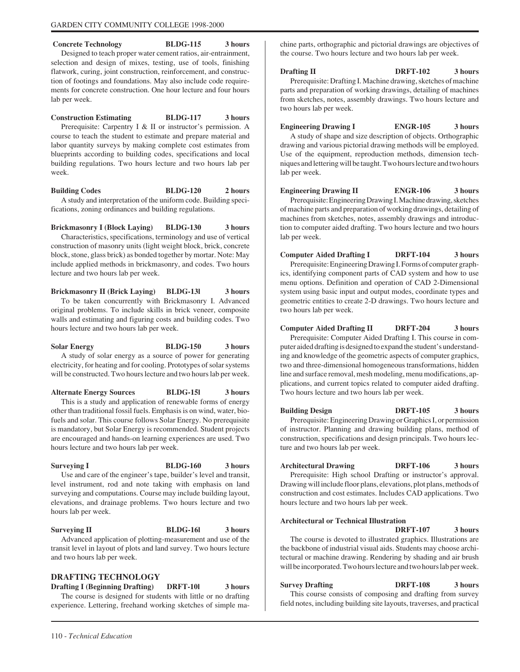**Concrete Technology BLDG-115 3 hours** Designed to teach proper water cement ratios, air-entrainment, selection and design of mixes, testing, use of tools, finishing flatwork, curing, joint construction, reinforcement, and construction of footings and foundations. May also include code requirements for concrete construction. One hour lecture and four hours lab per week.

**Construction Estimating BLDG-117 3 hours** Prerequisite: Carpentry I & II or instructor's permission. A course to teach the student to estimate and prepare material and labor quantity surveys by making complete cost estimates from blueprints according to building codes, specifications and local building regulations. Two hours lecture and two hours lab per week.

**Building Codes BLDG-120 2 hours** A study and interpretation of the uniform code. Building specifications, zoning ordinances and building regulations.

**Brickmasonry I (Block Laying) BLDG-130 3 hours** Characteristics, specifications, terminology and use of vertical construction of masonry units (light weight block, brick, concrete block, stone, glass brick) as bonded together by mortar. Note: May include applied methods in brickmasonry, and codes. Two hours lecture and two hours lab per week.

**Brickmasonry II (Brick Laying) BLDG-13l 3 hours** To be taken concurrently with Brickmasonry I. Advanced original problems. To include skills in brick veneer, composite walls and estimating and figuring costs and building codes. Two hours lecture and two hours lab per week.

**Solar Energy BLDG-150 3 hours** A study of solar energy as a source of power for generating electricity, for heating and for cooling. Prototypes of solar systems will be constructed. Two hours lecture and two hours lab per week.

**Alternate Energy Sources BLDG-15l 3 hours** This is a study and application of renewable forms of energy other than traditional fossil fuels. Emphasis is on wind, water, biofuels and solar. This course follows Solar Energy. No prerequisite is mandatory, but Solar Energy is recommended. Student projects are encouraged and hands-on learning experiences are used. Two hours lecture and two hours lab per week.

**Surveying I BLDG-160** 3 hours Use and care of the engineer's tape, builder's level and transit, level instrument, rod and note taking with emphasis on land surveying and computations. Course may include building layout, elevations, and drainage problems. Two hours lecture and two hours lab per week.

Surveying II BLDG-16l 3 hours Advanced application of plotting-measurement and use of the transit level in layout of plots and land survey. Two hours lecture and two hours lab per week.

# **DRAFTING TECHNOLOGY**

**Drafting I (Beginning Drafting) DRFT-10l 3 hours** The course is designed for students with little or no drafting experience. Lettering, freehand working sketches of simple machine parts, orthographic and pictorial drawings are objectives of the course. Two hours lecture and two hours lab per week.

**Drafting II** DRFT-102 3 hours Prerequisite: Drafting I. Machine drawing, sketches of machine parts and preparation of working drawings, detailing of machines from sketches, notes, assembly drawings. Two hours lecture and two hours lab per week.

**Engineering Drawing I ENGR-105 3 hours** A study of shape and size description of objects. Orthographic drawing and various pictorial drawing methods will be employed. Use of the equipment, reproduction methods, dimension techniques and lettering will be taught. Two hours lecture and two hours lab per week.

**Engineering Drawing II ENGR-106 3 hours** Prerequisite: Engineering Drawing I. Machine drawing, sketches of machine parts and preparation of working drawings, detailing of machines from sketches, notes, assembly drawings and introduction to computer aided drafting. Two hours lecture and two hours lab per week.

**Computer Aided Drafting I DRFT-104 3 hours** Prerequisite: Engineering Drawing I. Forms of computer graphics, identifying component parts of CAD system and how to use menu options. Definition and operation of CAD 2-Dimensional system using basic input and output modes, coordinate types and geometric entities to create 2-D drawings. Two hours lecture and two hours lab per week.

**Computer Aided Drafting II DRFT-204 3 hours** Prerequisite: Computer Aided Drafting I. This course in computer aided drafting is designed to expand the student's understanding and knowledge of the geometric aspects of computer graphics, two and three-dimensional homogeneous transformations, hidden line and surface removal, mesh modeling, menu modifications, applications, and current topics related to computer aided drafting. Two hours lecture and two hours lab per week.

**Building Design DRFT-105 3 hours** Prerequisite: Engineering Drawing or Graphics I, or permission of instructor. Planning and drawing building plans, method of construction, specifications and design principals. Two hours lecture and two hours lab per week.

**Architectural Drawing DRFT-106 3 hours** Prerequisite: High school Drafting or instructor's approval. Drawing will include floor plans, elevations, plot plans, methods of construction and cost estimates. Includes CAD applications. Two hours lecture and two hours lab per week.

#### **Architectural or Technical Illustration**

**DRFT-107 3 hours** The course is devoted to illustrated graphics. Illustrations are the backbone of industrial visual aids. Students may choose architectural or machine drawing. Rendering by shading and air brush will be incorporated. Two hours lecture and two hours lab per week.

**Survey Drafting DRFT-108 3 hours** This course consists of composing and drafting from survey field notes, including building site layouts, traverses, and practical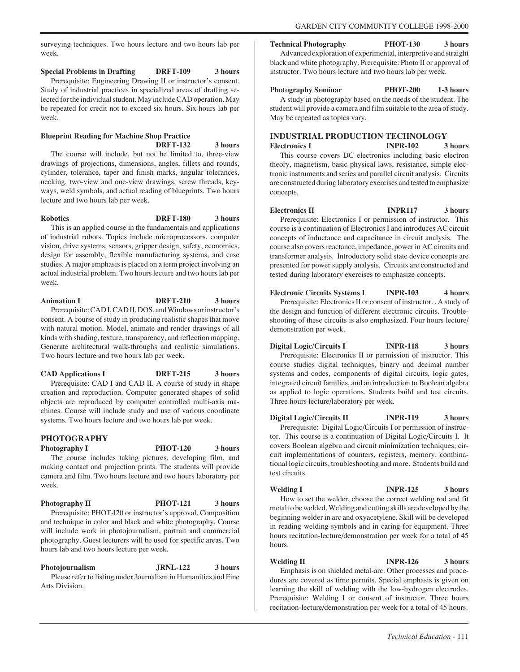surveying techniques. Two hours lecture and two hours lab per week.

**Special Problems in Drafting DRFT-109 3 hours** Prerequisite: Engineering Drawing II or instructor's consent. Study of industrial practices in specialized areas of drafting selected for the individual student. May include CAD operation. May be repeated for credit not to exceed six hours. Six hours lab per week.

# **Blueprint Reading for Machine Shop Practice DRFT-132 3 hours**

The course will include, but not be limited to, three-view drawings of projections, dimensions, angles, fillets and rounds, cylinder, tolerance, taper and finish marks, angular tolerances, necking, two-view and one-view drawings, screw threads, keyways, weld symbols, and actual reading of blueprints. Two hours lecture and two hours lab per week.

**Robotics DRFT-180 3 hours** This is an applied course in the fundamentals and applications

of industrial robots. Topics include microprocessors, computer vision, drive systems, sensors, gripper design, safety, economics, design for assembly, flexible manufacturing systems, and case studies. A major emphasis is placed on a term project involving an actual industrial problem. Two hours lecture and two hours lab per week.

# **Animation I DRFT-210 3 hours**

Prerequisite: CAD I, CAD II, DOS, and Windows or instructor's consent. A course of study in producing realistic shapes that move with natural motion. Model, animate and render drawings of all kinds with shading, texture, transparency, and reflection mapping. Generate architectural walk-throughs and realistic simulations. Two hours lecture and two hours lab per week.

**CAD Applications I DRFT-215 3 hours**

Prerequisite: CAD I and CAD II. A course of study in shape creation and reproduction. Computer generated shapes of solid objects are reproduced by computer controlled multi-axis machines. Course will include study and use of various coordinate systems. Two hours lecture and two hours lab per week.

# **PHOTOGRAPHY**

Photography I PHOT-120 3 hours The course includes taking pictures, developing film, and making contact and projection prints. The students will provide camera and film. Two hours lecture and two hours laboratory per week.

## Photography II PHOT-121 3 hours

Prerequisite: PHOT-l20 or instructor's approval. Composition and technique in color and black and white photography. Course will include work in photojournalism, portrait and commercial photography. Guest lecturers will be used for specific areas. Two hours lab and two hours lecture per week.

**Photojournalism JRNL-122 3 hours** Please refer to listing under Journalism in Humanities and Fine Arts Division.

**Technical Photography PHOT-130 3 hours** Advanced exploration of experimental, interpretive and straight black and white photography. Prerequisite: Photo II or approval of instructor. Two hours lecture and two hours lab per week.

**Photography Seminar PHOT-200 1-3 hours** A study in photography based on the needs of the student. The student will provide a camera and film suitable to the area of study. May be repeated as topics vary.

# **INDUSTRIAL PRODUCTION TECHNOLOGY Electronics I INPR-102 3 hours**

This course covers DC electronics including basic electron theory, magnetism, basic physical laws, resistance, simple electronic instruments and series and parallel circuit analysis. Circuits are constructed during laboratory exercises and tested to emphasize concepts.

**Electronics II INPR117** 3 hours Prerequisite: Electronics I or permission of instructor. This course is a continuation of Electronics I and introduces AC circuit concepts of inductance and capacitance in circuit analysis. The course also covers reactance, impedance, power in AC circuits and transformer analysis. Introductory solid state device concepts are presented for power supply analysis. Circuits are constructed and tested during laboratory exercises to emphasize concepts.

# **Electronic Circuits Systems I INPR-103 4 hours**

Prerequisite: Electronics II or consent of instructor. . A study of the design and function of different electronic circuits. Troubleshooting of these circuits is also emphasized. Four hours lecture/ demonstration per week.

**Digital Logic/Circuits I INPR-118 3 hours** Prerequisite: Electronics II or permission of instructor. This course studies digital techniques, binary and decimal number systems and codes, components of digital circuits, logic gates, integrated circuit families, and an introduction to Boolean algebra as applied to logic operations. Students build and test circuits. Three hours lecture/laboratory per week.

**Digital Logic/Circuits II INPR-119** 3 hours

Prerequisite: Digital Logic/Circuits I or permission of instructor. This course is a continuation of Digital Logic/Circuits I. It covers Boolean algebra and circuit minimization techniques, circuit implementations of counters, registers, memory, combinational logic circuits, troubleshooting and more. Students build and test circuits.

Welding I **INPR-125** 3 hours How to set the welder, choose the correct welding rod and fit metal to be welded. Welding and cutting skills are developed by the beginning welder in arc and oxyacetylene. Skill will be developed in reading welding symbols and in caring for equipment. Three hours recitation-lecture/demonstration per week for a total of 45 hours.

Welding II **INPR-126** 3 hours Emphasis is on shielded metal-arc. Other processes and procedures are covered as time permits. Special emphasis is given on learning the skill of welding with the low-hydrogen electrodes. Prerequisite: Welding I or consent of instructor. Three hours recitation-lecture/demonstration per week for a total of 45 hours.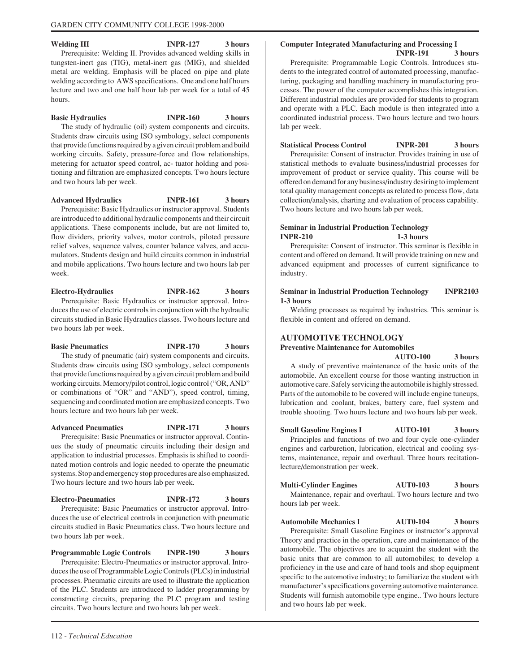Welding III **INPR-127** 3 hours Prerequisite: Welding II. Provides advanced welding skills in tungsten-inert gas (TIG), metal-inert gas (MIG), and shielded metal arc welding. Emphasis will be placed on pipe and plate welding according to AWS specifications. One and one half hours lecture and two and one half hour lab per week for a total of 45 hours.

# **Basic Hydraulics INPR-160 3 hours**

The study of hydraulic (oil) system components and circuits. Students draw circuits using ISO symbology, select components that provide functions required by a given circuit problem and build working circuits. Safety, pressure-force and flow relationships, metering for actuator speed control, ac- tuator holding and positioning and filtration are emphasized concepts. Two hours lecture and two hours lab per week.

**Advanced Hydraulics INPR-161 3 hours**

Prerequisite: Basic Hydraulics or instructor approval. Students are introduced to additional hydraulic components and their circuit applications. These components include, but are not limited to, flow dividers, priority valves, motor controls, piloted pressure relief valves, sequence valves, counter balance valves, and accumulators. Students design and build circuits common in industrial and mobile applications. Two hours lecture and two hours lab per week.

**Electro-Hydraulics INPR-162 3 hours** Prerequisite: Basic Hydraulics or instructor approval. Introduces the use of electric controls in conjunction with the hydraulic circuits studied in Basic Hydraulics classes. Two hours lecture and two hours lab per week.

**Basic Pneumatics INPR-170 3 hours** The study of pneumatic (air) system components and circuits. Students draw circuits using ISO symbology, select components that provide functions required by a given circuit problem and build working circuits. Memory/pilot control, logic control ("OR, AND" or combinations of "OR" and "AND"), speed control, timing, sequencing and coordinated motion are emphasized concepts. Two hours lecture and two hours lab per week.

**Advanced Pneumatics INPR-171 3 hours** Prerequisite: Basic Pneumatics or instructor approval. Continues the study of pneumatic circuits including their design and application to industrial processes. Emphasis is shifted to coordinated motion controls and logic needed to operate the pneumatic systems. Stop and emergency stop procedures are also emphasized. Two hours lecture and two hours lab per week.

**Electro-Pneumatics INPR-172 3 hours** Prerequisite: Basic Pneumatics or instructor approval. Introduces the use of electrical controls in conjunction with pneumatic circuits studied in Basic Pneumatics class. Two hours lecture and two hours lab per week.

**Programmable Logic Controls INPR-190 3 hours** Prerequisite: Electro-Pneumatics or instructor approval. Introduces the use of Programmable Logic Controls (PLCs) in industrial processes. Pneumatic circuits are used to illustrate the application of the PLC. Students are introduced to ladder programming by constructing circuits, preparing the PLC program and testing circuits. Two hours lecture and two hours lab per week.

# **Computer Integrated Manufacturing and Processing I**

**INPR-191 3 hours** Prerequisite: Programmable Logic Controls. Introduces students to the integrated control of automated processing, manufacturing, packaging and handling machinery in manufacturing processes. The power of the computer accomplishes this integration. Different industrial modules are provided for students to program and operate with a PLC. Each module is then integrated into a coordinated industrial process. Two hours lecture and two hours lab per week.

**Statistical Process Control INPR-201 3 hours**

Prerequisite: Consent of instructor. Provides training in use of statistical methods to evaluate business/industrial processes for improvement of product or service quality. This course will be offered on demand for any business/industry desiring to implement total quality management concepts as related to process flow, data collection/analysis, charting and evaluation of process capability. Two hours lecture and two hours lab per week.

#### **Seminar in Industrial Production Technology INPR-210 1-3 hours**

Prerequisite: Consent of instructor. This seminar is flexible in content and offered on demand. It will provide training on new and advanced equipment and processes of current significance to industry.

#### **Seminar in Industrial Production Technology INPR2103 1-3 hours**

Welding processes as required by industries. This seminar is flexible in content and offered on demand.

# **AUTOMOTIVE TECHNOLOGY**

**Preventive Maintenance for Automobiles**

**AUTO-100 3 hours** A study of preventive maintenance of the basic units of the automobile. An excellent course for those wanting instruction in automotive care. Safely servicing the automobile is highly stressed. Parts of the automobile to be covered will include engine tuneups, lubrication and coolant, brakes, battery care, fuel system and trouble shooting. Two hours lecture and two hours lab per week.

**Small Gasoline Engines I AUTO-101 3 hours** Principles and functions of two and four cycle one-cylinder engines and carburetion, lubrication, electrical and cooling systems, maintenance, repair and overhaul. Three hours recitationlecture/demonstration per week.

| <b>Multi-Cylinder Engines</b> | <b>AUT0-103</b> | 3 hours |
|-------------------------------|-----------------|---------|
|-------------------------------|-----------------|---------|

Maintenance, repair and overhaul. Two hours lecture and two hours lab per week.

**Automobile Mechanics I AUT0-104 3 hours** Prerequisite: Small Gasoline Engines or instructor's approval Theory and practice in the operation, care and maintenance of the automobile. The objectives are to acquaint the student with the basic units that are common to all automobiles; to develop a proficiency in the use and care of hand tools and shop equipment specific to the automotive industry; to familiarize the student with manufacturer's specifications governing automotive maintenance. Students will furnish automobile type engine.. Two hours lecture and two hours lab per week.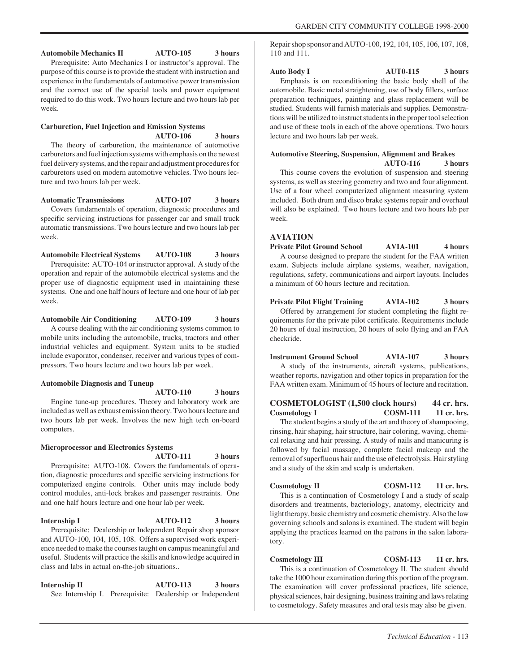**Automobile Mechanics II AUTO-105 3 hours** Prerequisite: Auto Mechanics I or instructor's approval. The purpose of this course is to provide the student with instruction and experience in the fundamentals of automotive power transmission and the correct use of the special tools and power equipment required to do this work. Two hours lecture and two hours lab per week.

# **Carburetion, Fuel Injection and Emission Systems AUTO-106 3 hours**

The theory of carburetion, the maintenance of automotive carburetors and fuel injection systems with emphasis on the newest fuel delivery systems, and the repair and adjustment procedures for carburetors used on modern automotive vehicles. Two hours lecture and two hours lab per week.

**Automatic Transmissions AUTO-107 3 hours** Covers fundamentals of operation, diagnostic procedures and specific servicing instructions for passenger car and small truck automatic transmissions. Two hours lecture and two hours lab per week.

**Automobile Electrical Systems AUTO-108 3 hours** Prerequisite: AUTO-104 or instructor approval. A study of the operation and repair of the automobile electrical systems and the proper use of diagnostic equipment used in maintaining these systems. One and one half hours of lecture and one hour of lab per week.

**Automobile Air Conditioning AUTO-109 3 hours** A course dealing with the air conditioning systems common to mobile units including the automobile, trucks, tractors and other industrial vehicles and equipment. System units to be studied include evaporator, condenser, receiver and various types of compressors. Two hours lecture and two hours lab per week.

#### **Automobile Diagnosis and Tuneup**

**AUTO-110 3 hours**

#### Engine tune-up procedures. Theory and laboratory work are included as well as exhaust emission theory. Two hours lecture and two hours lab per week. Involves the new high tech on-board computers.

# **Microprocessor and Electronics Systems**

# **AUTO-111 3 hours**

Prerequisite: AUTO-108. Covers the fundamentals of operation, diagnostic procedures and specific servicing instructions for computerized engine controls. Other units may include body control modules, anti-lock brakes and passenger restraints. One and one half hours lecture and one hour lab per week.

# **Internship I AUTO-112** 3 hours

Prerequisite: Dealership or Independent Repair shop sponsor and AUTO-100, 104, 105, 108. Offers a supervised work experience needed to make the courses taught on campus meaningful and useful. Students will practice the skills and knowledge acquired in class and labs in actual on-the-job situations..

**Internship II** AUTO-113 3 hours See Internship I. Prerequisite: Dealership or Independent Repair shop sponsor and AUTO-100, 192, 104, 105, 106, 107, 108, 110 and 111.

**Auto Body I AUT0-115 3 hours** Emphasis is on reconditioning the basic body shell of the automobile. Basic metal straightening, use of body fillers, surface preparation techniques, painting and glass replacement will be studied. Students will furnish materials and supplies. Demonstrations will be utilized to instruct students in the proper tool selection and use of these tools in each of the above operations. Two hours lecture and two hours lab per week.

# **Automotive Steering, Suspension, Alignment and Brakes**

**AUTO-116 3 hours** This course covers the evolution of suspension and steering systems, as well as steering geometry and two and four alignment. Use of a four wheel computerized alignment measuring system included. Both drum and disco brake systems repair and overhaul will also be explained. Two hours lecture and two hours lab per week.

#### **AVIATION**

**Private Pilot Ground School AVIA-101 4 hours** A course designed to prepare the student for the FAA written exam. Subjects include airplane systems, weather, navigation, regulations, safety, communications and airport layouts. Includes a minimum of 60 hours lecture and recitation.

#### **Private Pilot Flight Training AVIA-102 3 hours** Offered by arrangement for student completing the flight requirements for the private pilot certificate. Requirements include 20 hours of dual instruction, 20 hours of solo flying and an FAA checkride.

**Instrument Ground School AVIA-107 3 hours** A study of the instruments, aircraft systems, publications, weather reports, navigation and other topics in preparation for the FAA written exam. Minimum of 45 hours of lecture and recitation.

**COSMETOLOGIST (1,500 clock hours) 44 cr. hrs.** Cosmetology I COSM-111 11 cr. hrs. The student begins a study of the art and theory of shampooing,

rinsing, hair shaping, hair structure, hair coloring, waving, chemical relaxing and hair pressing. A study of nails and manicuring is followed by facial massage, complete facial makeup and the removal of superfluous hair and the use of electrolysis. Hair styling and a study of the skin and scalp is undertaken.

Cosmetology II COSM-112 11 cr. hrs. This is a continuation of Cosmetology I and a study of scalp disorders and treatments, bacteriology, anatomy, electricity and light therapy, basic chemistry and cosmetic chemistry. Also the law governing schools and salons is examined. The student will begin applying the practices learned on the patrons in the salon laboratory.

Cosmetology III COSM-113 11 cr. hrs. This is a continuation of Cosmetology II. The student should take the 1000 hour examination during this portion of the program. The examination will cover professional practices, life science, physical sciences, hair designing, business training and laws relating to cosmetology. Safety measures and oral tests may also be given.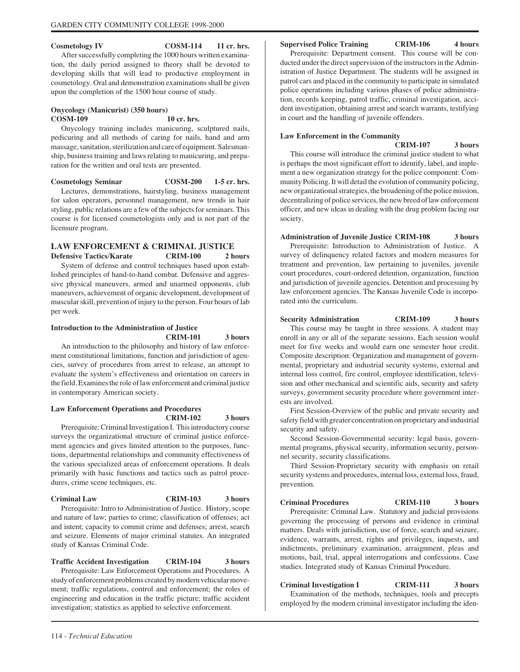#### Cosmetology IV COSM-114 11 cr. hrs.

After successfully completing the 1000 hours written examination, the daily period assigned to theory shall be devoted to developing skills that will lead to productive employment in cosmetology. Oral and demonstration examinations shall be given upon the completion of the 1500 hour course of study.

#### **Onycology (Manicurist) (350 hours) COSM-109 10 cr. hrs.**

Onycology training includes manicuring, sculptured nails, pedicuring and all methods of caring for nails, hand and arm massage, sanitation, sterilization and care of equipment. Salesmanship, business training and laws relating to manicuring, and preparation for the written and oral tests are presented.

**Cosmetology Seminar COSM-200 1-5 cr. hrs.** Lectures, demonstrations, hairstyling, business management for salon operators, personnel management, new trends in hair styling, public relations are a few of the subjects for seminars. This course is for licensed cosmetologists only and is not part of the licensure program.

## **LAW ENFORCEMENT & CRIMINAL JUSTICE Defensive Tactics/Karate CRIM-100 2 hours**

System of defense and control techniques based upon established principles of hand-to-hand combat. Defensive and aggressive physical maneuvers, armed and unarmed opponents, club maneuvers, achievement of organic development, development of muscular skill, prevention of injury to the person. Four hours of lab per week.

#### **Introduction to the Administration of Justice**

**CRIM-101 3 hours**

An introduction to the philosophy and history of law enforcement constitutional limitations, function and jurisdiction of agencies, survey of procedures from arrest to release, an attempt to evaluate the system's effectiveness and orientation on careers in the field. Examines the role of law enforcement and criminal justice in contemporary American society.

#### **Law Enforcement Operations and Procedures CRIM-102 3 hours**

Prerequisite: Criminal Investigation I. This introductory course surveys the organizational structure of criminal justice enforcement agencies and gives limited attention to the purposes, functions, departmental relationships and community effectiveness of the various specialized areas of enforcement operations. It deals primarily with basic functions and tactics such as patrol procedures, crime scene techniques, etc.

# **Criminal Law CRIM-103 3 hours**

Prerequisite: Intro to Administration of Justice. History, scope and nature of law; parties to crime; classification of offenses; act and intent; capacity to commit crime and defenses; arrest, search and seizure. Elements of major criminal statutes. An integrated study of Kansas Criminal Code.

**Traffic Accident Investigation CRIM-104 3 hours** Prerequisite: Law Enforcement Operations and Procedures. A study of enforcement problems created by modern vehicular movement; traffic regulations, control and enforcement; the roles of engineering and education in the traffic picture; traffic accident investigation; statistics as applied to selective enforcement.

#### **Supervised Police Training CRIM-106 4 hours**

Prerequisite: Department consent. This course will be conducted under the direct supervision of the instructors in the Administration of Justice Department. The students will be assigned in patrol cars and placed in the community to participate in simulated police operations including various phases of police administration, records keeping, patrol traffic, criminal investigation, accident investigation, obtaining arrest and search warrants, testifying in court and the handling of juvenile offenders.

#### **Law Enforcement in the Community**

**CRIM-107 3 hours**

This course will introduce the criminal justice student to what is perhaps the most significant effort to identify, label, and implement a new organization strategy for the police component: Community Policing. It will detail the evolution of community policing, new organizational strategies, the broadening of the police mission, decentralizing of police services, the new breed of law enforcement officer, and new ideas in dealing with the drug problem facing our society.

#### **Administration of Juvenile Justice CRIM-108 3 hours**

Prerequisite: Introduction to Administration of Justice. A survey of delinquency related factors and modern measures for treatment and prevention, law pertaining to juveniles, juvenile court procedures, court-ordered detention, organization, function and jurisdiction of juvenile agencies. Detention and processing by law enforcement agencies. The Kansas Juvenile Code is incorporated into the curriculum.

#### **Security Administration CRIM-109 3 hours**

This course may be taught in three sessions. A student may enroll in any or all of the separate sessions. Each session would meet for five weeks and would earn one semester hour credit. Composite description: Organization and management of governmental, proprietary and industrial security systems, external and internal loss control, fire control, employee identification, television and other mechanical and scientific aids, security and safety surveys, government security procedure where government interests are involved.

First Session-Overview of the public and private security and safety field with greater concentration on proprietary and industrial security and safety.

Second Session-Governmental security: legal basis, governmental programs, physical security, information security, personnel security, security classifications.

Third Session-Proprietary security with emphasis on retail security systems and procedures, internal loss, external loss, fraud, prevention.

# **Criminal Procedures CRIM-110 3 hours**

Prerequisite: Criminal Law. Statutory and judicial provisions governing the processing of persons and evidence in criminal matters. Deals with jurisdiction, use of force, search and seizure, evidence, warrants, arrest, rights and privileges, inquests, and indictments, preliminary examination, arraignment, pleas and motions, bail, trial, appeal interrogations and confessions. Case studies. Integrated study of Kansas Criminal Procedure.

**Criminal Investigation I CRIM-111 3 hours**

Examination of the methods, techniques, tools and precepts employed by the modern criminal investigator including the iden-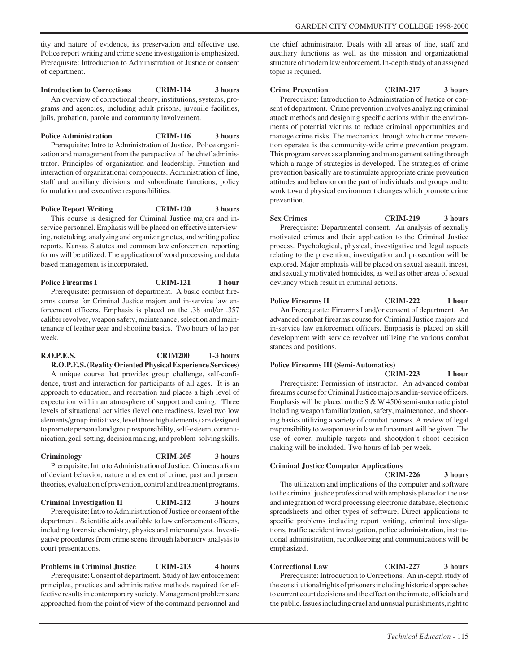tity and nature of evidence, its preservation and effective use. Police report writing and crime scene investigation is emphasized. Prerequisite: Introduction to Administration of Justice or consent of department.

**Introduction to Corrections CRIM-114 3 hours** An overview of correctional theory, institutions, systems, programs and agencies, including adult prisons, juvenile facilities, jails, probation, parole and community involvement.

**Police Administration CRIM-116 3 hours**

Prerequisite: Intro to Administration of Justice. Police organization and management from the perspective of the chief administrator. Principles of organization and leadership. Function and interaction of organizational components. Administration of line, staff and auxiliary divisions and subordinate functions, policy formulation and executive responsibilities.

**Police Report Writing CRIM-120 3 hours** This course is designed for Criminal Justice majors and inservice personnel. Emphasis will be placed on effective interviewing, notetaking, analyzing and organizing notes, and writing police reports. Kansas Statutes and common law enforcement reporting forms will be utilized. The application of word processing and data based management is incorporated.

**Police Firearms I CRIM-121** 1 hour Prerequisite: permission of department. A basic combat firearms course for Criminal Justice majors and in-service law enforcement officers. Emphasis is placed on the .38 and/or .357 caliber revolver, weapon safety, maintenance, selection and maintenance of leather gear and shooting basics. Two hours of lab per week.

#### **R.O.P.E.S. CRIM200 1-3 hours R.O.P.E.S. (Reality Oriented Physical Experience Services)**

A unique course that provides group challenge, self-confidence, trust and interaction for participants of all ages. It is an approach to education, and recreation and places a high level of expectation within an atmosphere of support and caring. Three levels of situational activities (level one readiness, level two low elements/group initiatives, level three high elements) are designed to promote personal and group responsibility, self-esteem, communication, goal-setting, decision making, and problem-solving skills.

#### **Criminology CRIM-205 3 hours**

Prerequisite: Intro to Administration of Justice. Crime as a form of deviant behavior, nature and extent of crime, past and present theories, evaluation of prevention, control and treatment programs.

**Criminal Investigation II CRIM-212 3 hours** Prerequisite: Intro to Administration of Justice or consent of the department. Scientific aids available to law enforcement officers, including forensic chemistry, physics and microanalysis. Investigative procedures from crime scene through laboratory analysis to court presentations.

## **Problems in Criminal Justice CRIM-213 4 hours**

Prerequisite: Consent of department. Study of law enforcement principles, practices and administrative methods required for effective results in contemporary society. Management problems are approached from the point of view of the command personnel and

the chief administrator. Deals with all areas of line, staff and auxiliary functions as well as the mission and organizational structure of modern law enforcement. In-depth study of an assigned topic is required.

## **Crime Prevention CRIM-217 3 hours**

Prerequisite: Introduction to Administration of Justice or consent of department. Crime prevention involves analyzing criminal attack methods and designing specific actions within the environments of potential victims to reduce criminal opportunities and manage crime risks. The mechanics through which crime prevention operates is the community-wide crime prevention program. This program serves as a planning and management setting through which a range of strategies is developed. The strategies of crime prevention basically are to stimulate appropriate crime prevention attitudes and behavior on the part of individuals and groups and to work toward physical environment changes which promote crime prevention.

**Sex Crimes CRIM-219 3 hours** Prerequisite: Departmental consent. An analysis of sexually motivated crimes and their application to the Criminal Justice process. Psychological, physical, investigative and legal aspects relating to the prevention, investigation and prosecution will be explored. Major emphasis will be placed on sexual assault, incest, and sexually motivated homicides, as well as other areas of sexual deviancy which result in criminal actions.

#### **Police Firearms II CRIM-222** 1 hour An Prerequisite: Firearms I and/or consent of department. An advanced combat firearms course for Criminal Justice majors and in-service law enforcement officers. Emphasis is placed on skill development with service revolver utilizing the various combat stances and positions.

## **Police Firearms III (Semi-Automatics)**

**CRIM-223 1 hour** Prerequisite: Permission of instructor. An advanced combat firearms course for Criminal Justice majors and in-service officers. Emphasis will be placed on the S & W 4506 semi-automatic pistol including weapon familiarization, safety, maintenance, and shooting basics utilizing a variety of combat courses. A review of legal responsibility to weapon use in law enforcement will be given. The use of cover, multiple targets and shoot/don't shoot decision making will be included. Two hours of lab per week.

### **Criminal Justice Computer Applications**

**CRIM-226 3 hours** The utilization and implications of the computer and software to the criminal justice professional with emphasis placed on the use and integration of word processing electronic database, electronic spreadsheets and other types of software. Direct applications to specific problems including report writing, criminal investigations, traffic accident investigation, police administration, institutional administration, recordkeeping and communications will be emphasized.

**Correctional Law CRIM-227 3 hours**

Prerequisite: Introduction to Corrections. An in-depth study of the constitutional rights of prisoners including historical approaches to current court decisions and the effect on the inmate, officials and the public. Issues including cruel and unusual punishments, right to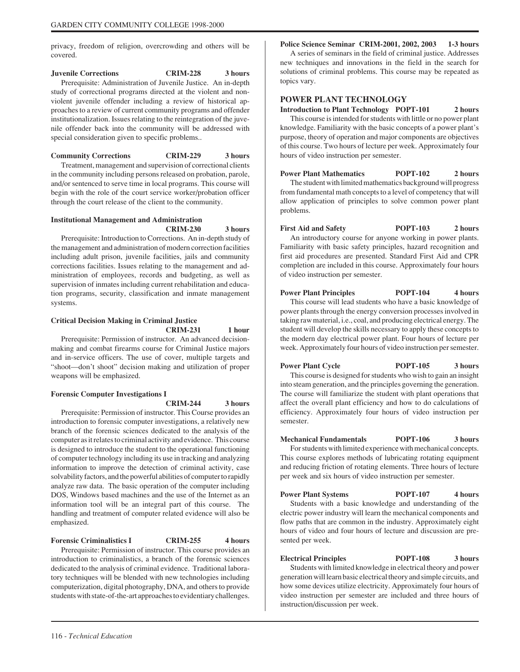privacy, freedom of religion, overcrowding and others will be covered.

#### **Juvenile Corrections CRIM-228 3 hours**

Prerequisite: Administration of Juvenile Justice. An in-depth study of correctional programs directed at the violent and nonviolent juvenile offender including a review of historical approaches to a review of current community programs and offender institutionalization. Issues relating to the reintegration of the juvenile offender back into the community will be addressed with special consideration given to specific problems..

**Community Corrections CRIM-229 3 hours**

Treatment, management and supervision of correctional clients in the community including persons released on probation, parole, and/or sentenced to serve time in local programs. This course will begin with the role of the court service worker/probation officer through the court release of the client to the community.

#### **Institutional Management and Administration**

**CRIM-230 3 hours**

Prerequisite: Introduction to Corrections. An in-depth study of the management and administration of modern correction facilities including adult prison, juvenile facilities, jails and community corrections facilities. Issues relating to the management and administration of employees, records and budgeting, as well as supervision of inmates including current rehabilitation and education programs, security, classification and inmate management systems.

## **Critical Decision Making in Criminal Justice**

**CRIM-231 1 hour**

Prerequisite: Permission of instructor. An advanced decisionmaking and combat firearms course for Criminal Justice majors and in-service officers. The use of cover, multiple targets and "shoot—don't shoot" decision making and utilization of proper weapons will be emphasized.

#### **Forensic Computer Investigations I**

**CRIM-244 3 hours**

Prerequisite: Permission of instructor. This Course provides an introduction to forensic computer investigations, a relatively new branch of the forensic sciences dedicated to the analysis of the computer as it relates to criminal activity and evidence. This course is designed to introduce the student to the operational functioning of computer technology including its use in tracking and analyzing information to improve the detection of criminal activity, case solvability factors, and the powerful abilities of computer to rapidly analyze raw data. The basic operation of the computer including DOS, Windows based machines and the use of the Internet as an information tool will be an integral part of this course. The handling and treatment of computer related evidence will also be emphasized.

## **Forensic Criminalistics I CRIM-255 4 hours**

Prerequisite: Permission of instructor. This course provides an introduction to criminalistics, a branch of the forensic sciences dedicated to the analysis of criminal evidence. Traditional laboratory techniques will be blended with new technologies including computerization, digital photography, DNA, and others to provide students with state-of-the-art approaches to evidentiary challenges.

## **Police Science Seminar CRIM-2001, 2002, 2003 1-3 hours**

A series of seminars in the field of criminal justice. Addresses new techniques and innovations in the field in the search for solutions of criminal problems. This course may be repeated as topics vary.

### **POWER PLANT TECHNOLOGY**

**Introduction to Plant Technology POPT-101 2 hours** This course is intended for students with little or no power plant knowledge. Familiarity with the basic concepts of a power plant's purpose, theory of operation and major components are objectives of this course. Two hours of lecture per week. Approximately four hours of video instruction per semester.

**Power Plant Mathematics POPT-102** 2 hours The student with limited mathematics background will progress from fundamental math concepts to a level of competency that will allow application of principles to solve common power plant problems.

**First Aid and Safety POPT-103 2 hours** An introductory course for anyone working in power plants. Familiarity with basic safety principles, hazard recognition and first aid procedures are presented. Standard First Aid and CPR completion are included in this course. Approximately four hours of video instruction per semester.

**Power Plant Principles POPT-104** 4 hours This course will lead students who have a basic knowledge of power plants through the energy conversion processes involved in taking raw material, i.e., coal, and producing electrical energy. The student will develop the skills necessary to apply these concepts to the modern day electrical power plant. Four hours of lecture per

week. Approximately four hours of video instruction per semester.

**Power Plant Cycle POPT-105** 3 hours This course is designed for students who wish to gain an insight into steam generation, and the principles governing the generation. The course will familiarize the student with plant operations that affect the overall plant efficiency and how to do calculations of efficiency. Approximately four hours of video instruction per semester.

**Mechanical Fundamentals POPT-106 3 hours** For students with limited experience with mechanical concepts. This course explores methods of lubricating rotating equipment and reducing friction of rotating elements. Three hours of lecture per week and six hours of video instruction per semester.

**Power Plant Systems POPT-107** 4 hours Students with a basic knowledge and understanding of the electric power industry will learn the mechanical components and flow paths that are common in the industry. Approximately eight hours of video and four hours of lecture and discussion are presented per week.

**Electrical Principles POPT-108 3 hours** Students with limited knowledge in electrical theory and power generation will learn basic electrical theory and simple circuits, and how some devices utilize electricity. Approximately four hours of video instruction per semester are included and three hours of instruction/discussion per week.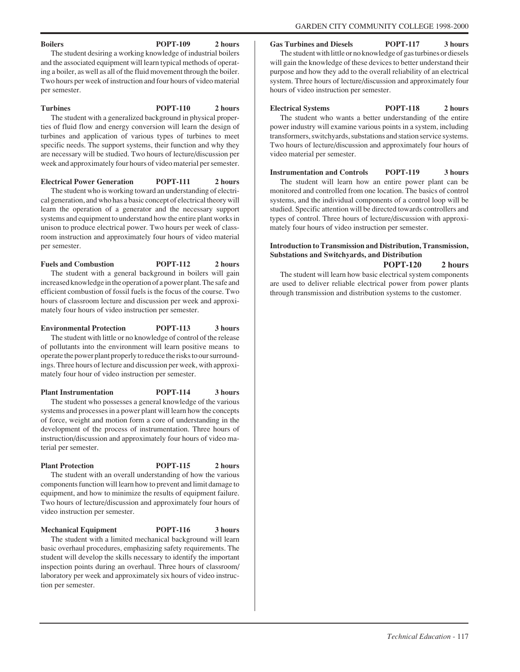**Gas Turbines and Diesels POPT-117 3 hours**

The student with little or no knowledge of gas turbines or diesels will gain the knowledge of these devices to better understand their purpose and how they add to the overall reliability of an electrical system. Three hours of lecture/discussion and approximately four hours of video instruction per semester.

**Electrical Systems POPT-118 2 hours** The student who wants a better understanding of the entire power industry will examine various points in a system, including transformers, switchyards, substations and station service systems. Two hours of lecture/discussion and approximately four hours of video material per semester.

**Instrumentation and Controls POPT-119 3 hours** The student will learn how an entire power plant can be monitored and controlled from one location. The basics of control systems, and the individual components of a control loop will be studied. Specific attention will be directed towards controllers and types of control. Three hours of lecture/discussion with approximately four hours of video instruction per semester.

#### **Introduction to Transmission and Distribution, Transmission, Substations and Switchyards, and Distribution POPT-120 2 hours**

The student will learn how basic electrical system components are used to deliver reliable electrical power from power plants through transmission and distribution systems to the customer.

The student desiring a working knowledge of industrial boilers and the associated equipment will learn typical methods of operating a boiler, as well as all of the fluid movement through the boiler. Two hours per week of instruction and four hours of video material per semester.

#### **Turbines POPT-110 2 hours**

The student with a generalized background in physical properties of fluid flow and energy conversion will learn the design of turbines and application of various types of turbines to meet specific needs. The support systems, their function and why they are necessary will be studied. Two hours of lecture/discussion per week and approximately four hours of video material per semester.

**Electrical Power Generation POPT-111 2 hours** The student who is working toward an understanding of electrical generation, and who has a basic concept of electrical theory will learn the operation of a generator and the necessary support systems and equipment to understand how the entire plant works in unison to produce electrical power. Two hours per week of classroom instruction and approximately four hours of video material per semester.

**Fuels and Combustion POPT-112 2 hours**

The student with a general background in boilers will gain increased knowledge in the operation of a power plant. The safe and efficient combustion of fossil fuels is the focus of the course. Two hours of classroom lecture and discussion per week and approximately four hours of video instruction per semester.

**Environmental Protection POPT-113 3 hours** The student with little or no knowledge of control of the release of pollutants into the environment will learn positive means to operate the power plant properly to reduce the risks to our surroundings. Three hours of lecture and discussion per week, with approximately four hour of video instruction per semester.

**Plant Instrumentation POPT-114 3 hours** The student who possesses a general knowledge of the various systems and processes in a power plant will learn how the concepts of force, weight and motion form a core of understanding in the development of the process of instrumentation. Three hours of instruction/discussion and approximately four hours of video material per semester.

#### **Plant Protection** POPT-115 2 hours

The student with an overall understanding of how the various components function will learn how to prevent and limit damage to equipment, and how to minimize the results of equipment failure. Two hours of lecture/discussion and approximately four hours of video instruction per semester.

**Mechanical Equipment POPT-116 3 hours** The student with a limited mechanical background will learn basic overhaul procedures, emphasizing safety requirements. The student will develop the skills necessary to identify the important inspection points during an overhaul. Three hours of classroom/ laboratory per week and approximately six hours of video instruction per semester.

### **Boilers POPT-109 2 hours**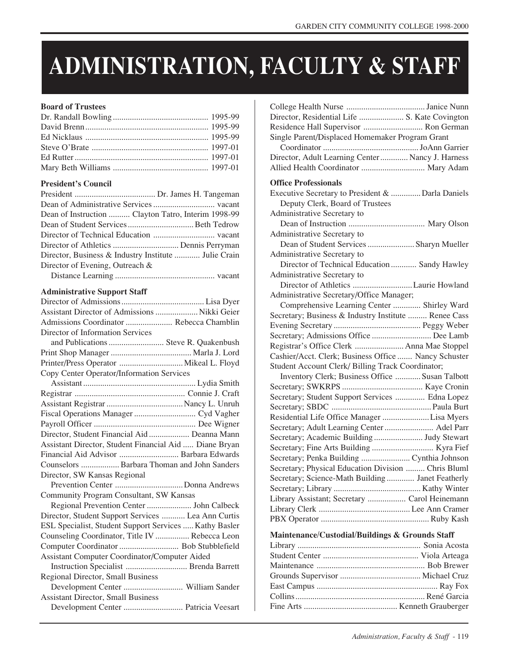# **ADMINISTRATION, FACULTY & STAFF**

## **Board of Trustees**

## **President's Council**

| Dean of Instruction  Clayton Tatro, Interim 1998-99  |
|------------------------------------------------------|
|                                                      |
|                                                      |
|                                                      |
| Director, Business & Industry Institute  Julie Crain |
| Director of Evening, Outreach &                      |
|                                                      |

## **Administrative Support Staff**

| Assistant Director of Admissions  Nikki Geier          |  |
|--------------------------------------------------------|--|
| Admissions Coordinator  Rebecca Chamblin               |  |
| Director of Information Services                       |  |
| and Publications  Steve R. Quakenbush                  |  |
|                                                        |  |
|                                                        |  |
| Copy Center Operator/Information Services              |  |
|                                                        |  |
|                                                        |  |
|                                                        |  |
| Fiscal Operations Manager  Cyd Vagher                  |  |
|                                                        |  |
| Director, Student Financial Aid  Deanna Mann           |  |
| Assistant Director, Student Financial Aid  Diane Bryan |  |
| Financial Aid Advisor  Barbara Edwards                 |  |
| Counselors  Barbara Thoman and John Sanders            |  |
| Director, SW Kansas Regional                           |  |
|                                                        |  |
| Community Program Consultant, SW Kansas                |  |
| Regional Prevention Center  John Calbeck               |  |
| Director, Student Support Services  Lea Ann Curtis     |  |
| ESL Specialist, Student Support Services  Kathy Basler |  |
| Counseling Coordinator, Title IV  Rebecca Leon         |  |
|                                                        |  |
| Assistant Computer Coordinator/Computer Aided          |  |
| Instruction Specialist  Brenda Barrett                 |  |
| Regional Director, Small Business                      |  |
| Development Center  William Sander                     |  |
| <b>Assistant Director, Small Business</b>              |  |
| Development Center  Patricia Veesart                   |  |
|                                                        |  |

| Director, Residential Life  S. Kate Covington<br>Residence Hall Supervisor  Ron German<br>Single Parent/Displaced Homemaker Program Grant<br>Director, Adult Learning Center  Nancy J. Harness<br>Allied Health Coordinator  Mary Adam |  |
|----------------------------------------------------------------------------------------------------------------------------------------------------------------------------------------------------------------------------------------|--|
| <b>Office Professionals</b>                                                                                                                                                                                                            |  |
| Executive Secretary to President &  Darla Daniels                                                                                                                                                                                      |  |
| Deputy Clerk, Board of Trustees                                                                                                                                                                                                        |  |
| Administrative Secretary to                                                                                                                                                                                                            |  |
|                                                                                                                                                                                                                                        |  |
| Administrative Secretary to                                                                                                                                                                                                            |  |
| Dean of Student Services  Sharyn Mueller                                                                                                                                                                                               |  |
| Administrative Secretary to                                                                                                                                                                                                            |  |
| Director of Technical Education  Sandy Hawley                                                                                                                                                                                          |  |
| Administrative Secretary to                                                                                                                                                                                                            |  |
| Director of Athletics Laurie Howland                                                                                                                                                                                                   |  |
| Administrative Secretary/Office Manager;                                                                                                                                                                                               |  |
| Comprehensive Learning Center  Shirley Ward                                                                                                                                                                                            |  |
| Secretary; Business & Industry Institute  Renee Cass                                                                                                                                                                                   |  |
|                                                                                                                                                                                                                                        |  |
| Secretary; Admissions Office  Dee Lamb                                                                                                                                                                                                 |  |
| Registrar's Office Clerk  Anna Mae Stoppel                                                                                                                                                                                             |  |
| Cashier/Acct. Clerk; Business Office  Nancy Schuster                                                                                                                                                                                   |  |
| Student Account Clerk/Billing Track Coordinator;                                                                                                                                                                                       |  |
| Inventory Clerk; Business Office  Susan Talbott                                                                                                                                                                                        |  |
|                                                                                                                                                                                                                                        |  |
| Secretary; Student Support Services  Edna Lopez                                                                                                                                                                                        |  |
|                                                                                                                                                                                                                                        |  |
| Residential Life Office Manager Lisa Myers                                                                                                                                                                                             |  |
| Secretary; Adult Learning Center  Adel Parr                                                                                                                                                                                            |  |
| Secretary; Academic Building  Judy Stewart                                                                                                                                                                                             |  |
|                                                                                                                                                                                                                                        |  |
| Secretary; Penka Building  Cynthia Johnson                                                                                                                                                                                             |  |
| Secretary; Physical Education Division  Chris Bluml                                                                                                                                                                                    |  |
| Secretary; Science-Math Building  Janet Featherly                                                                                                                                                                                      |  |
|                                                                                                                                                                                                                                        |  |
| Library Assistant; Secretary  Carol Heinemann                                                                                                                                                                                          |  |
|                                                                                                                                                                                                                                        |  |
|                                                                                                                                                                                                                                        |  |
| Maintenance/Custodial/Buildings & Grounds Staff                                                                                                                                                                                        |  |
|                                                                                                                                                                                                                                        |  |
|                                                                                                                                                                                                                                        |  |
|                                                                                                                                                                                                                                        |  |
|                                                                                                                                                                                                                                        |  |
|                                                                                                                                                                                                                                        |  |
|                                                                                                                                                                                                                                        |  |
|                                                                                                                                                                                                                                        |  |
|                                                                                                                                                                                                                                        |  |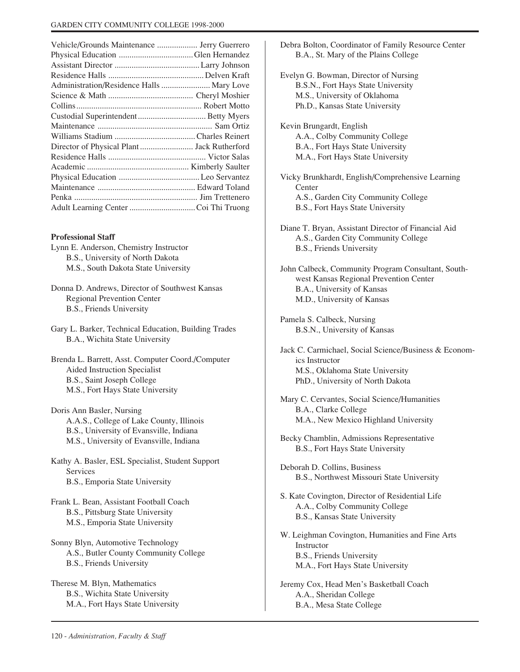| Vehicle/Grounds Maintenance  Jerry Guerrero |  |
|---------------------------------------------|--|
|                                             |  |
|                                             |  |
|                                             |  |
| Administration/Residence Halls  Mary Love   |  |
|                                             |  |
|                                             |  |
|                                             |  |
|                                             |  |
|                                             |  |
| Director of Physical Plant  Jack Rutherford |  |
|                                             |  |
|                                             |  |
|                                             |  |
|                                             |  |
|                                             |  |
|                                             |  |
|                                             |  |

#### **Professional Staff**

Lynn E. Anderson, Chemistry Instructor B.S., University of North Dakota M.S., South Dakota State University

Donna D. Andrews, Director of Southwest Kansas Regional Prevention Center B.S., Friends University

Gary L. Barker, Technical Education, Building Trades B.A., Wichita State University

Brenda L. Barrett, Asst. Computer Coord./Computer Aided Instruction Specialist B.S., Saint Joseph College M.S., Fort Hays State University

Doris Ann Basler, Nursing A.A.S., College of Lake County, Illinois B.S., University of Evansville, Indiana M.S., University of Evansville, Indiana

Kathy A. Basler, ESL Specialist, Student Support Services B.S., Emporia State University

Frank L. Bean, Assistant Football Coach B.S., Pittsburg State University M.S., Emporia State University

Sonny Blyn, Automotive Technology A.S., Butler County Community College B.S., Friends University

Therese M. Blyn, Mathematics B.S., Wichita State University M.A., Fort Hays State University

B.A., St. Mary of the Plains College Evelyn G. Bowman, Director of Nursing B.S.N., Fort Hays State University M.S., University of Oklahoma Ph.D., Kansas State University Kevin Brungardt, English A.A., Colby Community College B.A., Fort Hays State University M.A., Fort Hays State University Vicky Brunkhardt, English/Comprehensive Learning Center A.S., Garden City Community College B.S., Fort Hays State University Diane T. Bryan, Assistant Director of Financial Aid A.S., Garden City Community College B.S., Friends University John Calbeck, Community Program Consultant, Southwest Kansas Regional Prevention Center B.A., University of Kansas M.D., University of Kansas Pamela S. Calbeck, Nursing B.S.N., University of Kansas Jack C. Carmichael, Social Science/Business & Economics Instructor M.S., Oklahoma State University PhD., University of North Dakota Mary C. Cervantes, Social Science/Humanities B.A., Clarke College M.A., New Mexico Highland University Becky Chamblin, Admissions Representative B.S., Fort Hays State University Deborah D. Collins, Business B.S., Northwest Missouri State University S. Kate Covington, Director of Residential Life A.A., Colby Community College B.S., Kansas State University W. Leighman Covington, Humanities and Fine Arts Instructor

Debra Bolton, Coordinator of Family Resource Center

B.S., Friends University M.A., Fort Hays State University

Jeremy Cox, Head Men's Basketball Coach A.A., Sheridan College B.A., Mesa State College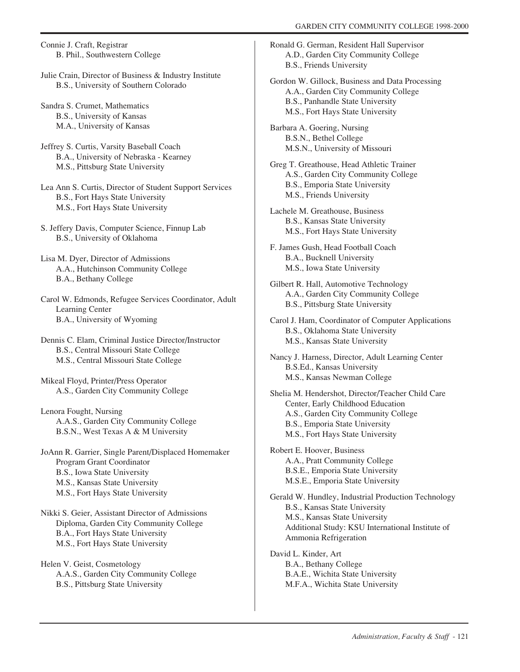Connie J. Craft, Registrar B. Phil., Southwestern College

Julie Crain, Director of Business & Industry Institute B.S., University of Southern Colorado

Sandra S. Crumet, Mathematics B.S., University of Kansas M.A., University of Kansas

Jeffrey S. Curtis, Varsity Baseball Coach B.A., University of Nebraska - Kearney M.S., Pittsburg State University

Lea Ann S. Curtis, Director of Student Support Services B.S., Fort Hays State University M.S., Fort Hays State University

S. Jeffery Davis, Computer Science, Finnup Lab B.S., University of Oklahoma

Lisa M. Dyer, Director of Admissions A.A., Hutchinson Community College B.A., Bethany College

Carol W. Edmonds, Refugee Services Coordinator, Adult Learning Center B.A., University of Wyoming

Dennis C. Elam, Criminal Justice Director/Instructor B.S., Central Missouri State College M.S., Central Missouri State College

Mikeal Floyd, Printer/Press Operator A.S., Garden City Community College

Lenora Fought, Nursing A.A.S., Garden City Community College B.S.N., West Texas A & M University

JoAnn R. Garrier, Single Parent/Displaced Homemaker Program Grant Coordinator B.S., Iowa State University M.S., Kansas State University M.S., Fort Hays State University

Nikki S. Geier, Assistant Director of Admissions Diploma, Garden City Community College B.A., Fort Hays State University M.S., Fort Hays State University

Helen V. Geist, Cosmetology A.A.S., Garden City Community College B.S., Pittsburg State University

Ronald G. German, Resident Hall Supervisor A.D., Garden City Community College B.S., Friends University

Gordon W. Gillock, Business and Data Processing A.A., Garden City Community College B.S., Panhandle State University M.S., Fort Hays State University

Barbara A. Goering, Nursing B.S.N., Bethel College M.S.N., University of Missouri

Greg T. Greathouse, Head Athletic Trainer A.S., Garden City Community College B.S., Emporia State University M.S., Friends University

Lachele M. Greathouse, Business B.S., Kansas State University M.S., Fort Hays State University

F. James Gush, Head Football Coach B.A., Bucknell University M.S., Iowa State University

Gilbert R. Hall, Automotive Technology A.A., Garden City Community College B.S., Pittsburg State University

Carol J. Ham, Coordinator of Computer Applications B.S., Oklahoma State University M.S., Kansas State University

Nancy J. Harness, Director, Adult Learning Center B.S.Ed., Kansas University M.S., Kansas Newman College

Shelia M. Hendershot, Director/Teacher Child Care Center, Early Childhood Education A.S., Garden City Community College B.S., Emporia State University M.S., Fort Hays State University

Robert E. Hoover, Business A.A., Pratt Community College B.S.E., Emporia State University M.S.E., Emporia State University

Gerald W. Hundley, Industrial Production Technology B.S., Kansas State University M.S., Kansas State University Additional Study: KSU International Institute of Ammonia Refrigeration

David L. Kinder, Art B.A., Bethany College B.A.E., Wichita State University M.F.A., Wichita State University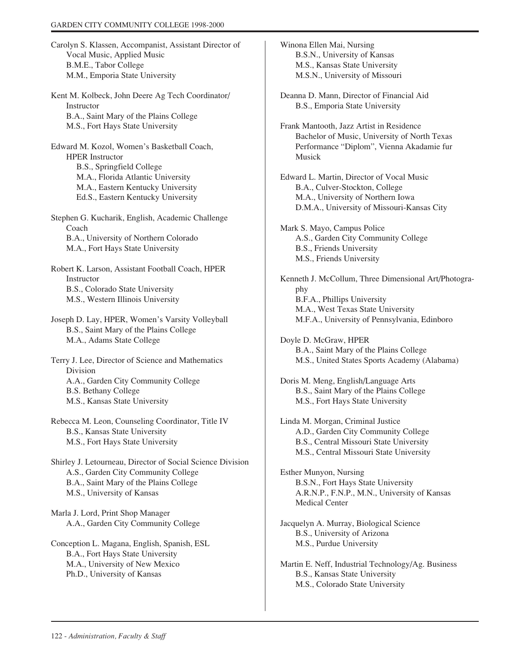Carolyn S. Klassen, Accompanist, Assistant Director of Vocal Music, Applied Music B.M.E., Tabor College M.M., Emporia State University

Kent M. Kolbeck, John Deere Ag Tech Coordinator/ Instructor B.A., Saint Mary of the Plains College M.S., Fort Hays State University

Edward M. Kozol, Women's Basketball Coach, HPER Instructor B.S., Springfield College M.A., Florida Atlantic University M.A., Eastern Kentucky University Ed.S., Eastern Kentucky University

Stephen G. Kucharik, English, Academic Challenge Coach B.A., University of Northern Colorado M.A., Fort Hays State University

Robert K. Larson, Assistant Football Coach, HPER Instructor B.S., Colorado State University M.S., Western Illinois University

Joseph D. Lay, HPER, Women's Varsity Volleyball B.S., Saint Mary of the Plains College M.A., Adams State College

Terry J. Lee, Director of Science and Mathematics Division A.A., Garden City Community College B.S. Bethany College M.S., Kansas State University

Rebecca M. Leon, Counseling Coordinator, Title IV B.S., Kansas State University M.S., Fort Hays State University

Shirley J. Letourneau, Director of Social Science Division A.S., Garden City Community College B.A., Saint Mary of the Plains College M.S., University of Kansas

Marla J. Lord, Print Shop Manager A.A., Garden City Community College

Conception L. Magana, English, Spanish, ESL B.A., Fort Hays State University M.A., University of New Mexico Ph.D., University of Kansas

Winona Ellen Mai, Nursing B.S.N., University of Kansas M.S., Kansas State University M.S.N., University of Missouri

Deanna D. Mann, Director of Financial Aid B.S., Emporia State University

Frank Mantooth, Jazz Artist in Residence Bachelor of Music, University of North Texas Performance "Diplom", Vienna Akadamie fur Musick

Edward L. Martin, Director of Vocal Music B.A., Culver-Stockton, College M.A., University of Northern Iowa D.M.A., University of Missouri-Kansas City

Mark S. Mayo, Campus Police A.S., Garden City Community College B.S., Friends University M.S., Friends University

Kenneth J. McCollum, Three Dimensional Art/Photography B.F.A., Phillips University M.A., West Texas State University M.F.A., University of Pennsylvania, Edinboro

Doyle D. McGraw, HPER B.A., Saint Mary of the Plains College M.S., United States Sports Academy (Alabama)

Doris M. Meng, English/Language Arts B.S., Saint Mary of the Plains College M.S., Fort Hays State University

Linda M. Morgan, Criminal Justice A.D., Garden City Community College B.S., Central Missouri State University M.S., Central Missouri State University

Esther Munyon, Nursing B.S.N., Fort Hays State University A.R.N.P., F.N.P., M.N., University of Kansas Medical Center

Jacquelyn A. Murray, Biological Science B.S., University of Arizona M.S., Purdue University

Martin E. Neff, Industrial Technology/Ag. Business B.S., Kansas State University M.S., Colorado State University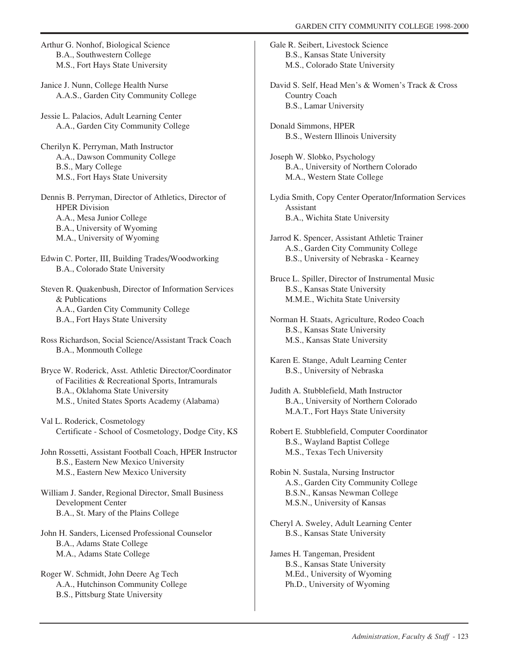Arthur G. Nonhof, Biological Science B.A., Southwestern College M.S., Fort Hays State University

Janice J. Nunn, College Health Nurse A.A.S., Garden City Community College

Jessie L. Palacios, Adult Learning Center A.A., Garden City Community College

Cherilyn K. Perryman, Math Instructor A.A., Dawson Community College B.S., Mary College M.S., Fort Hays State University

Dennis B. Perryman, Director of Athletics, Director of HPER Division A.A., Mesa Junior College B.A., University of Wyoming M.A., University of Wyoming

Edwin C. Porter, III, Building Trades/Woodworking B.A., Colorado State University

Steven R. Quakenbush, Director of Information Services & Publications A.A., Garden City Community College B.A., Fort Hays State University

Ross Richardson, Social Science/Assistant Track Coach B.A., Monmouth College

Bryce W. Roderick, Asst. Athletic Director/Coordinator of Facilities & Recreational Sports, Intramurals B.A., Oklahoma State University M.S., United States Sports Academy (Alabama)

Val L. Roderick, Cosmetology Certificate - School of Cosmetology, Dodge City, KS

John Rossetti, Assistant Football Coach, HPER Instructor B.S., Eastern New Mexico University M.S., Eastern New Mexico University

William J. Sander, Regional Director, Small Business Development Center B.A., St. Mary of the Plains College

John H. Sanders, Licensed Professional Counselor B.A., Adams State College M.A., Adams State College

Roger W. Schmidt, John Deere Ag Tech A.A., Hutchinson Community College B.S., Pittsburg State University

Gale R. Seibert, Livestock Science B.S., Kansas State University M.S., Colorado State University

David S. Self, Head Men's & Women's Track & Cross Country Coach B.S., Lamar University

Donald Simmons, HPER B.S., Western Illinois University

Joseph W. Slobko, Psychology B.A., University of Northern Colorado M.A., Western State College

Lydia Smith, Copy Center Operator/Information Services Assistant B.A., Wichita State University

Jarrod K. Spencer, Assistant Athletic Trainer A.S., Garden City Community College B.S., University of Nebraska - Kearney

Bruce L. Spiller, Director of Instrumental Music B.S., Kansas State University M.M.E., Wichita State University

Norman H. Staats, Agriculture, Rodeo Coach B.S., Kansas State University M.S., Kansas State University

Karen E. Stange, Adult Learning Center B.S., University of Nebraska

Judith A. Stubblefield, Math Instructor B.A., University of Northern Colorado M.A.T., Fort Hays State University

Robert E. Stubblefield, Computer Coordinator B.S., Wayland Baptist College M.S., Texas Tech University

Robin N. Sustala, Nursing Instructor A.S., Garden City Community College B.S.N., Kansas Newman College M.S.N., University of Kansas

Cheryl A. Sweley, Adult Learning Center B.S., Kansas State University

James H. Tangeman, President B.S., Kansas State University M.Ed., University of Wyoming Ph.D., University of Wyoming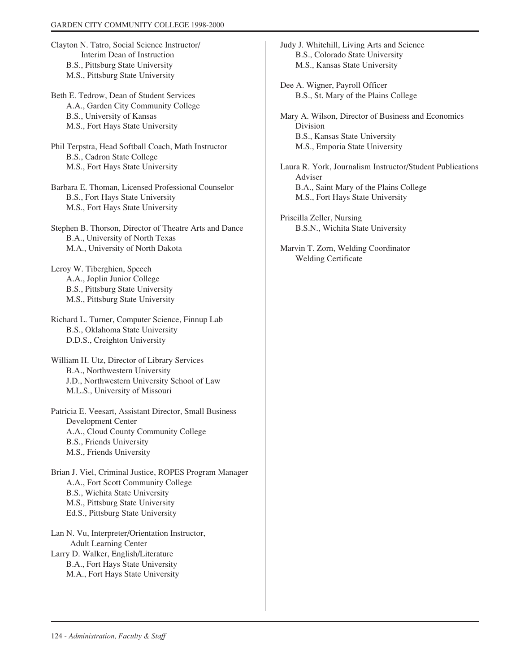- Clayton N. Tatro, Social Science Instructor/ Interim Dean of Instruction B.S., Pittsburg State University M.S., Pittsburg State University
- Beth E. Tedrow, Dean of Student Services A.A., Garden City Community College B.S., University of Kansas M.S., Fort Hays State University
- Phil Terpstra, Head Softball Coach, Math Instructor B.S., Cadron State College M.S., Fort Hays State University
- Barbara E. Thoman, Licensed Professional Counselor B.S., Fort Hays State University M.S., Fort Hays State University
- Stephen B. Thorson, Director of Theatre Arts and Dance B.A., University of North Texas M.A., University of North Dakota
- Leroy W. Tiberghien, Speech A.A., Joplin Junior College B.S., Pittsburg State University M.S., Pittsburg State University
- Richard L. Turner, Computer Science, Finnup Lab B.S., Oklahoma State University D.D.S., Creighton University
- William H. Utz, Director of Library Services B.A., Northwestern University J.D., Northwestern University School of Law M.L.S., University of Missouri
- Patricia E. Veesart, Assistant Director, Small Business Development Center A.A., Cloud County Community College B.S., Friends University M.S., Friends University
- Brian J. Viel, Criminal Justice, ROPES Program Manager A.A., Fort Scott Community College B.S., Wichita State University M.S., Pittsburg State University Ed.S., Pittsburg State University
- Lan N. Vu, Interpreter/Orientation Instructor, Adult Learning Center Larry D. Walker, English/Literature B.A., Fort Hays State University M.A., Fort Hays State University
- Judy J. Whitehill, Living Arts and Science B.S., Colorado State University M.S., Kansas State University
- Dee A. Wigner, Payroll Officer B.S., St. Mary of the Plains College
- Mary A. Wilson, Director of Business and Economics Division B.S., Kansas State University M.S., Emporia State University
- Laura R. York, Journalism Instructor/Student Publications Adviser B.A., Saint Mary of the Plains College M.S., Fort Hays State University
- Priscilla Zeller, Nursing B.S.N., Wichita State University
- Marvin T. Zorn, Welding Coordinator Welding Certificate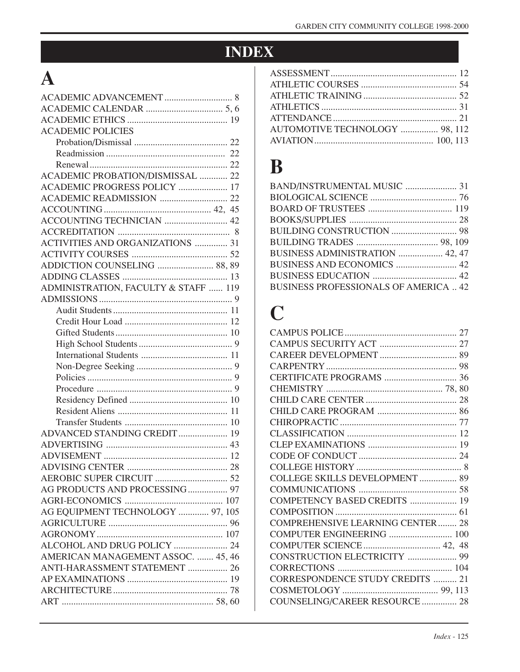## **INDEX**

## **A**

| <b>ACADEMIC POLICIES</b>                |  |
|-----------------------------------------|--|
|                                         |  |
|                                         |  |
|                                         |  |
| ACADEMIC PROBATION/DISMISSAL  22        |  |
| ACADEMIC PROGRESS POLICY  17            |  |
|                                         |  |
|                                         |  |
|                                         |  |
|                                         |  |
| <b>ACTIVITIES AND ORGANIZATIONS  31</b> |  |
|                                         |  |
| ADDICTION COUNSELING  88, 89            |  |
|                                         |  |
| ADMINISTRATION, FACULTY & STAFF  119    |  |
|                                         |  |
|                                         |  |
|                                         |  |
|                                         |  |
|                                         |  |
|                                         |  |
|                                         |  |
|                                         |  |
|                                         |  |
|                                         |  |
|                                         |  |
|                                         |  |
| ADVANCED STANDING CREDIT 19             |  |
|                                         |  |
|                                         |  |
|                                         |  |
|                                         |  |
| AG PRODUCTS AND PROCESSING  97          |  |
|                                         |  |
| AG EQUIPMENT TECHNOLOGY  97, 105        |  |
|                                         |  |
|                                         |  |
| ALCOHOL AND DRUG POLICY  24             |  |
| AMERICAN MANAGEMENT ASSOC.  45, 46      |  |
| ANTI-HARASSMENT STATEMENT  26           |  |
|                                         |  |
|                                         |  |
|                                         |  |
|                                         |  |

| AUTOMOTIVE TECHNOLOGY  98, 112 |  |
|--------------------------------|--|
|                                |  |
|                                |  |

## **B**

| BAND/INSTRUMENTAL MUSIC  31                 |  |
|---------------------------------------------|--|
|                                             |  |
|                                             |  |
|                                             |  |
|                                             |  |
|                                             |  |
| BUSINESS ADMINISTRATION  42, 47             |  |
| BUSINESS AND ECONOMICS  42                  |  |
|                                             |  |
| <b>BUSINESS PROFESSIONALS OF AMERICA 42</b> |  |
|                                             |  |

## **C**

| COLLEGE SKILLS DEVELOPMENT  89          |  |
|-----------------------------------------|--|
|                                         |  |
| COMPETENCY BASED CREDITS  19            |  |
|                                         |  |
| <b>COMPREHENSIVE LEARNING CENTER 28</b> |  |
| COMPUTER ENGINEERING  100               |  |
|                                         |  |
| CONSTRUCTION ELECTRICITY  99            |  |
|                                         |  |
| <b>CORRESPONDENCE STUDY CREDITS  21</b> |  |
|                                         |  |
| COUNSELING/CAREER RESOURCE  28          |  |
|                                         |  |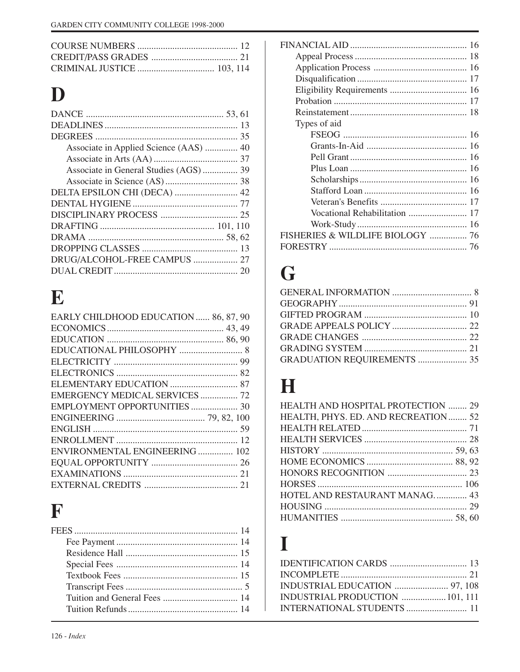# **D**

| DELTA EPSILON CHI (DECA)  42 |  |
|------------------------------|--|
|                              |  |
|                              |  |
|                              |  |
|                              |  |
|                              |  |
|                              |  |
|                              |  |
|                              |  |

# **E**

| EARLY CHILDHOOD EDUCATION  86, 87, 90 |  |
|---------------------------------------|--|
|                                       |  |
|                                       |  |
|                                       |  |
|                                       |  |
|                                       |  |
|                                       |  |
| EMERGENCY MEDICAL SERVICES  72        |  |
| EMPLOYMENT OPPORTUNITIES  30          |  |
|                                       |  |
|                                       |  |
|                                       |  |
| ENVIRONMENTAL ENGINEERING  102        |  |
|                                       |  |
|                                       |  |
|                                       |  |
|                                       |  |

## **F**

| Types of aid                     |  |
|----------------------------------|--|
|                                  |  |
|                                  |  |
|                                  |  |
|                                  |  |
|                                  |  |
|                                  |  |
|                                  |  |
|                                  |  |
|                                  |  |
| FISHERIES & WILDLIFE BIOLOGY  76 |  |
|                                  |  |
|                                  |  |

# **G**

| GRADUATION REQUIREMENTS  35 |  |
|-----------------------------|--|
|                             |  |

## **H**

| HEALTH AND HOSPITAL PROTECTION  29  |  |
|-------------------------------------|--|
| HEALTH, PHYS. ED. AND RECREATION 52 |  |
|                                     |  |
|                                     |  |
|                                     |  |
|                                     |  |
|                                     |  |
|                                     |  |
| HOTEL AND RESTAURANT MANAG 43       |  |
|                                     |  |
|                                     |  |

## **I**

| INDUSTRIAL PRODUCTION  101, 111 |  |
|---------------------------------|--|
|                                 |  |
|                                 |  |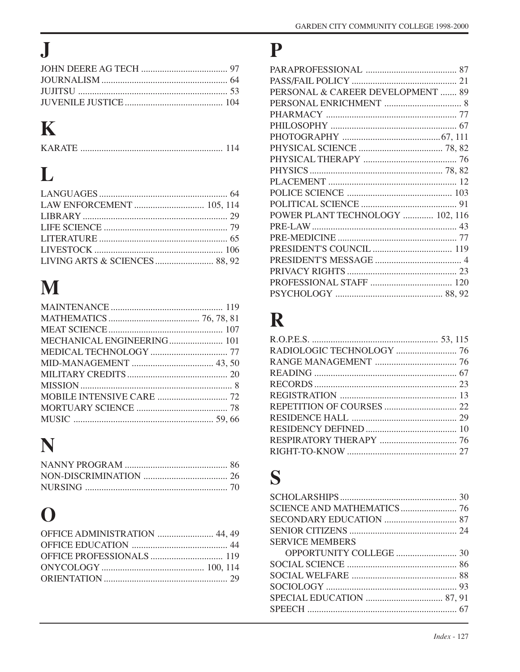# $\mathbf J$

# $\mathbf K$

# L

# $\mathbf M$

| MECHANICAL ENGINEERING 101 |  |
|----------------------------|--|
|                            |  |
|                            |  |
|                            |  |
|                            |  |
|                            |  |
|                            |  |
|                            |  |
|                            |  |

# N

# $\overline{O}$

| OFFICE ADMINISTRATION  44, 49 |  |
|-------------------------------|--|
|                               |  |
|                               |  |
|                               |  |
|                               |  |
|                               |  |

## P

| PERSONAL & CAREER DEVELOPMENT  89 |  |
|-----------------------------------|--|
|                                   |  |
|                                   |  |
|                                   |  |
|                                   |  |
|                                   |  |
|                                   |  |
|                                   |  |
|                                   |  |
|                                   |  |
|                                   |  |
| POWER PLANT TECHNOLOGY  102, 116  |  |
|                                   |  |
|                                   |  |
|                                   |  |
|                                   |  |
|                                   |  |
|                                   |  |
|                                   |  |
|                                   |  |

## $\mathbf R$

## S

| <b>SERVICE MEMBERS</b> |  |
|------------------------|--|
|                        |  |
|                        |  |
|                        |  |
|                        |  |
|                        |  |
|                        |  |
|                        |  |